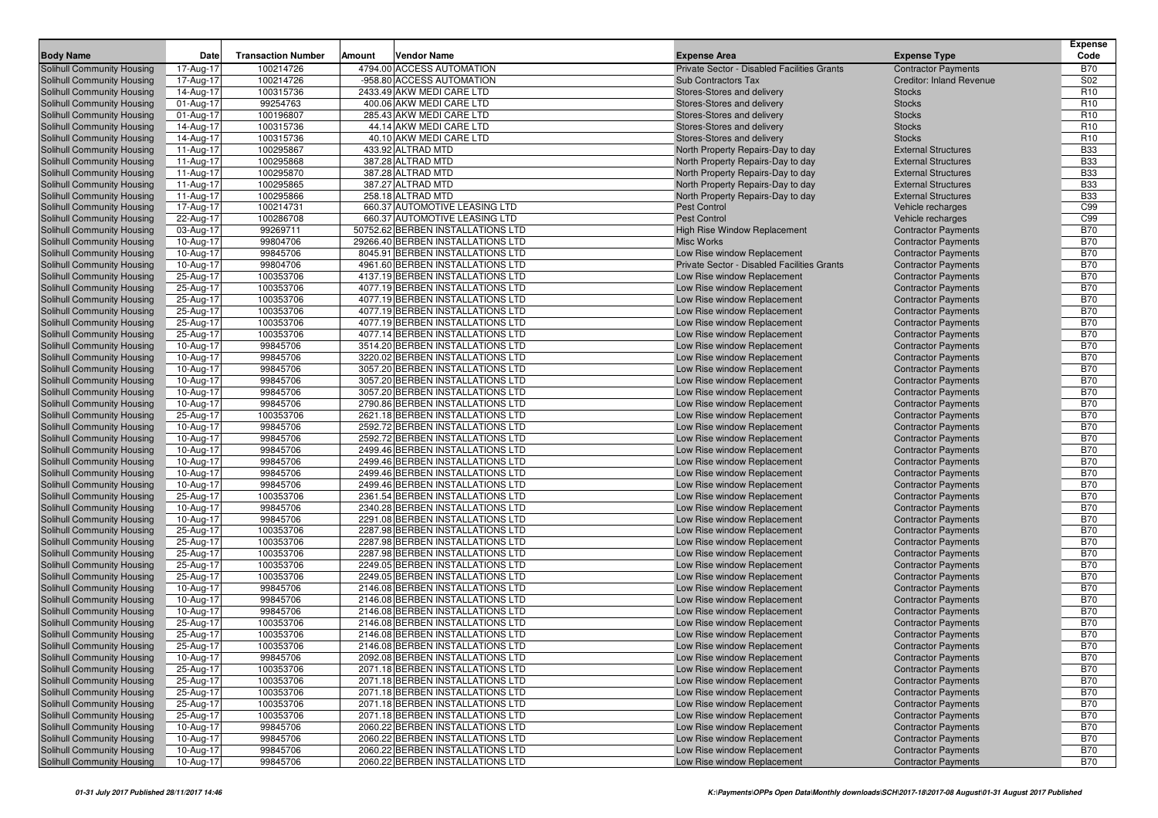| <b>Body Name</b>                                         | Date                   | <b>Transaction Number</b> | Amount | <b>Vendor Name</b>                                                   | <b>Expense Area</b>                                        | <b>Expense Type</b>                                      | <b>Expense</b><br>Code   |
|----------------------------------------------------------|------------------------|---------------------------|--------|----------------------------------------------------------------------|------------------------------------------------------------|----------------------------------------------------------|--------------------------|
| Solihull Community Housing                               | 17-Aug-17              | 100214726                 |        | 4794.00 ACCESS AUTOMATION                                            | Private Sector - Disabled Facilities Grants                | <b>Contractor Payments</b>                               | <b>B70</b>               |
| Solihull Community Housing                               | 17-Aug-17              | 100214726                 |        | -958.80 ACCESS AUTOMATION                                            | <b>Sub Contractors Tax</b>                                 | <b>Creditor: Inland Revenue</b>                          | S02                      |
| Solihull Community Housing                               | 14-Aug-17              | 100315736                 |        | 2433.49 AKW MEDI CARE LTD                                            | Stores-Stores and delivery                                 | <b>Stocks</b>                                            | R <sub>10</sub>          |
| Solihull Community Housing                               | 01-Aug-17              | 99254763                  |        | 400.06 AKW MEDI CARE LTD                                             | Stores-Stores and delivery                                 | <b>Stocks</b>                                            | R <sub>10</sub>          |
| Solihull Community Housing                               | 01-Aug-17              | 100196807                 |        | 285.43 AKW MEDI CARE LTD                                             | Stores-Stores and delivery                                 | <b>Stocks</b>                                            | R <sub>10</sub>          |
| Solihull Community Housing                               | 14-Aug-17              | 100315736                 |        | 44.14 AKW MEDI CARE LTD                                              | Stores-Stores and delivery                                 | <b>Stocks</b>                                            | R <sub>10</sub>          |
| Solihull Community Housing                               | 14-Aug-17              | 100315736                 |        | 40.10 AKW MEDI CARE LTD                                              | Stores-Stores and delivery                                 | <b>Stocks</b>                                            | R <sub>10</sub>          |
| Solihull Community Housing                               | 11-Aug-17              | 100295867                 |        | 433.92 ALTRAD MTD                                                    | North Property Repairs-Day to day                          | <b>External Structures</b>                               | <b>B33</b>               |
| Solihull Community Housing                               | 11-Aug-17              | 100295868                 |        | 387.28 ALTRAD MTD                                                    | North Property Repairs-Day to day                          | <b>External Structures</b>                               | <b>B33</b>               |
| Solihull Community Housing                               | 11-Aug-17              | 100295870                 |        | 387.28 ALTRAD MTD                                                    | North Property Repairs-Day to day                          | <b>External Structures</b>                               | <b>B33</b>               |
| <b>Solihull Community Housing</b>                        | 11-Aug-17              | 100295865                 |        | 387.27 ALTRAD MTD                                                    | North Property Repairs-Day to day                          | <b>External Structures</b>                               | <b>B33</b>               |
| <b>Solihull Community Housing</b>                        | 11-Aug-17              | 100295866                 |        | 258.18 ALTRAD MTD                                                    | North Property Repairs-Day to day                          | <b>External Structures</b>                               | <b>B33</b>               |
| Solihull Community Housing                               | 17-Aug-17              | 100214731                 |        | 660.37 AUTOMOTIVE LEASING LTD                                        | Pest Control                                               | Vehicle recharges                                        | C99                      |
| Solihull Community Housing                               | 22-Aug-17              | 100286708                 |        | 660.37 AUTOMOTIVE LEASING LTD                                        | <b>Pest Control</b>                                        | Vehicle recharges                                        | C99                      |
| Solihull Community Housing                               | 03-Aug-17              | 99269711                  |        | 50752.62 BERBEN INSTALLATIONS LTD                                    | High Rise Window Replacement                               | <b>Contractor Payments</b>                               | <b>B70</b>               |
| Solihull Community Housing                               | 10-Aug-17              | 99804706                  |        | 29266.40 BERBEN INSTALLATIONS LTD                                    | <b>Misc Works</b>                                          | <b>Contractor Payments</b>                               | <b>B70</b>               |
| Solihull Community Housing                               | 10-Aug-17              | 99845706                  |        | 8045.91 BERBEN INSTALLATIONS LTD                                     | Low Rise window Replacement                                | <b>Contractor Payments</b>                               | <b>B70</b>               |
| Solihull Community Housing                               | 10-Aug-17              | 99804706                  |        | 4961.60 BERBEN INSTALLATIONS LTD                                     | Private Sector - Disabled Facilities Grants                | <b>Contractor Payments</b>                               | <b>B70</b>               |
| Solihull Community Housing                               | 25-Aug-17              | 100353706                 |        | 4137.19 BERBEN INSTALLATIONS LTD                                     | Low Rise window Replacement                                | <b>Contractor Payments</b>                               | <b>B70</b>               |
| Solihull Community Housing                               | 25-Aug-17              | 100353706                 |        | 4077.19 BERBEN INSTALLATIONS LTD                                     | Low Rise window Replacement                                | <b>Contractor Payments</b>                               | <b>B70</b>               |
| Solihull Community Housing                               | 25-Aug-17              | 100353706                 |        | 4077.19 BERBEN INSTALLATIONS LTD                                     | Low Rise window Replacement                                | <b>Contractor Payments</b>                               | <b>B70</b>               |
| Solihull Community Housing                               | 25-Aug-17              | 100353706                 |        | 4077.19 BERBEN INSTALLATIONS LTD                                     | Low Rise window Replacement                                | <b>Contractor Payments</b>                               | <b>B70</b>               |
| Solihull Community Housing                               | 25-Aug-17              | 100353706                 |        | 4077.19 BERBEN INSTALLATIONS LTD                                     | Low Rise window Replacement                                | <b>Contractor Payments</b>                               | <b>B70</b>               |
| Solihull Community Housing                               | 25-Aug-17              | 100353706                 |        | 4077.14 BERBEN INSTALLATIONS LTD                                     | Low Rise window Replacement                                | <b>Contractor Payments</b>                               | <b>B70</b>               |
| Solihull Community Housing                               | 10-Aug-17              | 99845706                  |        | 3514.20 BERBEN INSTALLATIONS LTD                                     | Low Rise window Replacement                                | <b>Contractor Payments</b>                               | <b>B70</b><br><b>B70</b> |
| Solihull Community Housing<br>Solihull Community Housing | 10-Aug-17<br>10-Aug-17 | 99845706<br>99845706      |        | 3220.02 BERBEN INSTALLATIONS LTD<br>3057.20 BERBEN INSTALLATIONS LTD | Low Rise window Replacement<br>Low Rise window Replacement | <b>Contractor Payments</b><br><b>Contractor Payments</b> | <b>B70</b>               |
| Solihull Community Housing                               | 10-Aug-17              | 99845706                  |        | 3057.20 BERBEN INSTALLATIONS LTD                                     | Low Rise window Replacement                                | <b>Contractor Payments</b>                               | <b>B70</b>               |
| Solihull Community Housing                               | 10-Aug-17              | 99845706                  |        | 3057.20 BERBEN INSTALLATIONS LTD                                     | Low Rise window Replacement                                | <b>Contractor Payments</b>                               | <b>B70</b>               |
| Solihull Community Housing                               | 10-Aug-17              | 99845706                  |        | 2790.86 BERBEN INSTALLATIONS LTD                                     | Low Rise window Replacement                                | <b>Contractor Payments</b>                               | <b>B70</b>               |
| Solihull Community Housing                               | 25-Aug-17              | 100353706                 |        | 2621.18 BERBEN INSTALLATIONS LTD                                     | Low Rise window Replacement                                | <b>Contractor Payments</b>                               | <b>B70</b>               |
| Solihull Community Housing                               | 10-Aug-17              | 99845706                  |        | 2592.72 BERBEN INSTALLATIONS LTD                                     | Low Rise window Replacement                                | <b>Contractor Payments</b>                               | <b>B70</b>               |
| Solihull Community Housing                               | 10-Aug-17              | 99845706                  |        | 2592.72 BERBEN INSTALLATIONS LTD                                     | Low Rise window Replacement                                | <b>Contractor Payments</b>                               | <b>B70</b>               |
| Solihull Community Housing                               | 10-Aug-17              | 99845706                  |        | 2499.46 BERBEN INSTALLATIONS LTD                                     | Low Rise window Replacement                                | <b>Contractor Payments</b>                               | <b>B70</b>               |
| Solihull Community Housing                               | 10-Aug-17              | 99845706                  |        | 2499.46 BERBEN INSTALLATIONS LTD                                     | Low Rise window Replacement                                | <b>Contractor Payments</b>                               | <b>B70</b>               |
| Solihull Community Housing                               | 10-Aug-17              | 99845706                  |        | 2499.46 BERBEN INSTALLATIONS LTD                                     | Low Rise window Replacement                                | <b>Contractor Payments</b>                               | <b>B70</b>               |
| Solihull Community Housing                               | 10-Aug-17              | 99845706                  |        | 2499.46 BERBEN INSTALLATIONS LTD                                     | Low Rise window Replacement                                | <b>Contractor Payments</b>                               | <b>B70</b>               |
| Solihull Community Housing                               | 25-Aug-17              | 100353706                 |        | 2361.54 BERBEN INSTALLATIONS LTD                                     | Low Rise window Replacement                                | <b>Contractor Payments</b>                               | <b>B70</b>               |
| Solihull Community Housing                               | 10-Aug-17              | 99845706                  |        | 2340.28 BERBEN INSTALLATIONS LTD                                     | Low Rise window Replacement                                | <b>Contractor Payments</b>                               | <b>B70</b>               |
| Solihull Community Housing                               | 10-Aug-17              | 99845706                  |        | 2291.08 BERBEN INSTALLATIONS LTD                                     | Low Rise window Replacement                                | <b>Contractor Payments</b>                               | <b>B70</b>               |
| Solihull Community Housing                               | 25-Aug-17              | 100353706                 |        | 2287.98 BERBEN INSTALLATIONS LTD                                     | Low Rise window Replacement                                | <b>Contractor Payments</b>                               | <b>B70</b>               |
| Solihull Community Housing                               | 25-Aug-17              | 100353706                 |        | 2287.98 BERBEN INSTALLATIONS LTD                                     | Low Rise window Replacement                                | <b>Contractor Payments</b>                               | <b>B70</b>               |
| Solihull Community Housing                               | 25-Aug-17              | 100353706                 |        | 2287.98 BERBEN INSTALLATIONS LTD                                     | Low Rise window Replacement                                | <b>Contractor Payments</b>                               | <b>B70</b>               |
| Solihull Community Housing                               | 25-Aug-17              | 100353706                 |        | 2249.05 BERBEN INSTALLATIONS LTD                                     | Low Rise window Replacement                                | <b>Contractor Payments</b>                               | <b>B70</b>               |
| Solihull Community Housing                               | 25-Aug-17              | 100353706                 |        | 2249.05 BERBEN INSTALLATIONS LTD                                     | Low Rise window Replacement                                | <b>Contractor Payments</b>                               | <b>B70</b>               |
| Solihull Community Housing                               | 10-Aug-17              | 99845706                  |        | 2146.08 BERBEN INSTALLATIONS LTD                                     | Low Rise window Replacement                                | <b>Contractor Payments</b>                               | <b>B70</b>               |
| <b>Solihull Community Housing</b>                        | 10-Aug-17              | 99845706                  |        | 2146.08 BERBEN INSTALLATIONS LTD                                     | Low Rise window Replacement                                | <b>Contractor Payments</b>                               | <b>B70</b>               |
| Solihull Community Housing                               | 10-Aug-17              | 99845706                  |        | 2146.08 BERBEN INSTALLATIONS LTD                                     | Low Rise window Replacement                                | <b>Contractor Payments</b>                               | <b>B70</b>               |
| Solihull Community Housing                               | 25-Aug-17              | 100353706                 |        | 2146.08 BERBEN INSTALLATIONS LTD                                     | Low Rise window Replacement                                | <b>Contractor Payments</b>                               | <b>B70</b>               |
| Solihull Community Housing                               | 25-Aug-17              | 100353706                 |        | 2146.08 BERBEN INSTALLATIONS LTD                                     | Low Rise window Replacement                                | <b>Contractor Payments</b>                               | <b>B70</b>               |
| <b>Solihull Community Housing</b>                        | 25-Aug-17              | 100353706                 |        | 2146.08 BERBEN INSTALLATIONS LTD                                     | Low Rise window Replacement                                | <b>Contractor Payments</b>                               | <b>B70</b>               |
| Solihull Community Housing                               | 10-Aug-17              | 99845706                  |        | 2092.08 BERBEN INSTALLATIONS LTD                                     | Low Rise window Replacement                                | <b>Contractor Payments</b>                               | <b>B70</b>               |
| Solihull Community Housing                               | 25-Aug-17              | 100353706                 |        | 2071.18 BERBEN INSTALLATIONS LTD                                     | Low Rise window Replacement                                | <b>Contractor Payments</b>                               | <b>B70</b>               |
| Solihull Community Housing                               | 25-Aug-17              | 100353706                 |        | 2071.18 BERBEN INSTALLATIONS LTD                                     | Low Rise window Replacement                                | <b>Contractor Payments</b>                               | <b>B70</b>               |
| Solihull Community Housing                               | 25-Aug-17              | 100353706                 |        | 2071.18 BERBEN INSTALLATIONS LTD                                     | Low Rise window Replacement                                | <b>Contractor Payments</b>                               | <b>B70</b>               |
| Solihull Community Housing                               | 25-Aug-17              | 100353706                 |        | 2071.18 BERBEN INSTALLATIONS LTD                                     | Low Rise window Replacement                                | <b>Contractor Payments</b>                               | <b>B70</b>               |
| Solihull Community Housing                               | 25-Aug-17              | 100353706                 |        | 2071.18 BERBEN INSTALLATIONS LTD                                     | Low Rise window Replacement                                | <b>Contractor Payments</b>                               | <b>B70</b>               |
| Solihull Community Housing                               | 10-Aug-17              | 99845706                  |        | 2060.22 BERBEN INSTALLATIONS LTD                                     | Low Rise window Replacement                                | <b>Contractor Payments</b>                               | <b>B70</b>               |
| Solihull Community Housing                               | 10-Aug-17              | 99845706                  |        | 2060.22 BERBEN INSTALLATIONS LTD                                     | Low Rise window Replacement                                | <b>Contractor Payments</b>                               | <b>B70</b>               |
| Solihull Community Housing                               | 10-Aug-17              | 99845706                  |        | 2060.22 BERBEN INSTALLATIONS LTD                                     | Low Rise window Replacement                                | <b>Contractor Payments</b>                               | <b>B70</b>               |
| Solihull Community Housing                               | 10-Aug-17              | 99845706                  |        | 2060.22 BERBEN INSTALLATIONS LTD                                     | Low Rise window Replacement                                | <b>Contractor Payments</b>                               | <b>B70</b>               |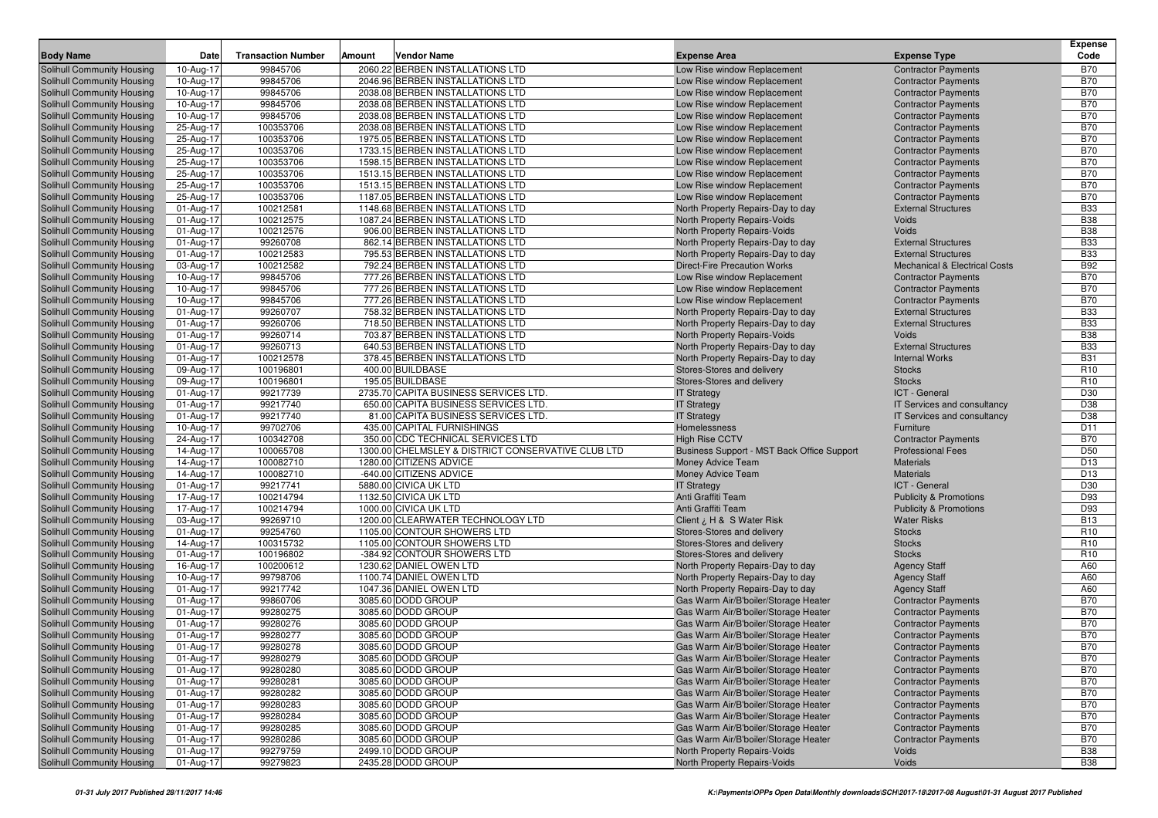| <b>Body Name</b>                                                       | Date                   | <b>Transaction Number</b> | Amount | <b>Vendor Name</b>                                        | <b>Expense Area</b>                                                          | <b>Expense Type</b>                                      | <b>Expense</b><br>Code             |
|------------------------------------------------------------------------|------------------------|---------------------------|--------|-----------------------------------------------------------|------------------------------------------------------------------------------|----------------------------------------------------------|------------------------------------|
|                                                                        |                        | 99845706                  |        | 2060.22 BERBEN INSTALLATIONS LTD                          |                                                                              | <b>Contractor Payments</b>                               | <b>B70</b>                         |
| <b>Solihull Community Housing</b>                                      | 10-Aug-17              | 99845706                  |        | 2046.96 BERBEN INSTALLATIONS LTD                          | Low Rise window Replacement                                                  |                                                          | <b>B70</b>                         |
| <b>Solihull Community Housing</b><br>Solihull Community Housing        | 10-Aug-17<br>10-Aug-17 | 99845706                  |        | 2038.08 BERBEN INSTALLATIONS LTD                          | Low Rise window Replacement<br>Low Rise window Replacement                   | <b>Contractor Payments</b>                               | <b>B70</b>                         |
| <b>Solihull Community Housing</b>                                      | 10-Aug-17              | 99845706                  |        | 2038.08 BERBEN INSTALLATIONS LTD                          | Low Rise window Replacement                                                  | <b>Contractor Payments</b><br><b>Contractor Payments</b> | <b>B70</b>                         |
| Solihull Community Housing                                             | 10-Aug-17              | 99845706                  |        | 2038.08 BERBEN INSTALLATIONS LTD                          | Low Rise window Replacement                                                  | <b>Contractor Payments</b>                               | <b>B70</b>                         |
| Solihull Community Housing                                             | 25-Aug-17              | 100353706                 |        | 2038.08 BERBEN INSTALLATIONS LTD                          | Low Rise window Replacement                                                  | <b>Contractor Payments</b>                               | <b>B70</b>                         |
| <b>Solihull Community Housing</b>                                      | 25-Aug-17              | 100353706                 |        | 1975.05 BERBEN INSTALLATIONS LTD                          | Low Rise window Replacement                                                  | <b>Contractor Payments</b>                               | <b>B70</b>                         |
| Solihull Community Housing                                             | 25-Aug-17              | 100353706                 |        | 1733.15 BERBEN INSTALLATIONS LTD                          | Low Rise window Replacement                                                  | <b>Contractor Payments</b>                               | <b>B70</b>                         |
| <b>Solihull Community Housing</b>                                      | 25-Aug-17              | 100353706                 |        | 1598.15 BERBEN INSTALLATIONS LTD                          | Low Rise window Replacement                                                  | <b>Contractor Payments</b>                               | <b>B70</b>                         |
| Solihull Community Housing                                             | 25-Aug-17              | 100353706                 |        | 1513.15 BERBEN INSTALLATIONS LTD                          | Low Rise window Replacement                                                  | <b>Contractor Payments</b>                               | <b>B70</b>                         |
| <b>Solihull Community Housing</b>                                      | 25-Aug-17              | 100353706                 |        | 1513.15 BERBEN INSTALLATIONS LTD                          | Low Rise window Replacement                                                  | <b>Contractor Payments</b>                               | <b>B70</b>                         |
| <b>Solihull Community Housing</b>                                      | 25-Aug-17              | 100353706                 |        | 1187.05 BERBEN INSTALLATIONS LTD                          | Low Rise window Replacement                                                  | <b>Contractor Payments</b>                               | <b>B70</b>                         |
| Solihull Community Housing                                             | 01-Aug-17              | 100212581                 |        | 1148.68 BERBEN INSTALLATIONS LTD                          | North Property Repairs-Day to day                                            | <b>External Structures</b>                               | <b>B33</b>                         |
| Solihull Community Housing                                             | 01-Aug-17              | 100212575                 |        | 1087.24 BERBEN INSTALLATIONS LTD                          | North Property Repairs-Voids                                                 | Voids                                                    | <b>B38</b>                         |
| <b>Solihull Community Housing</b>                                      | 01-Aug-17              | 100212576                 |        | 906.00 BERBEN INSTALLATIONS LTD                           | North Property Repairs-Voids                                                 | Voids                                                    | <b>B38</b>                         |
| <b>Solihull Community Housing</b>                                      | 01-Aug-17              | 99260708                  |        | 862.14 BERBEN INSTALLATIONS LTD                           | North Property Repairs-Day to day                                            | <b>External Structures</b>                               | <b>B33</b>                         |
| <b>Solihull Community Housing</b>                                      | 01-Aug-17              | 100212583                 |        | 795.53 BERBEN INSTALLATIONS LTD                           | North Property Repairs-Day to day                                            | <b>External Structures</b>                               | <b>B33</b>                         |
| Solihull Community Housing                                             | 03-Aug-17              | 100212582                 |        | 792.24 BERBEN INSTALLATIONS LTD                           | <b>Direct-Fire Precaution Works</b>                                          | <b>Mechanical &amp; Electrical Costs</b>                 | <b>B92</b>                         |
| <b>Solihull Community Housing</b>                                      | 10-Aug-17              | 99845706                  |        | 777.26 BERBEN INSTALLATIONS LTD                           | Low Rise window Replacement                                                  | <b>Contractor Payments</b>                               | <b>B70</b>                         |
| <b>Solihull Community Housing</b>                                      | 10-Aug-17              | 99845706                  |        | 777.26 BERBEN INSTALLATIONS LTD                           | Low Rise window Replacement                                                  | <b>Contractor Payments</b>                               | <b>B70</b>                         |
| <b>Solihull Community Housing</b>                                      | 10-Aug-17              | 99845706                  |        | 777.26 BERBEN INSTALLATIONS LTD                           | Low Rise window Replacement                                                  | <b>Contractor Payments</b>                               | <b>B70</b>                         |
| <b>Solihull Community Housing</b>                                      | 01-Aug-17              | 99260707                  |        | 758.32 BERBEN INSTALLATIONS LTD                           | North Property Repairs-Day to day                                            | <b>External Structures</b>                               | <b>B33</b>                         |
| <b>Solihull Community Housing</b>                                      | 01-Aug-17              | 99260706                  |        | 718.50 BERBEN INSTALLATIONS LTD                           | North Property Repairs-Day to day                                            | <b>External Structures</b>                               | <b>B33</b>                         |
| <b>Solihull Community Housing</b>                                      | 01-Aug-17              | 99260714                  |        | 703.87 BERBEN INSTALLATIONS LTD                           | North Property Repairs-Voids                                                 | Voids                                                    | <b>B38</b>                         |
| <b>Solihull Community Housing</b>                                      | 01-Aug-17              | 99260713                  |        | 640.53 BERBEN INSTALLATIONS LTD                           | North Property Repairs-Day to day                                            | <b>External Structures</b>                               | <b>B33</b>                         |
| <b>Solihull Community Housing</b>                                      | 01-Aug-17              | 100212578                 |        | 378.45 BERBEN INSTALLATIONS LTD                           | North Property Repairs-Day to day                                            | <b>Internal Works</b>                                    | <b>B31</b>                         |
| <b>Solihull Community Housing</b>                                      | 09-Aug-17              | 100196801                 |        | 400.00 BUILDBASE                                          | Stores-Stores and delivery                                                   | <b>Stocks</b>                                            | R <sub>10</sub><br>R <sub>10</sub> |
| <b>Solihull Community Housing</b><br><b>Solihull Community Housing</b> | 09-Aug-17              | 100196801<br>99217739     |        | 195.05 BUILDBASE<br>2735.70 CAPITA BUSINESS SERVICES LTD. | Stores-Stores and delivery                                                   | <b>Stocks</b><br>ICT - General                           | D30                                |
| <b>Solihull Community Housing</b>                                      | 01-Aug-17<br>01-Aug-17 | 99217740                  |        | 650.00 CAPITA BUSINESS SERVICES LTD.                      | <b>IT Strategy</b><br><b>IT Strategy</b>                                     | IT Services and consultancy                              | D38                                |
| <b>Solihull Community Housing</b>                                      | 01-Aug-17              | 99217740                  |        | 81.00 CAPITA BUSINESS SERVICES LTD.                       | <b>IT Strategy</b>                                                           | IT Services and consultancy                              | D38                                |
| <b>Solihull Community Housing</b>                                      | 10-Aug-17              | 99702706                  |        | 435.00 CAPITAL FURNISHINGS                                | Homelessness                                                                 | Furniture                                                | D <sub>11</sub>                    |
| <b>Solihull Community Housing</b>                                      | 24-Aug-17              | 100342708                 |        | 350.00 CDC TECHNICAL SERVICES LTD                         | <b>High Rise CCTV</b>                                                        | <b>Contractor Payments</b>                               | <b>B70</b>                         |
| <b>Solihull Community Housing</b>                                      | 14-Aug-17              | 100065708                 |        | 1300.00 CHELMSLEY & DISTRICT CONSERVATIVE CLUB LTD        | Business Support - MST Back Office Support                                   | <b>Professional Fees</b>                                 | D <sub>50</sub>                    |
| <b>Solihull Community Housing</b>                                      | 14-Aug-17              | 100082710                 |        | 1280.00 CITIZENS ADVICE                                   | Money Advice Team                                                            | <b>Materials</b>                                         | D <sub>13</sub>                    |
| <b>Solihull Community Housing</b>                                      | 14-Aug-17              | 100082710                 |        | -640.00 CITIZENS ADVICE                                   | Money Advice Team                                                            | <b>Materials</b>                                         | D <sub>13</sub>                    |
| <b>Solihull Community Housing</b>                                      | 01-Aug-17              | 99217741                  |        | 5880.00 CIVICA UK LTD                                     | <b>IT Strategy</b>                                                           | ICT - General                                            | D30                                |
| <b>Solihull Community Housing</b>                                      | 17-Aug-17              | 100214794                 |        | 1132.50 CIVICA UK LTD                                     | Anti Graffiti Team                                                           | <b>Publicity &amp; Promotions</b>                        | D93                                |
| <b>Solihull Community Housing</b>                                      | 17-Aug-17              | 100214794                 |        | 1000.00 CIVICA UK LTD                                     | Anti Graffiti Team                                                           | <b>Publicity &amp; Promotions</b>                        | D93                                |
| <b>Solihull Community Housing</b>                                      | 03-Aug-17              | 99269710                  |        | 1200.00 CLEARWATER TECHNOLOGY LTD                         | Client $\lambda$ , H & S Water Risk                                          | <b>Water Risks</b>                                       | <b>B13</b>                         |
| <b>Solihull Community Housing</b>                                      | 01-Aug-17              | 99254760                  |        | 1105.00 CONTOUR SHOWERS LTD                               | Stores-Stores and delivery                                                   | <b>Stocks</b>                                            | R <sub>10</sub>                    |
| <b>Solihull Community Housing</b>                                      | 14-Aug-17              | 100315732                 |        | 1105.00 CONTOUR SHOWERS LTD                               | Stores-Stores and delivery                                                   | <b>Stocks</b>                                            | R <sub>10</sub>                    |
| <b>Solihull Community Housing</b>                                      | 01-Aug-17              | 100196802                 |        | -384.92 CONTOUR SHOWERS LTD                               | Stores-Stores and delivery                                                   | <b>Stocks</b>                                            | R <sub>10</sub>                    |
| <b>Solihull Community Housing</b>                                      | 16-Aug-17              | 100200612                 |        | 1230.62 DANIEL OWEN LTD                                   | North Property Repairs-Day to day                                            | <b>Agency Staff</b>                                      | A60                                |
| <b>Solihull Community Housing</b>                                      | 10-Aug-17              | 99798706                  |        | 1100.74 DANIEL OWEN LTD                                   | North Property Repairs-Day to day                                            | <b>Agency Staff</b>                                      | A60                                |
| <b>Solihull Community Housing</b>                                      | 01-Aug-17              | 99217742                  |        | 1047.36 DANIEL OWEN LTD                                   | North Property Repairs-Day to day                                            | <b>Agency Staff</b>                                      | A60                                |
| <b>Solihull Community Housing</b>                                      | 01-Aug-17              | 99860706                  |        | 3085.60 DODD GROUP                                        | Gas Warm Air/B'boiler/Storage Heater                                         | <b>Contractor Payments</b>                               | <b>B70</b>                         |
| <b>Solihull Community Housing</b>                                      | 01-Aug-17              | 99280275                  |        | 3085.60 DODD GROUP                                        | Gas Warm Air/B'boiler/Storage Heater                                         | <b>Contractor Payments</b>                               | <b>B70</b>                         |
| <b>Solihull Community Housing</b>                                      | 01-Aug-17              | 99280276                  |        | 3085.60 DODD GROUP                                        | Gas Warm Air/B'boiler/Storage Heater                                         | <b>Contractor Payments</b>                               | <b>B70</b>                         |
| <b>Solihull Community Housing</b>                                      | 01-Aug-17              | 99280277                  |        | 3085.60 DODD GROUP                                        | Gas Warm Air/B'boiler/Storage Heater                                         | <b>Contractor Payments</b>                               | <b>B70</b><br><b>B70</b>           |
| <b>Solihull Community Housing</b><br><b>Solihull Community Housing</b> | 01-Aug-17<br>01-Aug-17 | 99280278<br>99280279      |        | 3085.60 DODD GROUP<br>3085.60 DODD GROUP                  | Gas Warm Air/B'boiler/Storage Heater<br>Gas Warm Air/B'boiler/Storage Heater | <b>Contractor Payments</b><br><b>Contractor Payments</b> | <b>B70</b>                         |
| Solihull Community Housing                                             | 01-Aug-17              | 99280280                  |        | 3085.60 DODD GROUP                                        | Gas Warm Air/B'boiler/Storage Heater                                         | <b>Contractor Payments</b>                               | <b>B70</b>                         |
| Solihull Community Housing                                             | 01-Aug-17              | 99280281                  |        | 3085.60 DODD GROUP                                        | Gas Warm Air/B'boiler/Storage Heater                                         | <b>Contractor Payments</b>                               | <b>B70</b>                         |
| Solihull Community Housing                                             | 01-Aug-17              | 99280282                  |        | 3085.60 DODD GROUP                                        | Gas Warm Air/B'boiler/Storage Heater                                         | <b>Contractor Payments</b>                               | <b>B70</b>                         |
| Solihull Community Housing                                             | 01-Aug-17              | 99280283                  |        | 3085.60 DODD GROUP                                        | Gas Warm Air/B'boiler/Storage Heater                                         | <b>Contractor Payments</b>                               | <b>B70</b>                         |
| <b>Solihull Community Housing</b>                                      | 01-Aug-17              | 99280284                  |        | 3085.60 DODD GROUP                                        | Gas Warm Air/B'boiler/Storage Heater                                         | <b>Contractor Payments</b>                               | <b>B70</b>                         |
| Solihull Community Housing                                             | 01-Aug-17              | 99280285                  |        | 3085.60 DODD GROUP                                        | Gas Warm Air/B'boiler/Storage Heater                                         | <b>Contractor Payments</b>                               | <b>B70</b>                         |
| Solihull Community Housing                                             | 01-Aug-17              | 99280286                  |        | 3085.60 DODD GROUP                                        | Gas Warm Air/B'boiler/Storage Heater                                         | <b>Contractor Payments</b>                               | <b>B70</b>                         |
| Solihull Community Housing                                             | 01-Aug-17              | 99279759                  |        | 2499.10 DODD GROUP                                        | North Property Repairs-Voids                                                 | Voids                                                    | <b>B38</b>                         |
| Solihull Community Housing                                             | 01-Aug-17              | 99279823                  |        | 2435.28 DODD GROUP                                        | North Property Repairs-Voids                                                 | Voids                                                    | <b>B38</b>                         |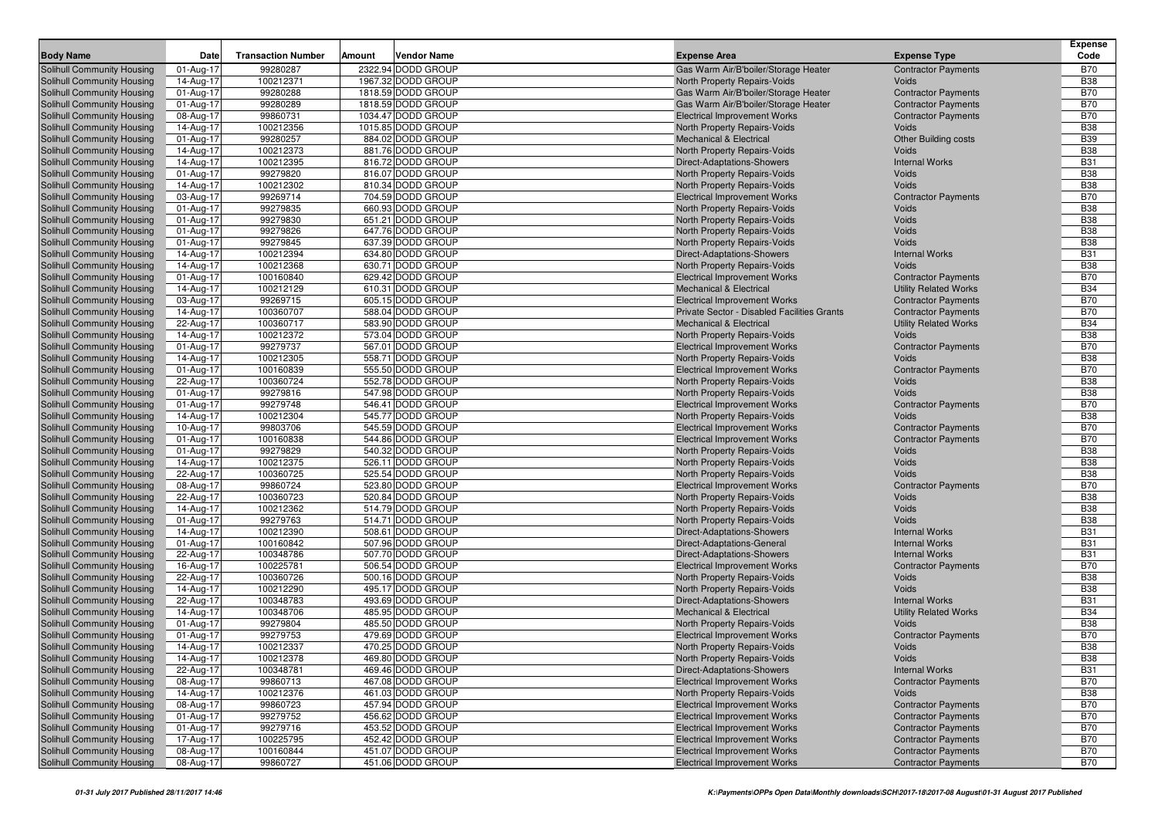| <b>Body Name</b>                                                | Date                    | <b>Transaction Number</b> | Amount | <b>Vendor Name</b>                     | <b>Expense Area</b>                                                                       | <b>Expense Type</b>                                      | <b>Expense</b><br>Code   |
|-----------------------------------------------------------------|-------------------------|---------------------------|--------|----------------------------------------|-------------------------------------------------------------------------------------------|----------------------------------------------------------|--------------------------|
|                                                                 |                         | 99280287                  |        | 2322.94 DODD GROUP                     |                                                                                           |                                                          | <b>B70</b>               |
| Solihull Community Housing<br>Solihull Community Housing        | 01-Aug-17<br>14-Aug-17  | 100212371                 |        | 1967.32 DODD GROUP                     | Gas Warm Air/B'boiler/Storage Heater<br>North Property Repairs-Voids                      | <b>Contractor Payments</b><br>Voids                      | <b>B38</b>               |
| Solihull Community Housing                                      | 01-Aug-17               | 99280288                  |        | 1818.59 DODD GROUP                     | Gas Warm Air/B'boiler/Storage Heater                                                      | <b>Contractor Payments</b>                               | <b>B70</b>               |
| Solihull Community Housing                                      | 01-Aug-17               | 99280289                  |        | 1818.59 DODD GROUP                     | Gas Warm Air/B'boiler/Storage Heater                                                      | <b>Contractor Payments</b>                               | <b>B70</b>               |
| Solihull Community Housing                                      | 08-Aug-17               | 99860731                  |        | 1034.47 DODD GROUP                     | <b>Electrical Improvement Works</b>                                                       | <b>Contractor Payments</b>                               | <b>B70</b>               |
| <b>Solihull Community Housing</b>                               | 14-Aug-17               | 100212356                 |        | 1015.85 DODD GROUP                     | North Property Repairs-Voids                                                              | Voids                                                    | <b>B38</b>               |
| <b>Solihull Community Housing</b>                               | 01-Aug-17               | 99280257                  |        | 884.02 DODD GROUP                      | <b>Mechanical &amp; Electrical</b>                                                        | <b>Other Building costs</b>                              | <b>B39</b>               |
| <b>Solihull Community Housing</b>                               | 14-Aug-17               | 100212373                 |        | 881.76 DODD GROUP                      | North Property Repairs-Voids                                                              | Voids                                                    | <b>B38</b>               |
| <b>Solihull Community Housing</b>                               | 14-Aug-17               | 100212395                 |        | 816.72 DODD GROUP                      | Direct-Adaptations-Showers                                                                | <b>Internal Works</b>                                    | <b>B31</b>               |
| <b>Solihull Community Housing</b>                               | 01-Aug-17               | 99279820                  |        | 816.07 DODD GROUP                      | North Property Repairs-Voids                                                              | Voids                                                    | <b>B38</b>               |
| <b>Solihull Community Housing</b>                               | 14-Aug-17               | 100212302                 |        | 810.34 DODD GROUP                      | North Property Repairs-Voids                                                              | Voids                                                    | <b>B38</b>               |
| <b>Solihull Community Housing</b>                               | 03-Aug-17               | 99269714                  |        | 704.59 DODD GROUP                      | <b>Electrical Improvement Works</b>                                                       | <b>Contractor Payments</b>                               | <b>B70</b>               |
| <b>Solihull Community Housing</b>                               | 01-Aug-17               | 99279835                  |        | 660.93 DODD GROUP                      | North Property Repairs-Voids                                                              | Voids                                                    | <b>B38</b>               |
| <b>Solihull Community Housing</b>                               | 01-Aug-17               | 99279830                  |        | 651.21 DODD GROUP                      | North Property Repairs-Voids                                                              | Voids                                                    | <b>B38</b>               |
| <b>Solihull Community Housing</b>                               | 01-Aug-17               | 99279826                  |        | 647.76 DODD GROUP                      | North Property Repairs-Voids                                                              | Voids                                                    | <b>B38</b>               |
| <b>Solihull Community Housing</b>                               | 01-Aug-17               | 99279845                  |        | 637.39 DODD GROUP                      | North Property Repairs-Voids                                                              | Voids                                                    | <b>B38</b>               |
| <b>Solihull Community Housing</b>                               | 14-Aug-17               | 100212394                 |        | 634.80 DODD GROUP                      | Direct-Adaptations-Showers                                                                | <b>Internal Works</b>                                    | <b>B31</b>               |
| <b>Solihull Community Housing</b>                               | 14-Aug-17               | 100212368                 |        | 630.71 DODD GROUP                      | North Property Repairs-Voids                                                              | Voids                                                    | <b>B38</b>               |
| Solihull Community Housing                                      | 01-Aug-17               | 100160840                 |        | 629.42 DODD GROUP                      | <b>Electrical Improvement Works</b>                                                       | <b>Contractor Payments</b>                               | <b>B70</b><br><b>B34</b> |
| <b>Solihull Community Housing</b>                               | 14-Aug-17               | 100212129                 |        | 610.31 DODD GROUP<br>605.15 DODD GROUP | <b>Mechanical &amp; Electrical</b>                                                        | <b>Utility Related Works</b>                             | <b>B70</b>               |
| <b>Solihull Community Housing</b><br>Solihull Community Housing | 03-Aug-17<br>14-Aug-17  | 99269715<br>100360707     |        | 588.04 DODD GROUP                      | <b>Electrical Improvement Works</b><br><b>Private Sector - Disabled Facilities Grants</b> | <b>Contractor Payments</b><br><b>Contractor Payments</b> | <b>B70</b>               |
| <b>Solihull Community Housing</b>                               | 22-Aug-17               | 100360717                 |        | 583.90 DODD GROUP                      | <b>Mechanical &amp; Electrical</b>                                                        | <b>Utility Related Works</b>                             | <b>B34</b>               |
| <b>Solihull Community Housing</b>                               | 14-Aug-17               | 100212372                 |        | 573.04 DODD GROUP                      | North Property Repairs-Voids                                                              | Voids                                                    | <b>B38</b>               |
| <b>Solihull Community Housing</b>                               | 01-Aug-17               | 99279737                  |        | 567.01 DODD GROUP                      | <b>Electrical Improvement Works</b>                                                       | <b>Contractor Payments</b>                               | <b>B70</b>               |
| Solihull Community Housing                                      | 14-Aug-17               | 100212305                 |        | 558.71 DODD GROUP                      | North Property Repairs-Voids                                                              | Voids                                                    | <b>B38</b>               |
| <b>Solihull Community Housing</b>                               | 01-Aug-17               | 100160839                 |        | 555.50 DODD GROUP                      | <b>Electrical Improvement Works</b>                                                       | <b>Contractor Payments</b>                               | <b>B70</b>               |
| <b>Solihull Community Housing</b>                               | 22-Aug-17               | 100360724                 |        | 552.78 DODD GROUP                      | North Property Repairs-Voids                                                              | Voids                                                    | <b>B38</b>               |
| Solihull Community Housing                                      | 01-Aug-17               | 99279816                  |        | 547.98 DODD GROUP                      | North Property Repairs-Voids                                                              | <b>Voids</b>                                             | <b>B38</b>               |
| <b>Solihull Community Housing</b>                               | 01-Aug-17               | 99279748                  |        | 546.41 DODD GROUP                      | <b>Electrical Improvement Works</b>                                                       | <b>Contractor Payments</b>                               | <b>B70</b>               |
| Solihull Community Housing                                      | 14-Aug-17               | 100212304                 |        | 545.77 DODD GROUP                      | North Property Repairs-Voids                                                              | Voids                                                    | <b>B38</b>               |
| <b>Solihull Community Housing</b>                               | 10-Aug-17               | 99803706                  |        | 545.59 DODD GROUP                      | <b>Electrical Improvement Works</b>                                                       | <b>Contractor Payments</b>                               | <b>B70</b>               |
| <b>Solihull Community Housing</b>                               | 01-Aug-17               | 100160838                 |        | 544.86 DODD GROUP                      | <b>Electrical Improvement Works</b>                                                       | <b>Contractor Payments</b>                               | <b>B70</b>               |
| Solihull Community Housing                                      | 01-Aug-17               | 99279829                  |        | 540.32 DODD GROUP                      | North Property Repairs-Voids                                                              | Voids                                                    | <b>B38</b>               |
| <b>Solihull Community Housing</b>                               | 14-Aug-17               | 100212375                 |        | 526.11 DODD GROUP                      | North Property Repairs-Voids                                                              | Voids                                                    | <b>B38</b>               |
| Solihull Community Housing                                      | 22-Aug-17               | 100360725                 |        | 525.54 DODD GROUP                      | North Property Repairs-Voids                                                              | Voids                                                    | <b>B38</b>               |
| Solihull Community Housing                                      | 08-Aug-17               | 99860724                  |        | 523.80 DODD GROUP                      | <b>Electrical Improvement Works</b>                                                       | <b>Contractor Payments</b>                               | <b>B70</b>               |
| <b>Solihull Community Housing</b>                               | 22-Aug-17               | 100360723                 |        | 520.84 DODD GROUP                      | North Property Repairs-Voids                                                              | Voids                                                    | <b>B38</b>               |
| Solihull Community Housing                                      | 14-Aug-17               | 100212362                 |        | 514.79 DODD GROUP                      | North Property Repairs-Voids                                                              | Voids                                                    | <b>B38</b>               |
| Solihull Community Housing                                      | 01-Aug-17               | 99279763                  |        | 514.71 DODD GROUP                      | North Property Repairs-Voids                                                              | <b>Voids</b>                                             | <b>B38</b>               |
| Solihull Community Housing<br>Solihull Community Housing        | 14-Aug-17<br>01-Aug-17  | 100212390<br>100160842    |        | 508.61 DODD GROUP<br>507.96 DODD GROUP | Direct-Adaptations-Showers<br>Direct-Adaptations-General                                  | <b>Internal Works</b><br><b>Internal Works</b>           | <b>B31</b><br><b>B31</b> |
| Solihull Community Housing                                      | 22-Aug-17               | 100348786                 |        | 507.70 DODD GROUP                      | <b>Direct-Adaptations-Showers</b>                                                         | <b>Internal Works</b>                                    | <b>B31</b>               |
| Solihull Community Housing                                      | 16-Aug-17               | 100225781                 |        | 506.54 DODD GROUP                      | <b>Electrical Improvement Works</b>                                                       | <b>Contractor Payments</b>                               | <b>B70</b>               |
| Solihull Community Housing                                      | 22-Aug-17               | 100360726                 |        | 500.16 DODD GROUP                      | North Property Repairs-Voids                                                              | Voids                                                    | <b>B38</b>               |
| <b>Solihull Community Housing</b>                               | 14-Aug-17               | 100212290                 |        | 495.17 DODD GROUP                      | North Property Repairs-Voids                                                              | <b>Voids</b>                                             | <b>B38</b>               |
| Solihull Community Housing                                      | 22-Aug-17               | 100348783                 |        | 493.69 DODD GROUP                      | <b>Direct-Adaptations-Showers</b>                                                         | <b>Internal Works</b>                                    | <b>B31</b>               |
| <b>Solihull Community Housing</b>                               | 14-Aug-17               | 100348706                 |        | 485.95 DODD GROUP                      | <b>Mechanical &amp; Electrical</b>                                                        | <b>Utility Related Works</b>                             | <b>B34</b>               |
| <b>Solihull Community Housing</b>                               | 01-Aug-17               | 99279804                  |        | 485.50 DODD GROUP                      | North Property Repairs-Voids                                                              | <b>Voids</b>                                             | <b>B38</b>               |
| <b>Solihull Community Housing</b>                               | 01-Aug-17               | 99279753                  |        | 479.69 DODD GROUP                      | <b>Electrical Improvement Works</b>                                                       | <b>Contractor Payments</b>                               | <b>B70</b>               |
| <b>Solihull Community Housing</b>                               | 14-Aug-17               | 100212337                 |        | 470.25 DODD GROUP                      | North Property Repairs-Voids                                                              | Voids                                                    | <b>B38</b>               |
| Solihull Community Housing                                      | 14-Aug-17               | 100212378                 |        | 469.80 DODD GROUP                      | <b>North Property Repairs-Voids</b>                                                       | Voids                                                    | <b>B38</b>               |
| <b>Solihull Community Housing</b>                               | 22-Aug-17               | 100348781                 |        | 469.46 DODD GROUP                      | Direct-Adaptations-Showers                                                                | <b>Internal Works</b>                                    | <b>B31</b>               |
| Solihull Community Housing                                      | 08-Aug-17               | 99860713                  |        | 467.08 DODD GROUP                      | <b>Electrical Improvement Works</b>                                                       | <b>Contractor Payments</b>                               | <b>B70</b>               |
| Solihull Community Housing                                      | 14-Aug-17               | 100212376                 |        | 461.03 DODD GROUP                      | North Property Repairs-Voids                                                              | Voids                                                    | <b>B38</b>               |
| Solihull Community Housing                                      | 08-Aug-17               | 99860723                  |        | 457.94 DODD GROUP                      | <b>Electrical Improvement Works</b>                                                       | <b>Contractor Payments</b>                               | <b>B70</b>               |
| Solihull Community Housing                                      | 01-Aug-17               | 99279752                  |        | 456.62 DODD GROUP                      | <b>Electrical Improvement Works</b>                                                       | <b>Contractor Payments</b>                               | <b>B70</b>               |
| Solihull Community Housing                                      | $01-Aug-17$             | 99279716                  |        | 453.52 DODD GROUP                      | <b>Electrical Improvement Works</b>                                                       | <b>Contractor Payments</b>                               | <b>B70</b>               |
| Solihull Community Housing                                      | $\overline{17}$ -Aug-17 | 100225795                 |        | 452.42 DODD GROUP                      | <b>Electrical Improvement Works</b>                                                       | <b>Contractor Payments</b>                               | <b>B70</b>               |
| Solihull Community Housing                                      | 08-Aug-17               | 100160844                 |        | 451.07 DODD GROUP                      | <b>Electrical Improvement Works</b>                                                       | <b>Contractor Payments</b>                               | <b>B70</b>               |
| Solihull Community Housing                                      | 08-Aug-17               | 99860727                  |        | 451.06 DODD GROUP                      | <b>Electrical Improvement Works</b>                                                       | <b>Contractor Payments</b>                               | <b>B70</b>               |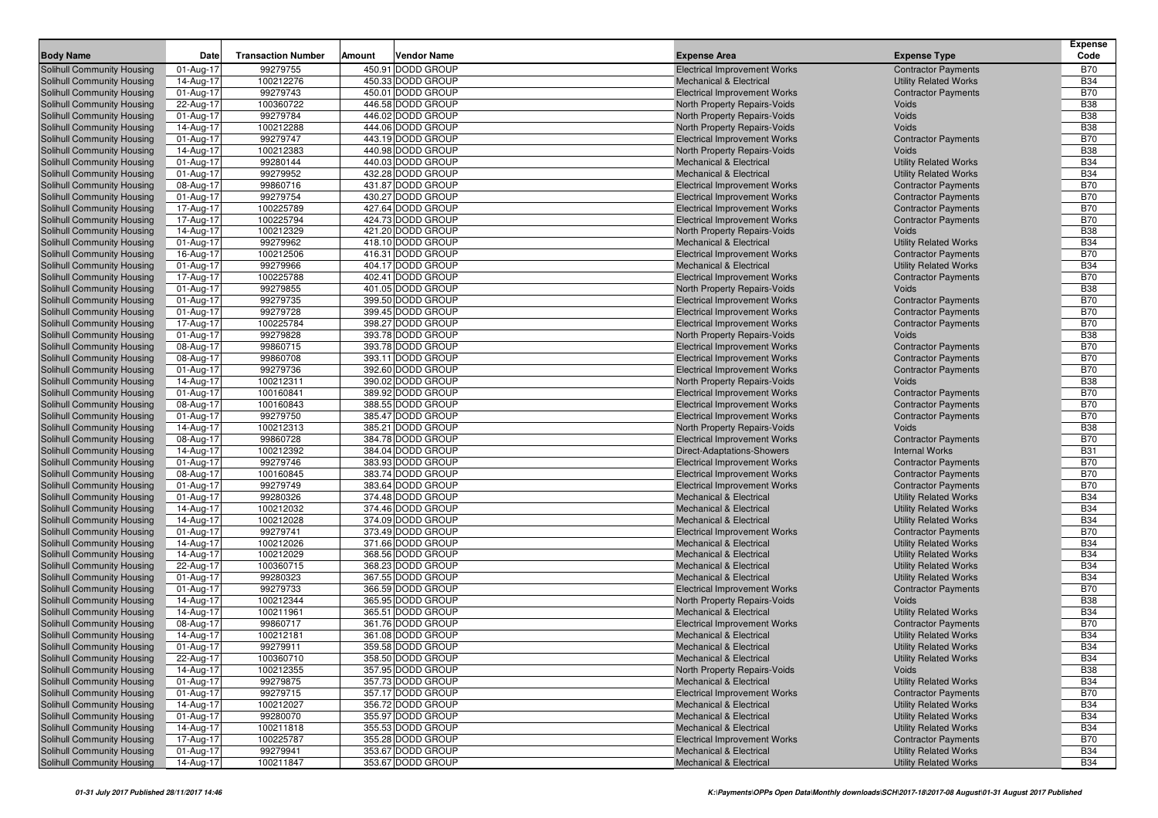|                                                                 | Date                   | <b>Transaction Number</b> | Amount | <b>Vendor Name</b>                     |                                                                     |                                     | <b>Expense</b><br>Code   |
|-----------------------------------------------------------------|------------------------|---------------------------|--------|----------------------------------------|---------------------------------------------------------------------|-------------------------------------|--------------------------|
| <b>Body Name</b>                                                |                        |                           |        |                                        | <b>Expense Area</b>                                                 | <b>Expense Type</b>                 |                          |
| Solihull Community Housing                                      | 01-Aug-17              | 99279755                  |        | 450.91 DODD GROUP                      | <b>Electrical Improvement Works</b>                                 | <b>Contractor Payments</b>          | <b>B70</b>               |
| Solihull Community Housing                                      | 14-Aug-17              | 100212276<br>99279743     |        | 450.33 DODD GROUP                      | <b>Mechanical &amp; Electrical</b>                                  | <b>Utility Related Works</b>        | <b>B34</b><br><b>B70</b> |
| Solihull Community Housing<br><b>Solihull Community Housing</b> | 01-Aug-17              | 100360722                 |        | 450.01 DODD GROUP<br>446.58 DODD GROUP | <b>Electrical Improvement Works</b><br>North Property Repairs-Voids | <b>Contractor Payments</b><br>Voids | <b>B38</b>               |
| <b>Solihull Community Housing</b>                               | 22-Aug-17<br>01-Aug-17 | 99279784                  |        | 446.02 DODD GROUP                      | North Property Repairs-Voids                                        | Voids                               | <b>B38</b>               |
| Solihull Community Housing                                      | 14-Aug-17              | 100212288                 |        | 444.06 DODD GROUP                      | North Property Repairs-Voids                                        | Voids                               | <b>B38</b>               |
| Solihull Community Housing                                      | 01-Aug-17              | 99279747                  |        | 443.19 DODD GROUP                      | <b>Electrical Improvement Works</b>                                 | <b>Contractor Payments</b>          | <b>B70</b>               |
| Solihull Community Housing                                      | 14-Aug-17              | 100212383                 |        | 440.98 DODD GROUP                      | North Property Repairs-Voids                                        | Voids                               | <b>B38</b>               |
| Solihull Community Housing                                      | 01-Aug-17              | 99280144                  |        | 440.03 DODD GROUP                      | <b>Mechanical &amp; Electrical</b>                                  | <b>Utility Related Works</b>        | <b>B34</b>               |
| <b>Solihull Community Housing</b>                               | 01-Aug-17              | 99279952                  |        | 432.28 DODD GROUP                      | <b>Mechanical &amp; Electrical</b>                                  | <b>Utility Related Works</b>        | <b>B34</b>               |
| <b>Solihull Community Housing</b>                               | 08-Aug-17              | 99860716                  |        | 431.87 DODD GROUP                      | <b>Electrical Improvement Works</b>                                 | <b>Contractor Payments</b>          | <b>B70</b>               |
| <b>Solihull Community Housing</b>                               | 01-Aug-17              | 99279754                  |        | 430.27 DODD GROUP                      | <b>Electrical Improvement Works</b>                                 | <b>Contractor Payments</b>          | <b>B70</b>               |
| <b>Solihull Community Housing</b>                               | 17-Aug-17              | 100225789                 |        | 427.64 DODD GROUP                      | <b>Electrical Improvement Works</b>                                 | <b>Contractor Payments</b>          | <b>B70</b>               |
| <b>Solihull Community Housing</b>                               | 17-Aug-17              | 100225794                 |        | 424.73 DODD GROUP                      | <b>Electrical Improvement Works</b>                                 | <b>Contractor Payments</b>          | <b>B70</b>               |
| <b>Solihull Community Housing</b>                               | 14-Aug-17              | 100212329                 |        | 421.20 DODD GROUP                      | North Property Repairs-Voids                                        | Voids                               | <b>B38</b>               |
| Solihull Community Housing                                      | 01-Aug-17              | 99279962                  |        | 418.10 DODD GROUP                      | <b>Mechanical &amp; Electrical</b>                                  | <b>Utility Related Works</b>        | <b>B34</b>               |
| <b>Solihull Community Housing</b>                               | 16-Aug-17              | 100212506                 |        | 416.31 DODD GROUP                      | <b>Electrical Improvement Works</b>                                 | <b>Contractor Payments</b>          | <b>B70</b>               |
| <b>Solihull Community Housing</b>                               | 01-Aug-17              | 99279966                  |        | 404.17 DODD GROUP                      | <b>Mechanical &amp; Electrical</b>                                  | <b>Utility Related Works</b>        | <b>B34</b>               |
| Solihull Community Housing                                      | 17-Aug-17              | 100225788                 |        | 402.41 DODD GROUP                      | <b>Electrical Improvement Works</b>                                 | <b>Contractor Payments</b>          | <b>B70</b>               |
| <b>Solihull Community Housing</b>                               | 01-Aug-17              | 99279855                  |        | 401.05 DODD GROUP                      | North Property Repairs-Voids                                        | Voids                               | <b>B38</b>               |
| Solihull Community Housing                                      | 01-Aug-17              | 99279735                  |        | 399.50 DODD GROUP                      | <b>Electrical Improvement Works</b>                                 | <b>Contractor Payments</b>          | <b>B70</b>               |
| <b>Solihull Community Housing</b>                               | 01-Aug-17              | 99279728                  |        | 399.45 DODD GROUP                      | <b>Electrical Improvement Works</b>                                 | <b>Contractor Payments</b>          | <b>B70</b>               |
| <b>Solihull Community Housing</b>                               | 17-Aug-17              | 100225784                 |        | 398.27 DODD GROUP                      | <b>Electrical Improvement Works</b>                                 | <b>Contractor Payments</b>          | <b>B70</b>               |
| Solihull Community Housing                                      | 01-Aug-17              | 99279828                  |        | 393.78 DODD GROUP                      | North Property Repairs-Voids                                        | Voids                               | <b>B38</b>               |
| <b>Solihull Community Housing</b>                               | 08-Aug-17              | 99860715                  |        | 393.78 DODD GROUP                      | <b>Electrical Improvement Works</b>                                 | <b>Contractor Payments</b>          | <b>B70</b>               |
| Solihull Community Housing                                      | 08-Aug-17              | 99860708                  |        | 393.11 DODD GROUP                      | <b>Electrical Improvement Works</b>                                 | <b>Contractor Payments</b>          | <b>B70</b>               |
| <b>Solihull Community Housing</b>                               | 01-Aug-17              | 99279736                  |        | 392.60 DODD GROUP                      | <b>Electrical Improvement Works</b>                                 | <b>Contractor Payments</b>          | <b>B70</b>               |
| <b>Solihull Community Housing</b>                               | 14-Aug-17              | 100212311                 |        | 390.02 DODD GROUP                      | North Property Repairs-Voids                                        | <b>Voids</b>                        | <b>B38</b>               |
| Solihull Community Housing                                      | 01-Aug-17              | 100160841                 |        | 389.92 DODD GROUP                      | <b>Electrical Improvement Works</b>                                 | <b>Contractor Payments</b>          | <b>B70</b>               |
| <b>Solihull Community Housing</b>                               | 08-Aug-17              | 100160843                 |        | 388.55 DODD GROUP                      | <b>Electrical Improvement Works</b>                                 | <b>Contractor Payments</b>          | <b>B70</b>               |
| Solihull Community Housing                                      | 01-Aug-17              | 99279750                  |        | 385.47 DODD GROUP                      | <b>Electrical Improvement Works</b>                                 | <b>Contractor Payments</b>          | <b>B70</b>               |
| <b>Solihull Community Housing</b>                               | 14-Aug-17              | 100212313                 |        | 385.21 DODD GROUP                      | North Property Repairs-Voids                                        | Voids                               | <b>B38</b>               |
| <b>Solihull Community Housing</b>                               | 08-Aug-17              | 99860728                  |        | 384.78 DODD GROUP                      | <b>Electrical Improvement Works</b>                                 | <b>Contractor Payments</b>          | <b>B70</b>               |
| Solihull Community Housing                                      | 14-Aug-17              | 100212392                 |        | 384.04 DODD GROUP                      | Direct-Adaptations-Showers                                          | <b>Internal Works</b>               | <b>B31</b>               |
| <b>Solihull Community Housing</b>                               | 01-Aug-17              | 99279746                  |        | 383.93 DODD GROUP                      | <b>Electrical Improvement Works</b>                                 | <b>Contractor Payments</b>          | <b>B70</b>               |
| Solihull Community Housing                                      | 08-Aug-17              | 100160845                 |        | 383.74 DODD GROUP                      | <b>Electrical Improvement Works</b>                                 | <b>Contractor Payments</b>          | <b>B70</b>               |
| <b>Solihull Community Housing</b>                               | 01-Aug-17              | 99279749                  |        | 383.64 DODD GROUP                      | <b>Electrical Improvement Works</b>                                 | <b>Contractor Payments</b>          | <b>B70</b>               |
| <b>Solihull Community Housing</b>                               | 01-Aug-17              | 99280326                  |        | 374.48 DODD GROUP                      | <b>Mechanical &amp; Electrical</b>                                  | <b>Utility Related Works</b>        | <b>B34</b>               |
| Solihull Community Housing                                      | 14-Aug-17              | 100212032                 |        | 374.46 DODD GROUP                      | <b>Mechanical &amp; Electrical</b>                                  | <b>Utility Related Works</b>        | <b>B34</b>               |
| <b>Solihull Community Housing</b>                               | 14-Aug-17              | 100212028                 |        | 374.09 DODD GROUP                      | <b>Mechanical &amp; Electrical</b>                                  | <b>Utility Related Works</b>        | <b>B34</b>               |
| Solihull Community Housing                                      | 01-Aug-17              | 99279741                  |        | 373.49 DODD GROUP                      | <b>Electrical Improvement Works</b>                                 | <b>Contractor Payments</b>          | <b>B70</b>               |
| <b>Solihull Community Housing</b>                               | 14-Aug-17              | 100212026                 |        | 371.66 DODD GROUP                      | <b>Mechanical &amp; Electrical</b>                                  | <b>Utility Related Works</b>        | <b>B34</b>               |
| <b>Solihull Community Housing</b>                               | 14-Aug-17              | 100212029                 |        | 368.56 DODD GROUP                      | <b>Mechanical &amp; Electrical</b>                                  | <b>Utility Related Works</b>        | <b>B34</b>               |
| Solihull Community Housing                                      | 22-Aug-17              | 100360715                 |        | 368.23 DODD GROUP                      | <b>Mechanical &amp; Electrical</b>                                  | <b>Utility Related Works</b>        | <b>B34</b>               |
| <b>Solihull Community Housing</b>                               | 01-Aug-17              | 99280323                  |        | 367.55 DODD GROUP                      | <b>Mechanical &amp; Electrical</b>                                  | <b>Utility Related Works</b>        | <b>B34</b>               |
| Solihull Community Housing                                      | 01-Aug-17              | 99279733                  |        | 366.59 DODD GROUP                      | <b>Electrical Improvement Works</b>                                 | <b>Contractor Payments</b>          | <b>B70</b>               |
| <b>Solihull Community Housing</b>                               | 14-Aug-17              | 100212344                 |        | 365.95 DODD GROUP                      | <b>North Property Repairs-Voids</b>                                 | Voids                               | <b>B38</b>               |
| <b>Solihull Community Housing</b>                               | 14-Aug-17              | 100211961                 |        | 365.51 DODD GROUP                      | <b>Mechanical &amp; Electrical</b>                                  | <b>Utility Related Works</b>        | <b>B34</b>               |
| Solihull Community Housing                                      | 08-Aug-17              | 99860717                  |        | 361.76 DODD GROUP                      | <b>Electrical Improvement Works</b>                                 | <b>Contractor Payments</b>          | <b>B70</b>               |
| <b>Solihull Community Housing</b>                               | 14-Aug-17              | 100212181                 |        | 361.08 DODD GROUP                      | <b>Mechanical &amp; Electrical</b>                                  | <b>Utility Related Works</b>        | <b>B34</b>               |
| <b>Solihull Community Housing</b>                               | 01-Aug-17              | 99279911                  |        | 359.58 DODD GROUP                      | <b>Mechanical &amp; Electrical</b>                                  | <b>Utility Related Works</b>        | <b>B34</b>               |
| Solihull Community Housing                                      | 22-Aug-17              | 100360710                 |        | 358.50 DODD GROUP                      | <b>Mechanical &amp; Electrical</b>                                  | <b>Utility Related Works</b>        | <b>B34</b>               |
| <b>Solihull Community Housing</b>                               | 14-Aug-17              | 100212355                 |        | 357.95 DODD GROUP                      | North Property Repairs-Voids                                        | <b>Voids</b>                        | <b>B38</b>               |
| Solihull Community Housing                                      | 01-Aug-17              | 99279875                  |        | 357.73 DODD GROUP                      | <b>Mechanical &amp; Electrical</b>                                  | <b>Utility Related Works</b>        | <b>B34</b>               |
| <b>Solihull Community Housing</b>                               | 01-Aug-17              | 99279715                  |        | 357.17 DODD GROUP                      | <b>Electrical Improvement Works</b>                                 | <b>Contractor Payments</b>          | <b>B70</b>               |
| Solihull Community Housing                                      | 14-Aug-17              | 100212027                 |        | 356.72 DODD GROUP                      | <b>Mechanical &amp; Electrical</b>                                  | <b>Utility Related Works</b>        | <b>B34</b>               |
| Solihull Community Housing                                      | 01-Aug-17              | 99280070                  |        | 355.97 DODD GROUP                      | <b>Mechanical &amp; Electrical</b>                                  | <b>Utility Related Works</b>        | <b>B34</b>               |
| <b>Solihull Community Housing</b>                               | 14-Aug-17              | 100211818                 |        | 355.53 DODD GROUP                      | <b>Mechanical &amp; Electrical</b>                                  | <b>Utility Related Works</b>        | <b>B34</b>               |
| <b>Solihull Community Housing</b>                               | 17-Aug-17              | 100225787                 |        | 355.28 DODD GROUP                      | <b>Electrical Improvement Works</b>                                 | <b>Contractor Payments</b>          | <b>B70</b>               |
| <b>Solihull Community Housing</b>                               | 01-Aug-17              | 99279941                  |        | 353.67 DODD GROUP                      | <b>Mechanical &amp; Electrical</b>                                  | <b>Utility Related Works</b>        | <b>B34</b>               |
| Solihull Community Housing                                      | 14-Aug-17              | 100211847                 |        | 353.67 DODD GROUP                      | <b>Mechanical &amp; Electrical</b>                                  | <b>Utility Related Works</b>        | <b>B34</b>               |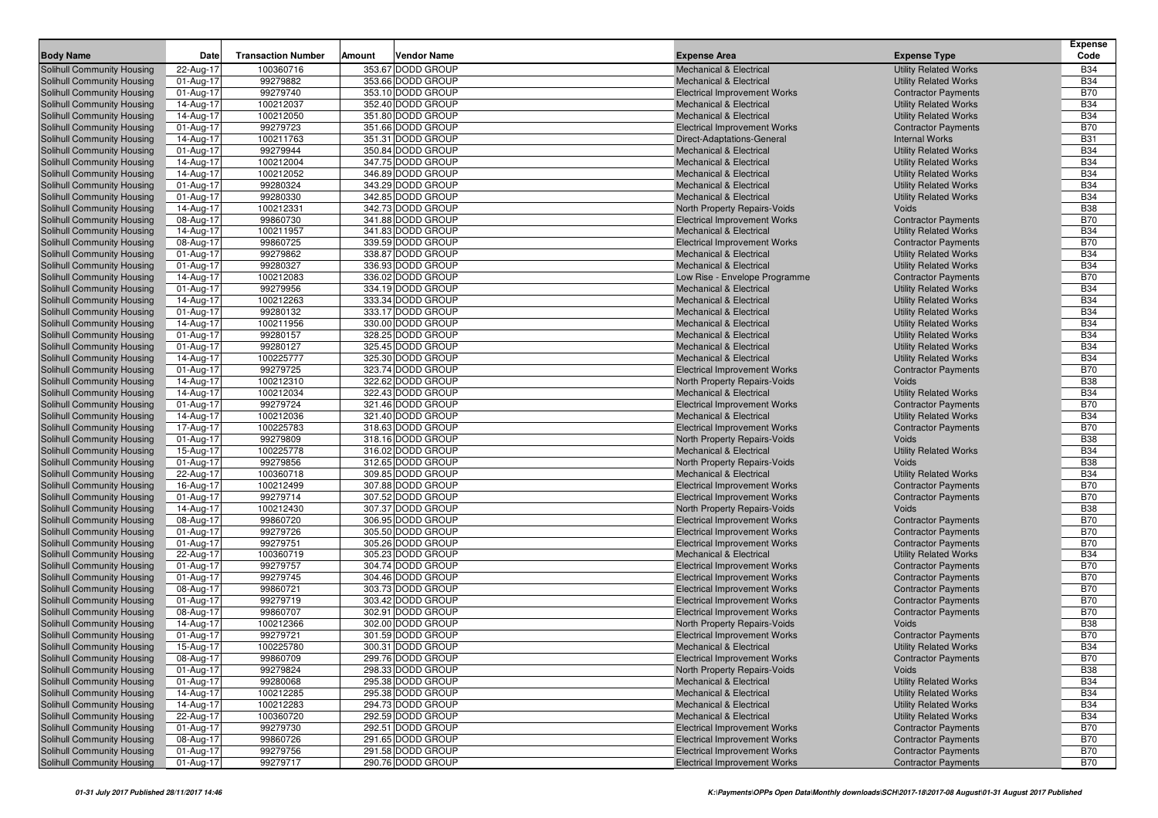| 100360716<br>353.67 DODD GROUP<br><b>Utility Related Works</b><br><b>B34</b><br>Solihull Community Housing<br>22-Aug-17<br><b>Mechanical &amp; Electrical</b><br>99279882<br><b>B34</b><br><b>Solihull Community Housing</b><br>01-Aug-17<br>353.66 DODD GROUP<br><b>Mechanical &amp; Electrical</b><br><b>Utility Related Works</b><br><b>B70</b><br>99279740<br>353.10 DODD GROUP<br>Solihull Community Housing<br>01-Aug-17<br><b>Electrical Improvement Works</b><br><b>Contractor Payments</b><br>100212037<br>352.40 DODD GROUP<br><b>B34</b><br><b>Mechanical &amp; Electrical</b><br><b>Utility Related Works</b><br>Solihull Community Housing<br>14-Aug-17<br>351.80 DODD GROUP<br>100212050<br><b>Mechanical &amp; Electrical</b><br><b>B34</b><br>Solihull Community Housing<br>14-Aug-17<br><b>Utility Related Works</b><br>99279723<br><b>B70</b><br>351.66 DODD GROUP<br>Solihull Community Housing<br>01-Aug-17<br><b>Electrical Improvement Works</b><br><b>Contractor Payments</b><br><b>B31</b><br><b>Solihull Community Housing</b><br>14-Aug-17<br>100211763<br>351.31 DODD GROUP<br>Direct-Adaptations-General<br><b>Internal Works</b><br>99279944<br><b>B34</b><br>350.84 DODD GROUP<br><b>Utility Related Works</b><br><b>Solihull Community Housing</b><br>01-Aug-17<br><b>Mechanical &amp; Electrical</b><br>100212004<br>347.75 DODD GROUP<br><b>B34</b><br><b>Mechanical &amp; Electrical</b><br><b>Utility Related Works</b><br>Solihull Community Housing<br>14-Aug-17<br><b>Solihull Community Housing</b><br>100212052<br>346.89 DODD GROUP<br><b>Mechanical &amp; Electrical</b><br><b>B34</b><br>14-Aug-17<br><b>Utility Related Works</b><br>99280324<br>343.29 DODD GROUP<br><b>B34</b><br>01-Aug-17<br><b>Mechanical &amp; Electrical</b><br><b>Utility Related Works</b><br>Solihull Community Housing<br><b>B34</b><br>01-Aug-17<br>99280330<br>342.85 DODD GROUP<br><b>Utility Related Works</b><br><b>Solihull Community Housing</b><br><b>Mechanical &amp; Electrical</b><br><b>B38</b><br>100212331<br>342.73 DODD GROUP<br><b>Solihull Community Housing</b><br>14-Aug-17<br><b>North Property Repairs-Voids</b><br>Voids<br>99860730<br>341.88 DODD GROUP<br><b>B70</b><br>Solihull Community Housing<br>08-Aug-17<br><b>Electrical Improvement Works</b><br><b>Contractor Payments</b><br>100211957<br>341.83 DODD GROUP<br><b>Mechanical &amp; Electrical</b><br><b>Utility Related Works</b><br><b>B34</b><br>Solihull Community Housing<br>14-Aug-17<br>99860725<br><b>B70</b><br>08-Aug-17<br>339.59 DODD GROUP<br><b>Electrical Improvement Works</b><br><b>Contractor Payments</b><br>Solihull Community Housing<br><b>B34</b><br>01-Aug-17<br>99279862<br>338.87 DODD GROUP<br><b>Mechanical &amp; Electrical</b><br><b>Utility Related Works</b><br>Solihull Community Housing<br><b>B34</b><br>99280327<br>336.93 DODD GROUP<br><b>Solihull Community Housing</b><br>01-Aug-17<br><b>Mechanical &amp; Electrical</b><br><b>Utility Related Works</b><br><b>B70</b><br>100212083<br>336.02 DODD GROUP<br>14-Aug-17<br>Low Rise - Envelope Programme<br><b>Contractor Payments</b><br>99279956<br>334.19 DODD GROUP<br><b>Utility Related Works</b><br><b>B34</b><br>01-Aug-17<br><b>Mechanical &amp; Electrical</b><br>100212263<br>333.34 DODD GROUP<br><b>B34</b><br>14-Aug-17<br><b>Mechanical &amp; Electrical</b><br><b>Utility Related Works</b><br><b>B34</b><br>01-Aug-17<br>99280132<br>333.17 DODD GROUP<br><b>Mechanical &amp; Electrical</b><br><b>Utility Related Works</b><br><b>B34</b><br>100211956<br>330.00 DODD GROUP<br>14-Aug-17<br><b>Mechanical &amp; Electrical</b><br><b>Utility Related Works</b><br><b>B34</b><br>99280157<br>328.25 DODD GROUP<br><b>Utility Related Works</b><br>01-Aug-17<br><b>Mechanical &amp; Electrical</b><br><b>B34</b><br>99280127<br>325.45 DODD GROUP<br><b>Mechanical &amp; Electrical</b><br><b>Utility Related Works</b><br>01-Aug-17<br>100225777<br>325.30 DODD GROUP<br><b>B34</b><br>14-Aug-17<br><b>Mechanical &amp; Electrical</b><br><b>Utility Related Works</b><br><b>B70</b><br>01-Aug-17<br>99279725<br>323.74 DODD GROUP<br>Solihull Community Housing<br><b>Electrical Improvement Works</b><br><b>Contractor Payments</b><br><b>B38</b><br>14-Aug-17<br>100212310<br>322.62 DODD GROUP<br><b>Solihull Community Housing</b><br>North Property Repairs-Voids<br>Voids<br>100212034<br>322.43 DODD GROUP<br><b>B34</b><br><b>Mechanical &amp; Electrical</b><br><b>Utility Related Works</b><br>Solihull Community Housing<br>14-Aug-17<br>99279724<br><b>B70</b><br>Solihull Community Housing<br>321.46 DODD GROUP<br><b>Contractor Payments</b><br>01-Aug-17<br><b>Electrical Improvement Works</b><br>100212036<br>321.40 DODD GROUP<br><b>B34</b><br>14-Aug-17<br><b>Mechanical &amp; Electrical</b><br><b>Utility Related Works</b><br>Solihull Community Housing<br><b>B70</b><br>17-Aug-17<br>100225783<br>318.63 DODD GROUP<br><b>Contractor Payments</b><br>Solihull Community Housing<br><b>Electrical Improvement Works</b><br><b>B38</b><br>99279809<br>318.16 DODD GROUP<br><b>Solihull Community Housing</b><br>01-Aug-17<br>North Property Repairs-Voids<br><b>Voids</b><br>100225778<br>316.02 DODD GROUP<br><b>B34</b><br><b>Mechanical &amp; Electrical</b><br><b>Utility Related Works</b><br>Solihull Community Housing<br>15-Aug-17<br><b>B38</b><br>99279856<br>312.65 DODD GROUP<br>Solihull Community Housing<br>01-Aug-17<br>North Property Repairs-Voids<br>Voids<br>100360718<br>309.85 DODD GROUP<br><b>B34</b><br>22-Aug-17<br><b>Utility Related Works</b><br>Solihull Community Housing<br><b>Mechanical &amp; Electrical</b><br><b>B70</b><br>16-Aug-17<br>100212499<br>307.88 DODD GROUP<br>Solihull Community Housing<br><b>Electrical Improvement Works</b><br><b>Contractor Payments</b><br><b>B70</b><br>99279714<br>307.52 DODD GROUP<br><b>Solihull Community Housing</b><br>01-Aug-17<br><b>Electrical Improvement Works</b><br><b>Contractor Payments</b><br>307.37 DODD GROUP<br><b>B38</b><br>100212430<br>Solihull Community Housing<br>14-Aug-17<br>North Property Repairs-Voids<br>Voids<br>99860720<br>306.95 DODD GROUP<br><b>B70</b><br>08-Aug-17<br><b>Electrical Improvement Works</b><br><b>Contractor Payments</b><br>99279726<br><b>B70</b><br>305.50 DODD GROUP<br><b>Contractor Payments</b><br>01-Aug-17<br><b>Electrical Improvement Works</b><br><b>B70</b><br>01-Aug-17<br>99279751<br>305.26 DODD GROUP<br><b>Electrical Improvement Works</b><br><b>Contractor Payments</b><br><b>B34</b><br>100360719<br>305.23 DODD GROUP<br>22-Aug-17<br><b>Mechanical &amp; Electrical</b><br><b>Utility Related Works</b><br>99279757<br>304.74 DODD GROUP<br><b>B70</b><br>01-Aug-17<br><b>Electrical Improvement Works</b><br><b>Contractor Payments</b><br>99279745<br>304.46 DODD GROUP<br><b>Contractor Payments</b><br><b>B70</b><br>01-Aug-17<br><b>Electrical Improvement Works</b><br>99860721<br>303.73 DODD GROUP<br><b>B70</b><br>08-Aug-17<br><b>Electrical Improvement Works</b><br><b>Contractor Payments</b><br><b>B70</b><br>01-Aug-17<br>99279719<br>303.42 DODD GROUP<br><b>Contractor Payments</b><br><b>Electrical Improvement Works</b><br><b>B70</b><br>99860707<br>302.91 DODD GROUP<br><b>Solihull Community Housing</b><br>08-Aug-17<br><b>Electrical Improvement Works</b><br><b>Contractor Payments</b><br><b>B38</b><br>Solihull Community Housing<br>100212366<br>302.00 DODD GROUP<br>14-Aug-17<br>North Property Repairs-Voids<br>Voids<br><b>B70</b><br>Solihull Community Housing<br>99279721<br>301.59 DODD GROUP<br><b>Contractor Payments</b><br>01-Aug-17<br><b>Electrical Improvement Works</b><br>Solihull Community Housing<br>15-Aug-17<br>100225780<br>300.31 DODD GROUP<br><b>Mechanical &amp; Electrical</b><br><b>Utility Related Works</b><br><b>B34</b><br><b>Solihull Community Housing</b><br>08-Aug-17<br>99860709<br>299.76 DODD GROUP<br><b>Electrical Improvement Works</b><br><b>Contractor Payments</b><br><b>B70</b><br><b>B38</b><br>99279824<br>Solihull Community Housing<br>01-Aug-17<br>298.33 DODD GROUP<br>North Property Repairs-Voids<br><b>Voids</b><br>295.38 DODD GROUP<br><b>Utility Related Works</b><br><b>B34</b><br>Solihull Community Housing<br>01-Aug-17<br>99280068<br><b>Mechanical &amp; Electrical</b><br>295.38 DODD GROUP<br><b>B34</b><br>Solihull Community Housing<br>14-Aug-17<br>100212285<br><b>Mechanical &amp; Electrical</b><br><b>Utility Related Works</b><br>100212283<br>294.73 DODD GROUP<br><b>B34</b><br>Solihull Community Housing<br>14-Aug-17<br><b>Mechanical &amp; Electrical</b><br><b>Utility Related Works</b><br>292.59 DODD GROUP<br><b>B34</b><br>Solihull Community Housing<br>22-Aug-17<br>100360720<br><b>Mechanical &amp; Electrical</b><br><b>Utility Related Works</b><br><b>B70</b><br>99279730<br>292.51 DODD GROUP<br>Solihull Community Housing<br>01-Aug-17<br><b>Electrical Improvement Works</b><br><b>Contractor Payments</b><br><b>B70</b><br>Solihull Community Housing<br>08-Aug-17<br>99860726<br>291.65 DODD GROUP<br><b>Electrical Improvement Works</b><br><b>Contractor Payments</b><br>291.58 DODD GROUP<br><b>B70</b><br>Solihull Community Housing<br>01-Aug-17<br>99279756<br><b>Electrical Improvement Works</b><br><b>Contractor Payments</b><br>99279717<br>290.76 DODD GROUP<br><b>Electrical Improvement Works</b><br><b>B70</b><br>01-Aug-17<br><b>Contractor Payments</b> |                            |      |                           |        |                    |                     |                     | <b>Expense</b> |
|-----------------------------------------------------------------------------------------------------------------------------------------------------------------------------------------------------------------------------------------------------------------------------------------------------------------------------------------------------------------------------------------------------------------------------------------------------------------------------------------------------------------------------------------------------------------------------------------------------------------------------------------------------------------------------------------------------------------------------------------------------------------------------------------------------------------------------------------------------------------------------------------------------------------------------------------------------------------------------------------------------------------------------------------------------------------------------------------------------------------------------------------------------------------------------------------------------------------------------------------------------------------------------------------------------------------------------------------------------------------------------------------------------------------------------------------------------------------------------------------------------------------------------------------------------------------------------------------------------------------------------------------------------------------------------------------------------------------------------------------------------------------------------------------------------------------------------------------------------------------------------------------------------------------------------------------------------------------------------------------------------------------------------------------------------------------------------------------------------------------------------------------------------------------------------------------------------------------------------------------------------------------------------------------------------------------------------------------------------------------------------------------------------------------------------------------------------------------------------------------------------------------------------------------------------------------------------------------------------------------------------------------------------------------------------------------------------------------------------------------------------------------------------------------------------------------------------------------------------------------------------------------------------------------------------------------------------------------------------------------------------------------------------------------------------------------------------------------------------------------------------------------------------------------------------------------------------------------------------------------------------------------------------------------------------------------------------------------------------------------------------------------------------------------------------------------------------------------------------------------------------------------------------------------------------------------------------------------------------------------------------------------------------------------------------------------------------------------------------------------------------------------------------------------------------------------------------------------------------------------------------------------------------------------------------------------------------------------------------------------------------------------------------------------------------------------------------------------------------------------------------------------------------------------------------------------------------------------------------------------------------------------------------------------------------------------------------------------------------------------------------------------------------------------------------------------------------------------------------------------------------------------------------------------------------------------------------------------------------------------------------------------------------------------------------------------------------------------------------------------------------------------------------------------------------------------------------------------------------------------------------------------------------------------------------------------------------------------------------------------------------------------------------------------------------------------------------------------------------------------------------------------------------------------------------------------------------------------------------------------------------------------------------------------------------------------------------------------------------------------------------------------------------------------------------------------------------------------------------------------------------------------------------------------------------------------------------------------------------------------------------------------------------------------------------------------------------------------------------------------------------------------------------------------------------------------------------------------------------------------------------------------------------------------------------------------------------------------------------------------------------------------------------------------------------------------------------------------------------------------------------------------------------------------------------------------------------------------------------------------------------------------------------------------------------------------------------------------------------------------------------------------------------------------------------------------------------------------------------------------------------------------------------------------------------------------------------------------------------------------------------------------------------------------------------------------------------------------------------------------------------------------------------------------------------------------------------------------------------------------------------------------------------------------------------------------------------------------------------------------------------------------------------------------------------------------------------------------------------------------------------------------------------------------------------------------------------------------------------------------------------------------------------------------------------------------------------------------------------------------------------------------------------------------------------------------------------------------------------------------------------------------------------------------------------------------------------------------------------------------------------------------------------------------------------------------------------------------------------------------------------------------------------------------------------------------------------------------------------------------------------------------------------------------------------------------------------------------------------------------------------------------------------------------------------------------------------------------------------------------------------------------------------------------------------------------------------------------------------------------------------------------------------------------------------------------------------------------------------------------------------------------------------------------------------------------------------------------------------------------------------------------------------------------------------------------------------------------------------------------------------------------------------------------------------------------------------------------------------------------------------------------------------------------------------------------------------------------------------------------------------------------------------------------------------------------------------------------------------------------------------------------------------------------------------------------------------------------------------------------------------------------------------------------------------------------------------------------------------------------------------------------------------------------------------------------------------------------------------------------------------------------------------------------------------------------------------------------------------------------------------------|----------------------------|------|---------------------------|--------|--------------------|---------------------|---------------------|----------------|
|                                                                                                                                                                                                                                                                                                                                                                                                                                                                                                                                                                                                                                                                                                                                                                                                                                                                                                                                                                                                                                                                                                                                                                                                                                                                                                                                                                                                                                                                                                                                                                                                                                                                                                                                                                                                                                                                                                                                                                                                                                                                                                                                                                                                                                                                                                                                                                                                                                                                                                                                                                                                                                                                                                                                                                                                                                                                                                                                                                                                                                                                                                                                                                                                                                                                                                                                                                                                                                                                                                                                                                                                                                                                                                                                                                                                                                                                                                                                                                                                                                                                                                                                                                                                                                                                                                                                                                                                                                                                                                                                                                                                                                                                                                                                                                                                                                                                                                                                                                                                                                                                                                                                                                                                                                                                                                                                                                                                                                                                                                                                                                                                                                                                                                                                                                                                                                                                                                                                                                                                                                                                                                                                                                                                                                                                                                                                                                                                                                                                                                                                                                                                                                                                                                                                                                                                                                                                                                                                                                                                                                                                                                                                                                                                                                                                                                                                                                                                                                                                                                                                                                                                                                                                                                                                                                                                                                                                                                                                                                                                                                                                                                                                                                                                                                                                                                                                                                                                                                                                                                                                                                                                                                                                                                                                                                                                                                                                                                                                                                                                                                                                                                                                                                                                                                                                                                                                                                                                                                                                                                           | <b>Body Name</b>           | Date | <b>Transaction Number</b> | Amount | <b>Vendor Name</b> | <b>Expense Area</b> | <b>Expense Type</b> | Code           |
|                                                                                                                                                                                                                                                                                                                                                                                                                                                                                                                                                                                                                                                                                                                                                                                                                                                                                                                                                                                                                                                                                                                                                                                                                                                                                                                                                                                                                                                                                                                                                                                                                                                                                                                                                                                                                                                                                                                                                                                                                                                                                                                                                                                                                                                                                                                                                                                                                                                                                                                                                                                                                                                                                                                                                                                                                                                                                                                                                                                                                                                                                                                                                                                                                                                                                                                                                                                                                                                                                                                                                                                                                                                                                                                                                                                                                                                                                                                                                                                                                                                                                                                                                                                                                                                                                                                                                                                                                                                                                                                                                                                                                                                                                                                                                                                                                                                                                                                                                                                                                                                                                                                                                                                                                                                                                                                                                                                                                                                                                                                                                                                                                                                                                                                                                                                                                                                                                                                                                                                                                                                                                                                                                                                                                                                                                                                                                                                                                                                                                                                                                                                                                                                                                                                                                                                                                                                                                                                                                                                                                                                                                                                                                                                                                                                                                                                                                                                                                                                                                                                                                                                                                                                                                                                                                                                                                                                                                                                                                                                                                                                                                                                                                                                                                                                                                                                                                                                                                                                                                                                                                                                                                                                                                                                                                                                                                                                                                                                                                                                                                                                                                                                                                                                                                                                                                                                                                                                                                                                                                                           |                            |      |                           |        |                    |                     |                     |                |
|                                                                                                                                                                                                                                                                                                                                                                                                                                                                                                                                                                                                                                                                                                                                                                                                                                                                                                                                                                                                                                                                                                                                                                                                                                                                                                                                                                                                                                                                                                                                                                                                                                                                                                                                                                                                                                                                                                                                                                                                                                                                                                                                                                                                                                                                                                                                                                                                                                                                                                                                                                                                                                                                                                                                                                                                                                                                                                                                                                                                                                                                                                                                                                                                                                                                                                                                                                                                                                                                                                                                                                                                                                                                                                                                                                                                                                                                                                                                                                                                                                                                                                                                                                                                                                                                                                                                                                                                                                                                                                                                                                                                                                                                                                                                                                                                                                                                                                                                                                                                                                                                                                                                                                                                                                                                                                                                                                                                                                                                                                                                                                                                                                                                                                                                                                                                                                                                                                                                                                                                                                                                                                                                                                                                                                                                                                                                                                                                                                                                                                                                                                                                                                                                                                                                                                                                                                                                                                                                                                                                                                                                                                                                                                                                                                                                                                                                                                                                                                                                                                                                                                                                                                                                                                                                                                                                                                                                                                                                                                                                                                                                                                                                                                                                                                                                                                                                                                                                                                                                                                                                                                                                                                                                                                                                                                                                                                                                                                                                                                                                                                                                                                                                                                                                                                                                                                                                                                                                                                                                                                           |                            |      |                           |        |                    |                     |                     |                |
|                                                                                                                                                                                                                                                                                                                                                                                                                                                                                                                                                                                                                                                                                                                                                                                                                                                                                                                                                                                                                                                                                                                                                                                                                                                                                                                                                                                                                                                                                                                                                                                                                                                                                                                                                                                                                                                                                                                                                                                                                                                                                                                                                                                                                                                                                                                                                                                                                                                                                                                                                                                                                                                                                                                                                                                                                                                                                                                                                                                                                                                                                                                                                                                                                                                                                                                                                                                                                                                                                                                                                                                                                                                                                                                                                                                                                                                                                                                                                                                                                                                                                                                                                                                                                                                                                                                                                                                                                                                                                                                                                                                                                                                                                                                                                                                                                                                                                                                                                                                                                                                                                                                                                                                                                                                                                                                                                                                                                                                                                                                                                                                                                                                                                                                                                                                                                                                                                                                                                                                                                                                                                                                                                                                                                                                                                                                                                                                                                                                                                                                                                                                                                                                                                                                                                                                                                                                                                                                                                                                                                                                                                                                                                                                                                                                                                                                                                                                                                                                                                                                                                                                                                                                                                                                                                                                                                                                                                                                                                                                                                                                                                                                                                                                                                                                                                                                                                                                                                                                                                                                                                                                                                                                                                                                                                                                                                                                                                                                                                                                                                                                                                                                                                                                                                                                                                                                                                                                                                                                                                                           |                            |      |                           |        |                    |                     |                     |                |
|                                                                                                                                                                                                                                                                                                                                                                                                                                                                                                                                                                                                                                                                                                                                                                                                                                                                                                                                                                                                                                                                                                                                                                                                                                                                                                                                                                                                                                                                                                                                                                                                                                                                                                                                                                                                                                                                                                                                                                                                                                                                                                                                                                                                                                                                                                                                                                                                                                                                                                                                                                                                                                                                                                                                                                                                                                                                                                                                                                                                                                                                                                                                                                                                                                                                                                                                                                                                                                                                                                                                                                                                                                                                                                                                                                                                                                                                                                                                                                                                                                                                                                                                                                                                                                                                                                                                                                                                                                                                                                                                                                                                                                                                                                                                                                                                                                                                                                                                                                                                                                                                                                                                                                                                                                                                                                                                                                                                                                                                                                                                                                                                                                                                                                                                                                                                                                                                                                                                                                                                                                                                                                                                                                                                                                                                                                                                                                                                                                                                                                                                                                                                                                                                                                                                                                                                                                                                                                                                                                                                                                                                                                                                                                                                                                                                                                                                                                                                                                                                                                                                                                                                                                                                                                                                                                                                                                                                                                                                                                                                                                                                                                                                                                                                                                                                                                                                                                                                                                                                                                                                                                                                                                                                                                                                                                                                                                                                                                                                                                                                                                                                                                                                                                                                                                                                                                                                                                                                                                                                                                           |                            |      |                           |        |                    |                     |                     |                |
|                                                                                                                                                                                                                                                                                                                                                                                                                                                                                                                                                                                                                                                                                                                                                                                                                                                                                                                                                                                                                                                                                                                                                                                                                                                                                                                                                                                                                                                                                                                                                                                                                                                                                                                                                                                                                                                                                                                                                                                                                                                                                                                                                                                                                                                                                                                                                                                                                                                                                                                                                                                                                                                                                                                                                                                                                                                                                                                                                                                                                                                                                                                                                                                                                                                                                                                                                                                                                                                                                                                                                                                                                                                                                                                                                                                                                                                                                                                                                                                                                                                                                                                                                                                                                                                                                                                                                                                                                                                                                                                                                                                                                                                                                                                                                                                                                                                                                                                                                                                                                                                                                                                                                                                                                                                                                                                                                                                                                                                                                                                                                                                                                                                                                                                                                                                                                                                                                                                                                                                                                                                                                                                                                                                                                                                                                                                                                                                                                                                                                                                                                                                                                                                                                                                                                                                                                                                                                                                                                                                                                                                                                                                                                                                                                                                                                                                                                                                                                                                                                                                                                                                                                                                                                                                                                                                                                                                                                                                                                                                                                                                                                                                                                                                                                                                                                                                                                                                                                                                                                                                                                                                                                                                                                                                                                                                                                                                                                                                                                                                                                                                                                                                                                                                                                                                                                                                                                                                                                                                                                                           |                            |      |                           |        |                    |                     |                     |                |
|                                                                                                                                                                                                                                                                                                                                                                                                                                                                                                                                                                                                                                                                                                                                                                                                                                                                                                                                                                                                                                                                                                                                                                                                                                                                                                                                                                                                                                                                                                                                                                                                                                                                                                                                                                                                                                                                                                                                                                                                                                                                                                                                                                                                                                                                                                                                                                                                                                                                                                                                                                                                                                                                                                                                                                                                                                                                                                                                                                                                                                                                                                                                                                                                                                                                                                                                                                                                                                                                                                                                                                                                                                                                                                                                                                                                                                                                                                                                                                                                                                                                                                                                                                                                                                                                                                                                                                                                                                                                                                                                                                                                                                                                                                                                                                                                                                                                                                                                                                                                                                                                                                                                                                                                                                                                                                                                                                                                                                                                                                                                                                                                                                                                                                                                                                                                                                                                                                                                                                                                                                                                                                                                                                                                                                                                                                                                                                                                                                                                                                                                                                                                                                                                                                                                                                                                                                                                                                                                                                                                                                                                                                                                                                                                                                                                                                                                                                                                                                                                                                                                                                                                                                                                                                                                                                                                                                                                                                                                                                                                                                                                                                                                                                                                                                                                                                                                                                                                                                                                                                                                                                                                                                                                                                                                                                                                                                                                                                                                                                                                                                                                                                                                                                                                                                                                                                                                                                                                                                                                                                           |                            |      |                           |        |                    |                     |                     |                |
|                                                                                                                                                                                                                                                                                                                                                                                                                                                                                                                                                                                                                                                                                                                                                                                                                                                                                                                                                                                                                                                                                                                                                                                                                                                                                                                                                                                                                                                                                                                                                                                                                                                                                                                                                                                                                                                                                                                                                                                                                                                                                                                                                                                                                                                                                                                                                                                                                                                                                                                                                                                                                                                                                                                                                                                                                                                                                                                                                                                                                                                                                                                                                                                                                                                                                                                                                                                                                                                                                                                                                                                                                                                                                                                                                                                                                                                                                                                                                                                                                                                                                                                                                                                                                                                                                                                                                                                                                                                                                                                                                                                                                                                                                                                                                                                                                                                                                                                                                                                                                                                                                                                                                                                                                                                                                                                                                                                                                                                                                                                                                                                                                                                                                                                                                                                                                                                                                                                                                                                                                                                                                                                                                                                                                                                                                                                                                                                                                                                                                                                                                                                                                                                                                                                                                                                                                                                                                                                                                                                                                                                                                                                                                                                                                                                                                                                                                                                                                                                                                                                                                                                                                                                                                                                                                                                                                                                                                                                                                                                                                                                                                                                                                                                                                                                                                                                                                                                                                                                                                                                                                                                                                                                                                                                                                                                                                                                                                                                                                                                                                                                                                                                                                                                                                                                                                                                                                                                                                                                                                                           |                            |      |                           |        |                    |                     |                     |                |
|                                                                                                                                                                                                                                                                                                                                                                                                                                                                                                                                                                                                                                                                                                                                                                                                                                                                                                                                                                                                                                                                                                                                                                                                                                                                                                                                                                                                                                                                                                                                                                                                                                                                                                                                                                                                                                                                                                                                                                                                                                                                                                                                                                                                                                                                                                                                                                                                                                                                                                                                                                                                                                                                                                                                                                                                                                                                                                                                                                                                                                                                                                                                                                                                                                                                                                                                                                                                                                                                                                                                                                                                                                                                                                                                                                                                                                                                                                                                                                                                                                                                                                                                                                                                                                                                                                                                                                                                                                                                                                                                                                                                                                                                                                                                                                                                                                                                                                                                                                                                                                                                                                                                                                                                                                                                                                                                                                                                                                                                                                                                                                                                                                                                                                                                                                                                                                                                                                                                                                                                                                                                                                                                                                                                                                                                                                                                                                                                                                                                                                                                                                                                                                                                                                                                                                                                                                                                                                                                                                                                                                                                                                                                                                                                                                                                                                                                                                                                                                                                                                                                                                                                                                                                                                                                                                                                                                                                                                                                                                                                                                                                                                                                                                                                                                                                                                                                                                                                                                                                                                                                                                                                                                                                                                                                                                                                                                                                                                                                                                                                                                                                                                                                                                                                                                                                                                                                                                                                                                                                                                           |                            |      |                           |        |                    |                     |                     |                |
|                                                                                                                                                                                                                                                                                                                                                                                                                                                                                                                                                                                                                                                                                                                                                                                                                                                                                                                                                                                                                                                                                                                                                                                                                                                                                                                                                                                                                                                                                                                                                                                                                                                                                                                                                                                                                                                                                                                                                                                                                                                                                                                                                                                                                                                                                                                                                                                                                                                                                                                                                                                                                                                                                                                                                                                                                                                                                                                                                                                                                                                                                                                                                                                                                                                                                                                                                                                                                                                                                                                                                                                                                                                                                                                                                                                                                                                                                                                                                                                                                                                                                                                                                                                                                                                                                                                                                                                                                                                                                                                                                                                                                                                                                                                                                                                                                                                                                                                                                                                                                                                                                                                                                                                                                                                                                                                                                                                                                                                                                                                                                                                                                                                                                                                                                                                                                                                                                                                                                                                                                                                                                                                                                                                                                                                                                                                                                                                                                                                                                                                                                                                                                                                                                                                                                                                                                                                                                                                                                                                                                                                                                                                                                                                                                                                                                                                                                                                                                                                                                                                                                                                                                                                                                                                                                                                                                                                                                                                                                                                                                                                                                                                                                                                                                                                                                                                                                                                                                                                                                                                                                                                                                                                                                                                                                                                                                                                                                                                                                                                                                                                                                                                                                                                                                                                                                                                                                                                                                                                                                                           |                            |      |                           |        |                    |                     |                     |                |
|                                                                                                                                                                                                                                                                                                                                                                                                                                                                                                                                                                                                                                                                                                                                                                                                                                                                                                                                                                                                                                                                                                                                                                                                                                                                                                                                                                                                                                                                                                                                                                                                                                                                                                                                                                                                                                                                                                                                                                                                                                                                                                                                                                                                                                                                                                                                                                                                                                                                                                                                                                                                                                                                                                                                                                                                                                                                                                                                                                                                                                                                                                                                                                                                                                                                                                                                                                                                                                                                                                                                                                                                                                                                                                                                                                                                                                                                                                                                                                                                                                                                                                                                                                                                                                                                                                                                                                                                                                                                                                                                                                                                                                                                                                                                                                                                                                                                                                                                                                                                                                                                                                                                                                                                                                                                                                                                                                                                                                                                                                                                                                                                                                                                                                                                                                                                                                                                                                                                                                                                                                                                                                                                                                                                                                                                                                                                                                                                                                                                                                                                                                                                                                                                                                                                                                                                                                                                                                                                                                                                                                                                                                                                                                                                                                                                                                                                                                                                                                                                                                                                                                                                                                                                                                                                                                                                                                                                                                                                                                                                                                                                                                                                                                                                                                                                                                                                                                                                                                                                                                                                                                                                                                                                                                                                                                                                                                                                                                                                                                                                                                                                                                                                                                                                                                                                                                                                                                                                                                                                                                           |                            |      |                           |        |                    |                     |                     |                |
|                                                                                                                                                                                                                                                                                                                                                                                                                                                                                                                                                                                                                                                                                                                                                                                                                                                                                                                                                                                                                                                                                                                                                                                                                                                                                                                                                                                                                                                                                                                                                                                                                                                                                                                                                                                                                                                                                                                                                                                                                                                                                                                                                                                                                                                                                                                                                                                                                                                                                                                                                                                                                                                                                                                                                                                                                                                                                                                                                                                                                                                                                                                                                                                                                                                                                                                                                                                                                                                                                                                                                                                                                                                                                                                                                                                                                                                                                                                                                                                                                                                                                                                                                                                                                                                                                                                                                                                                                                                                                                                                                                                                                                                                                                                                                                                                                                                                                                                                                                                                                                                                                                                                                                                                                                                                                                                                                                                                                                                                                                                                                                                                                                                                                                                                                                                                                                                                                                                                                                                                                                                                                                                                                                                                                                                                                                                                                                                                                                                                                                                                                                                                                                                                                                                                                                                                                                                                                                                                                                                                                                                                                                                                                                                                                                                                                                                                                                                                                                                                                                                                                                                                                                                                                                                                                                                                                                                                                                                                                                                                                                                                                                                                                                                                                                                                                                                                                                                                                                                                                                                                                                                                                                                                                                                                                                                                                                                                                                                                                                                                                                                                                                                                                                                                                                                                                                                                                                                                                                                                                                           |                            |      |                           |        |                    |                     |                     |                |
|                                                                                                                                                                                                                                                                                                                                                                                                                                                                                                                                                                                                                                                                                                                                                                                                                                                                                                                                                                                                                                                                                                                                                                                                                                                                                                                                                                                                                                                                                                                                                                                                                                                                                                                                                                                                                                                                                                                                                                                                                                                                                                                                                                                                                                                                                                                                                                                                                                                                                                                                                                                                                                                                                                                                                                                                                                                                                                                                                                                                                                                                                                                                                                                                                                                                                                                                                                                                                                                                                                                                                                                                                                                                                                                                                                                                                                                                                                                                                                                                                                                                                                                                                                                                                                                                                                                                                                                                                                                                                                                                                                                                                                                                                                                                                                                                                                                                                                                                                                                                                                                                                                                                                                                                                                                                                                                                                                                                                                                                                                                                                                                                                                                                                                                                                                                                                                                                                                                                                                                                                                                                                                                                                                                                                                                                                                                                                                                                                                                                                                                                                                                                                                                                                                                                                                                                                                                                                                                                                                                                                                                                                                                                                                                                                                                                                                                                                                                                                                                                                                                                                                                                                                                                                                                                                                                                                                                                                                                                                                                                                                                                                                                                                                                                                                                                                                                                                                                                                                                                                                                                                                                                                                                                                                                                                                                                                                                                                                                                                                                                                                                                                                                                                                                                                                                                                                                                                                                                                                                                                                           |                            |      |                           |        |                    |                     |                     |                |
|                                                                                                                                                                                                                                                                                                                                                                                                                                                                                                                                                                                                                                                                                                                                                                                                                                                                                                                                                                                                                                                                                                                                                                                                                                                                                                                                                                                                                                                                                                                                                                                                                                                                                                                                                                                                                                                                                                                                                                                                                                                                                                                                                                                                                                                                                                                                                                                                                                                                                                                                                                                                                                                                                                                                                                                                                                                                                                                                                                                                                                                                                                                                                                                                                                                                                                                                                                                                                                                                                                                                                                                                                                                                                                                                                                                                                                                                                                                                                                                                                                                                                                                                                                                                                                                                                                                                                                                                                                                                                                                                                                                                                                                                                                                                                                                                                                                                                                                                                                                                                                                                                                                                                                                                                                                                                                                                                                                                                                                                                                                                                                                                                                                                                                                                                                                                                                                                                                                                                                                                                                                                                                                                                                                                                                                                                                                                                                                                                                                                                                                                                                                                                                                                                                                                                                                                                                                                                                                                                                                                                                                                                                                                                                                                                                                                                                                                                                                                                                                                                                                                                                                                                                                                                                                                                                                                                                                                                                                                                                                                                                                                                                                                                                                                                                                                                                                                                                                                                                                                                                                                                                                                                                                                                                                                                                                                                                                                                                                                                                                                                                                                                                                                                                                                                                                                                                                                                                                                                                                                                                           |                            |      |                           |        |                    |                     |                     |                |
|                                                                                                                                                                                                                                                                                                                                                                                                                                                                                                                                                                                                                                                                                                                                                                                                                                                                                                                                                                                                                                                                                                                                                                                                                                                                                                                                                                                                                                                                                                                                                                                                                                                                                                                                                                                                                                                                                                                                                                                                                                                                                                                                                                                                                                                                                                                                                                                                                                                                                                                                                                                                                                                                                                                                                                                                                                                                                                                                                                                                                                                                                                                                                                                                                                                                                                                                                                                                                                                                                                                                                                                                                                                                                                                                                                                                                                                                                                                                                                                                                                                                                                                                                                                                                                                                                                                                                                                                                                                                                                                                                                                                                                                                                                                                                                                                                                                                                                                                                                                                                                                                                                                                                                                                                                                                                                                                                                                                                                                                                                                                                                                                                                                                                                                                                                                                                                                                                                                                                                                                                                                                                                                                                                                                                                                                                                                                                                                                                                                                                                                                                                                                                                                                                                                                                                                                                                                                                                                                                                                                                                                                                                                                                                                                                                                                                                                                                                                                                                                                                                                                                                                                                                                                                                                                                                                                                                                                                                                                                                                                                                                                                                                                                                                                                                                                                                                                                                                                                                                                                                                                                                                                                                                                                                                                                                                                                                                                                                                                                                                                                                                                                                                                                                                                                                                                                                                                                                                                                                                                                                           |                            |      |                           |        |                    |                     |                     |                |
|                                                                                                                                                                                                                                                                                                                                                                                                                                                                                                                                                                                                                                                                                                                                                                                                                                                                                                                                                                                                                                                                                                                                                                                                                                                                                                                                                                                                                                                                                                                                                                                                                                                                                                                                                                                                                                                                                                                                                                                                                                                                                                                                                                                                                                                                                                                                                                                                                                                                                                                                                                                                                                                                                                                                                                                                                                                                                                                                                                                                                                                                                                                                                                                                                                                                                                                                                                                                                                                                                                                                                                                                                                                                                                                                                                                                                                                                                                                                                                                                                                                                                                                                                                                                                                                                                                                                                                                                                                                                                                                                                                                                                                                                                                                                                                                                                                                                                                                                                                                                                                                                                                                                                                                                                                                                                                                                                                                                                                                                                                                                                                                                                                                                                                                                                                                                                                                                                                                                                                                                                                                                                                                                                                                                                                                                                                                                                                                                                                                                                                                                                                                                                                                                                                                                                                                                                                                                                                                                                                                                                                                                                                                                                                                                                                                                                                                                                                                                                                                                                                                                                                                                                                                                                                                                                                                                                                                                                                                                                                                                                                                                                                                                                                                                                                                                                                                                                                                                                                                                                                                                                                                                                                                                                                                                                                                                                                                                                                                                                                                                                                                                                                                                                                                                                                                                                                                                                                                                                                                                                                           |                            |      |                           |        |                    |                     |                     |                |
|                                                                                                                                                                                                                                                                                                                                                                                                                                                                                                                                                                                                                                                                                                                                                                                                                                                                                                                                                                                                                                                                                                                                                                                                                                                                                                                                                                                                                                                                                                                                                                                                                                                                                                                                                                                                                                                                                                                                                                                                                                                                                                                                                                                                                                                                                                                                                                                                                                                                                                                                                                                                                                                                                                                                                                                                                                                                                                                                                                                                                                                                                                                                                                                                                                                                                                                                                                                                                                                                                                                                                                                                                                                                                                                                                                                                                                                                                                                                                                                                                                                                                                                                                                                                                                                                                                                                                                                                                                                                                                                                                                                                                                                                                                                                                                                                                                                                                                                                                                                                                                                                                                                                                                                                                                                                                                                                                                                                                                                                                                                                                                                                                                                                                                                                                                                                                                                                                                                                                                                                                                                                                                                                                                                                                                                                                                                                                                                                                                                                                                                                                                                                                                                                                                                                                                                                                                                                                                                                                                                                                                                                                                                                                                                                                                                                                                                                                                                                                                                                                                                                                                                                                                                                                                                                                                                                                                                                                                                                                                                                                                                                                                                                                                                                                                                                                                                                                                                                                                                                                                                                                                                                                                                                                                                                                                                                                                                                                                                                                                                                                                                                                                                                                                                                                                                                                                                                                                                                                                                                                                           |                            |      |                           |        |                    |                     |                     |                |
|                                                                                                                                                                                                                                                                                                                                                                                                                                                                                                                                                                                                                                                                                                                                                                                                                                                                                                                                                                                                                                                                                                                                                                                                                                                                                                                                                                                                                                                                                                                                                                                                                                                                                                                                                                                                                                                                                                                                                                                                                                                                                                                                                                                                                                                                                                                                                                                                                                                                                                                                                                                                                                                                                                                                                                                                                                                                                                                                                                                                                                                                                                                                                                                                                                                                                                                                                                                                                                                                                                                                                                                                                                                                                                                                                                                                                                                                                                                                                                                                                                                                                                                                                                                                                                                                                                                                                                                                                                                                                                                                                                                                                                                                                                                                                                                                                                                                                                                                                                                                                                                                                                                                                                                                                                                                                                                                                                                                                                                                                                                                                                                                                                                                                                                                                                                                                                                                                                                                                                                                                                                                                                                                                                                                                                                                                                                                                                                                                                                                                                                                                                                                                                                                                                                                                                                                                                                                                                                                                                                                                                                                                                                                                                                                                                                                                                                                                                                                                                                                                                                                                                                                                                                                                                                                                                                                                                                                                                                                                                                                                                                                                                                                                                                                                                                                                                                                                                                                                                                                                                                                                                                                                                                                                                                                                                                                                                                                                                                                                                                                                                                                                                                                                                                                                                                                                                                                                                                                                                                                                                           |                            |      |                           |        |                    |                     |                     |                |
|                                                                                                                                                                                                                                                                                                                                                                                                                                                                                                                                                                                                                                                                                                                                                                                                                                                                                                                                                                                                                                                                                                                                                                                                                                                                                                                                                                                                                                                                                                                                                                                                                                                                                                                                                                                                                                                                                                                                                                                                                                                                                                                                                                                                                                                                                                                                                                                                                                                                                                                                                                                                                                                                                                                                                                                                                                                                                                                                                                                                                                                                                                                                                                                                                                                                                                                                                                                                                                                                                                                                                                                                                                                                                                                                                                                                                                                                                                                                                                                                                                                                                                                                                                                                                                                                                                                                                                                                                                                                                                                                                                                                                                                                                                                                                                                                                                                                                                                                                                                                                                                                                                                                                                                                                                                                                                                                                                                                                                                                                                                                                                                                                                                                                                                                                                                                                                                                                                                                                                                                                                                                                                                                                                                                                                                                                                                                                                                                                                                                                                                                                                                                                                                                                                                                                                                                                                                                                                                                                                                                                                                                                                                                                                                                                                                                                                                                                                                                                                                                                                                                                                                                                                                                                                                                                                                                                                                                                                                                                                                                                                                                                                                                                                                                                                                                                                                                                                                                                                                                                                                                                                                                                                                                                                                                                                                                                                                                                                                                                                                                                                                                                                                                                                                                                                                                                                                                                                                                                                                                                                           | Solihull Community Housing |      |                           |        |                    |                     |                     |                |
|                                                                                                                                                                                                                                                                                                                                                                                                                                                                                                                                                                                                                                                                                                                                                                                                                                                                                                                                                                                                                                                                                                                                                                                                                                                                                                                                                                                                                                                                                                                                                                                                                                                                                                                                                                                                                                                                                                                                                                                                                                                                                                                                                                                                                                                                                                                                                                                                                                                                                                                                                                                                                                                                                                                                                                                                                                                                                                                                                                                                                                                                                                                                                                                                                                                                                                                                                                                                                                                                                                                                                                                                                                                                                                                                                                                                                                                                                                                                                                                                                                                                                                                                                                                                                                                                                                                                                                                                                                                                                                                                                                                                                                                                                                                                                                                                                                                                                                                                                                                                                                                                                                                                                                                                                                                                                                                                                                                                                                                                                                                                                                                                                                                                                                                                                                                                                                                                                                                                                                                                                                                                                                                                                                                                                                                                                                                                                                                                                                                                                                                                                                                                                                                                                                                                                                                                                                                                                                                                                                                                                                                                                                                                                                                                                                                                                                                                                                                                                                                                                                                                                                                                                                                                                                                                                                                                                                                                                                                                                                                                                                                                                                                                                                                                                                                                                                                                                                                                                                                                                                                                                                                                                                                                                                                                                                                                                                                                                                                                                                                                                                                                                                                                                                                                                                                                                                                                                                                                                                                                                                           | Solihull Community Housing |      |                           |        |                    |                     |                     |                |
|                                                                                                                                                                                                                                                                                                                                                                                                                                                                                                                                                                                                                                                                                                                                                                                                                                                                                                                                                                                                                                                                                                                                                                                                                                                                                                                                                                                                                                                                                                                                                                                                                                                                                                                                                                                                                                                                                                                                                                                                                                                                                                                                                                                                                                                                                                                                                                                                                                                                                                                                                                                                                                                                                                                                                                                                                                                                                                                                                                                                                                                                                                                                                                                                                                                                                                                                                                                                                                                                                                                                                                                                                                                                                                                                                                                                                                                                                                                                                                                                                                                                                                                                                                                                                                                                                                                                                                                                                                                                                                                                                                                                                                                                                                                                                                                                                                                                                                                                                                                                                                                                                                                                                                                                                                                                                                                                                                                                                                                                                                                                                                                                                                                                                                                                                                                                                                                                                                                                                                                                                                                                                                                                                                                                                                                                                                                                                                                                                                                                                                                                                                                                                                                                                                                                                                                                                                                                                                                                                                                                                                                                                                                                                                                                                                                                                                                                                                                                                                                                                                                                                                                                                                                                                                                                                                                                                                                                                                                                                                                                                                                                                                                                                                                                                                                                                                                                                                                                                                                                                                                                                                                                                                                                                                                                                                                                                                                                                                                                                                                                                                                                                                                                                                                                                                                                                                                                                                                                                                                                                                           | Solihull Community Housing |      |                           |        |                    |                     |                     |                |
|                                                                                                                                                                                                                                                                                                                                                                                                                                                                                                                                                                                                                                                                                                                                                                                                                                                                                                                                                                                                                                                                                                                                                                                                                                                                                                                                                                                                                                                                                                                                                                                                                                                                                                                                                                                                                                                                                                                                                                                                                                                                                                                                                                                                                                                                                                                                                                                                                                                                                                                                                                                                                                                                                                                                                                                                                                                                                                                                                                                                                                                                                                                                                                                                                                                                                                                                                                                                                                                                                                                                                                                                                                                                                                                                                                                                                                                                                                                                                                                                                                                                                                                                                                                                                                                                                                                                                                                                                                                                                                                                                                                                                                                                                                                                                                                                                                                                                                                                                                                                                                                                                                                                                                                                                                                                                                                                                                                                                                                                                                                                                                                                                                                                                                                                                                                                                                                                                                                                                                                                                                                                                                                                                                                                                                                                                                                                                                                                                                                                                                                                                                                                                                                                                                                                                                                                                                                                                                                                                                                                                                                                                                                                                                                                                                                                                                                                                                                                                                                                                                                                                                                                                                                                                                                                                                                                                                                                                                                                                                                                                                                                                                                                                                                                                                                                                                                                                                                                                                                                                                                                                                                                                                                                                                                                                                                                                                                                                                                                                                                                                                                                                                                                                                                                                                                                                                                                                                                                                                                                                                           | Solihull Community Housing |      |                           |        |                    |                     |                     |                |
|                                                                                                                                                                                                                                                                                                                                                                                                                                                                                                                                                                                                                                                                                                                                                                                                                                                                                                                                                                                                                                                                                                                                                                                                                                                                                                                                                                                                                                                                                                                                                                                                                                                                                                                                                                                                                                                                                                                                                                                                                                                                                                                                                                                                                                                                                                                                                                                                                                                                                                                                                                                                                                                                                                                                                                                                                                                                                                                                                                                                                                                                                                                                                                                                                                                                                                                                                                                                                                                                                                                                                                                                                                                                                                                                                                                                                                                                                                                                                                                                                                                                                                                                                                                                                                                                                                                                                                                                                                                                                                                                                                                                                                                                                                                                                                                                                                                                                                                                                                                                                                                                                                                                                                                                                                                                                                                                                                                                                                                                                                                                                                                                                                                                                                                                                                                                                                                                                                                                                                                                                                                                                                                                                                                                                                                                                                                                                                                                                                                                                                                                                                                                                                                                                                                                                                                                                                                                                                                                                                                                                                                                                                                                                                                                                                                                                                                                                                                                                                                                                                                                                                                                                                                                                                                                                                                                                                                                                                                                                                                                                                                                                                                                                                                                                                                                                                                                                                                                                                                                                                                                                                                                                                                                                                                                                                                                                                                                                                                                                                                                                                                                                                                                                                                                                                                                                                                                                                                                                                                                                                           | Solihull Community Housing |      |                           |        |                    |                     |                     |                |
|                                                                                                                                                                                                                                                                                                                                                                                                                                                                                                                                                                                                                                                                                                                                                                                                                                                                                                                                                                                                                                                                                                                                                                                                                                                                                                                                                                                                                                                                                                                                                                                                                                                                                                                                                                                                                                                                                                                                                                                                                                                                                                                                                                                                                                                                                                                                                                                                                                                                                                                                                                                                                                                                                                                                                                                                                                                                                                                                                                                                                                                                                                                                                                                                                                                                                                                                                                                                                                                                                                                                                                                                                                                                                                                                                                                                                                                                                                                                                                                                                                                                                                                                                                                                                                                                                                                                                                                                                                                                                                                                                                                                                                                                                                                                                                                                                                                                                                                                                                                                                                                                                                                                                                                                                                                                                                                                                                                                                                                                                                                                                                                                                                                                                                                                                                                                                                                                                                                                                                                                                                                                                                                                                                                                                                                                                                                                                                                                                                                                                                                                                                                                                                                                                                                                                                                                                                                                                                                                                                                                                                                                                                                                                                                                                                                                                                                                                                                                                                                                                                                                                                                                                                                                                                                                                                                                                                                                                                                                                                                                                                                                                                                                                                                                                                                                                                                                                                                                                                                                                                                                                                                                                                                                                                                                                                                                                                                                                                                                                                                                                                                                                                                                                                                                                                                                                                                                                                                                                                                                                                           | Solihull Community Housing |      |                           |        |                    |                     |                     |                |
|                                                                                                                                                                                                                                                                                                                                                                                                                                                                                                                                                                                                                                                                                                                                                                                                                                                                                                                                                                                                                                                                                                                                                                                                                                                                                                                                                                                                                                                                                                                                                                                                                                                                                                                                                                                                                                                                                                                                                                                                                                                                                                                                                                                                                                                                                                                                                                                                                                                                                                                                                                                                                                                                                                                                                                                                                                                                                                                                                                                                                                                                                                                                                                                                                                                                                                                                                                                                                                                                                                                                                                                                                                                                                                                                                                                                                                                                                                                                                                                                                                                                                                                                                                                                                                                                                                                                                                                                                                                                                                                                                                                                                                                                                                                                                                                                                                                                                                                                                                                                                                                                                                                                                                                                                                                                                                                                                                                                                                                                                                                                                                                                                                                                                                                                                                                                                                                                                                                                                                                                                                                                                                                                                                                                                                                                                                                                                                                                                                                                                                                                                                                                                                                                                                                                                                                                                                                                                                                                                                                                                                                                                                                                                                                                                                                                                                                                                                                                                                                                                                                                                                                                                                                                                                                                                                                                                                                                                                                                                                                                                                                                                                                                                                                                                                                                                                                                                                                                                                                                                                                                                                                                                                                                                                                                                                                                                                                                                                                                                                                                                                                                                                                                                                                                                                                                                                                                                                                                                                                                                                           | Solihull Community Housing |      |                           |        |                    |                     |                     |                |
|                                                                                                                                                                                                                                                                                                                                                                                                                                                                                                                                                                                                                                                                                                                                                                                                                                                                                                                                                                                                                                                                                                                                                                                                                                                                                                                                                                                                                                                                                                                                                                                                                                                                                                                                                                                                                                                                                                                                                                                                                                                                                                                                                                                                                                                                                                                                                                                                                                                                                                                                                                                                                                                                                                                                                                                                                                                                                                                                                                                                                                                                                                                                                                                                                                                                                                                                                                                                                                                                                                                                                                                                                                                                                                                                                                                                                                                                                                                                                                                                                                                                                                                                                                                                                                                                                                                                                                                                                                                                                                                                                                                                                                                                                                                                                                                                                                                                                                                                                                                                                                                                                                                                                                                                                                                                                                                                                                                                                                                                                                                                                                                                                                                                                                                                                                                                                                                                                                                                                                                                                                                                                                                                                                                                                                                                                                                                                                                                                                                                                                                                                                                                                                                                                                                                                                                                                                                                                                                                                                                                                                                                                                                                                                                                                                                                                                                                                                                                                                                                                                                                                                                                                                                                                                                                                                                                                                                                                                                                                                                                                                                                                                                                                                                                                                                                                                                                                                                                                                                                                                                                                                                                                                                                                                                                                                                                                                                                                                                                                                                                                                                                                                                                                                                                                                                                                                                                                                                                                                                                                                           | Solihull Community Housing |      |                           |        |                    |                     |                     |                |
|                                                                                                                                                                                                                                                                                                                                                                                                                                                                                                                                                                                                                                                                                                                                                                                                                                                                                                                                                                                                                                                                                                                                                                                                                                                                                                                                                                                                                                                                                                                                                                                                                                                                                                                                                                                                                                                                                                                                                                                                                                                                                                                                                                                                                                                                                                                                                                                                                                                                                                                                                                                                                                                                                                                                                                                                                                                                                                                                                                                                                                                                                                                                                                                                                                                                                                                                                                                                                                                                                                                                                                                                                                                                                                                                                                                                                                                                                                                                                                                                                                                                                                                                                                                                                                                                                                                                                                                                                                                                                                                                                                                                                                                                                                                                                                                                                                                                                                                                                                                                                                                                                                                                                                                                                                                                                                                                                                                                                                                                                                                                                                                                                                                                                                                                                                                                                                                                                                                                                                                                                                                                                                                                                                                                                                                                                                                                                                                                                                                                                                                                                                                                                                                                                                                                                                                                                                                                                                                                                                                                                                                                                                                                                                                                                                                                                                                                                                                                                                                                                                                                                                                                                                                                                                                                                                                                                                                                                                                                                                                                                                                                                                                                                                                                                                                                                                                                                                                                                                                                                                                                                                                                                                                                                                                                                                                                                                                                                                                                                                                                                                                                                                                                                                                                                                                                                                                                                                                                                                                                                                           |                            |      |                           |        |                    |                     |                     |                |
|                                                                                                                                                                                                                                                                                                                                                                                                                                                                                                                                                                                                                                                                                                                                                                                                                                                                                                                                                                                                                                                                                                                                                                                                                                                                                                                                                                                                                                                                                                                                                                                                                                                                                                                                                                                                                                                                                                                                                                                                                                                                                                                                                                                                                                                                                                                                                                                                                                                                                                                                                                                                                                                                                                                                                                                                                                                                                                                                                                                                                                                                                                                                                                                                                                                                                                                                                                                                                                                                                                                                                                                                                                                                                                                                                                                                                                                                                                                                                                                                                                                                                                                                                                                                                                                                                                                                                                                                                                                                                                                                                                                                                                                                                                                                                                                                                                                                                                                                                                                                                                                                                                                                                                                                                                                                                                                                                                                                                                                                                                                                                                                                                                                                                                                                                                                                                                                                                                                                                                                                                                                                                                                                                                                                                                                                                                                                                                                                                                                                                                                                                                                                                                                                                                                                                                                                                                                                                                                                                                                                                                                                                                                                                                                                                                                                                                                                                                                                                                                                                                                                                                                                                                                                                                                                                                                                                                                                                                                                                                                                                                                                                                                                                                                                                                                                                                                                                                                                                                                                                                                                                                                                                                                                                                                                                                                                                                                                                                                                                                                                                                                                                                                                                                                                                                                                                                                                                                                                                                                                                                           |                            |      |                           |        |                    |                     |                     |                |
|                                                                                                                                                                                                                                                                                                                                                                                                                                                                                                                                                                                                                                                                                                                                                                                                                                                                                                                                                                                                                                                                                                                                                                                                                                                                                                                                                                                                                                                                                                                                                                                                                                                                                                                                                                                                                                                                                                                                                                                                                                                                                                                                                                                                                                                                                                                                                                                                                                                                                                                                                                                                                                                                                                                                                                                                                                                                                                                                                                                                                                                                                                                                                                                                                                                                                                                                                                                                                                                                                                                                                                                                                                                                                                                                                                                                                                                                                                                                                                                                                                                                                                                                                                                                                                                                                                                                                                                                                                                                                                                                                                                                                                                                                                                                                                                                                                                                                                                                                                                                                                                                                                                                                                                                                                                                                                                                                                                                                                                                                                                                                                                                                                                                                                                                                                                                                                                                                                                                                                                                                                                                                                                                                                                                                                                                                                                                                                                                                                                                                                                                                                                                                                                                                                                                                                                                                                                                                                                                                                                                                                                                                                                                                                                                                                                                                                                                                                                                                                                                                                                                                                                                                                                                                                                                                                                                                                                                                                                                                                                                                                                                                                                                                                                                                                                                                                                                                                                                                                                                                                                                                                                                                                                                                                                                                                                                                                                                                                                                                                                                                                                                                                                                                                                                                                                                                                                                                                                                                                                                                                           |                            |      |                           |        |                    |                     |                     |                |
|                                                                                                                                                                                                                                                                                                                                                                                                                                                                                                                                                                                                                                                                                                                                                                                                                                                                                                                                                                                                                                                                                                                                                                                                                                                                                                                                                                                                                                                                                                                                                                                                                                                                                                                                                                                                                                                                                                                                                                                                                                                                                                                                                                                                                                                                                                                                                                                                                                                                                                                                                                                                                                                                                                                                                                                                                                                                                                                                                                                                                                                                                                                                                                                                                                                                                                                                                                                                                                                                                                                                                                                                                                                                                                                                                                                                                                                                                                                                                                                                                                                                                                                                                                                                                                                                                                                                                                                                                                                                                                                                                                                                                                                                                                                                                                                                                                                                                                                                                                                                                                                                                                                                                                                                                                                                                                                                                                                                                                                                                                                                                                                                                                                                                                                                                                                                                                                                                                                                                                                                                                                                                                                                                                                                                                                                                                                                                                                                                                                                                                                                                                                                                                                                                                                                                                                                                                                                                                                                                                                                                                                                                                                                                                                                                                                                                                                                                                                                                                                                                                                                                                                                                                                                                                                                                                                                                                                                                                                                                                                                                                                                                                                                                                                                                                                                                                                                                                                                                                                                                                                                                                                                                                                                                                                                                                                                                                                                                                                                                                                                                                                                                                                                                                                                                                                                                                                                                                                                                                                                                                           |                            |      |                           |        |                    |                     |                     |                |
|                                                                                                                                                                                                                                                                                                                                                                                                                                                                                                                                                                                                                                                                                                                                                                                                                                                                                                                                                                                                                                                                                                                                                                                                                                                                                                                                                                                                                                                                                                                                                                                                                                                                                                                                                                                                                                                                                                                                                                                                                                                                                                                                                                                                                                                                                                                                                                                                                                                                                                                                                                                                                                                                                                                                                                                                                                                                                                                                                                                                                                                                                                                                                                                                                                                                                                                                                                                                                                                                                                                                                                                                                                                                                                                                                                                                                                                                                                                                                                                                                                                                                                                                                                                                                                                                                                                                                                                                                                                                                                                                                                                                                                                                                                                                                                                                                                                                                                                                                                                                                                                                                                                                                                                                                                                                                                                                                                                                                                                                                                                                                                                                                                                                                                                                                                                                                                                                                                                                                                                                                                                                                                                                                                                                                                                                                                                                                                                                                                                                                                                                                                                                                                                                                                                                                                                                                                                                                                                                                                                                                                                                                                                                                                                                                                                                                                                                                                                                                                                                                                                                                                                                                                                                                                                                                                                                                                                                                                                                                                                                                                                                                                                                                                                                                                                                                                                                                                                                                                                                                                                                                                                                                                                                                                                                                                                                                                                                                                                                                                                                                                                                                                                                                                                                                                                                                                                                                                                                                                                                                                           |                            |      |                           |        |                    |                     |                     |                |
|                                                                                                                                                                                                                                                                                                                                                                                                                                                                                                                                                                                                                                                                                                                                                                                                                                                                                                                                                                                                                                                                                                                                                                                                                                                                                                                                                                                                                                                                                                                                                                                                                                                                                                                                                                                                                                                                                                                                                                                                                                                                                                                                                                                                                                                                                                                                                                                                                                                                                                                                                                                                                                                                                                                                                                                                                                                                                                                                                                                                                                                                                                                                                                                                                                                                                                                                                                                                                                                                                                                                                                                                                                                                                                                                                                                                                                                                                                                                                                                                                                                                                                                                                                                                                                                                                                                                                                                                                                                                                                                                                                                                                                                                                                                                                                                                                                                                                                                                                                                                                                                                                                                                                                                                                                                                                                                                                                                                                                                                                                                                                                                                                                                                                                                                                                                                                                                                                                                                                                                                                                                                                                                                                                                                                                                                                                                                                                                                                                                                                                                                                                                                                                                                                                                                                                                                                                                                                                                                                                                                                                                                                                                                                                                                                                                                                                                                                                                                                                                                                                                                                                                                                                                                                                                                                                                                                                                                                                                                                                                                                                                                                                                                                                                                                                                                                                                                                                                                                                                                                                                                                                                                                                                                                                                                                                                                                                                                                                                                                                                                                                                                                                                                                                                                                                                                                                                                                                                                                                                                                                           |                            |      |                           |        |                    |                     |                     |                |
|                                                                                                                                                                                                                                                                                                                                                                                                                                                                                                                                                                                                                                                                                                                                                                                                                                                                                                                                                                                                                                                                                                                                                                                                                                                                                                                                                                                                                                                                                                                                                                                                                                                                                                                                                                                                                                                                                                                                                                                                                                                                                                                                                                                                                                                                                                                                                                                                                                                                                                                                                                                                                                                                                                                                                                                                                                                                                                                                                                                                                                                                                                                                                                                                                                                                                                                                                                                                                                                                                                                                                                                                                                                                                                                                                                                                                                                                                                                                                                                                                                                                                                                                                                                                                                                                                                                                                                                                                                                                                                                                                                                                                                                                                                                                                                                                                                                                                                                                                                                                                                                                                                                                                                                                                                                                                                                                                                                                                                                                                                                                                                                                                                                                                                                                                                                                                                                                                                                                                                                                                                                                                                                                                                                                                                                                                                                                                                                                                                                                                                                                                                                                                                                                                                                                                                                                                                                                                                                                                                                                                                                                                                                                                                                                                                                                                                                                                                                                                                                                                                                                                                                                                                                                                                                                                                                                                                                                                                                                                                                                                                                                                                                                                                                                                                                                                                                                                                                                                                                                                                                                                                                                                                                                                                                                                                                                                                                                                                                                                                                                                                                                                                                                                                                                                                                                                                                                                                                                                                                                                                           |                            |      |                           |        |                    |                     |                     |                |
|                                                                                                                                                                                                                                                                                                                                                                                                                                                                                                                                                                                                                                                                                                                                                                                                                                                                                                                                                                                                                                                                                                                                                                                                                                                                                                                                                                                                                                                                                                                                                                                                                                                                                                                                                                                                                                                                                                                                                                                                                                                                                                                                                                                                                                                                                                                                                                                                                                                                                                                                                                                                                                                                                                                                                                                                                                                                                                                                                                                                                                                                                                                                                                                                                                                                                                                                                                                                                                                                                                                                                                                                                                                                                                                                                                                                                                                                                                                                                                                                                                                                                                                                                                                                                                                                                                                                                                                                                                                                                                                                                                                                                                                                                                                                                                                                                                                                                                                                                                                                                                                                                                                                                                                                                                                                                                                                                                                                                                                                                                                                                                                                                                                                                                                                                                                                                                                                                                                                                                                                                                                                                                                                                                                                                                                                                                                                                                                                                                                                                                                                                                                                                                                                                                                                                                                                                                                                                                                                                                                                                                                                                                                                                                                                                                                                                                                                                                                                                                                                                                                                                                                                                                                                                                                                                                                                                                                                                                                                                                                                                                                                                                                                                                                                                                                                                                                                                                                                                                                                                                                                                                                                                                                                                                                                                                                                                                                                                                                                                                                                                                                                                                                                                                                                                                                                                                                                                                                                                                                                                                           |                            |      |                           |        |                    |                     |                     |                |
|                                                                                                                                                                                                                                                                                                                                                                                                                                                                                                                                                                                                                                                                                                                                                                                                                                                                                                                                                                                                                                                                                                                                                                                                                                                                                                                                                                                                                                                                                                                                                                                                                                                                                                                                                                                                                                                                                                                                                                                                                                                                                                                                                                                                                                                                                                                                                                                                                                                                                                                                                                                                                                                                                                                                                                                                                                                                                                                                                                                                                                                                                                                                                                                                                                                                                                                                                                                                                                                                                                                                                                                                                                                                                                                                                                                                                                                                                                                                                                                                                                                                                                                                                                                                                                                                                                                                                                                                                                                                                                                                                                                                                                                                                                                                                                                                                                                                                                                                                                                                                                                                                                                                                                                                                                                                                                                                                                                                                                                                                                                                                                                                                                                                                                                                                                                                                                                                                                                                                                                                                                                                                                                                                                                                                                                                                                                                                                                                                                                                                                                                                                                                                                                                                                                                                                                                                                                                                                                                                                                                                                                                                                                                                                                                                                                                                                                                                                                                                                                                                                                                                                                                                                                                                                                                                                                                                                                                                                                                                                                                                                                                                                                                                                                                                                                                                                                                                                                                                                                                                                                                                                                                                                                                                                                                                                                                                                                                                                                                                                                                                                                                                                                                                                                                                                                                                                                                                                                                                                                                                                           |                            |      |                           |        |                    |                     |                     |                |
|                                                                                                                                                                                                                                                                                                                                                                                                                                                                                                                                                                                                                                                                                                                                                                                                                                                                                                                                                                                                                                                                                                                                                                                                                                                                                                                                                                                                                                                                                                                                                                                                                                                                                                                                                                                                                                                                                                                                                                                                                                                                                                                                                                                                                                                                                                                                                                                                                                                                                                                                                                                                                                                                                                                                                                                                                                                                                                                                                                                                                                                                                                                                                                                                                                                                                                                                                                                                                                                                                                                                                                                                                                                                                                                                                                                                                                                                                                                                                                                                                                                                                                                                                                                                                                                                                                                                                                                                                                                                                                                                                                                                                                                                                                                                                                                                                                                                                                                                                                                                                                                                                                                                                                                                                                                                                                                                                                                                                                                                                                                                                                                                                                                                                                                                                                                                                                                                                                                                                                                                                                                                                                                                                                                                                                                                                                                                                                                                                                                                                                                                                                                                                                                                                                                                                                                                                                                                                                                                                                                                                                                                                                                                                                                                                                                                                                                                                                                                                                                                                                                                                                                                                                                                                                                                                                                                                                                                                                                                                                                                                                                                                                                                                                                                                                                                                                                                                                                                                                                                                                                                                                                                                                                                                                                                                                                                                                                                                                                                                                                                                                                                                                                                                                                                                                                                                                                                                                                                                                                                                                           |                            |      |                           |        |                    |                     |                     |                |
|                                                                                                                                                                                                                                                                                                                                                                                                                                                                                                                                                                                                                                                                                                                                                                                                                                                                                                                                                                                                                                                                                                                                                                                                                                                                                                                                                                                                                                                                                                                                                                                                                                                                                                                                                                                                                                                                                                                                                                                                                                                                                                                                                                                                                                                                                                                                                                                                                                                                                                                                                                                                                                                                                                                                                                                                                                                                                                                                                                                                                                                                                                                                                                                                                                                                                                                                                                                                                                                                                                                                                                                                                                                                                                                                                                                                                                                                                                                                                                                                                                                                                                                                                                                                                                                                                                                                                                                                                                                                                                                                                                                                                                                                                                                                                                                                                                                                                                                                                                                                                                                                                                                                                                                                                                                                                                                                                                                                                                                                                                                                                                                                                                                                                                                                                                                                                                                                                                                                                                                                                                                                                                                                                                                                                                                                                                                                                                                                                                                                                                                                                                                                                                                                                                                                                                                                                                                                                                                                                                                                                                                                                                                                                                                                                                                                                                                                                                                                                                                                                                                                                                                                                                                                                                                                                                                                                                                                                                                                                                                                                                                                                                                                                                                                                                                                                                                                                                                                                                                                                                                                                                                                                                                                                                                                                                                                                                                                                                                                                                                                                                                                                                                                                                                                                                                                                                                                                                                                                                                                                                           |                            |      |                           |        |                    |                     |                     |                |
|                                                                                                                                                                                                                                                                                                                                                                                                                                                                                                                                                                                                                                                                                                                                                                                                                                                                                                                                                                                                                                                                                                                                                                                                                                                                                                                                                                                                                                                                                                                                                                                                                                                                                                                                                                                                                                                                                                                                                                                                                                                                                                                                                                                                                                                                                                                                                                                                                                                                                                                                                                                                                                                                                                                                                                                                                                                                                                                                                                                                                                                                                                                                                                                                                                                                                                                                                                                                                                                                                                                                                                                                                                                                                                                                                                                                                                                                                                                                                                                                                                                                                                                                                                                                                                                                                                                                                                                                                                                                                                                                                                                                                                                                                                                                                                                                                                                                                                                                                                                                                                                                                                                                                                                                                                                                                                                                                                                                                                                                                                                                                                                                                                                                                                                                                                                                                                                                                                                                                                                                                                                                                                                                                                                                                                                                                                                                                                                                                                                                                                                                                                                                                                                                                                                                                                                                                                                                                                                                                                                                                                                                                                                                                                                                                                                                                                                                                                                                                                                                                                                                                                                                                                                                                                                                                                                                                                                                                                                                                                                                                                                                                                                                                                                                                                                                                                                                                                                                                                                                                                                                                                                                                                                                                                                                                                                                                                                                                                                                                                                                                                                                                                                                                                                                                                                                                                                                                                                                                                                                                                           |                            |      |                           |        |                    |                     |                     |                |
|                                                                                                                                                                                                                                                                                                                                                                                                                                                                                                                                                                                                                                                                                                                                                                                                                                                                                                                                                                                                                                                                                                                                                                                                                                                                                                                                                                                                                                                                                                                                                                                                                                                                                                                                                                                                                                                                                                                                                                                                                                                                                                                                                                                                                                                                                                                                                                                                                                                                                                                                                                                                                                                                                                                                                                                                                                                                                                                                                                                                                                                                                                                                                                                                                                                                                                                                                                                                                                                                                                                                                                                                                                                                                                                                                                                                                                                                                                                                                                                                                                                                                                                                                                                                                                                                                                                                                                                                                                                                                                                                                                                                                                                                                                                                                                                                                                                                                                                                                                                                                                                                                                                                                                                                                                                                                                                                                                                                                                                                                                                                                                                                                                                                                                                                                                                                                                                                                                                                                                                                                                                                                                                                                                                                                                                                                                                                                                                                                                                                                                                                                                                                                                                                                                                                                                                                                                                                                                                                                                                                                                                                                                                                                                                                                                                                                                                                                                                                                                                                                                                                                                                                                                                                                                                                                                                                                                                                                                                                                                                                                                                                                                                                                                                                                                                                                                                                                                                                                                                                                                                                                                                                                                                                                                                                                                                                                                                                                                                                                                                                                                                                                                                                                                                                                                                                                                                                                                                                                                                                                                           | Solihull Community Housing |      |                           |        |                    |                     |                     |                |
|                                                                                                                                                                                                                                                                                                                                                                                                                                                                                                                                                                                                                                                                                                                                                                                                                                                                                                                                                                                                                                                                                                                                                                                                                                                                                                                                                                                                                                                                                                                                                                                                                                                                                                                                                                                                                                                                                                                                                                                                                                                                                                                                                                                                                                                                                                                                                                                                                                                                                                                                                                                                                                                                                                                                                                                                                                                                                                                                                                                                                                                                                                                                                                                                                                                                                                                                                                                                                                                                                                                                                                                                                                                                                                                                                                                                                                                                                                                                                                                                                                                                                                                                                                                                                                                                                                                                                                                                                                                                                                                                                                                                                                                                                                                                                                                                                                                                                                                                                                                                                                                                                                                                                                                                                                                                                                                                                                                                                                                                                                                                                                                                                                                                                                                                                                                                                                                                                                                                                                                                                                                                                                                                                                                                                                                                                                                                                                                                                                                                                                                                                                                                                                                                                                                                                                                                                                                                                                                                                                                                                                                                                                                                                                                                                                                                                                                                                                                                                                                                                                                                                                                                                                                                                                                                                                                                                                                                                                                                                                                                                                                                                                                                                                                                                                                                                                                                                                                                                                                                                                                                                                                                                                                                                                                                                                                                                                                                                                                                                                                                                                                                                                                                                                                                                                                                                                                                                                                                                                                                                                           | Solihull Community Housing |      |                           |        |                    |                     |                     |                |
|                                                                                                                                                                                                                                                                                                                                                                                                                                                                                                                                                                                                                                                                                                                                                                                                                                                                                                                                                                                                                                                                                                                                                                                                                                                                                                                                                                                                                                                                                                                                                                                                                                                                                                                                                                                                                                                                                                                                                                                                                                                                                                                                                                                                                                                                                                                                                                                                                                                                                                                                                                                                                                                                                                                                                                                                                                                                                                                                                                                                                                                                                                                                                                                                                                                                                                                                                                                                                                                                                                                                                                                                                                                                                                                                                                                                                                                                                                                                                                                                                                                                                                                                                                                                                                                                                                                                                                                                                                                                                                                                                                                                                                                                                                                                                                                                                                                                                                                                                                                                                                                                                                                                                                                                                                                                                                                                                                                                                                                                                                                                                                                                                                                                                                                                                                                                                                                                                                                                                                                                                                                                                                                                                                                                                                                                                                                                                                                                                                                                                                                                                                                                                                                                                                                                                                                                                                                                                                                                                                                                                                                                                                                                                                                                                                                                                                                                                                                                                                                                                                                                                                                                                                                                                                                                                                                                                                                                                                                                                                                                                                                                                                                                                                                                                                                                                                                                                                                                                                                                                                                                                                                                                                                                                                                                                                                                                                                                                                                                                                                                                                                                                                                                                                                                                                                                                                                                                                                                                                                                                                           | Solihull Community Housing |      |                           |        |                    |                     |                     |                |
|                                                                                                                                                                                                                                                                                                                                                                                                                                                                                                                                                                                                                                                                                                                                                                                                                                                                                                                                                                                                                                                                                                                                                                                                                                                                                                                                                                                                                                                                                                                                                                                                                                                                                                                                                                                                                                                                                                                                                                                                                                                                                                                                                                                                                                                                                                                                                                                                                                                                                                                                                                                                                                                                                                                                                                                                                                                                                                                                                                                                                                                                                                                                                                                                                                                                                                                                                                                                                                                                                                                                                                                                                                                                                                                                                                                                                                                                                                                                                                                                                                                                                                                                                                                                                                                                                                                                                                                                                                                                                                                                                                                                                                                                                                                                                                                                                                                                                                                                                                                                                                                                                                                                                                                                                                                                                                                                                                                                                                                                                                                                                                                                                                                                                                                                                                                                                                                                                                                                                                                                                                                                                                                                                                                                                                                                                                                                                                                                                                                                                                                                                                                                                                                                                                                                                                                                                                                                                                                                                                                                                                                                                                                                                                                                                                                                                                                                                                                                                                                                                                                                                                                                                                                                                                                                                                                                                                                                                                                                                                                                                                                                                                                                                                                                                                                                                                                                                                                                                                                                                                                                                                                                                                                                                                                                                                                                                                                                                                                                                                                                                                                                                                                                                                                                                                                                                                                                                                                                                                                                                                           | Solihull Community Housing |      |                           |        |                    |                     |                     |                |
|                                                                                                                                                                                                                                                                                                                                                                                                                                                                                                                                                                                                                                                                                                                                                                                                                                                                                                                                                                                                                                                                                                                                                                                                                                                                                                                                                                                                                                                                                                                                                                                                                                                                                                                                                                                                                                                                                                                                                                                                                                                                                                                                                                                                                                                                                                                                                                                                                                                                                                                                                                                                                                                                                                                                                                                                                                                                                                                                                                                                                                                                                                                                                                                                                                                                                                                                                                                                                                                                                                                                                                                                                                                                                                                                                                                                                                                                                                                                                                                                                                                                                                                                                                                                                                                                                                                                                                                                                                                                                                                                                                                                                                                                                                                                                                                                                                                                                                                                                                                                                                                                                                                                                                                                                                                                                                                                                                                                                                                                                                                                                                                                                                                                                                                                                                                                                                                                                                                                                                                                                                                                                                                                                                                                                                                                                                                                                                                                                                                                                                                                                                                                                                                                                                                                                                                                                                                                                                                                                                                                                                                                                                                                                                                                                                                                                                                                                                                                                                                                                                                                                                                                                                                                                                                                                                                                                                                                                                                                                                                                                                                                                                                                                                                                                                                                                                                                                                                                                                                                                                                                                                                                                                                                                                                                                                                                                                                                                                                                                                                                                                                                                                                                                                                                                                                                                                                                                                                                                                                                                                           | Solihull Community Housing |      |                           |        |                    |                     |                     |                |
|                                                                                                                                                                                                                                                                                                                                                                                                                                                                                                                                                                                                                                                                                                                                                                                                                                                                                                                                                                                                                                                                                                                                                                                                                                                                                                                                                                                                                                                                                                                                                                                                                                                                                                                                                                                                                                                                                                                                                                                                                                                                                                                                                                                                                                                                                                                                                                                                                                                                                                                                                                                                                                                                                                                                                                                                                                                                                                                                                                                                                                                                                                                                                                                                                                                                                                                                                                                                                                                                                                                                                                                                                                                                                                                                                                                                                                                                                                                                                                                                                                                                                                                                                                                                                                                                                                                                                                                                                                                                                                                                                                                                                                                                                                                                                                                                                                                                                                                                                                                                                                                                                                                                                                                                                                                                                                                                                                                                                                                                                                                                                                                                                                                                                                                                                                                                                                                                                                                                                                                                                                                                                                                                                                                                                                                                                                                                                                                                                                                                                                                                                                                                                                                                                                                                                                                                                                                                                                                                                                                                                                                                                                                                                                                                                                                                                                                                                                                                                                                                                                                                                                                                                                                                                                                                                                                                                                                                                                                                                                                                                                                                                                                                                                                                                                                                                                                                                                                                                                                                                                                                                                                                                                                                                                                                                                                                                                                                                                                                                                                                                                                                                                                                                                                                                                                                                                                                                                                                                                                                                                           | Solihull Community Housing |      |                           |        |                    |                     |                     |                |
|                                                                                                                                                                                                                                                                                                                                                                                                                                                                                                                                                                                                                                                                                                                                                                                                                                                                                                                                                                                                                                                                                                                                                                                                                                                                                                                                                                                                                                                                                                                                                                                                                                                                                                                                                                                                                                                                                                                                                                                                                                                                                                                                                                                                                                                                                                                                                                                                                                                                                                                                                                                                                                                                                                                                                                                                                                                                                                                                                                                                                                                                                                                                                                                                                                                                                                                                                                                                                                                                                                                                                                                                                                                                                                                                                                                                                                                                                                                                                                                                                                                                                                                                                                                                                                                                                                                                                                                                                                                                                                                                                                                                                                                                                                                                                                                                                                                                                                                                                                                                                                                                                                                                                                                                                                                                                                                                                                                                                                                                                                                                                                                                                                                                                                                                                                                                                                                                                                                                                                                                                                                                                                                                                                                                                                                                                                                                                                                                                                                                                                                                                                                                                                                                                                                                                                                                                                                                                                                                                                                                                                                                                                                                                                                                                                                                                                                                                                                                                                                                                                                                                                                                                                                                                                                                                                                                                                                                                                                                                                                                                                                                                                                                                                                                                                                                                                                                                                                                                                                                                                                                                                                                                                                                                                                                                                                                                                                                                                                                                                                                                                                                                                                                                                                                                                                                                                                                                                                                                                                                                                           | Solihull Community Housing |      |                           |        |                    |                     |                     |                |
|                                                                                                                                                                                                                                                                                                                                                                                                                                                                                                                                                                                                                                                                                                                                                                                                                                                                                                                                                                                                                                                                                                                                                                                                                                                                                                                                                                                                                                                                                                                                                                                                                                                                                                                                                                                                                                                                                                                                                                                                                                                                                                                                                                                                                                                                                                                                                                                                                                                                                                                                                                                                                                                                                                                                                                                                                                                                                                                                                                                                                                                                                                                                                                                                                                                                                                                                                                                                                                                                                                                                                                                                                                                                                                                                                                                                                                                                                                                                                                                                                                                                                                                                                                                                                                                                                                                                                                                                                                                                                                                                                                                                                                                                                                                                                                                                                                                                                                                                                                                                                                                                                                                                                                                                                                                                                                                                                                                                                                                                                                                                                                                                                                                                                                                                                                                                                                                                                                                                                                                                                                                                                                                                                                                                                                                                                                                                                                                                                                                                                                                                                                                                                                                                                                                                                                                                                                                                                                                                                                                                                                                                                                                                                                                                                                                                                                                                                                                                                                                                                                                                                                                                                                                                                                                                                                                                                                                                                                                                                                                                                                                                                                                                                                                                                                                                                                                                                                                                                                                                                                                                                                                                                                                                                                                                                                                                                                                                                                                                                                                                                                                                                                                                                                                                                                                                                                                                                                                                                                                                                                           | Solihull Community Housing |      |                           |        |                    |                     |                     |                |
|                                                                                                                                                                                                                                                                                                                                                                                                                                                                                                                                                                                                                                                                                                                                                                                                                                                                                                                                                                                                                                                                                                                                                                                                                                                                                                                                                                                                                                                                                                                                                                                                                                                                                                                                                                                                                                                                                                                                                                                                                                                                                                                                                                                                                                                                                                                                                                                                                                                                                                                                                                                                                                                                                                                                                                                                                                                                                                                                                                                                                                                                                                                                                                                                                                                                                                                                                                                                                                                                                                                                                                                                                                                                                                                                                                                                                                                                                                                                                                                                                                                                                                                                                                                                                                                                                                                                                                                                                                                                                                                                                                                                                                                                                                                                                                                                                                                                                                                                                                                                                                                                                                                                                                                                                                                                                                                                                                                                                                                                                                                                                                                                                                                                                                                                                                                                                                                                                                                                                                                                                                                                                                                                                                                                                                                                                                                                                                                                                                                                                                                                                                                                                                                                                                                                                                                                                                                                                                                                                                                                                                                                                                                                                                                                                                                                                                                                                                                                                                                                                                                                                                                                                                                                                                                                                                                                                                                                                                                                                                                                                                                                                                                                                                                                                                                                                                                                                                                                                                                                                                                                                                                                                                                                                                                                                                                                                                                                                                                                                                                                                                                                                                                                                                                                                                                                                                                                                                                                                                                                                                           |                            |      |                           |        |                    |                     |                     |                |
|                                                                                                                                                                                                                                                                                                                                                                                                                                                                                                                                                                                                                                                                                                                                                                                                                                                                                                                                                                                                                                                                                                                                                                                                                                                                                                                                                                                                                                                                                                                                                                                                                                                                                                                                                                                                                                                                                                                                                                                                                                                                                                                                                                                                                                                                                                                                                                                                                                                                                                                                                                                                                                                                                                                                                                                                                                                                                                                                                                                                                                                                                                                                                                                                                                                                                                                                                                                                                                                                                                                                                                                                                                                                                                                                                                                                                                                                                                                                                                                                                                                                                                                                                                                                                                                                                                                                                                                                                                                                                                                                                                                                                                                                                                                                                                                                                                                                                                                                                                                                                                                                                                                                                                                                                                                                                                                                                                                                                                                                                                                                                                                                                                                                                                                                                                                                                                                                                                                                                                                                                                                                                                                                                                                                                                                                                                                                                                                                                                                                                                                                                                                                                                                                                                                                                                                                                                                                                                                                                                                                                                                                                                                                                                                                                                                                                                                                                                                                                                                                                                                                                                                                                                                                                                                                                                                                                                                                                                                                                                                                                                                                                                                                                                                                                                                                                                                                                                                                                                                                                                                                                                                                                                                                                                                                                                                                                                                                                                                                                                                                                                                                                                                                                                                                                                                                                                                                                                                                                                                                                                           |                            |      |                           |        |                    |                     |                     |                |
|                                                                                                                                                                                                                                                                                                                                                                                                                                                                                                                                                                                                                                                                                                                                                                                                                                                                                                                                                                                                                                                                                                                                                                                                                                                                                                                                                                                                                                                                                                                                                                                                                                                                                                                                                                                                                                                                                                                                                                                                                                                                                                                                                                                                                                                                                                                                                                                                                                                                                                                                                                                                                                                                                                                                                                                                                                                                                                                                                                                                                                                                                                                                                                                                                                                                                                                                                                                                                                                                                                                                                                                                                                                                                                                                                                                                                                                                                                                                                                                                                                                                                                                                                                                                                                                                                                                                                                                                                                                                                                                                                                                                                                                                                                                                                                                                                                                                                                                                                                                                                                                                                                                                                                                                                                                                                                                                                                                                                                                                                                                                                                                                                                                                                                                                                                                                                                                                                                                                                                                                                                                                                                                                                                                                                                                                                                                                                                                                                                                                                                                                                                                                                                                                                                                                                                                                                                                                                                                                                                                                                                                                                                                                                                                                                                                                                                                                                                                                                                                                                                                                                                                                                                                                                                                                                                                                                                                                                                                                                                                                                                                                                                                                                                                                                                                                                                                                                                                                                                                                                                                                                                                                                                                                                                                                                                                                                                                                                                                                                                                                                                                                                                                                                                                                                                                                                                                                                                                                                                                                                                           |                            |      |                           |        |                    |                     |                     |                |
|                                                                                                                                                                                                                                                                                                                                                                                                                                                                                                                                                                                                                                                                                                                                                                                                                                                                                                                                                                                                                                                                                                                                                                                                                                                                                                                                                                                                                                                                                                                                                                                                                                                                                                                                                                                                                                                                                                                                                                                                                                                                                                                                                                                                                                                                                                                                                                                                                                                                                                                                                                                                                                                                                                                                                                                                                                                                                                                                                                                                                                                                                                                                                                                                                                                                                                                                                                                                                                                                                                                                                                                                                                                                                                                                                                                                                                                                                                                                                                                                                                                                                                                                                                                                                                                                                                                                                                                                                                                                                                                                                                                                                                                                                                                                                                                                                                                                                                                                                                                                                                                                                                                                                                                                                                                                                                                                                                                                                                                                                                                                                                                                                                                                                                                                                                                                                                                                                                                                                                                                                                                                                                                                                                                                                                                                                                                                                                                                                                                                                                                                                                                                                                                                                                                                                                                                                                                                                                                                                                                                                                                                                                                                                                                                                                                                                                                                                                                                                                                                                                                                                                                                                                                                                                                                                                                                                                                                                                                                                                                                                                                                                                                                                                                                                                                                                                                                                                                                                                                                                                                                                                                                                                                                                                                                                                                                                                                                                                                                                                                                                                                                                                                                                                                                                                                                                                                                                                                                                                                                                                           |                            |      |                           |        |                    |                     |                     |                |
|                                                                                                                                                                                                                                                                                                                                                                                                                                                                                                                                                                                                                                                                                                                                                                                                                                                                                                                                                                                                                                                                                                                                                                                                                                                                                                                                                                                                                                                                                                                                                                                                                                                                                                                                                                                                                                                                                                                                                                                                                                                                                                                                                                                                                                                                                                                                                                                                                                                                                                                                                                                                                                                                                                                                                                                                                                                                                                                                                                                                                                                                                                                                                                                                                                                                                                                                                                                                                                                                                                                                                                                                                                                                                                                                                                                                                                                                                                                                                                                                                                                                                                                                                                                                                                                                                                                                                                                                                                                                                                                                                                                                                                                                                                                                                                                                                                                                                                                                                                                                                                                                                                                                                                                                                                                                                                                                                                                                                                                                                                                                                                                                                                                                                                                                                                                                                                                                                                                                                                                                                                                                                                                                                                                                                                                                                                                                                                                                                                                                                                                                                                                                                                                                                                                                                                                                                                                                                                                                                                                                                                                                                                                                                                                                                                                                                                                                                                                                                                                                                                                                                                                                                                                                                                                                                                                                                                                                                                                                                                                                                                                                                                                                                                                                                                                                                                                                                                                                                                                                                                                                                                                                                                                                                                                                                                                                                                                                                                                                                                                                                                                                                                                                                                                                                                                                                                                                                                                                                                                                                                           |                            |      |                           |        |                    |                     |                     |                |
|                                                                                                                                                                                                                                                                                                                                                                                                                                                                                                                                                                                                                                                                                                                                                                                                                                                                                                                                                                                                                                                                                                                                                                                                                                                                                                                                                                                                                                                                                                                                                                                                                                                                                                                                                                                                                                                                                                                                                                                                                                                                                                                                                                                                                                                                                                                                                                                                                                                                                                                                                                                                                                                                                                                                                                                                                                                                                                                                                                                                                                                                                                                                                                                                                                                                                                                                                                                                                                                                                                                                                                                                                                                                                                                                                                                                                                                                                                                                                                                                                                                                                                                                                                                                                                                                                                                                                                                                                                                                                                                                                                                                                                                                                                                                                                                                                                                                                                                                                                                                                                                                                                                                                                                                                                                                                                                                                                                                                                                                                                                                                                                                                                                                                                                                                                                                                                                                                                                                                                                                                                                                                                                                                                                                                                                                                                                                                                                                                                                                                                                                                                                                                                                                                                                                                                                                                                                                                                                                                                                                                                                                                                                                                                                                                                                                                                                                                                                                                                                                                                                                                                                                                                                                                                                                                                                                                                                                                                                                                                                                                                                                                                                                                                                                                                                                                                                                                                                                                                                                                                                                                                                                                                                                                                                                                                                                                                                                                                                                                                                                                                                                                                                                                                                                                                                                                                                                                                                                                                                                                                           |                            |      |                           |        |                    |                     |                     |                |
|                                                                                                                                                                                                                                                                                                                                                                                                                                                                                                                                                                                                                                                                                                                                                                                                                                                                                                                                                                                                                                                                                                                                                                                                                                                                                                                                                                                                                                                                                                                                                                                                                                                                                                                                                                                                                                                                                                                                                                                                                                                                                                                                                                                                                                                                                                                                                                                                                                                                                                                                                                                                                                                                                                                                                                                                                                                                                                                                                                                                                                                                                                                                                                                                                                                                                                                                                                                                                                                                                                                                                                                                                                                                                                                                                                                                                                                                                                                                                                                                                                                                                                                                                                                                                                                                                                                                                                                                                                                                                                                                                                                                                                                                                                                                                                                                                                                                                                                                                                                                                                                                                                                                                                                                                                                                                                                                                                                                                                                                                                                                                                                                                                                                                                                                                                                                                                                                                                                                                                                                                                                                                                                                                                                                                                                                                                                                                                                                                                                                                                                                                                                                                                                                                                                                                                                                                                                                                                                                                                                                                                                                                                                                                                                                                                                                                                                                                                                                                                                                                                                                                                                                                                                                                                                                                                                                                                                                                                                                                                                                                                                                                                                                                                                                                                                                                                                                                                                                                                                                                                                                                                                                                                                                                                                                                                                                                                                                                                                                                                                                                                                                                                                                                                                                                                                                                                                                                                                                                                                                                                           |                            |      |                           |        |                    |                     |                     |                |
|                                                                                                                                                                                                                                                                                                                                                                                                                                                                                                                                                                                                                                                                                                                                                                                                                                                                                                                                                                                                                                                                                                                                                                                                                                                                                                                                                                                                                                                                                                                                                                                                                                                                                                                                                                                                                                                                                                                                                                                                                                                                                                                                                                                                                                                                                                                                                                                                                                                                                                                                                                                                                                                                                                                                                                                                                                                                                                                                                                                                                                                                                                                                                                                                                                                                                                                                                                                                                                                                                                                                                                                                                                                                                                                                                                                                                                                                                                                                                                                                                                                                                                                                                                                                                                                                                                                                                                                                                                                                                                                                                                                                                                                                                                                                                                                                                                                                                                                                                                                                                                                                                                                                                                                                                                                                                                                                                                                                                                                                                                                                                                                                                                                                                                                                                                                                                                                                                                                                                                                                                                                                                                                                                                                                                                                                                                                                                                                                                                                                                                                                                                                                                                                                                                                                                                                                                                                                                                                                                                                                                                                                                                                                                                                                                                                                                                                                                                                                                                                                                                                                                                                                                                                                                                                                                                                                                                                                                                                                                                                                                                                                                                                                                                                                                                                                                                                                                                                                                                                                                                                                                                                                                                                                                                                                                                                                                                                                                                                                                                                                                                                                                                                                                                                                                                                                                                                                                                                                                                                                                                           |                            |      |                           |        |                    |                     |                     |                |
|                                                                                                                                                                                                                                                                                                                                                                                                                                                                                                                                                                                                                                                                                                                                                                                                                                                                                                                                                                                                                                                                                                                                                                                                                                                                                                                                                                                                                                                                                                                                                                                                                                                                                                                                                                                                                                                                                                                                                                                                                                                                                                                                                                                                                                                                                                                                                                                                                                                                                                                                                                                                                                                                                                                                                                                                                                                                                                                                                                                                                                                                                                                                                                                                                                                                                                                                                                                                                                                                                                                                                                                                                                                                                                                                                                                                                                                                                                                                                                                                                                                                                                                                                                                                                                                                                                                                                                                                                                                                                                                                                                                                                                                                                                                                                                                                                                                                                                                                                                                                                                                                                                                                                                                                                                                                                                                                                                                                                                                                                                                                                                                                                                                                                                                                                                                                                                                                                                                                                                                                                                                                                                                                                                                                                                                                                                                                                                                                                                                                                                                                                                                                                                                                                                                                                                                                                                                                                                                                                                                                                                                                                                                                                                                                                                                                                                                                                                                                                                                                                                                                                                                                                                                                                                                                                                                                                                                                                                                                                                                                                                                                                                                                                                                                                                                                                                                                                                                                                                                                                                                                                                                                                                                                                                                                                                                                                                                                                                                                                                                                                                                                                                                                                                                                                                                                                                                                                                                                                                                                                                           |                            |      |                           |        |                    |                     |                     |                |
|                                                                                                                                                                                                                                                                                                                                                                                                                                                                                                                                                                                                                                                                                                                                                                                                                                                                                                                                                                                                                                                                                                                                                                                                                                                                                                                                                                                                                                                                                                                                                                                                                                                                                                                                                                                                                                                                                                                                                                                                                                                                                                                                                                                                                                                                                                                                                                                                                                                                                                                                                                                                                                                                                                                                                                                                                                                                                                                                                                                                                                                                                                                                                                                                                                                                                                                                                                                                                                                                                                                                                                                                                                                                                                                                                                                                                                                                                                                                                                                                                                                                                                                                                                                                                                                                                                                                                                                                                                                                                                                                                                                                                                                                                                                                                                                                                                                                                                                                                                                                                                                                                                                                                                                                                                                                                                                                                                                                                                                                                                                                                                                                                                                                                                                                                                                                                                                                                                                                                                                                                                                                                                                                                                                                                                                                                                                                                                                                                                                                                                                                                                                                                                                                                                                                                                                                                                                                                                                                                                                                                                                                                                                                                                                                                                                                                                                                                                                                                                                                                                                                                                                                                                                                                                                                                                                                                                                                                                                                                                                                                                                                                                                                                                                                                                                                                                                                                                                                                                                                                                                                                                                                                                                                                                                                                                                                                                                                                                                                                                                                                                                                                                                                                                                                                                                                                                                                                                                                                                                                                                           |                            |      |                           |        |                    |                     |                     |                |
|                                                                                                                                                                                                                                                                                                                                                                                                                                                                                                                                                                                                                                                                                                                                                                                                                                                                                                                                                                                                                                                                                                                                                                                                                                                                                                                                                                                                                                                                                                                                                                                                                                                                                                                                                                                                                                                                                                                                                                                                                                                                                                                                                                                                                                                                                                                                                                                                                                                                                                                                                                                                                                                                                                                                                                                                                                                                                                                                                                                                                                                                                                                                                                                                                                                                                                                                                                                                                                                                                                                                                                                                                                                                                                                                                                                                                                                                                                                                                                                                                                                                                                                                                                                                                                                                                                                                                                                                                                                                                                                                                                                                                                                                                                                                                                                                                                                                                                                                                                                                                                                                                                                                                                                                                                                                                                                                                                                                                                                                                                                                                                                                                                                                                                                                                                                                                                                                                                                                                                                                                                                                                                                                                                                                                                                                                                                                                                                                                                                                                                                                                                                                                                                                                                                                                                                                                                                                                                                                                                                                                                                                                                                                                                                                                                                                                                                                                                                                                                                                                                                                                                                                                                                                                                                                                                                                                                                                                                                                                                                                                                                                                                                                                                                                                                                                                                                                                                                                                                                                                                                                                                                                                                                                                                                                                                                                                                                                                                                                                                                                                                                                                                                                                                                                                                                                                                                                                                                                                                                                                                           |                            |      |                           |        |                    |                     |                     |                |
|                                                                                                                                                                                                                                                                                                                                                                                                                                                                                                                                                                                                                                                                                                                                                                                                                                                                                                                                                                                                                                                                                                                                                                                                                                                                                                                                                                                                                                                                                                                                                                                                                                                                                                                                                                                                                                                                                                                                                                                                                                                                                                                                                                                                                                                                                                                                                                                                                                                                                                                                                                                                                                                                                                                                                                                                                                                                                                                                                                                                                                                                                                                                                                                                                                                                                                                                                                                                                                                                                                                                                                                                                                                                                                                                                                                                                                                                                                                                                                                                                                                                                                                                                                                                                                                                                                                                                                                                                                                                                                                                                                                                                                                                                                                                                                                                                                                                                                                                                                                                                                                                                                                                                                                                                                                                                                                                                                                                                                                                                                                                                                                                                                                                                                                                                                                                                                                                                                                                                                                                                                                                                                                                                                                                                                                                                                                                                                                                                                                                                                                                                                                                                                                                                                                                                                                                                                                                                                                                                                                                                                                                                                                                                                                                                                                                                                                                                                                                                                                                                                                                                                                                                                                                                                                                                                                                                                                                                                                                                                                                                                                                                                                                                                                                                                                                                                                                                                                                                                                                                                                                                                                                                                                                                                                                                                                                                                                                                                                                                                                                                                                                                                                                                                                                                                                                                                                                                                                                                                                                                                           |                            |      |                           |        |                    |                     |                     |                |
|                                                                                                                                                                                                                                                                                                                                                                                                                                                                                                                                                                                                                                                                                                                                                                                                                                                                                                                                                                                                                                                                                                                                                                                                                                                                                                                                                                                                                                                                                                                                                                                                                                                                                                                                                                                                                                                                                                                                                                                                                                                                                                                                                                                                                                                                                                                                                                                                                                                                                                                                                                                                                                                                                                                                                                                                                                                                                                                                                                                                                                                                                                                                                                                                                                                                                                                                                                                                                                                                                                                                                                                                                                                                                                                                                                                                                                                                                                                                                                                                                                                                                                                                                                                                                                                                                                                                                                                                                                                                                                                                                                                                                                                                                                                                                                                                                                                                                                                                                                                                                                                                                                                                                                                                                                                                                                                                                                                                                                                                                                                                                                                                                                                                                                                                                                                                                                                                                                                                                                                                                                                                                                                                                                                                                                                                                                                                                                                                                                                                                                                                                                                                                                                                                                                                                                                                                                                                                                                                                                                                                                                                                                                                                                                                                                                                                                                                                                                                                                                                                                                                                                                                                                                                                                                                                                                                                                                                                                                                                                                                                                                                                                                                                                                                                                                                                                                                                                                                                                                                                                                                                                                                                                                                                                                                                                                                                                                                                                                                                                                                                                                                                                                                                                                                                                                                                                                                                                                                                                                                                                           | Solihull Community Housing |      |                           |        |                    |                     |                     |                |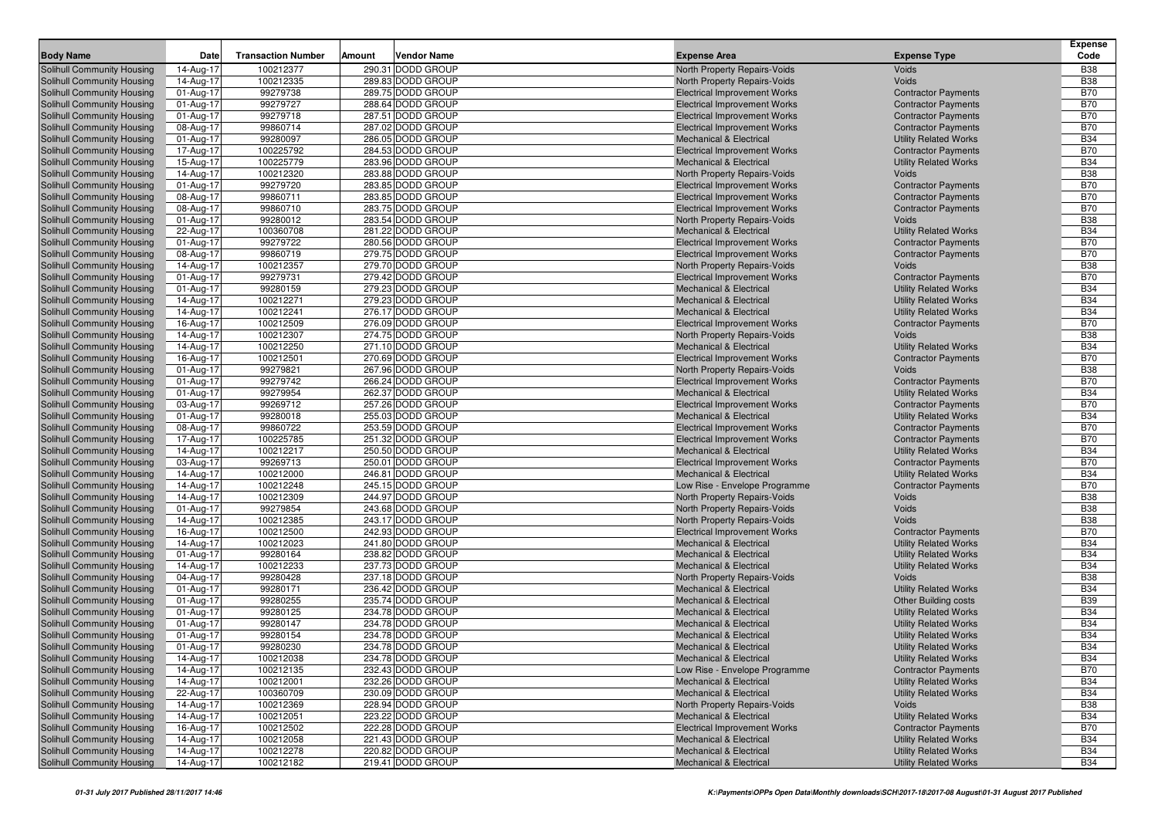| <b>Body Name</b>                                                | Date                   | <b>Transaction Number</b> | Amount | <b>Vendor Name</b>                     | <b>Expense Area</b>                                                        | <b>Expense Type</b>                                          | <b>Expense</b><br>Code   |
|-----------------------------------------------------------------|------------------------|---------------------------|--------|----------------------------------------|----------------------------------------------------------------------------|--------------------------------------------------------------|--------------------------|
|                                                                 |                        | 100212377                 |        | 290.31 DODD GROUP                      |                                                                            |                                                              | <b>B38</b>               |
| <b>Solihull Community Housing</b>                               | 14-Aug-17              |                           |        |                                        | North Property Repairs-Voids                                               | <b>Voids</b>                                                 |                          |
| Solihull Community Housing                                      | 14-Aug-17              | 100212335<br>99279738     |        | 289.83 DODD GROUP<br>289.75 DODD GROUP | <b>North Property Repairs-Voids</b><br><b>Electrical Improvement Works</b> | Voids<br><b>Contractor Payments</b>                          | <b>B38</b><br><b>B70</b> |
| Solihull Community Housing<br><b>Solihull Community Housing</b> | 01-Aug-17<br>01-Aug-17 | 99279727                  |        | 288.64 DODD GROUP                      | <b>Electrical Improvement Works</b>                                        | <b>Contractor Payments</b>                                   | <b>B70</b>               |
| Solihull Community Housing                                      | 01-Aug-17              | 99279718                  |        | 287.51 DODD GROUP                      | <b>Electrical Improvement Works</b>                                        | <b>Contractor Payments</b>                                   | <b>B70</b>               |
| <b>Solihull Community Housing</b>                               | 08-Aug-17              | 99860714                  |        | 287.02 DODD GROUP                      | <b>Electrical Improvement Works</b>                                        | <b>Contractor Payments</b>                                   | <b>B70</b>               |
| <b>Solihull Community Housing</b>                               | 01-Aug-17              | 99280097                  |        | 286.05 DODD GROUP                      | <b>Mechanical &amp; Electrical</b>                                         | <b>Utility Related Works</b>                                 | <b>B34</b>               |
| <b>Solihull Community Housing</b>                               | 17-Aug-17              | 100225792                 |        | 284.53 DODD GROUP                      | <b>Electrical Improvement Works</b>                                        | <b>Contractor Payments</b>                                   | <b>B70</b>               |
| <b>Solihull Community Housing</b>                               | 15-Aug-17              | 100225779                 |        | 283.96 DODD GROUP                      | <b>Mechanical &amp; Electrical</b>                                         | <b>Utility Related Works</b>                                 | <b>B34</b>               |
| <b>Solihull Community Housing</b>                               | 14-Aug-17              | 100212320                 |        | 283.88 DODD GROUP                      | North Property Repairs-Voids                                               | Voids                                                        | <b>B38</b>               |
| Solihull Community Housing                                      | 01-Aug-17              | 99279720                  |        | 283.85 DODD GROUP                      | <b>Electrical Improvement Works</b>                                        | <b>Contractor Payments</b>                                   | <b>B70</b>               |
| <b>Solihull Community Housing</b>                               | 08-Aug-17              | 99860711                  |        | 283.85 DODD GROUP                      | <b>Electrical Improvement Works</b>                                        | <b>Contractor Payments</b>                                   | <b>B70</b>               |
| Solihull Community Housing                                      | 08-Aug-17              | 99860710                  |        | 283.75 DODD GROUP                      | <b>Electrical Improvement Works</b>                                        | <b>Contractor Payments</b>                                   | <b>B70</b>               |
| <b>Solihull Community Housing</b>                               | 01-Aug-17              | 99280012                  |        | 283.54 DODD GROUP                      | North Property Repairs-Voids                                               | Voids                                                        | <b>B38</b>               |
| Solihull Community Housing                                      | 22-Aug-17              | 100360708                 |        | 281.22 DODD GROUP                      | <b>Mechanical &amp; Electrical</b>                                         | <b>Utility Related Works</b>                                 | <b>B34</b>               |
| Solihull Community Housing                                      | 01-Aug-17              | 99279722                  |        | 280.56 DODD GROUP                      | <b>Electrical Improvement Works</b>                                        | <b>Contractor Payments</b>                                   | <b>B70</b>               |
| <b>Solihull Community Housing</b>                               | 08-Aug-17              | 99860719                  |        | 279.75 DODD GROUP                      | <b>Electrical Improvement Works</b>                                        | <b>Contractor Payments</b>                                   | <b>B70</b>               |
| Solihull Community Housing                                      | 14-Aug-17              | 100212357                 |        | 279.70 DODD GROUP                      | North Property Repairs-Voids                                               | Voids                                                        | <b>B38</b>               |
| <b>Solihull Community Housing</b>                               | 01-Aug-17              | 99279731                  |        | 279.42 DODD GROUP                      | <b>Electrical Improvement Works</b>                                        | <b>Contractor Payments</b>                                   | <b>B70</b>               |
| Solihull Community Housing                                      | 01-Aug-17              | 99280159                  |        | 279.23 DODD GROUP                      | <b>Mechanical &amp; Electrical</b>                                         | <b>Utility Related Works</b>                                 | <b>B34</b>               |
| Solihull Community Housing                                      | 14-Aug-17              | 100212271                 |        | 279.23 DODD GROUP                      | <b>Mechanical &amp; Electrical</b>                                         | <b>Utility Related Works</b>                                 | <b>B34</b>               |
| Solihull Community Housing                                      | 14-Aug-17              | 100212241                 |        | 276.17 DODD GROUP                      | <b>Mechanical &amp; Electrical</b>                                         | <b>Utility Related Works</b>                                 | <b>B34</b>               |
| Solihull Community Housing                                      | 16-Aug-17              | 100212509                 |        | 276.09 DODD GROUP                      | <b>Electrical Improvement Works</b>                                        | <b>Contractor Payments</b>                                   | <b>B70</b>               |
| Solihull Community Housing                                      | 14-Aug-17              | 100212307                 |        | 274.75 DODD GROUP                      | North Property Repairs-Voids                                               | Voids                                                        | <b>B38</b>               |
| Solihull Community Housing                                      | 14-Aug-17              | 100212250                 |        | 271.10 DODD GROUP                      | <b>Mechanical &amp; Electrical</b>                                         | <b>Utility Related Works</b>                                 | <b>B34</b>               |
| Solihull Community Housing                                      | 16-Aug-17              | 100212501                 |        | 270.69 DODD GROUP                      | <b>Electrical Improvement Works</b>                                        | <b>Contractor Payments</b>                                   | <b>B70</b>               |
| Solihull Community Housing                                      | 01-Aug-17              | 99279821                  |        | 267.96 DODD GROUP                      | North Property Repairs-Voids                                               | Voids                                                        | <b>B38</b>               |
| Solihull Community Housing                                      | 01-Aug-17              | 99279742                  |        | 266.24 DODD GROUP                      | <b>Electrical Improvement Works</b>                                        | <b>Contractor Payments</b>                                   | <b>B70</b>               |
| Solihull Community Housing                                      | 01-Aug-17              | 99279954                  |        | 262.37 DODD GROUP                      | <b>Mechanical &amp; Electrical</b>                                         | <b>Utility Related Works</b>                                 | <b>B34</b>               |
| Solihull Community Housing                                      | 03-Aug-17              | 99269712                  |        | 257.26 DODD GROUP                      | <b>Electrical Improvement Works</b>                                        | <b>Contractor Payments</b>                                   | <b>B70</b>               |
| Solihull Community Housing                                      | 01-Aug-17              | 99280018                  |        | 255.03 DODD GROUP                      | <b>Mechanical &amp; Electrical</b>                                         | <b>Utility Related Works</b>                                 | <b>B34</b>               |
| Solihull Community Housing                                      | 08-Aug-17              | 99860722<br>100225785     |        | 253.59 DODD GROUP<br>251.32 DODD GROUP | <b>Electrical Improvement Works</b>                                        | <b>Contractor Payments</b>                                   | <b>B70</b><br><b>B70</b> |
| Solihull Community Housing                                      | 17-Aug-17              | 100212217                 |        | 250.50 DODD GROUP                      | <b>Electrical Improvement Works</b><br><b>Mechanical &amp; Electrical</b>  | <b>Contractor Payments</b><br><b>Utility Related Works</b>   | <b>B34</b>               |
| Solihull Community Housing<br>Solihull Community Housing        | 14-Aug-17<br>03-Aug-17 | 99269713                  |        | 250.01 DODD GROUP                      | <b>Electrical Improvement Works</b>                                        | <b>Contractor Payments</b>                                   | <b>B70</b>               |
| Solihull Community Housing                                      | 14-Aug-17              | 100212000                 |        | 246.81 DODD GROUP                      | <b>Mechanical &amp; Electrical</b>                                         | <b>Utility Related Works</b>                                 | <b>B34</b>               |
| Solihull Community Housing                                      | 14-Aug-17              | 100212248                 |        | 245.15 DODD GROUP                      | Low Rise - Envelope Programme                                              | <b>Contractor Payments</b>                                   | <b>B70</b>               |
| Solihull Community Housing                                      | 14-Aug-17              | 100212309                 |        | 244.97 DODD GROUP                      | North Property Repairs-Voids                                               | Voids                                                        | <b>B38</b>               |
| Solihull Community Housing                                      | 01-Aug-17              | 99279854                  |        | 243.68 DODD GROUP                      | North Property Repairs-Voids                                               | Voids                                                        | <b>B38</b>               |
| Solihull Community Housing                                      | 14-Aug-17              | 100212385                 |        | 243.17 DODD GROUP                      | North Property Repairs-Voids                                               | Voids                                                        | <b>B38</b>               |
| Solihull Community Housing                                      | 16-Aug-17              | 100212500                 |        | 242.93 DODD GROUP                      | <b>Electrical Improvement Works</b>                                        | <b>Contractor Payments</b>                                   | <b>B70</b>               |
| Solihull Community Housing                                      | 14-Aug-17              | 100212023                 |        | 241.80 DODD GROUP                      | <b>Mechanical &amp; Electrical</b>                                         | <b>Utility Related Works</b>                                 | <b>B34</b>               |
| Solihull Community Housing                                      | 01-Aug-17              | 99280164                  |        | 238.82 DODD GROUP                      | <b>Mechanical &amp; Electrical</b>                                         | <b>Utility Related Works</b>                                 | <b>B34</b>               |
| Solihull Community Housing                                      | 14-Aug-17              | 100212233                 |        | 237.73 DODD GROUP                      | <b>Mechanical &amp; Electrical</b>                                         | <b>Utility Related Works</b>                                 | <b>B34</b>               |
| Solihull Community Housing                                      | 04-Aug-17              | 99280428                  |        | 237.18 DODD GROUP                      | North Property Repairs-Voids                                               | Voids                                                        | <b>B38</b>               |
| Solihull Community Housing                                      | 01-Aug-17              | 99280171                  |        | 236.42 DODD GROUP                      | <b>Mechanical &amp; Electrical</b>                                         | <b>Utility Related Works</b>                                 | <b>B34</b>               |
| Solihull Community Housing                                      | 01-Aug-17              | 99280255                  |        | 235.74 DODD GROUP                      | <b>Mechanical &amp; Electrical</b>                                         | <b>Other Building costs</b>                                  | <b>B39</b>               |
| Solihull Community Housing                                      | 01-Aug-17              | 99280125                  |        | 234.78 DODD GROUP                      | <b>Mechanical &amp; Electrical</b>                                         | <b>Utility Related Works</b>                                 | <b>B34</b>               |
| <b>Solihull Community Housing</b>                               | 01-Aug-17              | 99280147                  |        | 234.78 DODD GROUP                      | <b>Mechanical &amp; Electrical</b>                                         | <b>Utility Related Works</b>                                 | <b>B34</b>               |
| Solihull Community Housing                                      | 01-Aug-17              | 99280154                  |        | 234.78 DODD GROUP                      | <b>Mechanical &amp; Electrical</b>                                         | <b>Utility Related Works</b>                                 | <b>B34</b>               |
| <b>Solihull Community Housing</b>                               | 01-Aug-17              | 99280230                  |        | 234.78 DODD GROUP                      | <b>Mechanical &amp; Electrical</b>                                         | <b>Utility Related Works</b>                                 | <b>B34</b>               |
| Solihull Community Housing                                      | 14-Aug-17              | 100212038                 |        | 234.78 DODD GROUP                      | <b>Mechanical &amp; Electrical</b>                                         | <b>Utility Related Works</b>                                 | <b>B34</b>               |
| Solihull Community Housing                                      | 14-Aug-17              | 100212135                 |        | 232.43 DODD GROUP                      | Low Rise - Envelope Programme                                              | <b>Contractor Payments</b>                                   | <b>B70</b>               |
| Solihull Community Housing                                      | 14-Aug-17              | 100212001                 |        | 232.26 DODD GROUP                      | <b>Mechanical &amp; Electrical</b>                                         | <b>Utility Related Works</b>                                 | <b>B34</b>               |
| Solihull Community Housing                                      | 22-Aug-17              | 100360709                 |        | 230.09 DODD GROUP                      | <b>Mechanical &amp; Electrical</b>                                         | <b>Utility Related Works</b>                                 | <b>B34</b>               |
| Solihull Community Housing                                      | 14-Aug-17              | 100212369                 |        | 228.94 DODD GROUP                      | North Property Repairs-Voids                                               | <b>Voids</b>                                                 | <b>B38</b>               |
| Solihull Community Housing                                      | 14-Aug-17              | 100212051                 |        | 223.22 DODD GROUP                      | <b>Mechanical &amp; Electrical</b>                                         | <b>Utility Related Works</b>                                 | <b>B34</b>               |
| Solihull Community Housing<br>Solihull Community Housing        | 16-Aug-17              | 100212502                 |        | 222.28 DODD GROUP                      | <b>Electrical Improvement Works</b><br><b>Mechanical &amp; Electrical</b>  | <b>Contractor Payments</b>                                   | <b>B70</b>               |
| Solihull Community Housing                                      | 14-Aug-17<br>14-Aug-17 | 100212058<br>100212278    |        | 221.43 DODD GROUP<br>220.82 DODD GROUP | <b>Mechanical &amp; Electrical</b>                                         | <b>Utility Related Works</b><br><b>Utility Related Works</b> | <b>B34</b><br><b>B34</b> |
|                                                                 |                        |                           |        | 219.41 DODD GROUP                      | <b>Mechanical &amp; Electrical</b>                                         |                                                              |                          |
| <b>Solihull Community Housing</b>                               | 14-Aug-17              | 100212182                 |        |                                        |                                                                            | <b>Utility Related Works</b>                                 | B34                      |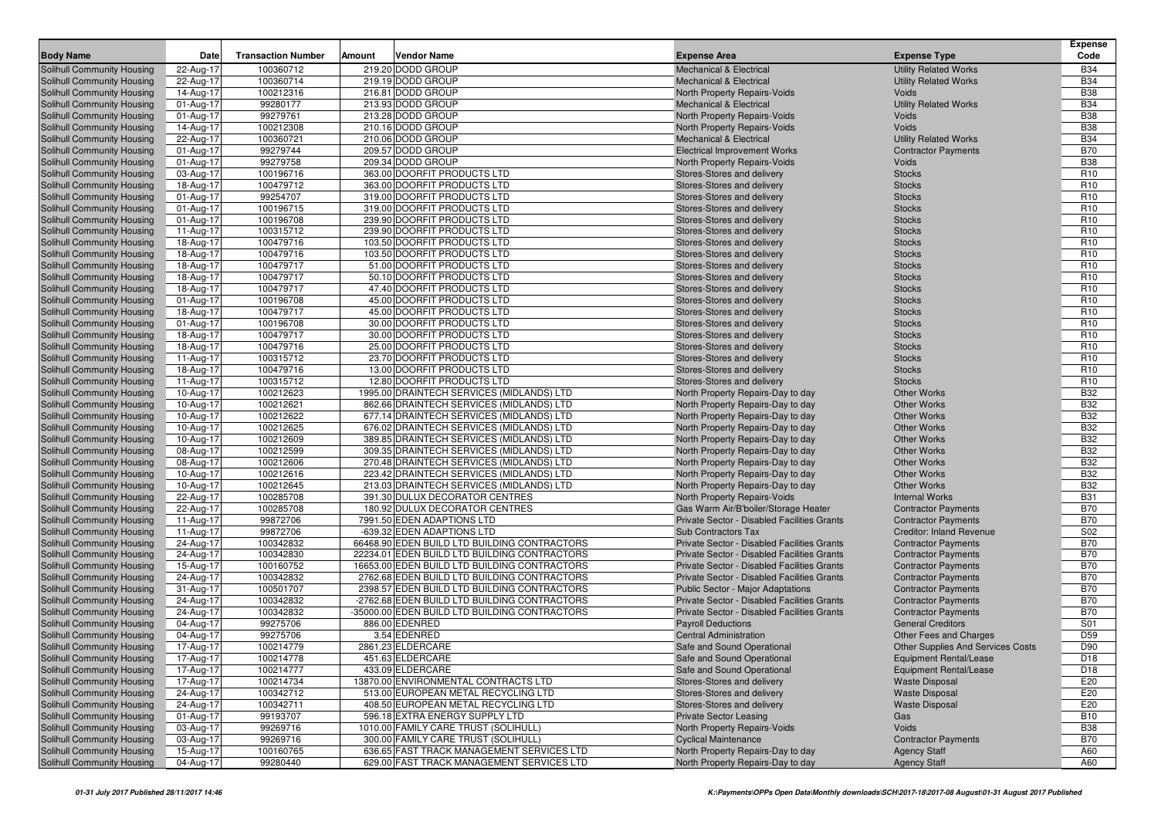|                                                          |                         |                           |        |                                                                                      |                                                                        |                                          | <b>Expense</b>                     |
|----------------------------------------------------------|-------------------------|---------------------------|--------|--------------------------------------------------------------------------------------|------------------------------------------------------------------------|------------------------------------------|------------------------------------|
| <b>Body Name</b>                                         | Date                    | <b>Transaction Number</b> | Amount | <b>Vendor Name</b>                                                                   | <b>Expense Area</b>                                                    | <b>Expense Type</b>                      | Code                               |
| <b>Solihull Community Housing</b>                        | 22-Aug-17               | 100360712                 |        | 219.20 DODD GROUP                                                                    | <b>Mechanical &amp; Electrical</b>                                     | <b>Utility Related Works</b>             | <b>B34</b>                         |
| Solihull Community Housing                               | 22-Aug-17               | 100360714                 |        | 219.19 DODD GROUP                                                                    | <b>Mechanical &amp; Electrical</b>                                     | <b>Utility Related Works</b>             | <b>B34</b>                         |
| Solihull Community Housing                               | 14-Aug-17               | 100212316                 |        | 216.81 DODD GROUP                                                                    | <b>North Property Repairs-Voids</b>                                    | Voids                                    | <b>B38</b>                         |
| Solihull Community Housing                               | 01-Aug-17               | 99280177                  |        | 213.93 DODD GROUP                                                                    | <b>Mechanical &amp; Electrical</b>                                     | <b>Utility Related Works</b>             | <b>B34</b>                         |
| Solihull Community Housing                               | 01-Aug-17               | 99279761                  |        | 213.28 DODD GROUP                                                                    | North Property Repairs-Voids                                           | Voids                                    | <b>B38</b>                         |
| Solihull Community Housing                               | 14-Aug-17               | 100212308                 |        | 210.16 DODD GROUP                                                                    | <b>North Property Repairs-Voids</b>                                    | Voids                                    | <b>B38</b>                         |
| Solihull Community Housing                               | 22-Aug-17               | 100360721                 |        | 210.06 DODD GROUP                                                                    | <b>Mechanical &amp; Electrical</b>                                     | <b>Utility Related Works</b>             | <b>B34</b>                         |
| Solihull Community Housing                               | 01-Aug-17               | 99279744                  |        | 209.57 DODD GROUP                                                                    | <b>Electrical Improvement Works</b>                                    | <b>Contractor Payments</b>               | <b>B70</b>                         |
| Solihull Community Housing                               | 01-Aug-17               | 99279758                  |        | 209.34 DODD GROUP                                                                    | North Property Repairs-Voids                                           | Voids                                    | <b>B38</b>                         |
| Solihull Community Housing                               | 03-Aug-17               | 100196716                 |        | 363.00 DOORFIT PRODUCTS LTD                                                          | Stores-Stores and delivery                                             | <b>Stocks</b>                            | R <sub>10</sub>                    |
| Solihull Community Housing                               | 18-Aug-17               | 100479712                 |        | 363.00 DOORFIT PRODUCTS LTD                                                          | Stores-Stores and delivery                                             | <b>Stocks</b>                            | R <sub>10</sub>                    |
| Solihull Community Housing                               | 01-Aug-17               | 99254707                  |        | 319.00 DOORFIT PRODUCTS LTD                                                          | Stores-Stores and delivery                                             | <b>Stocks</b>                            | R <sub>10</sub>                    |
| Solihull Community Housing                               | 01-Aug-17               | 100196715                 |        | 319.00 DOORFIT PRODUCTS LTD                                                          | Stores-Stores and delivery                                             | <b>Stocks</b>                            | R <sub>10</sub>                    |
| <b>Solihull Community Housing</b>                        | 01-Aug-17               | 100196708                 |        | 239.90 DOORFIT PRODUCTS LTD                                                          | Stores-Stores and delivery                                             | <b>Stocks</b>                            | R <sub>10</sub>                    |
| Solihull Community Housing                               | 11-Aug-17               | 100315712                 |        | 239.90 DOORFIT PRODUCTS LTD                                                          | Stores-Stores and delivery                                             | <b>Stocks</b>                            | R <sub>10</sub>                    |
| Solihull Community Housing                               | 18-Aug-17               | 100479716                 |        | 103.50 DOORFIT PRODUCTS LTD                                                          | Stores-Stores and delivery                                             | <b>Stocks</b>                            | R <sub>10</sub>                    |
| <b>Solihull Community Housing</b>                        | 18-Aug-17               | 100479716                 |        | 103.50 DOORFIT PRODUCTS LTD                                                          | Stores-Stores and delivery                                             | <b>Stocks</b>                            | R <sub>10</sub>                    |
| Solihull Community Housing                               | 18-Aug-17               | 100479717                 |        | 51.00 DOORFIT PRODUCTS LTD                                                           | Stores-Stores and delivery                                             | <b>Stocks</b>                            | R <sub>10</sub>                    |
| Solihull Community Housing                               | 18-Aug-17               | 100479717                 |        | 50.10 DOORFIT PRODUCTS LTD                                                           | Stores-Stores and delivery                                             | <b>Stocks</b>                            | R <sub>10</sub>                    |
| Solihull Community Housing                               | 18-Aug-17               | 100479717                 |        | 47.40 DOORFIT PRODUCTS LTD                                                           | Stores-Stores and delivery                                             | <b>Stocks</b>                            | R <sub>10</sub>                    |
| Solihull Community Housing                               | 01-Aug-17               | 100196708                 |        | 45.00 DOORFIT PRODUCTS LTD                                                           | Stores-Stores and delivery                                             | <b>Stocks</b>                            | R <sub>10</sub>                    |
| Solihull Community Housing                               | 18-Aug-17               | 100479717                 |        | 45.00 DOORFIT PRODUCTS LTD                                                           | Stores-Stores and delivery                                             | <b>Stocks</b>                            | R <sub>10</sub>                    |
| Solihull Community Housing                               | 01-Aug-17               | 100196708                 |        | 30.00 DOORFIT PRODUCTS LTD                                                           | Stores-Stores and delivery                                             | <b>Stocks</b>                            | R <sub>10</sub>                    |
| Solihull Community Housing                               | 18-Aug-17               | 100479717                 |        | 30.00 DOORFIT PRODUCTS LTD                                                           | Stores-Stores and delivery                                             | <b>Stocks</b>                            | R <sub>10</sub>                    |
| Solihull Community Housing                               | 18-Aug-17               | 100479716                 |        | 25.00 DOORFIT PRODUCTS LTD                                                           | Stores-Stores and delivery                                             | <b>Stocks</b>                            | R <sub>10</sub>                    |
| Solihull Community Housing                               | 11-Aug-17               | 100315712                 |        | 23.70 DOORFIT PRODUCTS LTD                                                           | Stores-Stores and delivery                                             | <b>Stocks</b>                            | R <sub>10</sub>                    |
| <b>Solihull Community Housing</b>                        | 18-Aug-17               | 100479716                 |        | 13.00 DOORFIT PRODUCTS LTD                                                           | Stores-Stores and delivery                                             | <b>Stocks</b>                            | R <sub>10</sub><br>R <sub>10</sub> |
| Solihull Community Housing                               | 11-Aug-17               | 100315712                 |        | 12.80 DOORFIT PRODUCTS LTD                                                           | Stores-Stores and delivery                                             | <b>Stocks</b>                            |                                    |
| Solihull Community Housing                               | 10-Aug-17               | 100212623                 |        | 1995.00 DRAINTECH SERVICES (MIDLANDS) LTD                                            | North Property Repairs-Day to day                                      | <b>Other Works</b>                       | <b>B32</b>                         |
| Solihull Community Housing                               | 10-Aug-17               | 100212621                 |        | 862.66 DRAINTECH SERVICES (MIDLANDS) LTD                                             | North Property Repairs-Day to day                                      | <b>Other Works</b>                       | <b>B32</b>                         |
| <b>Solihull Community Housing</b>                        | 10-Aug-17               | 100212622                 |        | 677.14 DRAINTECH SERVICES (MIDLANDS) LTD                                             | North Property Repairs-Day to day                                      | <b>Other Works</b><br><b>Other Works</b> | <b>B32</b><br><b>B32</b>           |
| Solihull Community Housing                               | 10-Aug-17               | 100212625<br>100212609    |        | 676.02 DRAINTECH SERVICES (MIDLANDS) LTD<br>389.85 DRAINTECH SERVICES (MIDLANDS) LTD | North Property Repairs-Day to day                                      | <b>Other Works</b>                       | <b>B32</b>                         |
| Solihull Community Housing                               | 10-Aug-17               | 100212599                 |        | 309.35 DRAINTECH SERVICES (MIDLANDS) LTD                                             | North Property Repairs-Day to day                                      | <b>Other Works</b>                       | <b>B32</b>                         |
| Solihull Community Housing<br>Solihull Community Housing | 08-Aug-17<br>08-Aug-17  | 100212606                 |        | 270.48 DRAINTECH SERVICES (MIDLANDS) LTD                                             | North Property Repairs-Day to day<br>North Property Repairs-Day to day | <b>Other Works</b>                       | <b>B32</b>                         |
| Solihull Community Housing                               | 10-Aug-17               | 100212616                 |        | 223.42 DRAINTECH SERVICES (MIDLANDS) LTD                                             | North Property Repairs-Day to day                                      | <b>Other Works</b>                       | <b>B32</b>                         |
| Solihull Community Housing                               | 10-Aug-17               | 100212645                 |        | 213.03 DRAINTECH SERVICES (MIDLANDS) LTD                                             | North Property Repairs-Day to day                                      | <b>Other Works</b>                       | <b>B32</b>                         |
| Solihull Community Housing                               | 22-Aug-17               | 100285708                 |        | 391.30 DULUX DECORATOR CENTRES                                                       | North Property Repairs-Voids                                           | <b>Internal Works</b>                    | <b>B31</b>                         |
| Solihull Community Housing                               | 22-Aug-17               | 100285708                 |        | 180.92 DULUX DECORATOR CENTRES                                                       | Gas Warm Air/B'boiler/Storage Heater                                   | <b>Contractor Payments</b>               | <b>B70</b>                         |
| Solihull Community Housing                               | 11-Aug-17               | 99872706                  |        | 7991.50 EDEN ADAPTIONS LTD                                                           | Private Sector - Disabled Facilities Grants                            | <b>Contractor Payments</b>               | <b>B70</b>                         |
| Solihull Community Housing                               | 11-Aug-17               | 99872706                  |        | -639.32 EDEN ADAPTIONS LTD                                                           | <b>Sub Contractors Tax</b>                                             | <b>Creditor: Inland Revenue</b>          | S02                                |
| Solihull Community Housing                               | 24-Aug-17               | 100342832                 |        | 66468.90 EDEN BUILD LTD BUILDING CONTRACTORS                                         | Private Sector - Disabled Facilities Grants                            | <b>Contractor Payments</b>               | <b>B70</b>                         |
| Solihull Community Housing                               | 24-Aug-17               | 100342830                 |        | 22234.01 EDEN BUILD LTD BUILDING CONTRACTORS                                         | Private Sector - Disabled Facilities Grants                            | <b>Contractor Payments</b>               | <b>B70</b>                         |
| Solihull Community Housing                               | 15-Aug-17               | 100160752                 |        | 16653.00 EDEN BUILD LTD BUILDING CONTRACTORS                                         | Private Sector - Disabled Facilities Grants                            | <b>Contractor Payments</b>               | <b>B70</b>                         |
| Solihull Community Housing                               | 24-Aug-17               | 100342832                 |        | 2762.68 EDEN BUILD LTD BUILDING CONTRACTORS                                          | Private Sector - Disabled Facilities Grants                            | <b>Contractor Payments</b>               | <b>B70</b>                         |
| <b>Solihull Community Housing</b>                        | 31-Aug-17               | 100501707                 |        | 2398.57 EDEN BUILD LTD BUILDING CONTRACTORS                                          | <b>Public Sector - Major Adaptations</b>                               | <b>Contractor Payments</b>               | <b>B70</b>                         |
| Solihull Community Housing                               | 24-Aug-17               | 100342832                 |        | -2762.68 EDEN BUILD LTD BUILDING CONTRACTORS                                         | Private Sector - Disabled Facilities Grants                            | <b>Contractor Payments</b>               | <b>B70</b>                         |
| Solihull Community Housing                               | 24-Aug-17               | 100342832                 |        | -35000.00 EDEN BUILD LTD BUILDING CONTRACTORS                                        | Private Sector - Disabled Facilities Grants                            | <b>Contractor Payments</b>               | <b>B70</b>                         |
| Solihull Community Housing                               | 04-Aug-17               | 99275706                  |        | 886.00 EDENRED                                                                       | <b>Payroll Deductions</b>                                              | <b>General Creditors</b>                 | S01                                |
| Solihull Community Housing                               | 04-Aug-17               | 99275706                  |        | 3.54 EDENRED                                                                         | <b>Central Administration</b>                                          | Other Fees and Charges                   | D <sub>59</sub>                    |
| Solihull Community Housing                               | 17-Aug-17               | 100214779                 |        | 2861.23 ELDERCARE                                                                    | Safe and Sound Operational                                             | <b>Other Supplies And Services Costs</b> | D90                                |
| Solihull Community Housing                               | 17-Aug-17               | 100214778                 |        | 451.63 ELDERCARE                                                                     | Safe and Sound Operational                                             | Equipment Rental/Lease                   | D <sub>18</sub>                    |
| Solihull Community Housing                               | 17-Aug-17               | 100214777                 |        | 433.09 ELDERCARE                                                                     | Safe and Sound Operational                                             | <b>Equipment Rental/Lease</b>            | D18                                |
| Solihull Community Housing                               | $\overline{17}$ -Aug-17 | 100214734                 |        | 13870.00 ENVIRONMENTAL CONTRACTS LTD                                                 | Stores-Stores and delivery                                             | <b>Waste Disposal</b>                    | E20                                |
| Solihull Community Housing                               | 24-Aug-17               | 100342712                 |        | 513.00 EUROPEAN METAL RECYCLING LTD                                                  | Stores-Stores and delivery                                             | <b>Waste Disposal</b>                    | E20                                |
| Solihull Community Housing                               | 24-Aug-17               | 100342711                 |        | 408.50 EUROPEAN METAL RECYCLING LTD                                                  | Stores-Stores and delivery                                             | <b>Waste Disposal</b>                    | E20                                |
| Solihull Community Housing                               | 01-Aug-17               | 99193707                  |        | 596.18 EXTRA ENERGY SUPPLY LTD                                                       | <b>Private Sector Leasing</b>                                          | Gas                                      | <b>B10</b>                         |
| Solihull Community Housing                               | 03-Aug-17               | 99269716                  |        | 1010.00 FAMILY CARE TRUST (SOLIHULL)                                                 | North Property Repairs-Voids                                           | Voids                                    | <b>B</b> 38                        |
| Solihull Community Housing                               | 03-Aug-17               | 99269716                  |        | 300.00 FAMILY CARE TRUST (SOLIHULL)                                                  | <b>Cyclical Maintenance</b>                                            | <b>Contractor Payments</b>               | <b>B70</b>                         |
| Solihull Community Housing                               | 15-Aug-17               | 100160765                 |        | 636.65 FAST TRACK MANAGEMENT SERVICES LTD                                            | North Property Repairs-Day to day                                      | <b>Agency Staff</b>                      | A60                                |
| Solihull Community Housing                               | 04-Aug-17               | 99280440                  |        | 629.00 FAST TRACK MANAGEMENT SERVICES LTD                                            | North Property Repairs-Day to day                                      | <b>Agency Staff</b>                      | A60                                |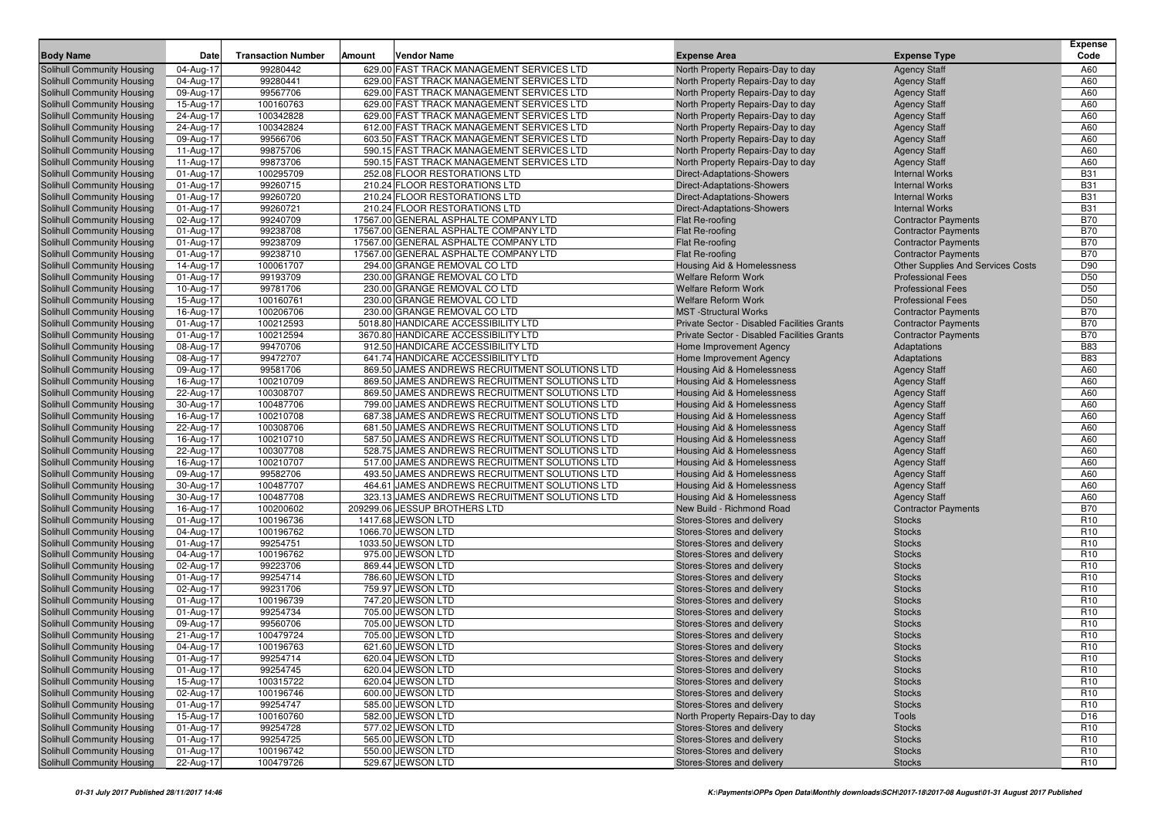| <b>Body Name</b>                                                | Date                   | <b>Transaction Number</b> | Amount<br><b>Vendor Name</b>                                                    | <b>Expense Area</b>                                     | <b>Expense Type</b>                         | <b>Expense</b><br>Code |
|-----------------------------------------------------------------|------------------------|---------------------------|---------------------------------------------------------------------------------|---------------------------------------------------------|---------------------------------------------|------------------------|
| <b>Solihull Community Housing</b>                               | 04-Aug-17              | 99280442                  | 629.00 FAST TRACK MANAGEMENT SERVICES LTD                                       | North Property Repairs-Day to day                       | <b>Agency Staff</b>                         | A60                    |
| Solihull Community Housing                                      | 04-Aug-17              | 99280441                  | 629.00 FAST TRACK MANAGEMENT SERVICES LTD                                       | North Property Repairs-Day to day                       | <b>Agency Staff</b>                         | A60                    |
| Solihull Community Housing                                      | 09-Aug-17              | 99567706                  | 629.00 FAST TRACK MANAGEMENT SERVICES LTD                                       | North Property Repairs-Day to day                       | <b>Agency Staff</b>                         | A60                    |
| Solihull Community Housing                                      | 15-Aug-17              | 100160763                 | 629.00 FAST TRACK MANAGEMENT SERVICES LTD                                       | North Property Repairs-Day to day                       | <b>Agency Staff</b>                         | A60                    |
| Solihull Community Housing                                      | 24-Aug-17              | 100342828                 | 629.00 FAST TRACK MANAGEMENT SERVICES LTD                                       | North Property Repairs-Day to day                       | <b>Agency Staff</b>                         | A60                    |
| Solihull Community Housing                                      | 24-Aug-17              | 100342824                 | 612.00 FAST TRACK MANAGEMENT SERVICES LTD                                       | North Property Repairs-Day to day                       | <b>Agency Staff</b>                         | A60                    |
| Solihull Community Housing                                      | 09-Aug-17              | 99566706                  | 603.50 FAST TRACK MANAGEMENT SERVICES LTD                                       | North Property Repairs-Day to day                       | <b>Agency Staff</b>                         | A60                    |
| Solihull Community Housing                                      | 11-Aug-17              | 99875706                  | 590.15 FAST TRACK MANAGEMENT SERVICES LTD                                       | North Property Repairs-Day to day                       | <b>Agency Staff</b>                         | A60                    |
| Solihull Community Housing                                      | 11-Aug-17              | 99873706                  | 590.15 FAST TRACK MANAGEMENT SERVICES LTD                                       | North Property Repairs-Day to day                       | <b>Agency Staff</b>                         | A60                    |
| Solihull Community Housing                                      | 01-Aug-17              | 100295709                 | 252.08 FLOOR RESTORATIONS LTD                                                   | Direct-Adaptations-Showers                              | <b>Internal Works</b>                       | <b>B31</b>             |
| <b>Solihull Community Housing</b>                               | 01-Aug-17              | 99260715                  | 210.24 FLOOR RESTORATIONS LTD                                                   | Direct-Adaptations-Showers                              | <b>Internal Works</b>                       | <b>B31</b>             |
| Solihull Community Housing                                      | 01-Aug-17              | 99260720                  | 210.24 FLOOR RESTORATIONS LTD                                                   | <b>Direct-Adaptations-Showers</b>                       | <b>Internal Works</b>                       | <b>B31</b>             |
| Solihull Community Housing                                      | 01-Aug-17              | 99260721                  | 210.24 FLOOR RESTORATIONS LTD                                                   | <b>Direct-Adaptations-Showers</b>                       | <b>Internal Works</b>                       | <b>B31</b>             |
| Solihull Community Housing                                      | 02-Aug-17              | 99240709                  | 17567.00 GENERAL ASPHALTE COMPANY LTD                                           | Flat Re-roofing                                         | <b>Contractor Payments</b>                  | <b>B70</b>             |
| Solihull Community Housing                                      | 01-Aug-17              | 99238708                  | 17567.00 GENERAL ASPHALTE COMPANY LTD                                           | Flat Re-roofing                                         | <b>Contractor Payments</b>                  | <b>B70</b>             |
| <b>Solihull Community Housing</b>                               | 01-Aug-17              | 99238709                  | 17567.00 GENERAL ASPHALTE COMPANY LTD                                           | Flat Re-roofing                                         | <b>Contractor Payments</b>                  | <b>B70</b>             |
| <b>Solihull Community Housing</b>                               | 01-Aug-17              | 99238710                  | 17567.00 GENERAL ASPHALTE COMPANY LTD                                           | Flat Re-roofing                                         | <b>Contractor Payments</b>                  | <b>B70</b>             |
| Solihull Community Housing                                      | 14-Aug-17              | 100061707                 | 294.00 GRANGE REMOVAL CO LTD                                                    | Housing Aid & Homelessness                              | <b>Other Supplies And Services Costs</b>    | D90                    |
| <b>Solihull Community Housing</b>                               | 01-Aug-17              | 99193709                  | 230.00 GRANGE REMOVAL CO LTD                                                    | <b>Welfare Reform Work</b>                              | <b>Professional Fees</b>                    | D <sub>50</sub>        |
| Solihull Community Housing                                      | 10-Aug-17              | 99781706                  | 230.00 GRANGE REMOVAL CO LTD                                                    | <b>Welfare Reform Work</b>                              | <b>Professional Fees</b>                    | D <sub>50</sub>        |
| <b>Solihull Community Housing</b>                               | 15-Aug-17              | 100160761                 | 230.00 GRANGE REMOVAL CO LTD                                                    | <b>Welfare Reform Work</b>                              | <b>Professional Fees</b>                    | D50                    |
| Solihull Community Housing                                      | 16-Aug-17              | 100206706                 | 230.00 GRANGE REMOVAL CO LTD                                                    | <b>MST</b> -Structural Works                            | <b>Contractor Payments</b>                  | <b>B70</b>             |
| Solihull Community Housing                                      | 01-Aug-17              | 100212593                 | 5018.80 HANDICARE ACCESSIBILITY LTD                                             | <b>Private Sector - Disabled Facilities Grants</b>      | <b>Contractor Payments</b>                  | <b>B70</b>             |
| <b>Solihull Community Housing</b>                               | 01-Aug-17              | 100212594                 | 3670.80 HANDICARE ACCESSIBILITY LTD                                             | Private Sector - Disabled Facilities Grants             | <b>Contractor Payments</b>                  | <b>B70</b>             |
| Solihull Community Housing                                      | 08-Aug-17              | 99470706                  | 912.50 HANDICARE ACCESSIBILITY LTD                                              | Home Improvement Agency                                 | Adaptations                                 | <b>B83</b>             |
| <b>Solihull Community Housing</b>                               | 08-Aug-17              | 99472707                  | 641.74 HANDICARE ACCESSIBILITY LTD                                              | Home Improvement Agency                                 | Adaptations                                 | <b>B83</b>             |
| Solihull Community Housing                                      | 09-Aug-17              | 99581706                  | 869.50 JAMES ANDREWS RECRUITMENT SOLUTIONS LTD                                  | Housing Aid & Homelessness                              | <b>Agency Staff</b>                         | A60                    |
| Solihull Community Housing                                      | 16-Aug-17              | 100210709                 | 869.50 JAMES ANDREWS RECRUITMENT SOLUTIONS LTD                                  | Housing Aid & Homelessness                              | <b>Agency Staff</b>                         | A60                    |
| Solihull Community Housing                                      | 22-Aug-17              | 100308707                 | 869.50 JAMES ANDREWS RECRUITMENT SOLUTIONS LTD                                  | <b>Housing Aid &amp; Homelessness</b>                   | <b>Agency Staff</b>                         | A60                    |
| Solihull Community Housing                                      | 30-Aug-17              | 100487706                 | 799.00 JAMES ANDREWS RECRUITMENT SOLUTIONS LTD                                  | <b>Housing Aid &amp; Homelessness</b>                   | <b>Agency Staff</b>                         | A60                    |
| Solihull Community Housing                                      | 16-Aug-17              | 100210708                 | 687.38 JAMES ANDREWS RECRUITMENT SOLUTIONS LTD                                  | <b>Housing Aid &amp; Homelessness</b>                   | <b>Agency Staff</b>                         | A60                    |
| Solihull Community Housing                                      | 22-Aug-17              | 100308706                 | 681.50 JAMES ANDREWS RECRUITMENT SOLUTIONS LTD                                  | Housing Aid & Homelessness                              | <b>Agency Staff</b>                         | A60                    |
| Solihull Community Housing                                      | 16-Aug-17              | 100210710                 | 587.50 JAMES ANDREWS RECRUITMENT SOLUTIONS LTD                                  | Housing Aid & Homelessness                              | <b>Agency Staff</b>                         | A60                    |
| Solihull Community Housing                                      | 22-Aug-17              | 100307708                 | 528.75 JAMES ANDREWS RECRUITMENT SOLUTIONS LTD                                  | <b>Housing Aid &amp; Homelessness</b>                   | <b>Agency Staff</b>                         | A60                    |
| Solihull Community Housing                                      | 16-Aug-17              | 100210707                 | 517.00 JAMES ANDREWS RECRUITMENT SOLUTIONS LTD                                  | Housing Aid & Homelessness                              | <b>Agency Staff</b>                         | A60                    |
| <b>Solihull Community Housing</b>                               | 09-Aug-17              | 99582706                  | 493.50 JAMES ANDREWS RECRUITMENT SOLUTIONS LTD                                  | <b>Housing Aid &amp; Homelessness</b>                   | <b>Agency Staff</b>                         | A60                    |
| Solihull Community Housing                                      | 30-Aug-17              | 100487707<br>100487708    | 464.61 JAMES ANDREWS RECRUITMENT SOLUTIONS LTD                                  | Housing Aid & Homelessness                              | <b>Agency Staff</b>                         | A60<br>A60             |
| Solihull Community Housing                                      | 30-Aug-17              | 100200602                 | 323.13 JAMES ANDREWS RECRUITMENT SOLUTIONS LTD<br>209299.06 JESSUP BROTHERS LTD | Housing Aid & Homelessness<br>New Build - Richmond Road | <b>Agency Staff</b>                         | <b>B70</b>             |
| <b>Solihull Community Housing</b><br>Solihull Community Housing | 16-Aug-17<br>01-Aug-17 | 100196736                 | 1417.68 JEWSON LTD                                                              | Stores-Stores and delivery                              | <b>Contractor Payments</b><br><b>Stocks</b> | R <sub>10</sub>        |
| Solihull Community Housing                                      | 04-Aug-17              | 100196762                 | 1066.70 JEWSON LTD                                                              | Stores-Stores and delivery                              | <b>Stocks</b>                               | R <sub>10</sub>        |
| Solihull Community Housing                                      | 01-Aug-17              | 99254751                  | 1033.50 JEWSON LTD                                                              | Stores-Stores and delivery                              | <b>Stocks</b>                               | R <sub>10</sub>        |
| Solihull Community Housing                                      | 04-Aug-17              | 100196762                 | 975.00 JEWSON LTD                                                               | Stores-Stores and delivery                              | <b>Stocks</b>                               | R <sub>10</sub>        |
| Solihull Community Housing                                      | 02-Aug-17              | 99223706                  | 869.44 JEWSON LTD                                                               | Stores-Stores and delivery                              | <b>Stocks</b>                               | R <sub>10</sub>        |
| Solihull Community Housing                                      | 01-Aug-17              | 99254714                  | 786.60 JEWSON LTD                                                               | Stores-Stores and delivery                              | <b>Stocks</b>                               | R <sub>10</sub>        |
| <b>Solihull Community Housing</b>                               | 02-Aug-17              | 99231706                  | 759.97 JEWSON LTD                                                               | Stores-Stores and delivery                              | <b>Stocks</b>                               | R <sub>10</sub>        |
| Solihull Community Housing                                      | 01-Aug-17              | 100196739                 | 747.20 JEWSON LTD                                                               | Stores-Stores and delivery                              | <b>Stocks</b>                               | R <sub>10</sub>        |
| Solihull Community Housing                                      | 01-Aug-17              | 99254734                  | 705.00 JEWSON LTD                                                               | Stores-Stores and delivery                              | <b>Stocks</b>                               | R <sub>10</sub>        |
| <b>Solihull Community Housing</b>                               | 09-Aug-17              | 99560706                  | 705.00 JEWSON LTD                                                               | Stores-Stores and delivery                              | <b>Stocks</b>                               | R <sub>10</sub>        |
| Solihull Community Housing                                      | 21-Aug-17              | 100479724                 | 705.00 JEWSON LTD                                                               | Stores-Stores and delivery                              | <b>Stocks</b>                               | R <sub>10</sub>        |
| Solihull Community Housing                                      | 04-Aug-17              | 100196763                 | 621.60 JEWSON LTD                                                               | Stores-Stores and delivery                              | <b>Stocks</b>                               | R <sub>10</sub>        |
| Solihull Community Housing                                      | 01-Aug-17              | 99254714                  | 620.04 JEWSON LTD                                                               | Stores-Stores and delivery                              | <b>Stocks</b>                               | R <sub>10</sub>        |
| Solihull Community Housing                                      | 01-Aug-17              | 99254745                  | 620.04 JEWSON LTD                                                               | Stores-Stores and delivery                              | <b>Stocks</b>                               | R <sub>10</sub>        |
| Solihull Community Housing                                      | 15-Aug-17              | 100315722                 | 620.04 JEWSON LTD                                                               | Stores-Stores and delivery                              | <b>Stocks</b>                               | R <sub>10</sub>        |
| Solihull Community Housing                                      | 02-Aug-17              | 100196746                 | 600.00 JEWSON LTD                                                               | Stores-Stores and delivery                              | <b>Stocks</b>                               | R <sub>10</sub>        |
| Solihull Community Housing                                      | 01-Aug-17              | 99254747                  | 585.00 JEWSON LTD                                                               | Stores-Stores and delivery                              | <b>Stocks</b>                               | R <sub>10</sub>        |
| Solihull Community Housing                                      | 15-Aug-17              | 100160760                 | 582.00 JEWSON LTD                                                               | North Property Repairs-Day to day                       | Tools                                       | D <sub>16</sub>        |
| Solihull Community Housing                                      | 01-Aug-17              | 99254728                  | 577.02 JEWSON LTD                                                               | Stores-Stores and delivery                              | <b>Stocks</b>                               | R <sub>10</sub>        |
| Solihull Community Housing                                      | 01-Aug-17              | 99254725                  | 565.00 JEWSON LTD                                                               | Stores-Stores and delivery                              | <b>Stocks</b>                               | R <sub>10</sub>        |
| Solihull Community Housing                                      | 01-Aug-17              | 100196742                 | 550.00 JEWSON LTD                                                               | Stores-Stores and delivery                              | <b>Stocks</b>                               | R <sub>10</sub>        |
| Solihull Community Housing                                      | 22-Aug-17              | 100479726                 | 529.67 JEWSON LTD                                                               | Stores-Stores and delivery                              | Stocks                                      | R <sub>10</sub>        |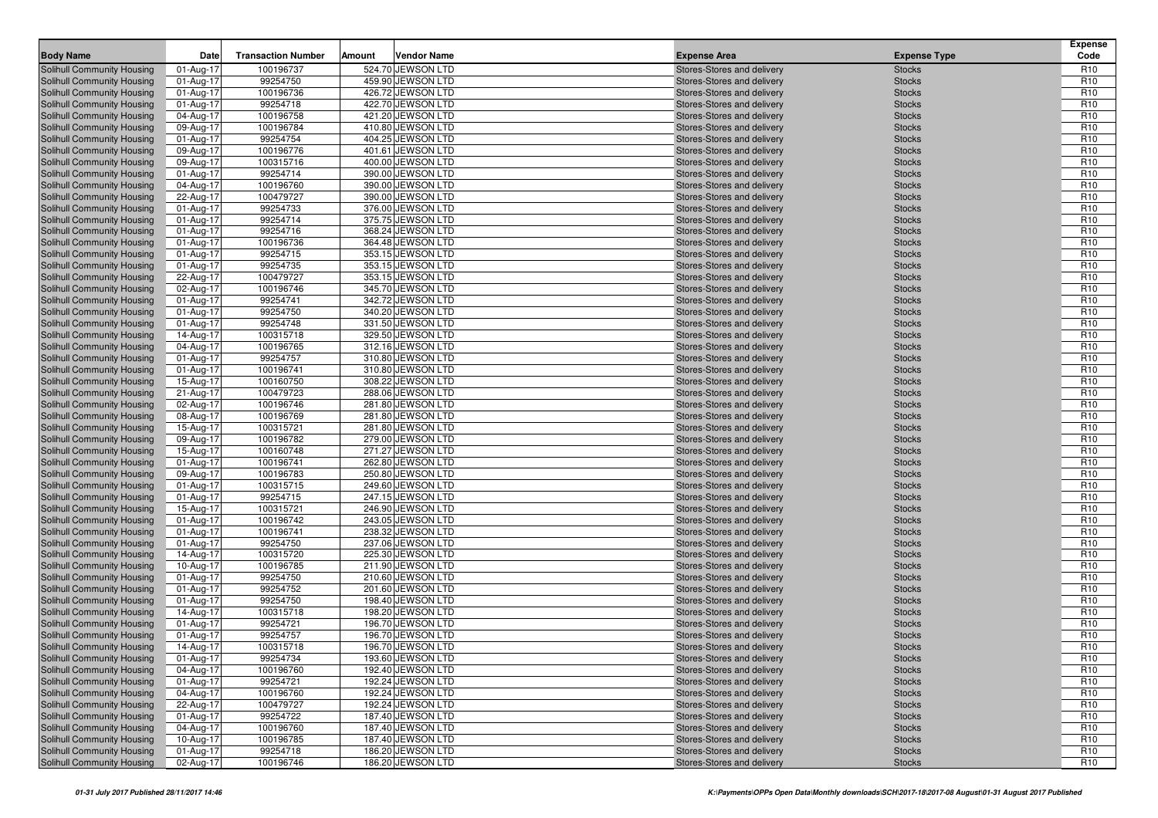| 524.70 JEWSON LTD<br>Solihull Community Housing<br>100196737<br>Stores-Stores and delivery<br>R <sub>10</sub><br>01-Aug-17<br><b>Stocks</b><br>99254750<br>459.90 JEWSON LTD<br>R <sub>10</sub><br>Solihull Community Housing<br>01-Aug-17<br><b>Stocks</b><br>Stores-Stores and delivery<br>R <sub>10</sub><br>Solihull Community Housing<br>01-Aug-17<br>100196736<br>426.72 JEWSON LTD<br>Stores-Stores and delivery<br><b>Stocks</b><br>R <sub>10</sub><br>99254718<br>422.70 JEWSON LTD<br>Solihull Community Housing<br>01-Aug-17<br><b>Stocks</b><br>Stores-Stores and delivery<br>Solihull Community Housing<br>04-Aug-17<br>100196758<br>421.20 JEWSON LTD<br>R <sub>10</sub><br>Stores-Stores and delivery<br><b>Stocks</b><br>100196784<br>R <sub>10</sub><br>410.80 JEWSON LTD<br>Solihull Community Housing<br>09-Aug-17<br>Stores-Stores and delivery<br><b>Stocks</b><br>99254754<br>404.25 JEWSON LTD<br>R <sub>10</sub><br><b>Solihull Community Housing</b><br>01-Aug-17<br>Stores-Stores and delivery<br><b>Stocks</b><br>R <sub>10</sub><br>09-Aug-17<br>100196776<br>401.61 JEWSON LTD<br>Solihull Community Housing<br>Stores-Stores and delivery<br><b>Stocks</b><br>R <sub>10</sub><br>100315716<br>Solihull Community Housing<br>09-Aug-17<br>400.00 JEWSON LTD<br><b>Stocks</b><br>Stores-Stores and delivery<br>R <sub>10</sub><br>Solihull Community Housing<br>01-Aug-17<br>99254714<br>390.00 JEWSON LTD<br>Stores-Stores and delivery<br><b>Stocks</b><br>R <sub>10</sub><br><b>Solihull Community Housing</b><br>04-Aug-17<br>100196760<br>390.00 JEWSON LTD<br>Stores-Stores and delivery<br><b>Stocks</b><br>100479727<br>390.00 JEWSON LTD<br>R <sub>10</sub><br><b>Solihull Community Housing</b><br>22-Aug-17<br>Stores-Stores and delivery<br><b>Stocks</b><br>R <sub>10</sub><br>01-Aug-17<br>99254733<br>376.00 JEWSON LTD<br>Solihull Community Housing<br>Stores-Stores and delivery<br><b>Stocks</b><br>R <sub>10</sub><br>99254714<br>Solihull Community Housing<br>01-Aug-17<br>375.75 JEWSON LTD<br><b>Stocks</b><br>Stores-Stores and delivery<br>99254716<br>R <sub>10</sub><br>Solihull Community Housing<br>01-Aug-17<br>368.24 JEWSON LTD<br>Stores-Stores and delivery<br><b>Stocks</b><br>R <sub>10</sub><br><b>Solihull Community Housing</b><br>01-Aug-17<br>100196736<br>364.48 JEWSON LTD<br>Stores-Stores and delivery<br><b>Stocks</b><br>99254715<br>353.15 JEWSON LTD<br>R <sub>10</sub><br><b>Solihull Community Housing</b><br>01-Aug-17<br>Stores-Stores and delivery<br><b>Stocks</b><br>R <sub>10</sub><br>01-Aug-17<br>99254735<br>353.15 JEWSON LTD<br>Solihull Community Housing<br>Stores-Stores and delivery<br><b>Stocks</b><br>R <sub>10</sub><br>100479727<br><b>Solihull Community Housing</b><br>22-Aug-17<br>353.15 JEWSON LTD<br><b>Stocks</b><br>Stores-Stores and delivery<br>R <sub>10</sub><br>Solihull Community Housing<br>02-Aug-17<br>100196746<br>345.70 JEWSON LTD<br>Stores-Stores and delivery<br><b>Stocks</b><br>99254741<br>342.72 JEWSON LTD<br>R <sub>10</sub><br><b>Solihull Community Housing</b><br>01-Aug-17<br>Stores-Stores and delivery<br><b>Stocks</b><br>99254750<br>340.20 JEWSON LTD<br>R <sub>10</sub><br><b>Solihull Community Housing</b><br>01-Aug-17<br>Stores-Stores and delivery<br><b>Stocks</b><br>99254748<br>R <sub>10</sub><br>01-Aug-17<br>331.50 JEWSON LTD<br>Solihull Community Housing<br>Stores-Stores and delivery<br><b>Stocks</b><br>R <sub>10</sub><br>100315718<br>Solihull Community Housing<br>14-Aug-17<br>329.50 JEWSON LTD<br><b>Stocks</b><br>Stores-Stores and delivery<br>R <sub>10</sub><br>Solihull Community Housing<br>04-Aug-17<br>100196765<br>312.16 JEWSON LTD<br>Stores-Stores and delivery<br><b>Stocks</b><br>R <sub>10</sub><br>99254757<br>310.80 JEWSON LTD<br><b>Solihull Community Housing</b><br>01-Aug-17<br>Stores-Stores and delivery<br><b>Stocks</b><br>310.80 JEWSON LTD<br>R <sub>10</sub><br>01-Aug-17<br>100196741<br>Solihull Community Housing<br>Stores-Stores and delivery<br><b>Stocks</b><br>100160750<br>R <sub>10</sub><br>15-Aug-17<br>308.22 JEWSON LTD<br>Solihull Community Housing<br>Stores-Stores and delivery<br><b>Stocks</b><br>R <sub>10</sub><br>100479723<br>Solihull Community Housing<br>21-Aug-17<br>288.06 JEWSON LTD<br><b>Stocks</b><br>Stores-Stores and delivery<br>R <sub>10</sub><br>Solihull Community Housing<br>02-Aug-17<br>100196746<br>281.80 JEWSON LTD<br>Stores-Stores and delivery<br><b>Stocks</b><br>100196769<br>R <sub>10</sub><br><b>Solihull Community Housing</b><br>08-Aug-17<br>281.80 JEWSON LTD<br>Stores-Stores and delivery<br><b>Stocks</b><br>281.80 JEWSON LTD<br>R <sub>10</sub><br><b>Solihull Community Housing</b><br>15-Aug-17<br>100315721<br>Stores-Stores and delivery<br><b>Stocks</b><br>R <sub>10</sub><br>09-Aug-17<br>100196782<br>279.00 JEWSON LTD<br>Solihull Community Housing<br>Stores-Stores and delivery<br><b>Stocks</b><br>100160748<br>271.27 JEWSON LTD<br>R <sub>10</sub><br><b>Solihull Community Housing</b><br>15-Aug-17<br><b>Stocks</b><br>Stores-Stores and delivery<br>262.80 JEWSON LTD<br>R <sub>10</sub><br>Solihull Community Housing<br>01-Aug-17<br>100196741<br>Stores-Stores and delivery<br><b>Stocks</b><br>100196783<br>250.80 JEWSON LTD<br>R <sub>10</sub><br><b>Solihull Community Housing</b><br>09-Aug-17<br>Stores-Stores and delivery<br><b>Stocks</b><br>249.60 JEWSON LTD<br>R <sub>10</sub><br>01-Aug-17<br>100315715<br>Solihull Community Housing<br>Stores-Stores and delivery<br><b>Stocks</b><br>R <sub>10</sub><br>99254715<br>01-Aug-17<br>247.15 JEWSON LTD<br>Solihull Community Housing<br>Stores-Stores and delivery<br><b>Stocks</b><br>R <sub>10</sub><br>100315721<br>246.90 JEWSON LTD<br><b>Solihull Community Housing</b><br>15-Aug-17<br><b>Stocks</b><br>Stores-Stores and delivery<br>243.05 JEWSON LTD<br>R <sub>10</sub><br>Solihull Community Housing<br>01-Aug-17<br>100196742<br>Stores-Stores and delivery<br><b>Stocks</b><br>R <sub>10</sub><br>100196741<br>238.32 JEWSON LTD<br><b>Solihull Community Housing</b><br>01-Aug-17<br>Stores-Stores and delivery<br><b>Stocks</b><br>99254750<br>237.06 JEWSON LTD<br>R <sub>10</sub><br><b>Solihull Community Housing</b><br>01-Aug-17<br>Stores-Stores and delivery<br><b>Stocks</b><br>R <sub>10</sub><br>14-Aug-17<br>100315720<br>225.30 JEWSON LTD<br>Solihull Community Housing<br>Stores-Stores and delivery<br><b>Stocks</b><br>R <sub>10</sub><br>100196785<br>Solihull Community Housing<br>10-Aug-17<br>211.90 JEWSON LTD<br><b>Stocks</b><br>Stores-Stores and delivery<br>99254750<br>R <sub>10</sub><br>Solihull Community Housing<br>01-Aug-17<br>210.60 JEWSON LTD<br>Stores-Stores and delivery<br><b>Stocks</b><br>99254752<br>201.60 JEWSON LTD<br>R <sub>10</sub><br><b>Solihull Community Housing</b><br>01-Aug-17<br>Stores-Stores and delivery<br><b>Stocks</b><br>99254750<br>198.40 JEWSON LTD<br>R <sub>10</sub><br>01-Aug-17<br>Solihull Community Housing<br>Stores-Stores and delivery<br><b>Stocks</b><br>R <sub>10</sub><br>14-Aug-17<br>100315718<br>198.20 JEWSON LTD<br>Solihull Community Housing<br>Stores-Stores and delivery<br><b>Stocks</b><br>R <sub>10</sub><br>99254721<br>196.70 JEWSON LTD<br>Solihull Community Housing<br>01-Aug-17<br><b>Stocks</b><br>Stores-Stores and delivery<br>R <sub>10</sub><br>01-Aug-17<br>99254757<br>196.70 JEWSON LTD<br>Stores-Stores and delivery<br>Solihull Community Housing<br><b>Stocks</b><br>R <sub>10</sub><br>Solihull Community Housing<br>14-Aug-17<br>100315718<br>196.70 JEWSON LTD<br>Stores-Stores and delivery<br><b>Stocks</b><br>99254734<br><b>Stocks</b><br>R <sub>10</sub><br>Solihull Community Housing<br>01-Aug-17<br>193.60 JEWSON LTD<br>Stores-Stores and delivery<br>100196760<br>192.40 JEWSON LTD<br>R <sub>10</sub><br>Solihull Community Housing<br>04-Aug-17<br>Stores-Stores and delivery<br><b>Stocks</b><br>R <sub>10</sub><br>99254721<br>192.24 JEWSON LTD<br>Solihull Community Housing<br>01-Aug-17<br>Stores-Stores and delivery<br><b>Stocks</b><br>192.24 JEWSON LTD<br><b>R10</b><br>Solihull Community Housing<br>04-Aug-17<br>100196760<br>Stores-Stores and delivery<br><b>Stocks</b><br>100479727<br>192.24 JEWSON LTD<br>R <sub>10</sub><br>Solihull Community Housing<br>22-Aug-17<br>Stores-Stores and delivery<br><b>Stocks</b><br>99254722<br>187.40 JEWSON LTD<br>R <sub>10</sub><br>Solihull Community Housing<br>01-Aug-17<br>Stores-Stores and delivery<br><b>Stocks</b><br>04-Aug-17<br>100196760<br>187.40 JEWSON LTD<br>R <sub>10</sub><br>Solihull Community Housing<br>Stores-Stores and delivery<br><b>Stocks</b><br>100196785<br>R <sub>10</sub><br>Solihull Community Housing<br>10-Aug-17<br>187.40 JEWSON LTD<br>Stores-Stores and delivery<br><b>Stocks</b><br>Solihull Community Housing<br>01-Aug-17<br>99254718<br>186.20 JEWSON LTD<br>Stores-Stores and delivery<br>R <sub>10</sub><br><b>Stocks</b><br>186.20 JEWSON LTD<br>R <sub>10</sub><br>Solihull Community Housing<br>02-Aug-17<br>100196746<br>Stores-Stores and delivery<br><b>Stocks</b> | <b>Body Name</b> | Date | <b>Transaction Number</b> | Amount | <b>Vendor Name</b> | <b>Expense Area</b> | <b>Expense Type</b> | Expense<br>Code |
|---------------------------------------------------------------------------------------------------------------------------------------------------------------------------------------------------------------------------------------------------------------------------------------------------------------------------------------------------------------------------------------------------------------------------------------------------------------------------------------------------------------------------------------------------------------------------------------------------------------------------------------------------------------------------------------------------------------------------------------------------------------------------------------------------------------------------------------------------------------------------------------------------------------------------------------------------------------------------------------------------------------------------------------------------------------------------------------------------------------------------------------------------------------------------------------------------------------------------------------------------------------------------------------------------------------------------------------------------------------------------------------------------------------------------------------------------------------------------------------------------------------------------------------------------------------------------------------------------------------------------------------------------------------------------------------------------------------------------------------------------------------------------------------------------------------------------------------------------------------------------------------------------------------------------------------------------------------------------------------------------------------------------------------------------------------------------------------------------------------------------------------------------------------------------------------------------------------------------------------------------------------------------------------------------------------------------------------------------------------------------------------------------------------------------------------------------------------------------------------------------------------------------------------------------------------------------------------------------------------------------------------------------------------------------------------------------------------------------------------------------------------------------------------------------------------------------------------------------------------------------------------------------------------------------------------------------------------------------------------------------------------------------------------------------------------------------------------------------------------------------------------------------------------------------------------------------------------------------------------------------------------------------------------------------------------------------------------------------------------------------------------------------------------------------------------------------------------------------------------------------------------------------------------------------------------------------------------------------------------------------------------------------------------------------------------------------------------------------------------------------------------------------------------------------------------------------------------------------------------------------------------------------------------------------------------------------------------------------------------------------------------------------------------------------------------------------------------------------------------------------------------------------------------------------------------------------------------------------------------------------------------------------------------------------------------------------------------------------------------------------------------------------------------------------------------------------------------------------------------------------------------------------------------------------------------------------------------------------------------------------------------------------------------------------------------------------------------------------------------------------------------------------------------------------------------------------------------------------------------------------------------------------------------------------------------------------------------------------------------------------------------------------------------------------------------------------------------------------------------------------------------------------------------------------------------------------------------------------------------------------------------------------------------------------------------------------------------------------------------------------------------------------------------------------------------------------------------------------------------------------------------------------------------------------------------------------------------------------------------------------------------------------------------------------------------------------------------------------------------------------------------------------------------------------------------------------------------------------------------------------------------------------------------------------------------------------------------------------------------------------------------------------------------------------------------------------------------------------------------------------------------------------------------------------------------------------------------------------------------------------------------------------------------------------------------------------------------------------------------------------------------------------------------------------------------------------------------------------------------------------------------------------------------------------------------------------------------------------------------------------------------------------------------------------------------------------------------------------------------------------------------------------------------------------------------------------------------------------------------------------------------------------------------------------------------------------------------------------------------------------------------------------------------------------------------------------------------------------------------------------------------------------------------------------------------------------------------------------------------------------------------------------------------------------------------------------------------------------------------------------------------------------------------------------------------------------------------------------------------------------------------------------------------------------------------------------------------------------------------------------------------------------------------------------------------------------------------------------------------------------------------------------------------------------------------------------------------------------------------------------------------------------------------------------------------------------------------------------------------------------------------------------------------------------------------------------------------------------------------------------------------------------------------------------------------------------------------------------------------------------------------------------------------------------------------------------------------------------------------------------------------------------------------------------------------------------------------------------------------------------------------------------------------------------------------------------------------------------------------------------------------------------------------------------------------------------------------------------------------------------------------------------------------------------------------------------------------------------------------------------------------------------------------------------------------------------------------------------------------------------------------------------------------------------------------------------------------------------------------------------------------------------------------------------|------------------|------|---------------------------|--------|--------------------|---------------------|---------------------|-----------------|
|                                                                                                                                                                                                                                                                                                                                                                                                                                                                                                                                                                                                                                                                                                                                                                                                                                                                                                                                                                                                                                                                                                                                                                                                                                                                                                                                                                                                                                                                                                                                                                                                                                                                                                                                                                                                                                                                                                                                                                                                                                                                                                                                                                                                                                                                                                                                                                                                                                                                                                                                                                                                                                                                                                                                                                                                                                                                                                                                                                                                                                                                                                                                                                                                                                                                                                                                                                                                                                                                                                                                                                                                                                                                                                                                                                                                                                                                                                                                                                                                                                                                                                                                                                                                                                                                                                                                                                                                                                                                                                                                                                                                                                                                                                                                                                                                                                                                                                                                                                                                                                                                                                                                                                                                                                                                                                                                                                                                                                                                                                                                                                                                                                                                                                                                                                                                                                                                                                                                                                                                                                                                                                                                                                                                                                                                                                                                                                                                                                                                                                                                                                                                                                                                                                                                                                                                                                                                                                                                                                                                                                                                                                                                                                                                                                                                                                                                                                                                                                                                                                                                                                                                                                                                                                                                                                                                                                                                                                                                                                                                                                                                                                                                                                                                                                                                                                                                                                                                                                                                                                                                                                                                                                                                                                                                                                                                                                                                                                                                                                                                                                                                                                                                                                           |                  |      |                           |        |                    |                     |                     |                 |
|                                                                                                                                                                                                                                                                                                                                                                                                                                                                                                                                                                                                                                                                                                                                                                                                                                                                                                                                                                                                                                                                                                                                                                                                                                                                                                                                                                                                                                                                                                                                                                                                                                                                                                                                                                                                                                                                                                                                                                                                                                                                                                                                                                                                                                                                                                                                                                                                                                                                                                                                                                                                                                                                                                                                                                                                                                                                                                                                                                                                                                                                                                                                                                                                                                                                                                                                                                                                                                                                                                                                                                                                                                                                                                                                                                                                                                                                                                                                                                                                                                                                                                                                                                                                                                                                                                                                                                                                                                                                                                                                                                                                                                                                                                                                                                                                                                                                                                                                                                                                                                                                                                                                                                                                                                                                                                                                                                                                                                                                                                                                                                                                                                                                                                                                                                                                                                                                                                                                                                                                                                                                                                                                                                                                                                                                                                                                                                                                                                                                                                                                                                                                                                                                                                                                                                                                                                                                                                                                                                                                                                                                                                                                                                                                                                                                                                                                                                                                                                                                                                                                                                                                                                                                                                                                                                                                                                                                                                                                                                                                                                                                                                                                                                                                                                                                                                                                                                                                                                                                                                                                                                                                                                                                                                                                                                                                                                                                                                                                                                                                                                                                                                                                                                           |                  |      |                           |        |                    |                     |                     |                 |
|                                                                                                                                                                                                                                                                                                                                                                                                                                                                                                                                                                                                                                                                                                                                                                                                                                                                                                                                                                                                                                                                                                                                                                                                                                                                                                                                                                                                                                                                                                                                                                                                                                                                                                                                                                                                                                                                                                                                                                                                                                                                                                                                                                                                                                                                                                                                                                                                                                                                                                                                                                                                                                                                                                                                                                                                                                                                                                                                                                                                                                                                                                                                                                                                                                                                                                                                                                                                                                                                                                                                                                                                                                                                                                                                                                                                                                                                                                                                                                                                                                                                                                                                                                                                                                                                                                                                                                                                                                                                                                                                                                                                                                                                                                                                                                                                                                                                                                                                                                                                                                                                                                                                                                                                                                                                                                                                                                                                                                                                                                                                                                                                                                                                                                                                                                                                                                                                                                                                                                                                                                                                                                                                                                                                                                                                                                                                                                                                                                                                                                                                                                                                                                                                                                                                                                                                                                                                                                                                                                                                                                                                                                                                                                                                                                                                                                                                                                                                                                                                                                                                                                                                                                                                                                                                                                                                                                                                                                                                                                                                                                                                                                                                                                                                                                                                                                                                                                                                                                                                                                                                                                                                                                                                                                                                                                                                                                                                                                                                                                                                                                                                                                                                                                           |                  |      |                           |        |                    |                     |                     |                 |
|                                                                                                                                                                                                                                                                                                                                                                                                                                                                                                                                                                                                                                                                                                                                                                                                                                                                                                                                                                                                                                                                                                                                                                                                                                                                                                                                                                                                                                                                                                                                                                                                                                                                                                                                                                                                                                                                                                                                                                                                                                                                                                                                                                                                                                                                                                                                                                                                                                                                                                                                                                                                                                                                                                                                                                                                                                                                                                                                                                                                                                                                                                                                                                                                                                                                                                                                                                                                                                                                                                                                                                                                                                                                                                                                                                                                                                                                                                                                                                                                                                                                                                                                                                                                                                                                                                                                                                                                                                                                                                                                                                                                                                                                                                                                                                                                                                                                                                                                                                                                                                                                                                                                                                                                                                                                                                                                                                                                                                                                                                                                                                                                                                                                                                                                                                                                                                                                                                                                                                                                                                                                                                                                                                                                                                                                                                                                                                                                                                                                                                                                                                                                                                                                                                                                                                                                                                                                                                                                                                                                                                                                                                                                                                                                                                                                                                                                                                                                                                                                                                                                                                                                                                                                                                                                                                                                                                                                                                                                                                                                                                                                                                                                                                                                                                                                                                                                                                                                                                                                                                                                                                                                                                                                                                                                                                                                                                                                                                                                                                                                                                                                                                                                                                           |                  |      |                           |        |                    |                     |                     |                 |
|                                                                                                                                                                                                                                                                                                                                                                                                                                                                                                                                                                                                                                                                                                                                                                                                                                                                                                                                                                                                                                                                                                                                                                                                                                                                                                                                                                                                                                                                                                                                                                                                                                                                                                                                                                                                                                                                                                                                                                                                                                                                                                                                                                                                                                                                                                                                                                                                                                                                                                                                                                                                                                                                                                                                                                                                                                                                                                                                                                                                                                                                                                                                                                                                                                                                                                                                                                                                                                                                                                                                                                                                                                                                                                                                                                                                                                                                                                                                                                                                                                                                                                                                                                                                                                                                                                                                                                                                                                                                                                                                                                                                                                                                                                                                                                                                                                                                                                                                                                                                                                                                                                                                                                                                                                                                                                                                                                                                                                                                                                                                                                                                                                                                                                                                                                                                                                                                                                                                                                                                                                                                                                                                                                                                                                                                                                                                                                                                                                                                                                                                                                                                                                                                                                                                                                                                                                                                                                                                                                                                                                                                                                                                                                                                                                                                                                                                                                                                                                                                                                                                                                                                                                                                                                                                                                                                                                                                                                                                                                                                                                                                                                                                                                                                                                                                                                                                                                                                                                                                                                                                                                                                                                                                                                                                                                                                                                                                                                                                                                                                                                                                                                                                                                           |                  |      |                           |        |                    |                     |                     |                 |
|                                                                                                                                                                                                                                                                                                                                                                                                                                                                                                                                                                                                                                                                                                                                                                                                                                                                                                                                                                                                                                                                                                                                                                                                                                                                                                                                                                                                                                                                                                                                                                                                                                                                                                                                                                                                                                                                                                                                                                                                                                                                                                                                                                                                                                                                                                                                                                                                                                                                                                                                                                                                                                                                                                                                                                                                                                                                                                                                                                                                                                                                                                                                                                                                                                                                                                                                                                                                                                                                                                                                                                                                                                                                                                                                                                                                                                                                                                                                                                                                                                                                                                                                                                                                                                                                                                                                                                                                                                                                                                                                                                                                                                                                                                                                                                                                                                                                                                                                                                                                                                                                                                                                                                                                                                                                                                                                                                                                                                                                                                                                                                                                                                                                                                                                                                                                                                                                                                                                                                                                                                                                                                                                                                                                                                                                                                                                                                                                                                                                                                                                                                                                                                                                                                                                                                                                                                                                                                                                                                                                                                                                                                                                                                                                                                                                                                                                                                                                                                                                                                                                                                                                                                                                                                                                                                                                                                                                                                                                                                                                                                                                                                                                                                                                                                                                                                                                                                                                                                                                                                                                                                                                                                                                                                                                                                                                                                                                                                                                                                                                                                                                                                                                                                           |                  |      |                           |        |                    |                     |                     |                 |
|                                                                                                                                                                                                                                                                                                                                                                                                                                                                                                                                                                                                                                                                                                                                                                                                                                                                                                                                                                                                                                                                                                                                                                                                                                                                                                                                                                                                                                                                                                                                                                                                                                                                                                                                                                                                                                                                                                                                                                                                                                                                                                                                                                                                                                                                                                                                                                                                                                                                                                                                                                                                                                                                                                                                                                                                                                                                                                                                                                                                                                                                                                                                                                                                                                                                                                                                                                                                                                                                                                                                                                                                                                                                                                                                                                                                                                                                                                                                                                                                                                                                                                                                                                                                                                                                                                                                                                                                                                                                                                                                                                                                                                                                                                                                                                                                                                                                                                                                                                                                                                                                                                                                                                                                                                                                                                                                                                                                                                                                                                                                                                                                                                                                                                                                                                                                                                                                                                                                                                                                                                                                                                                                                                                                                                                                                                                                                                                                                                                                                                                                                                                                                                                                                                                                                                                                                                                                                                                                                                                                                                                                                                                                                                                                                                                                                                                                                                                                                                                                                                                                                                                                                                                                                                                                                                                                                                                                                                                                                                                                                                                                                                                                                                                                                                                                                                                                                                                                                                                                                                                                                                                                                                                                                                                                                                                                                                                                                                                                                                                                                                                                                                                                                                           |                  |      |                           |        |                    |                     |                     |                 |
|                                                                                                                                                                                                                                                                                                                                                                                                                                                                                                                                                                                                                                                                                                                                                                                                                                                                                                                                                                                                                                                                                                                                                                                                                                                                                                                                                                                                                                                                                                                                                                                                                                                                                                                                                                                                                                                                                                                                                                                                                                                                                                                                                                                                                                                                                                                                                                                                                                                                                                                                                                                                                                                                                                                                                                                                                                                                                                                                                                                                                                                                                                                                                                                                                                                                                                                                                                                                                                                                                                                                                                                                                                                                                                                                                                                                                                                                                                                                                                                                                                                                                                                                                                                                                                                                                                                                                                                                                                                                                                                                                                                                                                                                                                                                                                                                                                                                                                                                                                                                                                                                                                                                                                                                                                                                                                                                                                                                                                                                                                                                                                                                                                                                                                                                                                                                                                                                                                                                                                                                                                                                                                                                                                                                                                                                                                                                                                                                                                                                                                                                                                                                                                                                                                                                                                                                                                                                                                                                                                                                                                                                                                                                                                                                                                                                                                                                                                                                                                                                                                                                                                                                                                                                                                                                                                                                                                                                                                                                                                                                                                                                                                                                                                                                                                                                                                                                                                                                                                                                                                                                                                                                                                                                                                                                                                                                                                                                                                                                                                                                                                                                                                                                                                           |                  |      |                           |        |                    |                     |                     |                 |
|                                                                                                                                                                                                                                                                                                                                                                                                                                                                                                                                                                                                                                                                                                                                                                                                                                                                                                                                                                                                                                                                                                                                                                                                                                                                                                                                                                                                                                                                                                                                                                                                                                                                                                                                                                                                                                                                                                                                                                                                                                                                                                                                                                                                                                                                                                                                                                                                                                                                                                                                                                                                                                                                                                                                                                                                                                                                                                                                                                                                                                                                                                                                                                                                                                                                                                                                                                                                                                                                                                                                                                                                                                                                                                                                                                                                                                                                                                                                                                                                                                                                                                                                                                                                                                                                                                                                                                                                                                                                                                                                                                                                                                                                                                                                                                                                                                                                                                                                                                                                                                                                                                                                                                                                                                                                                                                                                                                                                                                                                                                                                                                                                                                                                                                                                                                                                                                                                                                                                                                                                                                                                                                                                                                                                                                                                                                                                                                                                                                                                                                                                                                                                                                                                                                                                                                                                                                                                                                                                                                                                                                                                                                                                                                                                                                                                                                                                                                                                                                                                                                                                                                                                                                                                                                                                                                                                                                                                                                                                                                                                                                                                                                                                                                                                                                                                                                                                                                                                                                                                                                                                                                                                                                                                                                                                                                                                                                                                                                                                                                                                                                                                                                                                                           |                  |      |                           |        |                    |                     |                     |                 |
|                                                                                                                                                                                                                                                                                                                                                                                                                                                                                                                                                                                                                                                                                                                                                                                                                                                                                                                                                                                                                                                                                                                                                                                                                                                                                                                                                                                                                                                                                                                                                                                                                                                                                                                                                                                                                                                                                                                                                                                                                                                                                                                                                                                                                                                                                                                                                                                                                                                                                                                                                                                                                                                                                                                                                                                                                                                                                                                                                                                                                                                                                                                                                                                                                                                                                                                                                                                                                                                                                                                                                                                                                                                                                                                                                                                                                                                                                                                                                                                                                                                                                                                                                                                                                                                                                                                                                                                                                                                                                                                                                                                                                                                                                                                                                                                                                                                                                                                                                                                                                                                                                                                                                                                                                                                                                                                                                                                                                                                                                                                                                                                                                                                                                                                                                                                                                                                                                                                                                                                                                                                                                                                                                                                                                                                                                                                                                                                                                                                                                                                                                                                                                                                                                                                                                                                                                                                                                                                                                                                                                                                                                                                                                                                                                                                                                                                                                                                                                                                                                                                                                                                                                                                                                                                                                                                                                                                                                                                                                                                                                                                                                                                                                                                                                                                                                                                                                                                                                                                                                                                                                                                                                                                                                                                                                                                                                                                                                                                                                                                                                                                                                                                                                                           |                  |      |                           |        |                    |                     |                     |                 |
|                                                                                                                                                                                                                                                                                                                                                                                                                                                                                                                                                                                                                                                                                                                                                                                                                                                                                                                                                                                                                                                                                                                                                                                                                                                                                                                                                                                                                                                                                                                                                                                                                                                                                                                                                                                                                                                                                                                                                                                                                                                                                                                                                                                                                                                                                                                                                                                                                                                                                                                                                                                                                                                                                                                                                                                                                                                                                                                                                                                                                                                                                                                                                                                                                                                                                                                                                                                                                                                                                                                                                                                                                                                                                                                                                                                                                                                                                                                                                                                                                                                                                                                                                                                                                                                                                                                                                                                                                                                                                                                                                                                                                                                                                                                                                                                                                                                                                                                                                                                                                                                                                                                                                                                                                                                                                                                                                                                                                                                                                                                                                                                                                                                                                                                                                                                                                                                                                                                                                                                                                                                                                                                                                                                                                                                                                                                                                                                                                                                                                                                                                                                                                                                                                                                                                                                                                                                                                                                                                                                                                                                                                                                                                                                                                                                                                                                                                                                                                                                                                                                                                                                                                                                                                                                                                                                                                                                                                                                                                                                                                                                                                                                                                                                                                                                                                                                                                                                                                                                                                                                                                                                                                                                                                                                                                                                                                                                                                                                                                                                                                                                                                                                                                                           |                  |      |                           |        |                    |                     |                     |                 |
|                                                                                                                                                                                                                                                                                                                                                                                                                                                                                                                                                                                                                                                                                                                                                                                                                                                                                                                                                                                                                                                                                                                                                                                                                                                                                                                                                                                                                                                                                                                                                                                                                                                                                                                                                                                                                                                                                                                                                                                                                                                                                                                                                                                                                                                                                                                                                                                                                                                                                                                                                                                                                                                                                                                                                                                                                                                                                                                                                                                                                                                                                                                                                                                                                                                                                                                                                                                                                                                                                                                                                                                                                                                                                                                                                                                                                                                                                                                                                                                                                                                                                                                                                                                                                                                                                                                                                                                                                                                                                                                                                                                                                                                                                                                                                                                                                                                                                                                                                                                                                                                                                                                                                                                                                                                                                                                                                                                                                                                                                                                                                                                                                                                                                                                                                                                                                                                                                                                                                                                                                                                                                                                                                                                                                                                                                                                                                                                                                                                                                                                                                                                                                                                                                                                                                                                                                                                                                                                                                                                                                                                                                                                                                                                                                                                                                                                                                                                                                                                                                                                                                                                                                                                                                                                                                                                                                                                                                                                                                                                                                                                                                                                                                                                                                                                                                                                                                                                                                                                                                                                                                                                                                                                                                                                                                                                                                                                                                                                                                                                                                                                                                                                                                                           |                  |      |                           |        |                    |                     |                     |                 |
|                                                                                                                                                                                                                                                                                                                                                                                                                                                                                                                                                                                                                                                                                                                                                                                                                                                                                                                                                                                                                                                                                                                                                                                                                                                                                                                                                                                                                                                                                                                                                                                                                                                                                                                                                                                                                                                                                                                                                                                                                                                                                                                                                                                                                                                                                                                                                                                                                                                                                                                                                                                                                                                                                                                                                                                                                                                                                                                                                                                                                                                                                                                                                                                                                                                                                                                                                                                                                                                                                                                                                                                                                                                                                                                                                                                                                                                                                                                                                                                                                                                                                                                                                                                                                                                                                                                                                                                                                                                                                                                                                                                                                                                                                                                                                                                                                                                                                                                                                                                                                                                                                                                                                                                                                                                                                                                                                                                                                                                                                                                                                                                                                                                                                                                                                                                                                                                                                                                                                                                                                                                                                                                                                                                                                                                                                                                                                                                                                                                                                                                                                                                                                                                                                                                                                                                                                                                                                                                                                                                                                                                                                                                                                                                                                                                                                                                                                                                                                                                                                                                                                                                                                                                                                                                                                                                                                                                                                                                                                                                                                                                                                                                                                                                                                                                                                                                                                                                                                                                                                                                                                                                                                                                                                                                                                                                                                                                                                                                                                                                                                                                                                                                                                                           |                  |      |                           |        |                    |                     |                     |                 |
|                                                                                                                                                                                                                                                                                                                                                                                                                                                                                                                                                                                                                                                                                                                                                                                                                                                                                                                                                                                                                                                                                                                                                                                                                                                                                                                                                                                                                                                                                                                                                                                                                                                                                                                                                                                                                                                                                                                                                                                                                                                                                                                                                                                                                                                                                                                                                                                                                                                                                                                                                                                                                                                                                                                                                                                                                                                                                                                                                                                                                                                                                                                                                                                                                                                                                                                                                                                                                                                                                                                                                                                                                                                                                                                                                                                                                                                                                                                                                                                                                                                                                                                                                                                                                                                                                                                                                                                                                                                                                                                                                                                                                                                                                                                                                                                                                                                                                                                                                                                                                                                                                                                                                                                                                                                                                                                                                                                                                                                                                                                                                                                                                                                                                                                                                                                                                                                                                                                                                                                                                                                                                                                                                                                                                                                                                                                                                                                                                                                                                                                                                                                                                                                                                                                                                                                                                                                                                                                                                                                                                                                                                                                                                                                                                                                                                                                                                                                                                                                                                                                                                                                                                                                                                                                                                                                                                                                                                                                                                                                                                                                                                                                                                                                                                                                                                                                                                                                                                                                                                                                                                                                                                                                                                                                                                                                                                                                                                                                                                                                                                                                                                                                                                                           |                  |      |                           |        |                    |                     |                     |                 |
|                                                                                                                                                                                                                                                                                                                                                                                                                                                                                                                                                                                                                                                                                                                                                                                                                                                                                                                                                                                                                                                                                                                                                                                                                                                                                                                                                                                                                                                                                                                                                                                                                                                                                                                                                                                                                                                                                                                                                                                                                                                                                                                                                                                                                                                                                                                                                                                                                                                                                                                                                                                                                                                                                                                                                                                                                                                                                                                                                                                                                                                                                                                                                                                                                                                                                                                                                                                                                                                                                                                                                                                                                                                                                                                                                                                                                                                                                                                                                                                                                                                                                                                                                                                                                                                                                                                                                                                                                                                                                                                                                                                                                                                                                                                                                                                                                                                                                                                                                                                                                                                                                                                                                                                                                                                                                                                                                                                                                                                                                                                                                                                                                                                                                                                                                                                                                                                                                                                                                                                                                                                                                                                                                                                                                                                                                                                                                                                                                                                                                                                                                                                                                                                                                                                                                                                                                                                                                                                                                                                                                                                                                                                                                                                                                                                                                                                                                                                                                                                                                                                                                                                                                                                                                                                                                                                                                                                                                                                                                                                                                                                                                                                                                                                                                                                                                                                                                                                                                                                                                                                                                                                                                                                                                                                                                                                                                                                                                                                                                                                                                                                                                                                                                                           |                  |      |                           |        |                    |                     |                     |                 |
|                                                                                                                                                                                                                                                                                                                                                                                                                                                                                                                                                                                                                                                                                                                                                                                                                                                                                                                                                                                                                                                                                                                                                                                                                                                                                                                                                                                                                                                                                                                                                                                                                                                                                                                                                                                                                                                                                                                                                                                                                                                                                                                                                                                                                                                                                                                                                                                                                                                                                                                                                                                                                                                                                                                                                                                                                                                                                                                                                                                                                                                                                                                                                                                                                                                                                                                                                                                                                                                                                                                                                                                                                                                                                                                                                                                                                                                                                                                                                                                                                                                                                                                                                                                                                                                                                                                                                                                                                                                                                                                                                                                                                                                                                                                                                                                                                                                                                                                                                                                                                                                                                                                                                                                                                                                                                                                                                                                                                                                                                                                                                                                                                                                                                                                                                                                                                                                                                                                                                                                                                                                                                                                                                                                                                                                                                                                                                                                                                                                                                                                                                                                                                                                                                                                                                                                                                                                                                                                                                                                                                                                                                                                                                                                                                                                                                                                                                                                                                                                                                                                                                                                                                                                                                                                                                                                                                                                                                                                                                                                                                                                                                                                                                                                                                                                                                                                                                                                                                                                                                                                                                                                                                                                                                                                                                                                                                                                                                                                                                                                                                                                                                                                                                                           |                  |      |                           |        |                    |                     |                     |                 |
|                                                                                                                                                                                                                                                                                                                                                                                                                                                                                                                                                                                                                                                                                                                                                                                                                                                                                                                                                                                                                                                                                                                                                                                                                                                                                                                                                                                                                                                                                                                                                                                                                                                                                                                                                                                                                                                                                                                                                                                                                                                                                                                                                                                                                                                                                                                                                                                                                                                                                                                                                                                                                                                                                                                                                                                                                                                                                                                                                                                                                                                                                                                                                                                                                                                                                                                                                                                                                                                                                                                                                                                                                                                                                                                                                                                                                                                                                                                                                                                                                                                                                                                                                                                                                                                                                                                                                                                                                                                                                                                                                                                                                                                                                                                                                                                                                                                                                                                                                                                                                                                                                                                                                                                                                                                                                                                                                                                                                                                                                                                                                                                                                                                                                                                                                                                                                                                                                                                                                                                                                                                                                                                                                                                                                                                                                                                                                                                                                                                                                                                                                                                                                                                                                                                                                                                                                                                                                                                                                                                                                                                                                                                                                                                                                                                                                                                                                                                                                                                                                                                                                                                                                                                                                                                                                                                                                                                                                                                                                                                                                                                                                                                                                                                                                                                                                                                                                                                                                                                                                                                                                                                                                                                                                                                                                                                                                                                                                                                                                                                                                                                                                                                                                                           |                  |      |                           |        |                    |                     |                     |                 |
|                                                                                                                                                                                                                                                                                                                                                                                                                                                                                                                                                                                                                                                                                                                                                                                                                                                                                                                                                                                                                                                                                                                                                                                                                                                                                                                                                                                                                                                                                                                                                                                                                                                                                                                                                                                                                                                                                                                                                                                                                                                                                                                                                                                                                                                                                                                                                                                                                                                                                                                                                                                                                                                                                                                                                                                                                                                                                                                                                                                                                                                                                                                                                                                                                                                                                                                                                                                                                                                                                                                                                                                                                                                                                                                                                                                                                                                                                                                                                                                                                                                                                                                                                                                                                                                                                                                                                                                                                                                                                                                                                                                                                                                                                                                                                                                                                                                                                                                                                                                                                                                                                                                                                                                                                                                                                                                                                                                                                                                                                                                                                                                                                                                                                                                                                                                                                                                                                                                                                                                                                                                                                                                                                                                                                                                                                                                                                                                                                                                                                                                                                                                                                                                                                                                                                                                                                                                                                                                                                                                                                                                                                                                                                                                                                                                                                                                                                                                                                                                                                                                                                                                                                                                                                                                                                                                                                                                                                                                                                                                                                                                                                                                                                                                                                                                                                                                                                                                                                                                                                                                                                                                                                                                                                                                                                                                                                                                                                                                                                                                                                                                                                                                                                                           |                  |      |                           |        |                    |                     |                     |                 |
|                                                                                                                                                                                                                                                                                                                                                                                                                                                                                                                                                                                                                                                                                                                                                                                                                                                                                                                                                                                                                                                                                                                                                                                                                                                                                                                                                                                                                                                                                                                                                                                                                                                                                                                                                                                                                                                                                                                                                                                                                                                                                                                                                                                                                                                                                                                                                                                                                                                                                                                                                                                                                                                                                                                                                                                                                                                                                                                                                                                                                                                                                                                                                                                                                                                                                                                                                                                                                                                                                                                                                                                                                                                                                                                                                                                                                                                                                                                                                                                                                                                                                                                                                                                                                                                                                                                                                                                                                                                                                                                                                                                                                                                                                                                                                                                                                                                                                                                                                                                                                                                                                                                                                                                                                                                                                                                                                                                                                                                                                                                                                                                                                                                                                                                                                                                                                                                                                                                                                                                                                                                                                                                                                                                                                                                                                                                                                                                                                                                                                                                                                                                                                                                                                                                                                                                                                                                                                                                                                                                                                                                                                                                                                                                                                                                                                                                                                                                                                                                                                                                                                                                                                                                                                                                                                                                                                                                                                                                                                                                                                                                                                                                                                                                                                                                                                                                                                                                                                                                                                                                                                                                                                                                                                                                                                                                                                                                                                                                                                                                                                                                                                                                                                                           |                  |      |                           |        |                    |                     |                     |                 |
|                                                                                                                                                                                                                                                                                                                                                                                                                                                                                                                                                                                                                                                                                                                                                                                                                                                                                                                                                                                                                                                                                                                                                                                                                                                                                                                                                                                                                                                                                                                                                                                                                                                                                                                                                                                                                                                                                                                                                                                                                                                                                                                                                                                                                                                                                                                                                                                                                                                                                                                                                                                                                                                                                                                                                                                                                                                                                                                                                                                                                                                                                                                                                                                                                                                                                                                                                                                                                                                                                                                                                                                                                                                                                                                                                                                                                                                                                                                                                                                                                                                                                                                                                                                                                                                                                                                                                                                                                                                                                                                                                                                                                                                                                                                                                                                                                                                                                                                                                                                                                                                                                                                                                                                                                                                                                                                                                                                                                                                                                                                                                                                                                                                                                                                                                                                                                                                                                                                                                                                                                                                                                                                                                                                                                                                                                                                                                                                                                                                                                                                                                                                                                                                                                                                                                                                                                                                                                                                                                                                                                                                                                                                                                                                                                                                                                                                                                                                                                                                                                                                                                                                                                                                                                                                                                                                                                                                                                                                                                                                                                                                                                                                                                                                                                                                                                                                                                                                                                                                                                                                                                                                                                                                                                                                                                                                                                                                                                                                                                                                                                                                                                                                                                                           |                  |      |                           |        |                    |                     |                     |                 |
|                                                                                                                                                                                                                                                                                                                                                                                                                                                                                                                                                                                                                                                                                                                                                                                                                                                                                                                                                                                                                                                                                                                                                                                                                                                                                                                                                                                                                                                                                                                                                                                                                                                                                                                                                                                                                                                                                                                                                                                                                                                                                                                                                                                                                                                                                                                                                                                                                                                                                                                                                                                                                                                                                                                                                                                                                                                                                                                                                                                                                                                                                                                                                                                                                                                                                                                                                                                                                                                                                                                                                                                                                                                                                                                                                                                                                                                                                                                                                                                                                                                                                                                                                                                                                                                                                                                                                                                                                                                                                                                                                                                                                                                                                                                                                                                                                                                                                                                                                                                                                                                                                                                                                                                                                                                                                                                                                                                                                                                                                                                                                                                                                                                                                                                                                                                                                                                                                                                                                                                                                                                                                                                                                                                                                                                                                                                                                                                                                                                                                                                                                                                                                                                                                                                                                                                                                                                                                                                                                                                                                                                                                                                                                                                                                                                                                                                                                                                                                                                                                                                                                                                                                                                                                                                                                                                                                                                                                                                                                                                                                                                                                                                                                                                                                                                                                                                                                                                                                                                                                                                                                                                                                                                                                                                                                                                                                                                                                                                                                                                                                                                                                                                                                                           |                  |      |                           |        |                    |                     |                     |                 |
|                                                                                                                                                                                                                                                                                                                                                                                                                                                                                                                                                                                                                                                                                                                                                                                                                                                                                                                                                                                                                                                                                                                                                                                                                                                                                                                                                                                                                                                                                                                                                                                                                                                                                                                                                                                                                                                                                                                                                                                                                                                                                                                                                                                                                                                                                                                                                                                                                                                                                                                                                                                                                                                                                                                                                                                                                                                                                                                                                                                                                                                                                                                                                                                                                                                                                                                                                                                                                                                                                                                                                                                                                                                                                                                                                                                                                                                                                                                                                                                                                                                                                                                                                                                                                                                                                                                                                                                                                                                                                                                                                                                                                                                                                                                                                                                                                                                                                                                                                                                                                                                                                                                                                                                                                                                                                                                                                                                                                                                                                                                                                                                                                                                                                                                                                                                                                                                                                                                                                                                                                                                                                                                                                                                                                                                                                                                                                                                                                                                                                                                                                                                                                                                                                                                                                                                                                                                                                                                                                                                                                                                                                                                                                                                                                                                                                                                                                                                                                                                                                                                                                                                                                                                                                                                                                                                                                                                                                                                                                                                                                                                                                                                                                                                                                                                                                                                                                                                                                                                                                                                                                                                                                                                                                                                                                                                                                                                                                                                                                                                                                                                                                                                                                                           |                  |      |                           |        |                    |                     |                     |                 |
|                                                                                                                                                                                                                                                                                                                                                                                                                                                                                                                                                                                                                                                                                                                                                                                                                                                                                                                                                                                                                                                                                                                                                                                                                                                                                                                                                                                                                                                                                                                                                                                                                                                                                                                                                                                                                                                                                                                                                                                                                                                                                                                                                                                                                                                                                                                                                                                                                                                                                                                                                                                                                                                                                                                                                                                                                                                                                                                                                                                                                                                                                                                                                                                                                                                                                                                                                                                                                                                                                                                                                                                                                                                                                                                                                                                                                                                                                                                                                                                                                                                                                                                                                                                                                                                                                                                                                                                                                                                                                                                                                                                                                                                                                                                                                                                                                                                                                                                                                                                                                                                                                                                                                                                                                                                                                                                                                                                                                                                                                                                                                                                                                                                                                                                                                                                                                                                                                                                                                                                                                                                                                                                                                                                                                                                                                                                                                                                                                                                                                                                                                                                                                                                                                                                                                                                                                                                                                                                                                                                                                                                                                                                                                                                                                                                                                                                                                                                                                                                                                                                                                                                                                                                                                                                                                                                                                                                                                                                                                                                                                                                                                                                                                                                                                                                                                                                                                                                                                                                                                                                                                                                                                                                                                                                                                                                                                                                                                                                                                                                                                                                                                                                                                                           |                  |      |                           |        |                    |                     |                     |                 |
|                                                                                                                                                                                                                                                                                                                                                                                                                                                                                                                                                                                                                                                                                                                                                                                                                                                                                                                                                                                                                                                                                                                                                                                                                                                                                                                                                                                                                                                                                                                                                                                                                                                                                                                                                                                                                                                                                                                                                                                                                                                                                                                                                                                                                                                                                                                                                                                                                                                                                                                                                                                                                                                                                                                                                                                                                                                                                                                                                                                                                                                                                                                                                                                                                                                                                                                                                                                                                                                                                                                                                                                                                                                                                                                                                                                                                                                                                                                                                                                                                                                                                                                                                                                                                                                                                                                                                                                                                                                                                                                                                                                                                                                                                                                                                                                                                                                                                                                                                                                                                                                                                                                                                                                                                                                                                                                                                                                                                                                                                                                                                                                                                                                                                                                                                                                                                                                                                                                                                                                                                                                                                                                                                                                                                                                                                                                                                                                                                                                                                                                                                                                                                                                                                                                                                                                                                                                                                                                                                                                                                                                                                                                                                                                                                                                                                                                                                                                                                                                                                                                                                                                                                                                                                                                                                                                                                                                                                                                                                                                                                                                                                                                                                                                                                                                                                                                                                                                                                                                                                                                                                                                                                                                                                                                                                                                                                                                                                                                                                                                                                                                                                                                                                                           |                  |      |                           |        |                    |                     |                     |                 |
|                                                                                                                                                                                                                                                                                                                                                                                                                                                                                                                                                                                                                                                                                                                                                                                                                                                                                                                                                                                                                                                                                                                                                                                                                                                                                                                                                                                                                                                                                                                                                                                                                                                                                                                                                                                                                                                                                                                                                                                                                                                                                                                                                                                                                                                                                                                                                                                                                                                                                                                                                                                                                                                                                                                                                                                                                                                                                                                                                                                                                                                                                                                                                                                                                                                                                                                                                                                                                                                                                                                                                                                                                                                                                                                                                                                                                                                                                                                                                                                                                                                                                                                                                                                                                                                                                                                                                                                                                                                                                                                                                                                                                                                                                                                                                                                                                                                                                                                                                                                                                                                                                                                                                                                                                                                                                                                                                                                                                                                                                                                                                                                                                                                                                                                                                                                                                                                                                                                                                                                                                                                                                                                                                                                                                                                                                                                                                                                                                                                                                                                                                                                                                                                                                                                                                                                                                                                                                                                                                                                                                                                                                                                                                                                                                                                                                                                                                                                                                                                                                                                                                                                                                                                                                                                                                                                                                                                                                                                                                                                                                                                                                                                                                                                                                                                                                                                                                                                                                                                                                                                                                                                                                                                                                                                                                                                                                                                                                                                                                                                                                                                                                                                                                                           |                  |      |                           |        |                    |                     |                     |                 |
|                                                                                                                                                                                                                                                                                                                                                                                                                                                                                                                                                                                                                                                                                                                                                                                                                                                                                                                                                                                                                                                                                                                                                                                                                                                                                                                                                                                                                                                                                                                                                                                                                                                                                                                                                                                                                                                                                                                                                                                                                                                                                                                                                                                                                                                                                                                                                                                                                                                                                                                                                                                                                                                                                                                                                                                                                                                                                                                                                                                                                                                                                                                                                                                                                                                                                                                                                                                                                                                                                                                                                                                                                                                                                                                                                                                                                                                                                                                                                                                                                                                                                                                                                                                                                                                                                                                                                                                                                                                                                                                                                                                                                                                                                                                                                                                                                                                                                                                                                                                                                                                                                                                                                                                                                                                                                                                                                                                                                                                                                                                                                                                                                                                                                                                                                                                                                                                                                                                                                                                                                                                                                                                                                                                                                                                                                                                                                                                                                                                                                                                                                                                                                                                                                                                                                                                                                                                                                                                                                                                                                                                                                                                                                                                                                                                                                                                                                                                                                                                                                                                                                                                                                                                                                                                                                                                                                                                                                                                                                                                                                                                                                                                                                                                                                                                                                                                                                                                                                                                                                                                                                                                                                                                                                                                                                                                                                                                                                                                                                                                                                                                                                                                                                                           |                  |      |                           |        |                    |                     |                     |                 |
|                                                                                                                                                                                                                                                                                                                                                                                                                                                                                                                                                                                                                                                                                                                                                                                                                                                                                                                                                                                                                                                                                                                                                                                                                                                                                                                                                                                                                                                                                                                                                                                                                                                                                                                                                                                                                                                                                                                                                                                                                                                                                                                                                                                                                                                                                                                                                                                                                                                                                                                                                                                                                                                                                                                                                                                                                                                                                                                                                                                                                                                                                                                                                                                                                                                                                                                                                                                                                                                                                                                                                                                                                                                                                                                                                                                                                                                                                                                                                                                                                                                                                                                                                                                                                                                                                                                                                                                                                                                                                                                                                                                                                                                                                                                                                                                                                                                                                                                                                                                                                                                                                                                                                                                                                                                                                                                                                                                                                                                                                                                                                                                                                                                                                                                                                                                                                                                                                                                                                                                                                                                                                                                                                                                                                                                                                                                                                                                                                                                                                                                                                                                                                                                                                                                                                                                                                                                                                                                                                                                                                                                                                                                                                                                                                                                                                                                                                                                                                                                                                                                                                                                                                                                                                                                                                                                                                                                                                                                                                                                                                                                                                                                                                                                                                                                                                                                                                                                                                                                                                                                                                                                                                                                                                                                                                                                                                                                                                                                                                                                                                                                                                                                                                                           |                  |      |                           |        |                    |                     |                     |                 |
|                                                                                                                                                                                                                                                                                                                                                                                                                                                                                                                                                                                                                                                                                                                                                                                                                                                                                                                                                                                                                                                                                                                                                                                                                                                                                                                                                                                                                                                                                                                                                                                                                                                                                                                                                                                                                                                                                                                                                                                                                                                                                                                                                                                                                                                                                                                                                                                                                                                                                                                                                                                                                                                                                                                                                                                                                                                                                                                                                                                                                                                                                                                                                                                                                                                                                                                                                                                                                                                                                                                                                                                                                                                                                                                                                                                                                                                                                                                                                                                                                                                                                                                                                                                                                                                                                                                                                                                                                                                                                                                                                                                                                                                                                                                                                                                                                                                                                                                                                                                                                                                                                                                                                                                                                                                                                                                                                                                                                                                                                                                                                                                                                                                                                                                                                                                                                                                                                                                                                                                                                                                                                                                                                                                                                                                                                                                                                                                                                                                                                                                                                                                                                                                                                                                                                                                                                                                                                                                                                                                                                                                                                                                                                                                                                                                                                                                                                                                                                                                                                                                                                                                                                                                                                                                                                                                                                                                                                                                                                                                                                                                                                                                                                                                                                                                                                                                                                                                                                                                                                                                                                                                                                                                                                                                                                                                                                                                                                                                                                                                                                                                                                                                                                                           |                  |      |                           |        |                    |                     |                     |                 |
|                                                                                                                                                                                                                                                                                                                                                                                                                                                                                                                                                                                                                                                                                                                                                                                                                                                                                                                                                                                                                                                                                                                                                                                                                                                                                                                                                                                                                                                                                                                                                                                                                                                                                                                                                                                                                                                                                                                                                                                                                                                                                                                                                                                                                                                                                                                                                                                                                                                                                                                                                                                                                                                                                                                                                                                                                                                                                                                                                                                                                                                                                                                                                                                                                                                                                                                                                                                                                                                                                                                                                                                                                                                                                                                                                                                                                                                                                                                                                                                                                                                                                                                                                                                                                                                                                                                                                                                                                                                                                                                                                                                                                                                                                                                                                                                                                                                                                                                                                                                                                                                                                                                                                                                                                                                                                                                                                                                                                                                                                                                                                                                                                                                                                                                                                                                                                                                                                                                                                                                                                                                                                                                                                                                                                                                                                                                                                                                                                                                                                                                                                                                                                                                                                                                                                                                                                                                                                                                                                                                                                                                                                                                                                                                                                                                                                                                                                                                                                                                                                                                                                                                                                                                                                                                                                                                                                                                                                                                                                                                                                                                                                                                                                                                                                                                                                                                                                                                                                                                                                                                                                                                                                                                                                                                                                                                                                                                                                                                                                                                                                                                                                                                                                                           |                  |      |                           |        |                    |                     |                     |                 |
|                                                                                                                                                                                                                                                                                                                                                                                                                                                                                                                                                                                                                                                                                                                                                                                                                                                                                                                                                                                                                                                                                                                                                                                                                                                                                                                                                                                                                                                                                                                                                                                                                                                                                                                                                                                                                                                                                                                                                                                                                                                                                                                                                                                                                                                                                                                                                                                                                                                                                                                                                                                                                                                                                                                                                                                                                                                                                                                                                                                                                                                                                                                                                                                                                                                                                                                                                                                                                                                                                                                                                                                                                                                                                                                                                                                                                                                                                                                                                                                                                                                                                                                                                                                                                                                                                                                                                                                                                                                                                                                                                                                                                                                                                                                                                                                                                                                                                                                                                                                                                                                                                                                                                                                                                                                                                                                                                                                                                                                                                                                                                                                                                                                                                                                                                                                                                                                                                                                                                                                                                                                                                                                                                                                                                                                                                                                                                                                                                                                                                                                                                                                                                                                                                                                                                                                                                                                                                                                                                                                                                                                                                                                                                                                                                                                                                                                                                                                                                                                                                                                                                                                                                                                                                                                                                                                                                                                                                                                                                                                                                                                                                                                                                                                                                                                                                                                                                                                                                                                                                                                                                                                                                                                                                                                                                                                                                                                                                                                                                                                                                                                                                                                                                                           |                  |      |                           |        |                    |                     |                     |                 |
|                                                                                                                                                                                                                                                                                                                                                                                                                                                                                                                                                                                                                                                                                                                                                                                                                                                                                                                                                                                                                                                                                                                                                                                                                                                                                                                                                                                                                                                                                                                                                                                                                                                                                                                                                                                                                                                                                                                                                                                                                                                                                                                                                                                                                                                                                                                                                                                                                                                                                                                                                                                                                                                                                                                                                                                                                                                                                                                                                                                                                                                                                                                                                                                                                                                                                                                                                                                                                                                                                                                                                                                                                                                                                                                                                                                                                                                                                                                                                                                                                                                                                                                                                                                                                                                                                                                                                                                                                                                                                                                                                                                                                                                                                                                                                                                                                                                                                                                                                                                                                                                                                                                                                                                                                                                                                                                                                                                                                                                                                                                                                                                                                                                                                                                                                                                                                                                                                                                                                                                                                                                                                                                                                                                                                                                                                                                                                                                                                                                                                                                                                                                                                                                                                                                                                                                                                                                                                                                                                                                                                                                                                                                                                                                                                                                                                                                                                                                                                                                                                                                                                                                                                                                                                                                                                                                                                                                                                                                                                                                                                                                                                                                                                                                                                                                                                                                                                                                                                                                                                                                                                                                                                                                                                                                                                                                                                                                                                                                                                                                                                                                                                                                                                                           |                  |      |                           |        |                    |                     |                     |                 |
|                                                                                                                                                                                                                                                                                                                                                                                                                                                                                                                                                                                                                                                                                                                                                                                                                                                                                                                                                                                                                                                                                                                                                                                                                                                                                                                                                                                                                                                                                                                                                                                                                                                                                                                                                                                                                                                                                                                                                                                                                                                                                                                                                                                                                                                                                                                                                                                                                                                                                                                                                                                                                                                                                                                                                                                                                                                                                                                                                                                                                                                                                                                                                                                                                                                                                                                                                                                                                                                                                                                                                                                                                                                                                                                                                                                                                                                                                                                                                                                                                                                                                                                                                                                                                                                                                                                                                                                                                                                                                                                                                                                                                                                                                                                                                                                                                                                                                                                                                                                                                                                                                                                                                                                                                                                                                                                                                                                                                                                                                                                                                                                                                                                                                                                                                                                                                                                                                                                                                                                                                                                                                                                                                                                                                                                                                                                                                                                                                                                                                                                                                                                                                                                                                                                                                                                                                                                                                                                                                                                                                                                                                                                                                                                                                                                                                                                                                                                                                                                                                                                                                                                                                                                                                                                                                                                                                                                                                                                                                                                                                                                                                                                                                                                                                                                                                                                                                                                                                                                                                                                                                                                                                                                                                                                                                                                                                                                                                                                                                                                                                                                                                                                                                                           |                  |      |                           |        |                    |                     |                     |                 |
|                                                                                                                                                                                                                                                                                                                                                                                                                                                                                                                                                                                                                                                                                                                                                                                                                                                                                                                                                                                                                                                                                                                                                                                                                                                                                                                                                                                                                                                                                                                                                                                                                                                                                                                                                                                                                                                                                                                                                                                                                                                                                                                                                                                                                                                                                                                                                                                                                                                                                                                                                                                                                                                                                                                                                                                                                                                                                                                                                                                                                                                                                                                                                                                                                                                                                                                                                                                                                                                                                                                                                                                                                                                                                                                                                                                                                                                                                                                                                                                                                                                                                                                                                                                                                                                                                                                                                                                                                                                                                                                                                                                                                                                                                                                                                                                                                                                                                                                                                                                                                                                                                                                                                                                                                                                                                                                                                                                                                                                                                                                                                                                                                                                                                                                                                                                                                                                                                                                                                                                                                                                                                                                                                                                                                                                                                                                                                                                                                                                                                                                                                                                                                                                                                                                                                                                                                                                                                                                                                                                                                                                                                                                                                                                                                                                                                                                                                                                                                                                                                                                                                                                                                                                                                                                                                                                                                                                                                                                                                                                                                                                                                                                                                                                                                                                                                                                                                                                                                                                                                                                                                                                                                                                                                                                                                                                                                                                                                                                                                                                                                                                                                                                                                                           |                  |      |                           |        |                    |                     |                     |                 |
|                                                                                                                                                                                                                                                                                                                                                                                                                                                                                                                                                                                                                                                                                                                                                                                                                                                                                                                                                                                                                                                                                                                                                                                                                                                                                                                                                                                                                                                                                                                                                                                                                                                                                                                                                                                                                                                                                                                                                                                                                                                                                                                                                                                                                                                                                                                                                                                                                                                                                                                                                                                                                                                                                                                                                                                                                                                                                                                                                                                                                                                                                                                                                                                                                                                                                                                                                                                                                                                                                                                                                                                                                                                                                                                                                                                                                                                                                                                                                                                                                                                                                                                                                                                                                                                                                                                                                                                                                                                                                                                                                                                                                                                                                                                                                                                                                                                                                                                                                                                                                                                                                                                                                                                                                                                                                                                                                                                                                                                                                                                                                                                                                                                                                                                                                                                                                                                                                                                                                                                                                                                                                                                                                                                                                                                                                                                                                                                                                                                                                                                                                                                                                                                                                                                                                                                                                                                                                                                                                                                                                                                                                                                                                                                                                                                                                                                                                                                                                                                                                                                                                                                                                                                                                                                                                                                                                                                                                                                                                                                                                                                                                                                                                                                                                                                                                                                                                                                                                                                                                                                                                                                                                                                                                                                                                                                                                                                                                                                                                                                                                                                                                                                                                                           |                  |      |                           |        |                    |                     |                     |                 |
|                                                                                                                                                                                                                                                                                                                                                                                                                                                                                                                                                                                                                                                                                                                                                                                                                                                                                                                                                                                                                                                                                                                                                                                                                                                                                                                                                                                                                                                                                                                                                                                                                                                                                                                                                                                                                                                                                                                                                                                                                                                                                                                                                                                                                                                                                                                                                                                                                                                                                                                                                                                                                                                                                                                                                                                                                                                                                                                                                                                                                                                                                                                                                                                                                                                                                                                                                                                                                                                                                                                                                                                                                                                                                                                                                                                                                                                                                                                                                                                                                                                                                                                                                                                                                                                                                                                                                                                                                                                                                                                                                                                                                                                                                                                                                                                                                                                                                                                                                                                                                                                                                                                                                                                                                                                                                                                                                                                                                                                                                                                                                                                                                                                                                                                                                                                                                                                                                                                                                                                                                                                                                                                                                                                                                                                                                                                                                                                                                                                                                                                                                                                                                                                                                                                                                                                                                                                                                                                                                                                                                                                                                                                                                                                                                                                                                                                                                                                                                                                                                                                                                                                                                                                                                                                                                                                                                                                                                                                                                                                                                                                                                                                                                                                                                                                                                                                                                                                                                                                                                                                                                                                                                                                                                                                                                                                                                                                                                                                                                                                                                                                                                                                                                                           |                  |      |                           |        |                    |                     |                     |                 |
|                                                                                                                                                                                                                                                                                                                                                                                                                                                                                                                                                                                                                                                                                                                                                                                                                                                                                                                                                                                                                                                                                                                                                                                                                                                                                                                                                                                                                                                                                                                                                                                                                                                                                                                                                                                                                                                                                                                                                                                                                                                                                                                                                                                                                                                                                                                                                                                                                                                                                                                                                                                                                                                                                                                                                                                                                                                                                                                                                                                                                                                                                                                                                                                                                                                                                                                                                                                                                                                                                                                                                                                                                                                                                                                                                                                                                                                                                                                                                                                                                                                                                                                                                                                                                                                                                                                                                                                                                                                                                                                                                                                                                                                                                                                                                                                                                                                                                                                                                                                                                                                                                                                                                                                                                                                                                                                                                                                                                                                                                                                                                                                                                                                                                                                                                                                                                                                                                                                                                                                                                                                                                                                                                                                                                                                                                                                                                                                                                                                                                                                                                                                                                                                                                                                                                                                                                                                                                                                                                                                                                                                                                                                                                                                                                                                                                                                                                                                                                                                                                                                                                                                                                                                                                                                                                                                                                                                                                                                                                                                                                                                                                                                                                                                                                                                                                                                                                                                                                                                                                                                                                                                                                                                                                                                                                                                                                                                                                                                                                                                                                                                                                                                                                                           |                  |      |                           |        |                    |                     |                     |                 |
|                                                                                                                                                                                                                                                                                                                                                                                                                                                                                                                                                                                                                                                                                                                                                                                                                                                                                                                                                                                                                                                                                                                                                                                                                                                                                                                                                                                                                                                                                                                                                                                                                                                                                                                                                                                                                                                                                                                                                                                                                                                                                                                                                                                                                                                                                                                                                                                                                                                                                                                                                                                                                                                                                                                                                                                                                                                                                                                                                                                                                                                                                                                                                                                                                                                                                                                                                                                                                                                                                                                                                                                                                                                                                                                                                                                                                                                                                                                                                                                                                                                                                                                                                                                                                                                                                                                                                                                                                                                                                                                                                                                                                                                                                                                                                                                                                                                                                                                                                                                                                                                                                                                                                                                                                                                                                                                                                                                                                                                                                                                                                                                                                                                                                                                                                                                                                                                                                                                                                                                                                                                                                                                                                                                                                                                                                                                                                                                                                                                                                                                                                                                                                                                                                                                                                                                                                                                                                                                                                                                                                                                                                                                                                                                                                                                                                                                                                                                                                                                                                                                                                                                                                                                                                                                                                                                                                                                                                                                                                                                                                                                                                                                                                                                                                                                                                                                                                                                                                                                                                                                                                                                                                                                                                                                                                                                                                                                                                                                                                                                                                                                                                                                                                                           |                  |      |                           |        |                    |                     |                     |                 |
|                                                                                                                                                                                                                                                                                                                                                                                                                                                                                                                                                                                                                                                                                                                                                                                                                                                                                                                                                                                                                                                                                                                                                                                                                                                                                                                                                                                                                                                                                                                                                                                                                                                                                                                                                                                                                                                                                                                                                                                                                                                                                                                                                                                                                                                                                                                                                                                                                                                                                                                                                                                                                                                                                                                                                                                                                                                                                                                                                                                                                                                                                                                                                                                                                                                                                                                                                                                                                                                                                                                                                                                                                                                                                                                                                                                                                                                                                                                                                                                                                                                                                                                                                                                                                                                                                                                                                                                                                                                                                                                                                                                                                                                                                                                                                                                                                                                                                                                                                                                                                                                                                                                                                                                                                                                                                                                                                                                                                                                                                                                                                                                                                                                                                                                                                                                                                                                                                                                                                                                                                                                                                                                                                                                                                                                                                                                                                                                                                                                                                                                                                                                                                                                                                                                                                                                                                                                                                                                                                                                                                                                                                                                                                                                                                                                                                                                                                                                                                                                                                                                                                                                                                                                                                                                                                                                                                                                                                                                                                                                                                                                                                                                                                                                                                                                                                                                                                                                                                                                                                                                                                                                                                                                                                                                                                                                                                                                                                                                                                                                                                                                                                                                                                                           |                  |      |                           |        |                    |                     |                     |                 |
|                                                                                                                                                                                                                                                                                                                                                                                                                                                                                                                                                                                                                                                                                                                                                                                                                                                                                                                                                                                                                                                                                                                                                                                                                                                                                                                                                                                                                                                                                                                                                                                                                                                                                                                                                                                                                                                                                                                                                                                                                                                                                                                                                                                                                                                                                                                                                                                                                                                                                                                                                                                                                                                                                                                                                                                                                                                                                                                                                                                                                                                                                                                                                                                                                                                                                                                                                                                                                                                                                                                                                                                                                                                                                                                                                                                                                                                                                                                                                                                                                                                                                                                                                                                                                                                                                                                                                                                                                                                                                                                                                                                                                                                                                                                                                                                                                                                                                                                                                                                                                                                                                                                                                                                                                                                                                                                                                                                                                                                                                                                                                                                                                                                                                                                                                                                                                                                                                                                                                                                                                                                                                                                                                                                                                                                                                                                                                                                                                                                                                                                                                                                                                                                                                                                                                                                                                                                                                                                                                                                                                                                                                                                                                                                                                                                                                                                                                                                                                                                                                                                                                                                                                                                                                                                                                                                                                                                                                                                                                                                                                                                                                                                                                                                                                                                                                                                                                                                                                                                                                                                                                                                                                                                                                                                                                                                                                                                                                                                                                                                                                                                                                                                                                                           |                  |      |                           |        |                    |                     |                     |                 |
|                                                                                                                                                                                                                                                                                                                                                                                                                                                                                                                                                                                                                                                                                                                                                                                                                                                                                                                                                                                                                                                                                                                                                                                                                                                                                                                                                                                                                                                                                                                                                                                                                                                                                                                                                                                                                                                                                                                                                                                                                                                                                                                                                                                                                                                                                                                                                                                                                                                                                                                                                                                                                                                                                                                                                                                                                                                                                                                                                                                                                                                                                                                                                                                                                                                                                                                                                                                                                                                                                                                                                                                                                                                                                                                                                                                                                                                                                                                                                                                                                                                                                                                                                                                                                                                                                                                                                                                                                                                                                                                                                                                                                                                                                                                                                                                                                                                                                                                                                                                                                                                                                                                                                                                                                                                                                                                                                                                                                                                                                                                                                                                                                                                                                                                                                                                                                                                                                                                                                                                                                                                                                                                                                                                                                                                                                                                                                                                                                                                                                                                                                                                                                                                                                                                                                                                                                                                                                                                                                                                                                                                                                                                                                                                                                                                                                                                                                                                                                                                                                                                                                                                                                                                                                                                                                                                                                                                                                                                                                                                                                                                                                                                                                                                                                                                                                                                                                                                                                                                                                                                                                                                                                                                                                                                                                                                                                                                                                                                                                                                                                                                                                                                                                                           |                  |      |                           |        |                    |                     |                     |                 |
|                                                                                                                                                                                                                                                                                                                                                                                                                                                                                                                                                                                                                                                                                                                                                                                                                                                                                                                                                                                                                                                                                                                                                                                                                                                                                                                                                                                                                                                                                                                                                                                                                                                                                                                                                                                                                                                                                                                                                                                                                                                                                                                                                                                                                                                                                                                                                                                                                                                                                                                                                                                                                                                                                                                                                                                                                                                                                                                                                                                                                                                                                                                                                                                                                                                                                                                                                                                                                                                                                                                                                                                                                                                                                                                                                                                                                                                                                                                                                                                                                                                                                                                                                                                                                                                                                                                                                                                                                                                                                                                                                                                                                                                                                                                                                                                                                                                                                                                                                                                                                                                                                                                                                                                                                                                                                                                                                                                                                                                                                                                                                                                                                                                                                                                                                                                                                                                                                                                                                                                                                                                                                                                                                                                                                                                                                                                                                                                                                                                                                                                                                                                                                                                                                                                                                                                                                                                                                                                                                                                                                                                                                                                                                                                                                                                                                                                                                                                                                                                                                                                                                                                                                                                                                                                                                                                                                                                                                                                                                                                                                                                                                                                                                                                                                                                                                                                                                                                                                                                                                                                                                                                                                                                                                                                                                                                                                                                                                                                                                                                                                                                                                                                                                                           |                  |      |                           |        |                    |                     |                     |                 |
|                                                                                                                                                                                                                                                                                                                                                                                                                                                                                                                                                                                                                                                                                                                                                                                                                                                                                                                                                                                                                                                                                                                                                                                                                                                                                                                                                                                                                                                                                                                                                                                                                                                                                                                                                                                                                                                                                                                                                                                                                                                                                                                                                                                                                                                                                                                                                                                                                                                                                                                                                                                                                                                                                                                                                                                                                                                                                                                                                                                                                                                                                                                                                                                                                                                                                                                                                                                                                                                                                                                                                                                                                                                                                                                                                                                                                                                                                                                                                                                                                                                                                                                                                                                                                                                                                                                                                                                                                                                                                                                                                                                                                                                                                                                                                                                                                                                                                                                                                                                                                                                                                                                                                                                                                                                                                                                                                                                                                                                                                                                                                                                                                                                                                                                                                                                                                                                                                                                                                                                                                                                                                                                                                                                                                                                                                                                                                                                                                                                                                                                                                                                                                                                                                                                                                                                                                                                                                                                                                                                                                                                                                                                                                                                                                                                                                                                                                                                                                                                                                                                                                                                                                                                                                                                                                                                                                                                                                                                                                                                                                                                                                                                                                                                                                                                                                                                                                                                                                                                                                                                                                                                                                                                                                                                                                                                                                                                                                                                                                                                                                                                                                                                                                                           |                  |      |                           |        |                    |                     |                     |                 |
|                                                                                                                                                                                                                                                                                                                                                                                                                                                                                                                                                                                                                                                                                                                                                                                                                                                                                                                                                                                                                                                                                                                                                                                                                                                                                                                                                                                                                                                                                                                                                                                                                                                                                                                                                                                                                                                                                                                                                                                                                                                                                                                                                                                                                                                                                                                                                                                                                                                                                                                                                                                                                                                                                                                                                                                                                                                                                                                                                                                                                                                                                                                                                                                                                                                                                                                                                                                                                                                                                                                                                                                                                                                                                                                                                                                                                                                                                                                                                                                                                                                                                                                                                                                                                                                                                                                                                                                                                                                                                                                                                                                                                                                                                                                                                                                                                                                                                                                                                                                                                                                                                                                                                                                                                                                                                                                                                                                                                                                                                                                                                                                                                                                                                                                                                                                                                                                                                                                                                                                                                                                                                                                                                                                                                                                                                                                                                                                                                                                                                                                                                                                                                                                                                                                                                                                                                                                                                                                                                                                                                                                                                                                                                                                                                                                                                                                                                                                                                                                                                                                                                                                                                                                                                                                                                                                                                                                                                                                                                                                                                                                                                                                                                                                                                                                                                                                                                                                                                                                                                                                                                                                                                                                                                                                                                                                                                                                                                                                                                                                                                                                                                                                                                                           |                  |      |                           |        |                    |                     |                     |                 |
|                                                                                                                                                                                                                                                                                                                                                                                                                                                                                                                                                                                                                                                                                                                                                                                                                                                                                                                                                                                                                                                                                                                                                                                                                                                                                                                                                                                                                                                                                                                                                                                                                                                                                                                                                                                                                                                                                                                                                                                                                                                                                                                                                                                                                                                                                                                                                                                                                                                                                                                                                                                                                                                                                                                                                                                                                                                                                                                                                                                                                                                                                                                                                                                                                                                                                                                                                                                                                                                                                                                                                                                                                                                                                                                                                                                                                                                                                                                                                                                                                                                                                                                                                                                                                                                                                                                                                                                                                                                                                                                                                                                                                                                                                                                                                                                                                                                                                                                                                                                                                                                                                                                                                                                                                                                                                                                                                                                                                                                                                                                                                                                                                                                                                                                                                                                                                                                                                                                                                                                                                                                                                                                                                                                                                                                                                                                                                                                                                                                                                                                                                                                                                                                                                                                                                                                                                                                                                                                                                                                                                                                                                                                                                                                                                                                                                                                                                                                                                                                                                                                                                                                                                                                                                                                                                                                                                                                                                                                                                                                                                                                                                                                                                                                                                                                                                                                                                                                                                                                                                                                                                                                                                                                                                                                                                                                                                                                                                                                                                                                                                                                                                                                                                                           |                  |      |                           |        |                    |                     |                     |                 |
|                                                                                                                                                                                                                                                                                                                                                                                                                                                                                                                                                                                                                                                                                                                                                                                                                                                                                                                                                                                                                                                                                                                                                                                                                                                                                                                                                                                                                                                                                                                                                                                                                                                                                                                                                                                                                                                                                                                                                                                                                                                                                                                                                                                                                                                                                                                                                                                                                                                                                                                                                                                                                                                                                                                                                                                                                                                                                                                                                                                                                                                                                                                                                                                                                                                                                                                                                                                                                                                                                                                                                                                                                                                                                                                                                                                                                                                                                                                                                                                                                                                                                                                                                                                                                                                                                                                                                                                                                                                                                                                                                                                                                                                                                                                                                                                                                                                                                                                                                                                                                                                                                                                                                                                                                                                                                                                                                                                                                                                                                                                                                                                                                                                                                                                                                                                                                                                                                                                                                                                                                                                                                                                                                                                                                                                                                                                                                                                                                                                                                                                                                                                                                                                                                                                                                                                                                                                                                                                                                                                                                                                                                                                                                                                                                                                                                                                                                                                                                                                                                                                                                                                                                                                                                                                                                                                                                                                                                                                                                                                                                                                                                                                                                                                                                                                                                                                                                                                                                                                                                                                                                                                                                                                                                                                                                                                                                                                                                                                                                                                                                                                                                                                                                                           |                  |      |                           |        |                    |                     |                     |                 |
|                                                                                                                                                                                                                                                                                                                                                                                                                                                                                                                                                                                                                                                                                                                                                                                                                                                                                                                                                                                                                                                                                                                                                                                                                                                                                                                                                                                                                                                                                                                                                                                                                                                                                                                                                                                                                                                                                                                                                                                                                                                                                                                                                                                                                                                                                                                                                                                                                                                                                                                                                                                                                                                                                                                                                                                                                                                                                                                                                                                                                                                                                                                                                                                                                                                                                                                                                                                                                                                                                                                                                                                                                                                                                                                                                                                                                                                                                                                                                                                                                                                                                                                                                                                                                                                                                                                                                                                                                                                                                                                                                                                                                                                                                                                                                                                                                                                                                                                                                                                                                                                                                                                                                                                                                                                                                                                                                                                                                                                                                                                                                                                                                                                                                                                                                                                                                                                                                                                                                                                                                                                                                                                                                                                                                                                                                                                                                                                                                                                                                                                                                                                                                                                                                                                                                                                                                                                                                                                                                                                                                                                                                                                                                                                                                                                                                                                                                                                                                                                                                                                                                                                                                                                                                                                                                                                                                                                                                                                                                                                                                                                                                                                                                                                                                                                                                                                                                                                                                                                                                                                                                                                                                                                                                                                                                                                                                                                                                                                                                                                                                                                                                                                                                                           |                  |      |                           |        |                    |                     |                     |                 |
|                                                                                                                                                                                                                                                                                                                                                                                                                                                                                                                                                                                                                                                                                                                                                                                                                                                                                                                                                                                                                                                                                                                                                                                                                                                                                                                                                                                                                                                                                                                                                                                                                                                                                                                                                                                                                                                                                                                                                                                                                                                                                                                                                                                                                                                                                                                                                                                                                                                                                                                                                                                                                                                                                                                                                                                                                                                                                                                                                                                                                                                                                                                                                                                                                                                                                                                                                                                                                                                                                                                                                                                                                                                                                                                                                                                                                                                                                                                                                                                                                                                                                                                                                                                                                                                                                                                                                                                                                                                                                                                                                                                                                                                                                                                                                                                                                                                                                                                                                                                                                                                                                                                                                                                                                                                                                                                                                                                                                                                                                                                                                                                                                                                                                                                                                                                                                                                                                                                                                                                                                                                                                                                                                                                                                                                                                                                                                                                                                                                                                                                                                                                                                                                                                                                                                                                                                                                                                                                                                                                                                                                                                                                                                                                                                                                                                                                                                                                                                                                                                                                                                                                                                                                                                                                                                                                                                                                                                                                                                                                                                                                                                                                                                                                                                                                                                                                                                                                                                                                                                                                                                                                                                                                                                                                                                                                                                                                                                                                                                                                                                                                                                                                                                                           |                  |      |                           |        |                    |                     |                     |                 |
|                                                                                                                                                                                                                                                                                                                                                                                                                                                                                                                                                                                                                                                                                                                                                                                                                                                                                                                                                                                                                                                                                                                                                                                                                                                                                                                                                                                                                                                                                                                                                                                                                                                                                                                                                                                                                                                                                                                                                                                                                                                                                                                                                                                                                                                                                                                                                                                                                                                                                                                                                                                                                                                                                                                                                                                                                                                                                                                                                                                                                                                                                                                                                                                                                                                                                                                                                                                                                                                                                                                                                                                                                                                                                                                                                                                                                                                                                                                                                                                                                                                                                                                                                                                                                                                                                                                                                                                                                                                                                                                                                                                                                                                                                                                                                                                                                                                                                                                                                                                                                                                                                                                                                                                                                                                                                                                                                                                                                                                                                                                                                                                                                                                                                                                                                                                                                                                                                                                                                                                                                                                                                                                                                                                                                                                                                                                                                                                                                                                                                                                                                                                                                                                                                                                                                                                                                                                                                                                                                                                                                                                                                                                                                                                                                                                                                                                                                                                                                                                                                                                                                                                                                                                                                                                                                                                                                                                                                                                                                                                                                                                                                                                                                                                                                                                                                                                                                                                                                                                                                                                                                                                                                                                                                                                                                                                                                                                                                                                                                                                                                                                                                                                                                                           |                  |      |                           |        |                    |                     |                     |                 |
|                                                                                                                                                                                                                                                                                                                                                                                                                                                                                                                                                                                                                                                                                                                                                                                                                                                                                                                                                                                                                                                                                                                                                                                                                                                                                                                                                                                                                                                                                                                                                                                                                                                                                                                                                                                                                                                                                                                                                                                                                                                                                                                                                                                                                                                                                                                                                                                                                                                                                                                                                                                                                                                                                                                                                                                                                                                                                                                                                                                                                                                                                                                                                                                                                                                                                                                                                                                                                                                                                                                                                                                                                                                                                                                                                                                                                                                                                                                                                                                                                                                                                                                                                                                                                                                                                                                                                                                                                                                                                                                                                                                                                                                                                                                                                                                                                                                                                                                                                                                                                                                                                                                                                                                                                                                                                                                                                                                                                                                                                                                                                                                                                                                                                                                                                                                                                                                                                                                                                                                                                                                                                                                                                                                                                                                                                                                                                                                                                                                                                                                                                                                                                                                                                                                                                                                                                                                                                                                                                                                                                                                                                                                                                                                                                                                                                                                                                                                                                                                                                                                                                                                                                                                                                                                                                                                                                                                                                                                                                                                                                                                                                                                                                                                                                                                                                                                                                                                                                                                                                                                                                                                                                                                                                                                                                                                                                                                                                                                                                                                                                                                                                                                                                                           |                  |      |                           |        |                    |                     |                     |                 |
|                                                                                                                                                                                                                                                                                                                                                                                                                                                                                                                                                                                                                                                                                                                                                                                                                                                                                                                                                                                                                                                                                                                                                                                                                                                                                                                                                                                                                                                                                                                                                                                                                                                                                                                                                                                                                                                                                                                                                                                                                                                                                                                                                                                                                                                                                                                                                                                                                                                                                                                                                                                                                                                                                                                                                                                                                                                                                                                                                                                                                                                                                                                                                                                                                                                                                                                                                                                                                                                                                                                                                                                                                                                                                                                                                                                                                                                                                                                                                                                                                                                                                                                                                                                                                                                                                                                                                                                                                                                                                                                                                                                                                                                                                                                                                                                                                                                                                                                                                                                                                                                                                                                                                                                                                                                                                                                                                                                                                                                                                                                                                                                                                                                                                                                                                                                                                                                                                                                                                                                                                                                                                                                                                                                                                                                                                                                                                                                                                                                                                                                                                                                                                                                                                                                                                                                                                                                                                                                                                                                                                                                                                                                                                                                                                                                                                                                                                                                                                                                                                                                                                                                                                                                                                                                                                                                                                                                                                                                                                                                                                                                                                                                                                                                                                                                                                                                                                                                                                                                                                                                                                                                                                                                                                                                                                                                                                                                                                                                                                                                                                                                                                                                                                                           |                  |      |                           |        |                    |                     |                     |                 |
|                                                                                                                                                                                                                                                                                                                                                                                                                                                                                                                                                                                                                                                                                                                                                                                                                                                                                                                                                                                                                                                                                                                                                                                                                                                                                                                                                                                                                                                                                                                                                                                                                                                                                                                                                                                                                                                                                                                                                                                                                                                                                                                                                                                                                                                                                                                                                                                                                                                                                                                                                                                                                                                                                                                                                                                                                                                                                                                                                                                                                                                                                                                                                                                                                                                                                                                                                                                                                                                                                                                                                                                                                                                                                                                                                                                                                                                                                                                                                                                                                                                                                                                                                                                                                                                                                                                                                                                                                                                                                                                                                                                                                                                                                                                                                                                                                                                                                                                                                                                                                                                                                                                                                                                                                                                                                                                                                                                                                                                                                                                                                                                                                                                                                                                                                                                                                                                                                                                                                                                                                                                                                                                                                                                                                                                                                                                                                                                                                                                                                                                                                                                                                                                                                                                                                                                                                                                                                                                                                                                                                                                                                                                                                                                                                                                                                                                                                                                                                                                                                                                                                                                                                                                                                                                                                                                                                                                                                                                                                                                                                                                                                                                                                                                                                                                                                                                                                                                                                                                                                                                                                                                                                                                                                                                                                                                                                                                                                                                                                                                                                                                                                                                                                                           |                  |      |                           |        |                    |                     |                     |                 |
|                                                                                                                                                                                                                                                                                                                                                                                                                                                                                                                                                                                                                                                                                                                                                                                                                                                                                                                                                                                                                                                                                                                                                                                                                                                                                                                                                                                                                                                                                                                                                                                                                                                                                                                                                                                                                                                                                                                                                                                                                                                                                                                                                                                                                                                                                                                                                                                                                                                                                                                                                                                                                                                                                                                                                                                                                                                                                                                                                                                                                                                                                                                                                                                                                                                                                                                                                                                                                                                                                                                                                                                                                                                                                                                                                                                                                                                                                                                                                                                                                                                                                                                                                                                                                                                                                                                                                                                                                                                                                                                                                                                                                                                                                                                                                                                                                                                                                                                                                                                                                                                                                                                                                                                                                                                                                                                                                                                                                                                                                                                                                                                                                                                                                                                                                                                                                                                                                                                                                                                                                                                                                                                                                                                                                                                                                                                                                                                                                                                                                                                                                                                                                                                                                                                                                                                                                                                                                                                                                                                                                                                                                                                                                                                                                                                                                                                                                                                                                                                                                                                                                                                                                                                                                                                                                                                                                                                                                                                                                                                                                                                                                                                                                                                                                                                                                                                                                                                                                                                                                                                                                                                                                                                                                                                                                                                                                                                                                                                                                                                                                                                                                                                                                                           |                  |      |                           |        |                    |                     |                     |                 |
|                                                                                                                                                                                                                                                                                                                                                                                                                                                                                                                                                                                                                                                                                                                                                                                                                                                                                                                                                                                                                                                                                                                                                                                                                                                                                                                                                                                                                                                                                                                                                                                                                                                                                                                                                                                                                                                                                                                                                                                                                                                                                                                                                                                                                                                                                                                                                                                                                                                                                                                                                                                                                                                                                                                                                                                                                                                                                                                                                                                                                                                                                                                                                                                                                                                                                                                                                                                                                                                                                                                                                                                                                                                                                                                                                                                                                                                                                                                                                                                                                                                                                                                                                                                                                                                                                                                                                                                                                                                                                                                                                                                                                                                                                                                                                                                                                                                                                                                                                                                                                                                                                                                                                                                                                                                                                                                                                                                                                                                                                                                                                                                                                                                                                                                                                                                                                                                                                                                                                                                                                                                                                                                                                                                                                                                                                                                                                                                                                                                                                                                                                                                                                                                                                                                                                                                                                                                                                                                                                                                                                                                                                                                                                                                                                                                                                                                                                                                                                                                                                                                                                                                                                                                                                                                                                                                                                                                                                                                                                                                                                                                                                                                                                                                                                                                                                                                                                                                                                                                                                                                                                                                                                                                                                                                                                                                                                                                                                                                                                                                                                                                                                                                                                                           |                  |      |                           |        |                    |                     |                     |                 |
|                                                                                                                                                                                                                                                                                                                                                                                                                                                                                                                                                                                                                                                                                                                                                                                                                                                                                                                                                                                                                                                                                                                                                                                                                                                                                                                                                                                                                                                                                                                                                                                                                                                                                                                                                                                                                                                                                                                                                                                                                                                                                                                                                                                                                                                                                                                                                                                                                                                                                                                                                                                                                                                                                                                                                                                                                                                                                                                                                                                                                                                                                                                                                                                                                                                                                                                                                                                                                                                                                                                                                                                                                                                                                                                                                                                                                                                                                                                                                                                                                                                                                                                                                                                                                                                                                                                                                                                                                                                                                                                                                                                                                                                                                                                                                                                                                                                                                                                                                                                                                                                                                                                                                                                                                                                                                                                                                                                                                                                                                                                                                                                                                                                                                                                                                                                                                                                                                                                                                                                                                                                                                                                                                                                                                                                                                                                                                                                                                                                                                                                                                                                                                                                                                                                                                                                                                                                                                                                                                                                                                                                                                                                                                                                                                                                                                                                                                                                                                                                                                                                                                                                                                                                                                                                                                                                                                                                                                                                                                                                                                                                                                                                                                                                                                                                                                                                                                                                                                                                                                                                                                                                                                                                                                                                                                                                                                                                                                                                                                                                                                                                                                                                                                                           |                  |      |                           |        |                    |                     |                     |                 |
|                                                                                                                                                                                                                                                                                                                                                                                                                                                                                                                                                                                                                                                                                                                                                                                                                                                                                                                                                                                                                                                                                                                                                                                                                                                                                                                                                                                                                                                                                                                                                                                                                                                                                                                                                                                                                                                                                                                                                                                                                                                                                                                                                                                                                                                                                                                                                                                                                                                                                                                                                                                                                                                                                                                                                                                                                                                                                                                                                                                                                                                                                                                                                                                                                                                                                                                                                                                                                                                                                                                                                                                                                                                                                                                                                                                                                                                                                                                                                                                                                                                                                                                                                                                                                                                                                                                                                                                                                                                                                                                                                                                                                                                                                                                                                                                                                                                                                                                                                                                                                                                                                                                                                                                                                                                                                                                                                                                                                                                                                                                                                                                                                                                                                                                                                                                                                                                                                                                                                                                                                                                                                                                                                                                                                                                                                                                                                                                                                                                                                                                                                                                                                                                                                                                                                                                                                                                                                                                                                                                                                                                                                                                                                                                                                                                                                                                                                                                                                                                                                                                                                                                                                                                                                                                                                                                                                                                                                                                                                                                                                                                                                                                                                                                                                                                                                                                                                                                                                                                                                                                                                                                                                                                                                                                                                                                                                                                                                                                                                                                                                                                                                                                                                                           |                  |      |                           |        |                    |                     |                     |                 |
|                                                                                                                                                                                                                                                                                                                                                                                                                                                                                                                                                                                                                                                                                                                                                                                                                                                                                                                                                                                                                                                                                                                                                                                                                                                                                                                                                                                                                                                                                                                                                                                                                                                                                                                                                                                                                                                                                                                                                                                                                                                                                                                                                                                                                                                                                                                                                                                                                                                                                                                                                                                                                                                                                                                                                                                                                                                                                                                                                                                                                                                                                                                                                                                                                                                                                                                                                                                                                                                                                                                                                                                                                                                                                                                                                                                                                                                                                                                                                                                                                                                                                                                                                                                                                                                                                                                                                                                                                                                                                                                                                                                                                                                                                                                                                                                                                                                                                                                                                                                                                                                                                                                                                                                                                                                                                                                                                                                                                                                                                                                                                                                                                                                                                                                                                                                                                                                                                                                                                                                                                                                                                                                                                                                                                                                                                                                                                                                                                                                                                                                                                                                                                                                                                                                                                                                                                                                                                                                                                                                                                                                                                                                                                                                                                                                                                                                                                                                                                                                                                                                                                                                                                                                                                                                                                                                                                                                                                                                                                                                                                                                                                                                                                                                                                                                                                                                                                                                                                                                                                                                                                                                                                                                                                                                                                                                                                                                                                                                                                                                                                                                                                                                                                                           |                  |      |                           |        |                    |                     |                     |                 |
|                                                                                                                                                                                                                                                                                                                                                                                                                                                                                                                                                                                                                                                                                                                                                                                                                                                                                                                                                                                                                                                                                                                                                                                                                                                                                                                                                                                                                                                                                                                                                                                                                                                                                                                                                                                                                                                                                                                                                                                                                                                                                                                                                                                                                                                                                                                                                                                                                                                                                                                                                                                                                                                                                                                                                                                                                                                                                                                                                                                                                                                                                                                                                                                                                                                                                                                                                                                                                                                                                                                                                                                                                                                                                                                                                                                                                                                                                                                                                                                                                                                                                                                                                                                                                                                                                                                                                                                                                                                                                                                                                                                                                                                                                                                                                                                                                                                                                                                                                                                                                                                                                                                                                                                                                                                                                                                                                                                                                                                                                                                                                                                                                                                                                                                                                                                                                                                                                                                                                                                                                                                                                                                                                                                                                                                                                                                                                                                                                                                                                                                                                                                                                                                                                                                                                                                                                                                                                                                                                                                                                                                                                                                                                                                                                                                                                                                                                                                                                                                                                                                                                                                                                                                                                                                                                                                                                                                                                                                                                                                                                                                                                                                                                                                                                                                                                                                                                                                                                                                                                                                                                                                                                                                                                                                                                                                                                                                                                                                                                                                                                                                                                                                                                                           |                  |      |                           |        |                    |                     |                     |                 |
|                                                                                                                                                                                                                                                                                                                                                                                                                                                                                                                                                                                                                                                                                                                                                                                                                                                                                                                                                                                                                                                                                                                                                                                                                                                                                                                                                                                                                                                                                                                                                                                                                                                                                                                                                                                                                                                                                                                                                                                                                                                                                                                                                                                                                                                                                                                                                                                                                                                                                                                                                                                                                                                                                                                                                                                                                                                                                                                                                                                                                                                                                                                                                                                                                                                                                                                                                                                                                                                                                                                                                                                                                                                                                                                                                                                                                                                                                                                                                                                                                                                                                                                                                                                                                                                                                                                                                                                                                                                                                                                                                                                                                                                                                                                                                                                                                                                                                                                                                                                                                                                                                                                                                                                                                                                                                                                                                                                                                                                                                                                                                                                                                                                                                                                                                                                                                                                                                                                                                                                                                                                                                                                                                                                                                                                                                                                                                                                                                                                                                                                                                                                                                                                                                                                                                                                                                                                                                                                                                                                                                                                                                                                                                                                                                                                                                                                                                                                                                                                                                                                                                                                                                                                                                                                                                                                                                                                                                                                                                                                                                                                                                                                                                                                                                                                                                                                                                                                                                                                                                                                                                                                                                                                                                                                                                                                                                                                                                                                                                                                                                                                                                                                                                                           |                  |      |                           |        |                    |                     |                     |                 |
|                                                                                                                                                                                                                                                                                                                                                                                                                                                                                                                                                                                                                                                                                                                                                                                                                                                                                                                                                                                                                                                                                                                                                                                                                                                                                                                                                                                                                                                                                                                                                                                                                                                                                                                                                                                                                                                                                                                                                                                                                                                                                                                                                                                                                                                                                                                                                                                                                                                                                                                                                                                                                                                                                                                                                                                                                                                                                                                                                                                                                                                                                                                                                                                                                                                                                                                                                                                                                                                                                                                                                                                                                                                                                                                                                                                                                                                                                                                                                                                                                                                                                                                                                                                                                                                                                                                                                                                                                                                                                                                                                                                                                                                                                                                                                                                                                                                                                                                                                                                                                                                                                                                                                                                                                                                                                                                                                                                                                                                                                                                                                                                                                                                                                                                                                                                                                                                                                                                                                                                                                                                                                                                                                                                                                                                                                                                                                                                                                                                                                                                                                                                                                                                                                                                                                                                                                                                                                                                                                                                                                                                                                                                                                                                                                                                                                                                                                                                                                                                                                                                                                                                                                                                                                                                                                                                                                                                                                                                                                                                                                                                                                                                                                                                                                                                                                                                                                                                                                                                                                                                                                                                                                                                                                                                                                                                                                                                                                                                                                                                                                                                                                                                                                                           |                  |      |                           |        |                    |                     |                     |                 |
|                                                                                                                                                                                                                                                                                                                                                                                                                                                                                                                                                                                                                                                                                                                                                                                                                                                                                                                                                                                                                                                                                                                                                                                                                                                                                                                                                                                                                                                                                                                                                                                                                                                                                                                                                                                                                                                                                                                                                                                                                                                                                                                                                                                                                                                                                                                                                                                                                                                                                                                                                                                                                                                                                                                                                                                                                                                                                                                                                                                                                                                                                                                                                                                                                                                                                                                                                                                                                                                                                                                                                                                                                                                                                                                                                                                                                                                                                                                                                                                                                                                                                                                                                                                                                                                                                                                                                                                                                                                                                                                                                                                                                                                                                                                                                                                                                                                                                                                                                                                                                                                                                                                                                                                                                                                                                                                                                                                                                                                                                                                                                                                                                                                                                                                                                                                                                                                                                                                                                                                                                                                                                                                                                                                                                                                                                                                                                                                                                                                                                                                                                                                                                                                                                                                                                                                                                                                                                                                                                                                                                                                                                                                                                                                                                                                                                                                                                                                                                                                                                                                                                                                                                                                                                                                                                                                                                                                                                                                                                                                                                                                                                                                                                                                                                                                                                                                                                                                                                                                                                                                                                                                                                                                                                                                                                                                                                                                                                                                                                                                                                                                                                                                                                                           |                  |      |                           |        |                    |                     |                     |                 |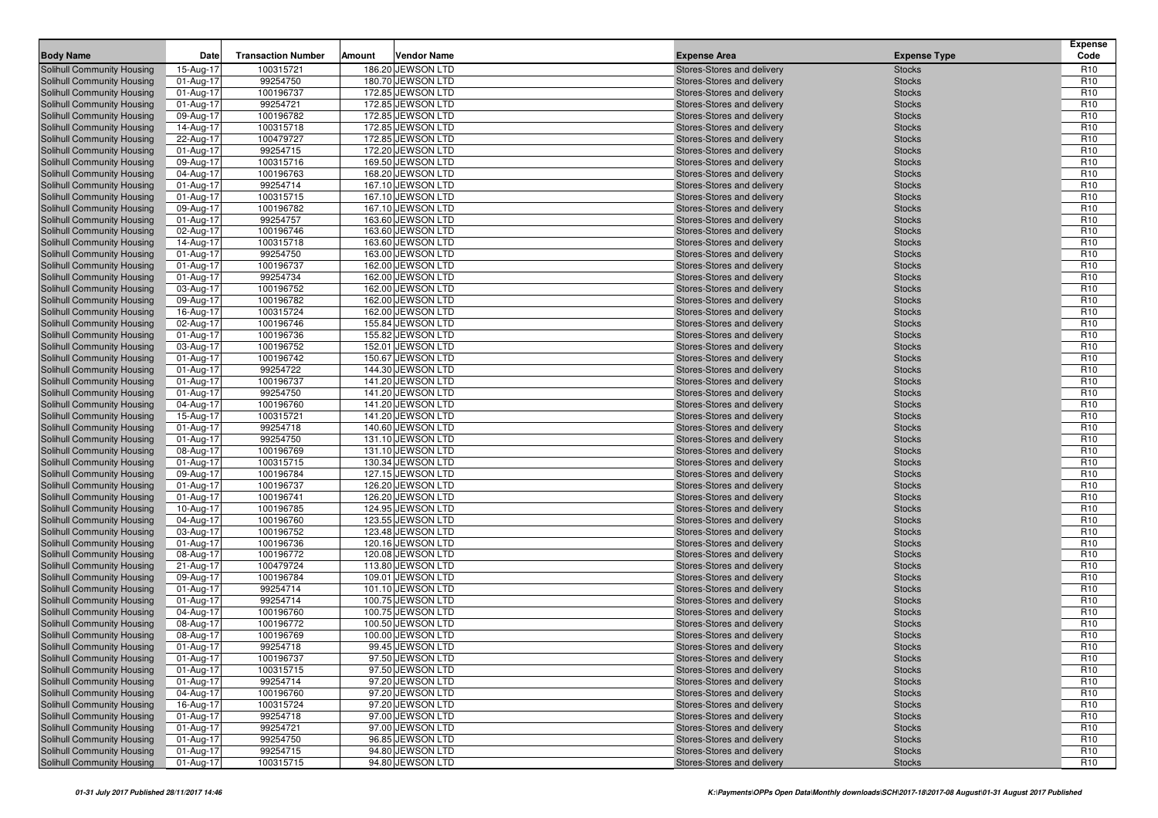| <b>Body Name</b>                                                | Date                   | <b>Transaction Number</b> | Amount | <b>Vendor Name</b>                     | <b>Expense Area</b>                                      | <b>Expense Type</b>            | Expense<br>Code                    |
|-----------------------------------------------------------------|------------------------|---------------------------|--------|----------------------------------------|----------------------------------------------------------|--------------------------------|------------------------------------|
| Solihull Community Housing                                      | 15-Aug-17              | 100315721                 |        | 186.20 JEWSON LTD                      | Stores-Stores and delivery                               | <b>Stocks</b>                  | R <sub>10</sub>                    |
| Solihull Community Housing                                      | 01-Aug-17              | 99254750                  |        | 180.70 JEWSON LTD                      | Stores-Stores and delivery                               | <b>Stocks</b>                  | R <sub>10</sub>                    |
| Solihull Community Housing                                      | 01-Aug-17              | 100196737                 |        | 172.85 JEWSON LTD                      | Stores-Stores and delivery                               | <b>Stocks</b>                  | R <sub>10</sub>                    |
| Solihull Community Housing                                      | 01-Aug-17              | 99254721                  |        | 172.85 JEWSON LTD                      | Stores-Stores and delivery                               | <b>Stocks</b>                  | R <sub>10</sub>                    |
| Solihull Community Housing                                      | 09-Aug-17              | 100196782                 |        | 172.85 JEWSON LTD                      | Stores-Stores and delivery                               | <b>Stocks</b>                  | R <sub>10</sub>                    |
| Solihull Community Housing                                      | 14-Aug-17              | 100315718                 |        | 172.85 JEWSON LTD                      | Stores-Stores and delivery                               | <b>Stocks</b>                  | R <sub>10</sub>                    |
| <b>Solihull Community Housing</b>                               | 22-Aug-17              | 100479727                 |        | 172.85 JEWSON LTD                      | Stores-Stores and delivery                               | <b>Stocks</b>                  | R <sub>10</sub>                    |
| Solihull Community Housing                                      | 01-Aug-17              | 99254715                  |        | 172.20 JEWSON LTD                      | Stores-Stores and delivery                               | <b>Stocks</b>                  | R <sub>10</sub>                    |
| Solihull Community Housing                                      | 09-Aug-17              | 100315716                 |        | 169.50 JEWSON LTD                      | Stores-Stores and delivery                               | <b>Stocks</b>                  | R <sub>10</sub>                    |
| Solihull Community Housing                                      | 04-Aug-17              | 100196763                 |        | 168.20 JEWSON LTD                      | Stores-Stores and delivery                               | <b>Stocks</b>                  | R <sub>10</sub>                    |
| <b>Solihull Community Housing</b>                               | 01-Aug-17              | 99254714                  |        | 167.10 JEWSON LTD                      | Stores-Stores and delivery                               | <b>Stocks</b>                  | R <sub>10</sub>                    |
| <b>Solihull Community Housing</b>                               | 01-Aug-17              | 100315715                 |        | 167.10 JEWSON LTD                      | Stores-Stores and delivery                               | <b>Stocks</b>                  | R <sub>10</sub>                    |
| Solihull Community Housing                                      | 09-Aug-17              | 100196782                 |        | 167.10 JEWSON LTD                      | Stores-Stores and delivery                               | <b>Stocks</b>                  | R <sub>10</sub>                    |
| Solihull Community Housing                                      | 01-Aug-17              | 99254757                  |        | 163.60 JEWSON LTD                      | Stores-Stores and delivery                               | <b>Stocks</b>                  | R <sub>10</sub>                    |
| Solihull Community Housing                                      | 02-Aug-17              | 100196746                 |        | 163.60 JEWSON LTD                      | Stores-Stores and delivery                               | <b>Stocks</b>                  | R <sub>10</sub>                    |
| <b>Solihull Community Housing</b>                               | 14-Aug-17              | 100315718                 |        | 163.60 JEWSON LTD                      | Stores-Stores and delivery                               | <b>Stocks</b>                  | R <sub>10</sub>                    |
| <b>Solihull Community Housing</b>                               | 01-Aug-17              | 99254750                  |        | 163.00 JEWSON LTD                      | Stores-Stores and delivery                               | <b>Stocks</b>                  | R <sub>10</sub>                    |
| Solihull Community Housing                                      | 01-Aug-17              | 100196737                 |        | 162.00 JEWSON LTD                      | Stores-Stores and delivery                               | <b>Stocks</b>                  | R <sub>10</sub>                    |
| Solihull Community Housing                                      | 01-Aug-17              | 99254734                  |        | 162.00 JEWSON LTD                      | Stores-Stores and delivery                               | <b>Stocks</b>                  | R <sub>10</sub>                    |
| Solihull Community Housing                                      | 03-Aug-17              | 100196752                 |        | 162.00 JEWSON LTD                      | Stores-Stores and delivery                               | <b>Stocks</b>                  | R <sub>10</sub>                    |
| <b>Solihull Community Housing</b>                               | 09-Aug-17              | 100196782                 |        | 162.00 JEWSON LTD                      | Stores-Stores and delivery                               | <b>Stocks</b>                  | R <sub>10</sub>                    |
| <b>Solihull Community Housing</b>                               | 16-Aug-17              | 100315724                 |        | 162.00 JEWSON LTD                      | Stores-Stores and delivery                               | <b>Stocks</b>                  | R <sub>10</sub>                    |
| Solihull Community Housing                                      | 02-Aug-17              | 100196746                 |        | 155.84 JEWSON LTD                      | Stores-Stores and delivery                               | <b>Stocks</b>                  | R <sub>10</sub>                    |
| Solihull Community Housing                                      | 01-Aug-17              | 100196736                 |        | 155.82 JEWSON LTD                      | Stores-Stores and delivery                               | <b>Stocks</b>                  | R <sub>10</sub>                    |
| Solihull Community Housing                                      | 03-Aug-17              | 100196752                 |        | 152.01 JEWSON LTD                      | Stores-Stores and delivery                               | <b>Stocks</b>                  | R <sub>10</sub>                    |
| <b>Solihull Community Housing</b>                               | 01-Aug-17              | 100196742                 |        | 150.67 JEWSON LTD                      | Stores-Stores and delivery                               | <b>Stocks</b>                  | R <sub>10</sub>                    |
| <b>Solihull Community Housing</b>                               | 01-Aug-17              | 99254722                  |        | 144.30 JEWSON LTD                      | Stores-Stores and delivery                               | <b>Stocks</b>                  | R <sub>10</sub>                    |
| Solihull Community Housing                                      | 01-Aug-17              | 100196737                 |        | 141.20 JEWSON LTD                      | Stores-Stores and delivery                               | <b>Stocks</b>                  | R <sub>10</sub>                    |
| Solihull Community Housing                                      | 01-Aug-17              | 99254750                  |        | 141.20 JEWSON LTD                      | Stores-Stores and delivery                               | <b>Stocks</b>                  | R <sub>10</sub>                    |
| Solihull Community Housing                                      | 04-Aug-17              | 100196760                 |        | 141.20 JEWSON LTD                      | Stores-Stores and delivery                               | <b>Stocks</b>                  | R <sub>10</sub>                    |
| <b>Solihull Community Housing</b>                               | 15-Aug-17              | 100315721                 |        | 141.20 JEWSON LTD                      | Stores-Stores and delivery                               | <b>Stocks</b>                  | R <sub>10</sub>                    |
| <b>Solihull Community Housing</b>                               | 01-Aug-17              | 99254718                  |        | 140.60 JEWSON LTD                      | Stores-Stores and delivery                               | <b>Stocks</b>                  | R <sub>10</sub>                    |
| Solihull Community Housing                                      | 01-Aug-17              | 99254750                  |        | 131.10 JEWSON LTD                      | Stores-Stores and delivery                               | <b>Stocks</b>                  | R <sub>10</sub><br>R <sub>10</sub> |
| <b>Solihull Community Housing</b><br>Solihull Community Housing | 08-Aug-17<br>01-Aug-17 | 100196769<br>100315715    |        | 131.10 JEWSON LTD<br>130.34 JEWSON LTD | Stores-Stores and delivery<br>Stores-Stores and delivery | <b>Stocks</b><br><b>Stocks</b> | R <sub>10</sub>                    |
| <b>Solihull Community Housing</b>                               | 09-Aug-17              | 100196784                 |        | 127.15 JEWSON LTD                      | Stores-Stores and delivery                               | <b>Stocks</b>                  | R <sub>10</sub>                    |
| Solihull Community Housing                                      | 01-Aug-17              | 100196737                 |        | 126.20 JEWSON LTD                      | Stores-Stores and delivery                               | <b>Stocks</b>                  | R <sub>10</sub>                    |
| Solihull Community Housing                                      | 01-Aug-17              | 100196741                 |        | 126.20 JEWSON LTD                      | Stores-Stores and delivery                               | <b>Stocks</b>                  | R <sub>10</sub>                    |
| <b>Solihull Community Housing</b>                               | 10-Aug-17              | 100196785                 |        | 124.95 JEWSON LTD                      | Stores-Stores and delivery                               | <b>Stocks</b>                  | R <sub>10</sub>                    |
| Solihull Community Housing                                      | 04-Aug-17              | 100196760                 |        | 123.55 JEWSON LTD                      | Stores-Stores and delivery                               | <b>Stocks</b>                  | R <sub>10</sub>                    |
| <b>Solihull Community Housing</b>                               | 03-Aug-17              | 100196752                 |        | 123.48 JEWSON LTD                      | Stores-Stores and delivery                               | <b>Stocks</b>                  | R <sub>10</sub>                    |
| <b>Solihull Community Housing</b>                               | 01-Aug-17              | 100196736                 |        | 120.16 JEWSON LTD                      | Stores-Stores and delivery                               | <b>Stocks</b>                  | R <sub>10</sub>                    |
| Solihull Community Housing                                      | 08-Aug-17              | 100196772                 |        | 120.08 JEWSON LTD                      | Stores-Stores and delivery                               | <b>Stocks</b>                  | R <sub>10</sub>                    |
| <b>Solihull Community Housing</b>                               | 21-Aug-17              | 100479724                 |        | 113.80 JEWSON LTD                      | Stores-Stores and delivery                               | <b>Stocks</b>                  | R <sub>10</sub>                    |
| Solihull Community Housing                                      | 09-Aug-17              | 100196784                 |        | 109.01 JEWSON LTD                      | Stores-Stores and delivery                               | <b>Stocks</b>                  | R <sub>10</sub>                    |
| <b>Solihull Community Housing</b>                               | 01-Aug-17              | 99254714                  |        | 101.10 JEWSON LTD                      | Stores-Stores and delivery                               | <b>Stocks</b>                  | R <sub>10</sub>                    |
| Solihull Community Housing                                      | 01-Aug-17              | 99254714                  |        | 100.75 JEWSON LTD                      | Stores-Stores and delivery                               | <b>Stocks</b>                  | R <sub>10</sub>                    |
| Solihull Community Housing                                      | 04-Aug-17              | 100196760                 |        | 100.75 JEWSON LTD                      | Stores-Stores and delivery                               | <b>Stocks</b>                  | R <sub>10</sub>                    |
| <b>Solihull Community Housing</b>                               | 08-Aug-17              | 100196772                 |        | 100.50 JEWSON LTD                      | Stores-Stores and delivery                               | <b>Stocks</b>                  | R <sub>10</sub>                    |
| Solihull Community Housing                                      | 08-Aug-17              | 100196769                 |        | 100.00 JEWSON LTD                      | Stores-Stores and delivery                               | <b>Stocks</b>                  | R <sub>10</sub>                    |
| Solihull Community Housing                                      | 01-Aug-17              | 99254718                  |        | 99.45 JEWSON LTD                       | Stores-Stores and delivery                               | <b>Stocks</b>                  | R <sub>10</sub>                    |
| Solihull Community Housing                                      | 01-Aug-17              | 100196737                 |        | 97.50 JEWSON LTD                       | Stores-Stores and delivery                               | <b>Stocks</b>                  | R <sub>10</sub>                    |
| Solihull Community Housing                                      | 01-Aug-17              | 100315715                 |        | 97.50 JEWSON LTD                       | Stores-Stores and delivery                               | <b>Stocks</b>                  | R <sub>10</sub>                    |
| Solihull Community Housing                                      | 01-Aug-17              | 99254714                  |        | 97.20 JEWSON LTD                       | Stores-Stores and delivery                               | <b>Stocks</b>                  | R <sub>10</sub>                    |
| Solihull Community Housing                                      | 04-Aug-17              | 100196760                 |        | 97.20 JEWSON LTD                       | Stores-Stores and delivery                               | <b>Stocks</b>                  | <b>R10</b>                         |
| Solihull Community Housing                                      | 16-Aug-17              | 100315724                 |        | 97.20 JEWSON LTD                       | Stores-Stores and delivery                               | <b>Stocks</b>                  | R <sub>10</sub>                    |
| Solihull Community Housing                                      | 01-Aug-17              | 99254718                  |        | 97.00 JEWSON LTD                       | Stores-Stores and delivery                               | <b>Stocks</b>                  | R <sub>10</sub>                    |
| Solihull Community Housing                                      | 01-Aug-17              | 99254721                  |        | 97.00 JEWSON LTD                       | Stores-Stores and delivery                               | <b>Stocks</b>                  | R <sub>10</sub>                    |
| Solihull Community Housing                                      | 01-Aug-17              | 99254750                  |        | 96.85 JEWSON LTD                       | Stores-Stores and delivery                               | <b>Stocks</b>                  | R <sub>10</sub>                    |
| Solihull Community Housing                                      | 01-Aug-17              | 99254715                  |        | 94.80 JEWSON LTD                       | Stores-Stores and delivery                               | <b>Stocks</b>                  | R <sub>10</sub>                    |
| Solihull Community Housing                                      | 01-Aug-17              | 100315715                 |        | 94.80 JEWSON LTD                       | Stores-Stores and delivery                               | <b>Stocks</b>                  | R <sub>10</sub>                    |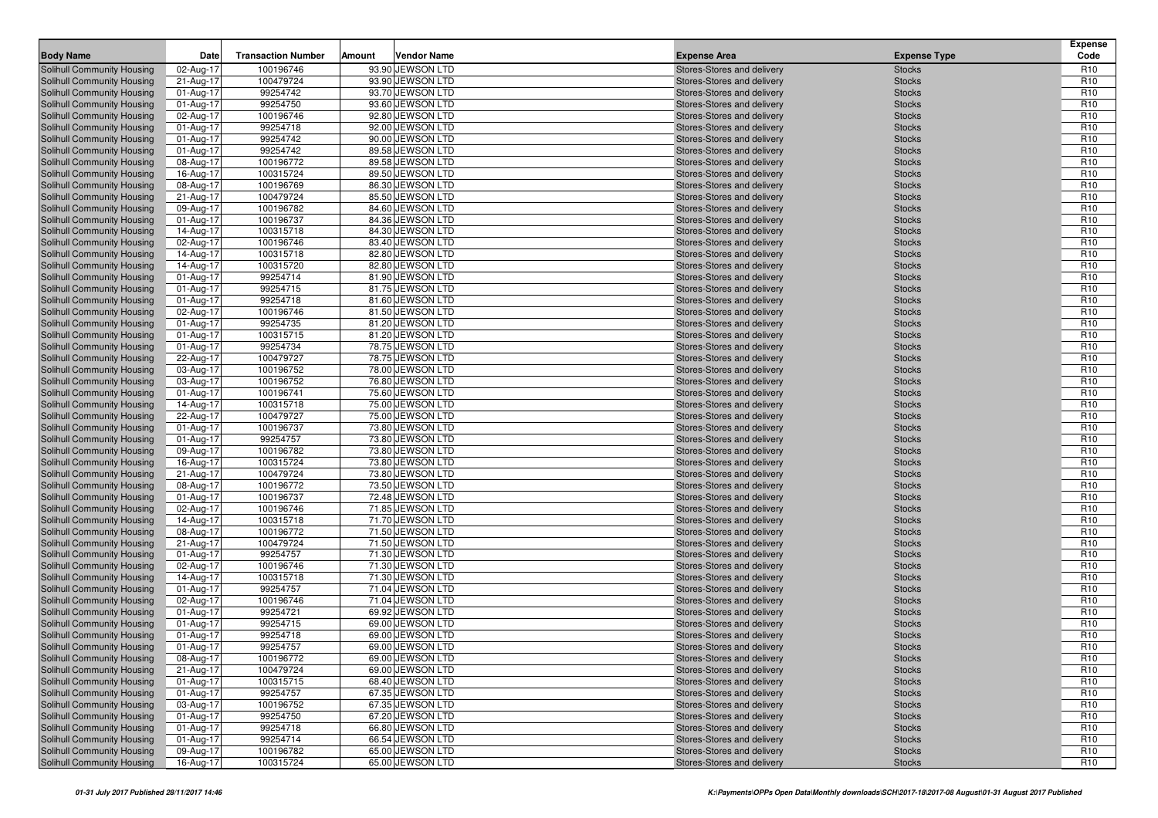| <b>Body Name</b>                                         | Date                   | <b>Transaction Number</b> | Amount | <b>Vendor Name</b>                   | <b>Expense Area</b>                                      | <b>Expense Type</b>            | Expense<br>Code                    |
|----------------------------------------------------------|------------------------|---------------------------|--------|--------------------------------------|----------------------------------------------------------|--------------------------------|------------------------------------|
| Solihull Community Housing                               | 02-Aug-17              | 100196746                 |        | 93.90 JEWSON LTD                     | Stores-Stores and delivery                               | <b>Stocks</b>                  | R <sub>10</sub>                    |
| Solihull Community Housing                               | 21-Aug-17              | 100479724                 |        | 93.90 JEWSON LTD                     | Stores-Stores and delivery                               | <b>Stocks</b>                  | R <sub>10</sub>                    |
| Solihull Community Housing                               | 01-Aug-17              | 99254742                  |        | 93.70 JEWSON LTD                     | Stores-Stores and delivery                               | <b>Stocks</b>                  | R <sub>10</sub>                    |
| Solihull Community Housing                               | 01-Aug-17              | 99254750                  |        | 93.60 JEWSON LTD                     | Stores-Stores and delivery                               | <b>Stocks</b>                  | R <sub>10</sub>                    |
| Solihull Community Housing                               | 02-Aug-17              | 100196746                 |        | 92.80 JEWSON LTD                     | Stores-Stores and delivery                               | <b>Stocks</b>                  | R <sub>10</sub>                    |
| Solihull Community Housing                               | 01-Aug-17              | 99254718                  |        | 92.00 JEWSON LTD                     | Stores-Stores and delivery                               | <b>Stocks</b>                  | R <sub>10</sub>                    |
| <b>Solihull Community Housing</b>                        | 01-Aug-17              | 99254742                  |        | 90.00 JEWSON LTD                     | Stores-Stores and delivery                               | <b>Stocks</b>                  | R <sub>10</sub>                    |
| Solihull Community Housing                               | 01-Aug-17              | 99254742                  |        | 89.58 JEWSON LTD                     | Stores-Stores and delivery                               | <b>Stocks</b>                  | R <sub>10</sub>                    |
| Solihull Community Housing                               | 08-Aug-17              | 100196772                 |        | 89.58 JEWSON LTD                     | Stores-Stores and delivery                               | <b>Stocks</b>                  | R <sub>10</sub>                    |
| Solihull Community Housing                               | 16-Aug-17              | 100315724                 |        | 89.50 JEWSON LTD                     | Stores-Stores and delivery                               | <b>Stocks</b>                  | R <sub>10</sub>                    |
| <b>Solihull Community Housing</b>                        | 08-Aug-17              | 100196769                 |        | 86.30 JEWSON LTD                     | Stores-Stores and delivery                               | <b>Stocks</b>                  | R <sub>10</sub>                    |
| <b>Solihull Community Housing</b>                        | 21-Aug-17              | 100479724                 |        | 85.50 JEWSON LTD                     | Stores-Stores and delivery                               | <b>Stocks</b>                  | R <sub>10</sub>                    |
| Solihull Community Housing                               | 09-Aug-17              | 100196782                 |        | 84.60 JEWSON LTD                     | Stores-Stores and delivery                               | <b>Stocks</b>                  | R <sub>10</sub>                    |
| Solihull Community Housing                               | 01-Aug-17              | 100196737                 |        | 84.36 JEWSON LTD                     | Stores-Stores and delivery                               | <b>Stocks</b>                  | R <sub>10</sub>                    |
| Solihull Community Housing                               | 14-Aug-17              | 100315718                 |        | 84.30 JEWSON LTD                     | Stores-Stores and delivery                               | <b>Stocks</b>                  | R <sub>10</sub>                    |
| <b>Solihull Community Housing</b>                        | 02-Aug-17              | 100196746                 |        | 83.40 JEWSON LTD                     | Stores-Stores and delivery                               | <b>Stocks</b>                  | R <sub>10</sub>                    |
| <b>Solihull Community Housing</b>                        | 14-Aug-17              | 100315718                 |        | 82.80 JEWSON LTD                     | Stores-Stores and delivery                               | <b>Stocks</b>                  | R <sub>10</sub>                    |
| Solihull Community Housing                               | 14-Aug-17              | 100315720                 |        | 82.80 JEWSON LTD                     | Stores-Stores and delivery                               | <b>Stocks</b>                  | R <sub>10</sub>                    |
| <b>Solihull Community Housing</b>                        | 01-Aug-17              | 99254714                  |        | 81.90 JEWSON LTD                     | Stores-Stores and delivery                               | <b>Stocks</b>                  | R <sub>10</sub>                    |
| Solihull Community Housing                               | 01-Aug-17              | 99254715                  |        | 81.75 JEWSON LTD                     | Stores-Stores and delivery                               | <b>Stocks</b>                  | R <sub>10</sub>                    |
| <b>Solihull Community Housing</b>                        | 01-Aug-17              | 99254718                  |        | 81.60 JEWSON LTD                     | Stores-Stores and delivery                               | <b>Stocks</b>                  | R <sub>10</sub>                    |
| <b>Solihull Community Housing</b>                        | 02-Aug-17              | 100196746                 |        | 81.50 JEWSON LTD                     | Stores-Stores and delivery                               | <b>Stocks</b>                  | R <sub>10</sub>                    |
| Solihull Community Housing                               | 01-Aug-17              | 99254735                  |        | 81.20 JEWSON LTD                     | Stores-Stores and delivery                               | <b>Stocks</b>                  | R <sub>10</sub>                    |
| Solihull Community Housing                               | 01-Aug-17              | 100315715                 |        | 81.20 JEWSON LTD                     | Stores-Stores and delivery                               | <b>Stocks</b>                  | R <sub>10</sub>                    |
| Solihull Community Housing                               | 01-Aug-17              | 99254734                  |        | 78.75 JEWSON LTD                     | Stores-Stores and delivery                               | <b>Stocks</b>                  | R <sub>10</sub>                    |
| <b>Solihull Community Housing</b>                        | 22-Aug-17              | 100479727                 |        | 78.75 JEWSON LTD                     | Stores-Stores and delivery                               | <b>Stocks</b>                  | R <sub>10</sub>                    |
| Solihull Community Housing                               | 03-Aug-17              | 100196752                 |        | 78.00 JEWSON LTD                     | Stores-Stores and delivery                               | <b>Stocks</b>                  | R <sub>10</sub>                    |
| Solihull Community Housing                               | 03-Aug-17              | 100196752                 |        | 76.80 JEWSON LTD                     | Stores-Stores and delivery                               | <b>Stocks</b>                  | R <sub>10</sub>                    |
| Solihull Community Housing                               | 01-Aug-17              | 100196741                 |        | 75.60 JEWSON LTD                     | Stores-Stores and delivery                               | <b>Stocks</b>                  | R <sub>10</sub>                    |
| Solihull Community Housing                               | 14-Aug-17              | 100315718                 |        | 75.00 JEWSON LTD                     | Stores-Stores and delivery                               | <b>Stocks</b>                  | R <sub>10</sub>                    |
| <b>Solihull Community Housing</b>                        | 22-Aug-17              | 100479727                 |        | 75.00 JEWSON LTD                     | Stores-Stores and delivery                               | <b>Stocks</b>                  | R <sub>10</sub>                    |
| <b>Solihull Community Housing</b>                        | 01-Aug-17              | 100196737                 |        | 73.80 JEWSON LTD                     | Stores-Stores and delivery                               | <b>Stocks</b>                  | R <sub>10</sub>                    |
| Solihull Community Housing                               | 01-Aug-17              | 99254757                  |        | 73.80 JEWSON LTD                     | Stores-Stores and delivery                               | <b>Stocks</b>                  | R <sub>10</sub><br>R <sub>10</sub> |
| Solihull Community Housing<br>Solihull Community Housing | 09-Aug-17<br>16-Aug-17 | 100196782<br>100315724    |        | 73.80 JEWSON LTD<br>73.80 JEWSON LTD | Stores-Stores and delivery<br>Stores-Stores and delivery | <b>Stocks</b><br><b>Stocks</b> | R <sub>10</sub>                    |
| <b>Solihull Community Housing</b>                        | 21-Aug-17              | 100479724                 |        | 73.80 JEWSON LTD                     | Stores-Stores and delivery                               | <b>Stocks</b>                  | R <sub>10</sub>                    |
| <b>Solihull Community Housing</b>                        | 08-Aug-17              | 100196772                 |        | 73.50 JEWSON LTD                     | Stores-Stores and delivery                               | <b>Stocks</b>                  | R <sub>10</sub>                    |
| Solihull Community Housing                               | 01-Aug-17              | 100196737                 |        | 72.48 JEWSON LTD                     | Stores-Stores and delivery                               | <b>Stocks</b>                  | R <sub>10</sub>                    |
| Solihull Community Housing                               | 02-Aug-17              | 100196746                 |        | 71.85 JEWSON LTD                     | Stores-Stores and delivery                               | <b>Stocks</b>                  | R <sub>10</sub>                    |
| Solihull Community Housing                               | 14-Aug-17              | 100315718                 |        | 71.70 JEWSON LTD                     | Stores-Stores and delivery                               | <b>Stocks</b>                  | R <sub>10</sub>                    |
| <b>Solihull Community Housing</b>                        | 08-Aug-17              | 100196772                 |        | 71.50 JEWSON LTD                     | <b>Stores-Stores and delivery</b>                        | <b>Stocks</b>                  | R <sub>10</sub>                    |
| <b>Solihull Community Housing</b>                        | 21-Aug-17              | 100479724                 |        | 71.50 JEWSON LTD                     | Stores-Stores and delivery                               | <b>Stocks</b>                  | R <sub>10</sub>                    |
| Solihull Community Housing                               | 01-Aug-17              | 99254757                  |        | 71.30 JEWSON LTD                     | Stores-Stores and delivery                               | <b>Stocks</b>                  | R <sub>10</sub>                    |
| Solihull Community Housing                               | 02-Aug-17              | 100196746                 |        | 71.30 JEWSON LTD                     | Stores-Stores and delivery                               | <b>Stocks</b>                  | R <sub>10</sub>                    |
| Solihull Community Housing                               | 14-Aug-17              | 100315718                 |        | 71.30 JEWSON LTD                     | Stores-Stores and delivery                               | <b>Stocks</b>                  | R <sub>10</sub>                    |
| <b>Solihull Community Housing</b>                        | 01-Aug-17              | 99254757                  |        | 71.04 JEWSON LTD                     | <b>Stores-Stores and delivery</b>                        | <b>Stocks</b>                  | R <sub>10</sub>                    |
| Solihull Community Housing                               | 02-Aug-17              | 100196746                 |        | 71.04 JEWSON LTD                     | Stores-Stores and delivery                               | <b>Stocks</b>                  | R <sub>10</sub>                    |
| Solihull Community Housing                               | 01-Aug-17              | 99254721                  |        | 69.92 JEWSON LTD                     | Stores-Stores and delivery                               | <b>Stocks</b>                  | R <sub>10</sub>                    |
| Solihull Community Housing                               | 01-Aug-17              | 99254715                  |        | 69.00 JEWSON LTD                     | Stores-Stores and delivery                               | <b>Stocks</b>                  | R <sub>10</sub>                    |
| Solihull Community Housing                               | 01-Aug-17              | 99254718                  |        | 69.00 JEWSON LTD                     | Stores-Stores and delivery                               | <b>Stocks</b>                  | R <sub>10</sub>                    |
| Solihull Community Housing                               | 01-Aug-17              | 99254757                  |        | 69.00 JEWSON LTD                     | Stores-Stores and delivery                               | <b>Stocks</b>                  | R <sub>10</sub>                    |
| Solihull Community Housing                               | 08-Aug-17              | 100196772                 |        | 69.00 JEWSON LTD                     | Stores-Stores and delivery                               | <b>Stocks</b>                  | R <sub>10</sub>                    |
| Solihull Community Housing                               | 21-Aug-17              | 100479724                 |        | 69.00 JEWSON LTD                     | Stores-Stores and delivery                               | <b>Stocks</b>                  | R <sub>10</sub>                    |
| Solihull Community Housing                               | 01-Aug-17              | 100315715                 |        | 68.40 JEWSON LTD                     | Stores-Stores and delivery                               | <b>Stocks</b>                  | R <sub>10</sub>                    |
| Solihull Community Housing                               | 01-Aug-17              | 99254757                  |        | 67.35 JEWSON LTD                     | Stores-Stores and delivery                               | <b>Stocks</b>                  | R <sub>10</sub>                    |
| Solihull Community Housing                               | 03-Aug-17              | 100196752                 |        | 67.35 JEWSON LTD                     | Stores-Stores and delivery                               | <b>Stocks</b>                  | R <sub>10</sub>                    |
| Solihull Community Housing                               | 01-Aug-17              | 99254750                  |        | 67.20 JEWSON LTD                     | Stores-Stores and delivery                               | <b>Stocks</b>                  | R <sub>10</sub>                    |
| Solihull Community Housing                               | 01-Aug-17              | 99254718                  |        | 66.80 JEWSON LTD                     | Stores-Stores and delivery                               | <b>Stocks</b>                  | R <sub>10</sub>                    |
| Solihull Community Housing                               | 01-Aug-17              | 99254714                  |        | 66.54 JEWSON LTD                     | Stores-Stores and delivery                               | <b>Stocks</b>                  | R <sub>10</sub>                    |
| Solihull Community Housing                               | 09-Aug-17              | 100196782                 |        | 65.00 JEWSON LTD                     | Stores-Stores and delivery                               | <b>Stocks</b>                  | R <sub>10</sub>                    |
| Solihull Community Housing                               | 16-Aug-17              | 100315724                 |        | 65.00 JEWSON LTD                     | Stores-Stores and delivery                               | Stocks                         | R <sub>10</sub>                    |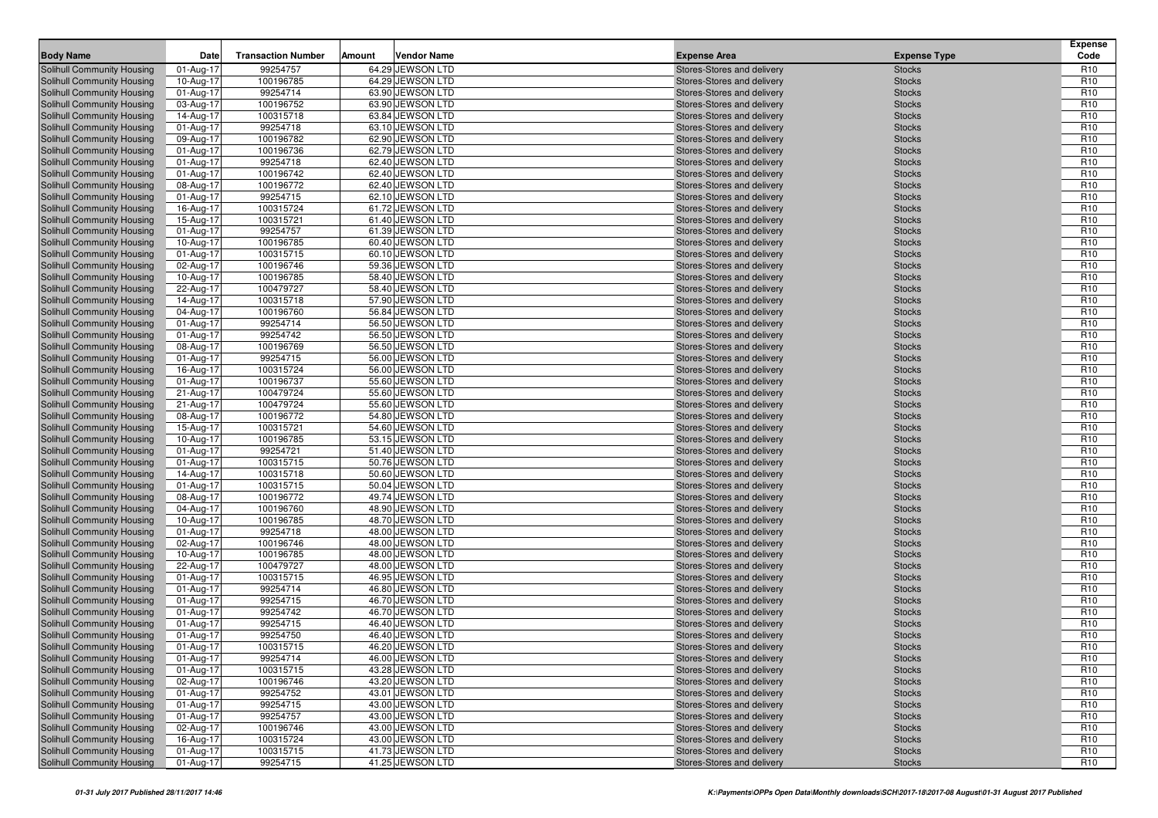| <b>Body Name</b>                                                | Date                   | <b>Transaction Number</b> | Amount | <b>Vendor Name</b>                   | <b>Expense Area</b>                                      | <b>Expense Type</b>            | Expense<br>Code                    |
|-----------------------------------------------------------------|------------------------|---------------------------|--------|--------------------------------------|----------------------------------------------------------|--------------------------------|------------------------------------|
| Solihull Community Housing                                      | 01-Aug-17              | 99254757                  |        | 64.29 JEWSON LTD                     | Stores-Stores and delivery                               | <b>Stocks</b>                  | R <sub>10</sub>                    |
| Solihull Community Housing                                      | 10-Aug-17              | 100196785                 |        | 64.29 JEWSON LTD                     | Stores-Stores and delivery                               | <b>Stocks</b>                  | R <sub>10</sub>                    |
| Solihull Community Housing                                      | 01-Aug-17              | 99254714                  |        | 63.90 JEWSON LTD                     | Stores-Stores and delivery                               | <b>Stocks</b>                  | R <sub>10</sub>                    |
| Solihull Community Housing                                      | 03-Aug-17              | 100196752                 |        | 63.90 JEWSON LTD                     | Stores-Stores and delivery                               | <b>Stocks</b>                  | R <sub>10</sub>                    |
| Solihull Community Housing                                      | 14-Aug-17              | 100315718                 |        | 63.84 JEWSON LTD                     | Stores-Stores and delivery                               | <b>Stocks</b>                  | R <sub>10</sub>                    |
| Solihull Community Housing                                      | 01-Aug-17              | 99254718                  |        | 63.10 JEWSON LTD                     | Stores-Stores and delivery                               | <b>Stocks</b>                  | R <sub>10</sub>                    |
| <b>Solihull Community Housing</b>                               | 09-Aug-17              | 100196782                 |        | 62.90 JEWSON LTD                     | Stores-Stores and delivery                               | <b>Stocks</b>                  | R <sub>10</sub>                    |
| <b>Solihull Community Housing</b>                               | 01-Aug-17              | 100196736                 |        | 62.79 JEWSON LTD                     | Stores-Stores and delivery                               | <b>Stocks</b>                  | R <sub>10</sub>                    |
| Solihull Community Housing                                      | 01-Aug-17              | 99254718                  |        | 62.40 JEWSON LTD                     | Stores-Stores and delivery                               | <b>Stocks</b>                  | R <sub>10</sub>                    |
| Solihull Community Housing                                      | 01-Aug-17              | 100196742                 |        | 62.40 JEWSON LTD                     | Stores-Stores and delivery                               | <b>Stocks</b>                  | R <sub>10</sub>                    |
| <b>Solihull Community Housing</b>                               | 08-Aug-17              | 100196772                 |        | 62.40 JEWSON LTD                     | Stores-Stores and delivery                               | <b>Stocks</b>                  | R <sub>10</sub>                    |
| <b>Solihull Community Housing</b>                               | 01-Aug-17              | 99254715                  |        | 62.10 JEWSON LTD                     | Stores-Stores and delivery                               | <b>Stocks</b>                  | R <sub>10</sub>                    |
| Solihull Community Housing                                      | 16-Aug-17              | 100315724                 |        | 61.72 JEWSON LTD                     | Stores-Stores and delivery                               | <b>Stocks</b>                  | R <sub>10</sub>                    |
| Solihull Community Housing                                      | 15-Aug-17              | 100315721                 |        | 61.40 JEWSON LTD                     | Stores-Stores and delivery                               | <b>Stocks</b>                  | R <sub>10</sub>                    |
| Solihull Community Housing                                      | 01-Aug-17              | 99254757                  |        | 61.39 JEWSON LTD                     | Stores-Stores and delivery                               | <b>Stocks</b>                  | R <sub>10</sub>                    |
| <b>Solihull Community Housing</b>                               | 10-Aug-17              | 100196785                 |        | 60.40 JEWSON LTD                     | Stores-Stores and delivery                               | <b>Stocks</b>                  | R <sub>10</sub>                    |
| <b>Solihull Community Housing</b>                               | 01-Aug-17              | 100315715                 |        | 60.10 JEWSON LTD                     | Stores-Stores and delivery                               | <b>Stocks</b>                  | R <sub>10</sub>                    |
| Solihull Community Housing                                      | 02-Aug-17              | 100196746                 |        | 59.36 JEWSON LTD                     | Stores-Stores and delivery                               | <b>Stocks</b>                  | R <sub>10</sub>                    |
| <b>Solihull Community Housing</b>                               | 10-Aug-17              | 100196785                 |        | 58.40 JEWSON LTD                     | Stores-Stores and delivery                               | <b>Stocks</b>                  | R <sub>10</sub>                    |
| Solihull Community Housing                                      | 22-Aug-17              | 100479727                 |        | 58.40 JEWSON LTD                     | Stores-Stores and delivery                               | <b>Stocks</b>                  | R <sub>10</sub>                    |
| <b>Solihull Community Housing</b>                               | 14-Aug-17              | 100315718                 |        | 57.90 JEWSON LTD                     | Stores-Stores and delivery                               | <b>Stocks</b>                  | R <sub>10</sub>                    |
| <b>Solihull Community Housing</b>                               | 04-Aug-17              | 100196760                 |        | 56.84 JEWSON LTD                     | Stores-Stores and delivery                               | <b>Stocks</b>                  | R <sub>10</sub>                    |
| Solihull Community Housing                                      | 01-Aug-17              | 99254714                  |        | 56.50 JEWSON LTD                     | Stores-Stores and delivery                               | <b>Stocks</b>                  | R <sub>10</sub>                    |
| Solihull Community Housing                                      | 01-Aug-17              | 99254742                  |        | 56.50 JEWSON LTD                     | Stores-Stores and delivery                               | <b>Stocks</b>                  | R <sub>10</sub>                    |
| Solihull Community Housing                                      | 08-Aug-17              | 100196769                 |        | 56.50 JEWSON LTD                     | Stores-Stores and delivery                               | <b>Stocks</b>                  | R <sub>10</sub>                    |
| <b>Solihull Community Housing</b>                               | 01-Aug-17              | 99254715                  |        | 56.00 JEWSON LTD                     | Stores-Stores and delivery                               | <b>Stocks</b>                  | R <sub>10</sub>                    |
| Solihull Community Housing                                      | 16-Aug-17              | 100315724                 |        | 56.00 JEWSON LTD                     | Stores-Stores and delivery                               | <b>Stocks</b>                  | R <sub>10</sub>                    |
| Solihull Community Housing                                      | 01-Aug-17              | 100196737                 |        | 55.60 JEWSON LTD                     | Stores-Stores and delivery                               | <b>Stocks</b>                  | R <sub>10</sub>                    |
| Solihull Community Housing                                      | 21-Aug-17              | 100479724                 |        | 55.60 JEWSON LTD                     | Stores-Stores and delivery                               | <b>Stocks</b>                  | R <sub>10</sub>                    |
| Solihull Community Housing<br><b>Solihull Community Housing</b> | 21-Aug-17              | 100479724<br>100196772    |        | 55.60 JEWSON LTD<br>54.80 JEWSON LTD | Stores-Stores and delivery                               | <b>Stocks</b>                  | R <sub>10</sub><br>R <sub>10</sub> |
| <b>Solihull Community Housing</b>                               | 08-Aug-17<br>15-Aug-17 | 100315721                 |        | 54.60 JEWSON LTD                     | Stores-Stores and delivery<br>Stores-Stores and delivery | <b>Stocks</b><br><b>Stocks</b> | R <sub>10</sub>                    |
| Solihull Community Housing                                      | 10-Aug-17              | 100196785                 |        | 53.15 JEWSON LTD                     | Stores-Stores and delivery                               | <b>Stocks</b>                  | R <sub>10</sub>                    |
| Solihull Community Housing                                      | 01-Aug-17              | 99254721                  |        | 51.40 JEWSON LTD                     | Stores-Stores and delivery                               | <b>Stocks</b>                  | R <sub>10</sub>                    |
| Solihull Community Housing                                      | 01-Aug-17              | 100315715                 |        | 50.76 JEWSON LTD                     | Stores-Stores and delivery                               | <b>Stocks</b>                  | R <sub>10</sub>                    |
| <b>Solihull Community Housing</b>                               | 14-Aug-17              | 100315718                 |        | 50.60 JEWSON LTD                     | Stores-Stores and delivery                               | <b>Stocks</b>                  | R <sub>10</sub>                    |
| <b>Solihull Community Housing</b>                               | 01-Aug-17              | 100315715                 |        | 50.04 JEWSON LTD                     | Stores-Stores and delivery                               | <b>Stocks</b>                  | R <sub>10</sub>                    |
| Solihull Community Housing                                      | 08-Aug-17              | 100196772                 |        | 49.74 JEWSON LTD                     | Stores-Stores and delivery                               | <b>Stocks</b>                  | R <sub>10</sub>                    |
| Solihull Community Housing                                      | 04-Aug-17              | 100196760                 |        | 48.90 JEWSON LTD                     | Stores-Stores and delivery                               | <b>Stocks</b>                  | R <sub>10</sub>                    |
| Solihull Community Housing                                      | 10-Aug-17              | 100196785                 |        | 48.70 JEWSON LTD                     | Stores-Stores and delivery                               | <b>Stocks</b>                  | R <sub>10</sub>                    |
| <b>Solihull Community Housing</b>                               | 01-Aug-17              | 99254718                  |        | 48.00 JEWSON LTD                     | <b>Stores-Stores and delivery</b>                        | <b>Stocks</b>                  | R <sub>10</sub>                    |
| <b>Solihull Community Housing</b>                               | 02-Aug-17              | 100196746                 |        | 48.00 JEWSON LTD                     | Stores-Stores and delivery                               | <b>Stocks</b>                  | R <sub>10</sub>                    |
| Solihull Community Housing                                      | 10-Aug-17              | 100196785                 |        | 48.00 JEWSON LTD                     | Stores-Stores and delivery                               | <b>Stocks</b>                  | R <sub>10</sub>                    |
| Solihull Community Housing                                      | 22-Aug-17              | 100479727                 |        | 48.00 JEWSON LTD                     | Stores-Stores and delivery                               | <b>Stocks</b>                  | R <sub>10</sub>                    |
| Solihull Community Housing                                      | 01-Aug-17              | 100315715                 |        | 46.95 JEWSON LTD                     | Stores-Stores and delivery                               | <b>Stocks</b>                  | R <sub>10</sub>                    |
| <b>Solihull Community Housing</b>                               | 01-Aug-17              | 99254714                  |        | 46.80 JEWSON LTD                     | Stores-Stores and delivery                               | <b>Stocks</b>                  | R <sub>10</sub>                    |
| Solihull Community Housing                                      | 01-Aug-17              | 99254715                  |        | 46.70 JEWSON LTD                     | Stores-Stores and delivery                               | <b>Stocks</b>                  | R <sub>10</sub>                    |
| Solihull Community Housing                                      | 01-Aug-17              | 99254742                  |        | 46.70 JEWSON LTD                     | Stores-Stores and delivery                               | <b>Stocks</b>                  | R <sub>10</sub>                    |
| Solihull Community Housing                                      | 01-Aug-17              | 99254715                  |        | 46.40 JEWSON LTD                     | Stores-Stores and delivery                               | <b>Stocks</b>                  | R <sub>10</sub>                    |
| Solihull Community Housing                                      | 01-Aug-17              | 99254750                  |        | 46.40 JEWSON LTD                     | Stores-Stores and delivery                               | <b>Stocks</b>                  | R <sub>10</sub>                    |
| Solihull Community Housing                                      | 01-Aug-17              | 100315715                 |        | 46.20 JEWSON LTD                     | Stores-Stores and delivery                               | <b>Stocks</b>                  | R <sub>10</sub>                    |
| Solihull Community Housing                                      | 01-Aug-17              | 99254714                  |        | 46.00 JEWSON LTD                     | Stores-Stores and delivery                               | <b>Stocks</b>                  | R <sub>10</sub>                    |
| Solihull Community Housing                                      | 01-Aug-17              | 100315715                 |        | 43.28 JEWSON LTD                     | Stores-Stores and delivery                               | <b>Stocks</b>                  | R <sub>10</sub>                    |
| Solihull Community Housing                                      | 02-Aug-17              | 100196746                 |        | 43.20 JEWSON LTD                     | Stores-Stores and delivery                               | <b>Stocks</b>                  | R <sub>10</sub>                    |
| Solihull Community Housing                                      | 01-Aug-17              | 99254752<br>99254715      |        | 43.01 JEWSON LTD                     | Stores-Stores and delivery                               | <b>Stocks</b>                  | R <sub>10</sub>                    |
| Solihull Community Housing                                      | 01-Aug-17              |                           |        | 43.00 JEWSON LTD                     | Stores-Stores and delivery                               | <b>Stocks</b>                  | R <sub>10</sub>                    |
| Solihull Community Housing                                      | 01-Aug-17              | 99254757                  |        | 43.00 JEWSON LTD                     | Stores-Stores and delivery                               | <b>Stocks</b>                  | R <sub>10</sub>                    |
| Solihull Community Housing<br>Solihull Community Housing        | 02-Aug-17              | 100196746<br>100315724    |        | 43.00 JEWSON LTD<br>43.00 JEWSON LTD | Stores-Stores and delivery<br>Stores-Stores and delivery | <b>Stocks</b><br><b>Stocks</b> | R <sub>10</sub><br>R <sub>10</sub> |
| Solihull Community Housing                                      | 16-Aug-17<br>01-Aug-17 | 100315715                 |        | 41.73 JEWSON LTD                     | Stores-Stores and delivery                               | <b>Stocks</b>                  | R <sub>10</sub>                    |
| Solihull Community Housing                                      | 01-Aug-17              | 99254715                  |        | 41.25 JEWSON LTD                     | Stores-Stores and delivery                               | Stocks                         | R <sub>10</sub>                    |
|                                                                 |                        |                           |        |                                      |                                                          |                                |                                    |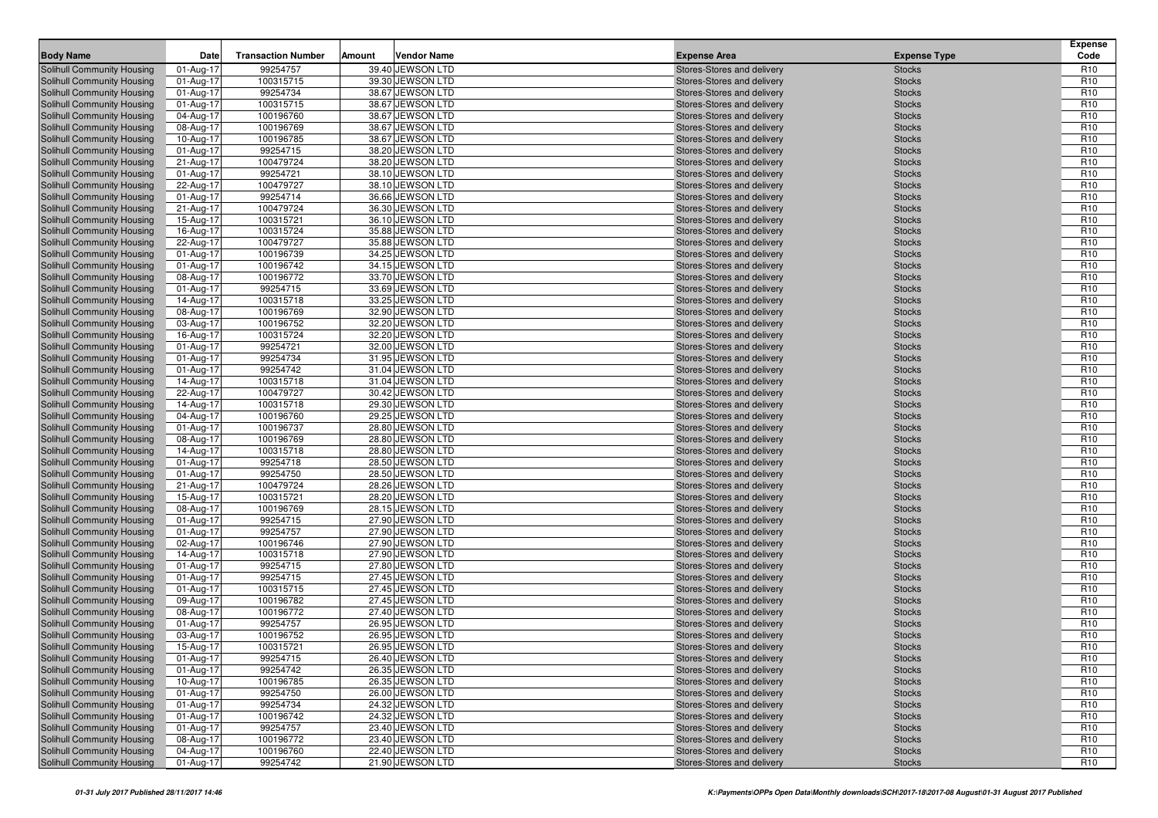| <b>Body Name</b>                                         | Date                   | <b>Transaction Number</b> | Amount | <b>Vendor Name</b>                   | <b>Expense Area</b>                                      | <b>Expense Type</b>            | Expense<br>Code                    |
|----------------------------------------------------------|------------------------|---------------------------|--------|--------------------------------------|----------------------------------------------------------|--------------------------------|------------------------------------|
| Solihull Community Housing                               | 01-Aug-17              | 99254757                  |        | 39.40 JEWSON LTD                     | Stores-Stores and delivery                               | <b>Stocks</b>                  | R <sub>10</sub>                    |
| Solihull Community Housing                               | 01-Aug-17              | 100315715                 |        | 39.30 JEWSON LTD                     | Stores-Stores and delivery                               | <b>Stocks</b>                  | R <sub>10</sub>                    |
| Solihull Community Housing                               | 01-Aug-17              | 99254734                  |        | 38.67 JEWSON LTD                     | Stores-Stores and delivery                               | <b>Stocks</b>                  | R <sub>10</sub>                    |
| Solihull Community Housing                               | 01-Aug-17              | 100315715                 |        | 38.67 JEWSON LTD                     | Stores-Stores and delivery                               | <b>Stocks</b>                  | R <sub>10</sub>                    |
| Solihull Community Housing                               | 04-Aug-17              | 100196760                 |        | 38.67 JEWSON LTD                     | Stores-Stores and delivery                               | <b>Stocks</b>                  | R <sub>10</sub>                    |
| Solihull Community Housing                               | 08-Aug-17              | 100196769                 |        | 38.67 JEWSON LTD                     | Stores-Stores and delivery                               | <b>Stocks</b>                  | R <sub>10</sub>                    |
| <b>Solihull Community Housing</b>                        | 10-Aug-17              | 100196785                 |        | 38.67 JEWSON LTD                     | Stores-Stores and delivery                               | <b>Stocks</b>                  | R <sub>10</sub>                    |
| <b>Solihull Community Housing</b>                        | 01-Aug-17              | 99254715                  |        | 38.20 JEWSON LTD                     | Stores-Stores and delivery                               | <b>Stocks</b>                  | R <sub>10</sub>                    |
| Solihull Community Housing                               | 21-Aug-17              | 100479724                 |        | 38.20 JEWSON LTD                     | Stores-Stores and delivery                               | <b>Stocks</b>                  | R <sub>10</sub>                    |
| Solihull Community Housing                               | 01-Aug-17              | 99254721                  |        | 38.10 JEWSON LTD                     | Stores-Stores and delivery                               | <b>Stocks</b>                  | R <sub>10</sub>                    |
| <b>Solihull Community Housing</b>                        | 22-Aug-17              | 100479727                 |        | 38.10 JEWSON LTD                     | Stores-Stores and delivery                               | <b>Stocks</b>                  | R <sub>10</sub>                    |
| <b>Solihull Community Housing</b>                        | 01-Aug-17              | 99254714                  |        | 36.66 JEWSON LTD                     | Stores-Stores and delivery                               | <b>Stocks</b>                  | R <sub>10</sub>                    |
| Solihull Community Housing                               | 21-Aug-17              | 100479724                 |        | 36.30 JEWSON LTD                     | Stores-Stores and delivery                               | <b>Stocks</b>                  | R <sub>10</sub>                    |
| Solihull Community Housing                               | 15-Aug-17              | 100315721                 |        | 36.10 JEWSON LTD                     | Stores-Stores and delivery                               | <b>Stocks</b>                  | R <sub>10</sub>                    |
| Solihull Community Housing                               | 16-Aug-17              | 100315724                 |        | 35.88 JEWSON LTD                     | Stores-Stores and delivery                               | <b>Stocks</b>                  | R <sub>10</sub>                    |
| <b>Solihull Community Housing</b>                        | 22-Aug-17              | 100479727                 |        | 35.88 JEWSON LTD                     | Stores-Stores and delivery                               | <b>Stocks</b>                  | R <sub>10</sub>                    |
| <b>Solihull Community Housing</b>                        | 01-Aug-17              | 100196739                 |        | 34.25 JEWSON LTD                     | Stores-Stores and delivery                               | <b>Stocks</b>                  | R <sub>10</sub>                    |
| Solihull Community Housing                               | 01-Aug-17              | 100196742                 |        | 34.15 JEWSON LTD                     | Stores-Stores and delivery                               | <b>Stocks</b>                  | R <sub>10</sub>                    |
| <b>Solihull Community Housing</b>                        | 08-Aug-17              | 100196772                 |        | 33.70 JEWSON LTD                     | Stores-Stores and delivery                               | <b>Stocks</b>                  | R <sub>10</sub>                    |
| Solihull Community Housing                               | 01-Aug-17              | 99254715                  |        | 33.69 JEWSON LTD                     | Stores-Stores and delivery                               | <b>Stocks</b>                  | R <sub>10</sub>                    |
| <b>Solihull Community Housing</b>                        | 14-Aug-17              | 100315718                 |        | 33.25 JEWSON LTD                     | Stores-Stores and delivery                               | <b>Stocks</b>                  | R <sub>10</sub>                    |
| <b>Solihull Community Housing</b>                        | 08-Aug-17              | 100196769                 |        | 32.90 JEWSON LTD                     | Stores-Stores and delivery                               | <b>Stocks</b>                  | R <sub>10</sub>                    |
| Solihull Community Housing                               | 03-Aug-17              | 100196752                 |        | 32.20 JEWSON LTD                     | Stores-Stores and delivery                               | <b>Stocks</b>                  | R <sub>10</sub>                    |
| Solihull Community Housing                               | 16-Aug-17              | 100315724                 |        | 32.20 JEWSON LTD                     | Stores-Stores and delivery                               | <b>Stocks</b>                  | R <sub>10</sub>                    |
| Solihull Community Housing                               | 01-Aug-17              | 99254721                  |        | 32.00 JEWSON LTD                     | Stores-Stores and delivery                               | <b>Stocks</b>                  | R <sub>10</sub>                    |
| <b>Solihull Community Housing</b>                        | 01-Aug-17              | 99254734                  |        | 31.95 JEWSON LTD                     | Stores-Stores and delivery                               | <b>Stocks</b>                  | R <sub>10</sub>                    |
| Solihull Community Housing                               | 01-Aug-17              | 99254742                  |        | 31.04 JEWSON LTD                     | Stores-Stores and delivery                               | <b>Stocks</b>                  | R <sub>10</sub>                    |
| Solihull Community Housing                               | 14-Aug-17              | 100315718                 |        | 31.04 JEWSON LTD                     | Stores-Stores and delivery                               | <b>Stocks</b>                  | R <sub>10</sub>                    |
| Solihull Community Housing                               | 22-Aug-17              | 100479727                 |        | 30.42 JEWSON LTD                     | Stores-Stores and delivery                               | <b>Stocks</b>                  | R <sub>10</sub>                    |
| Solihull Community Housing                               | 14-Aug-17              | 100315718                 |        | 29.30 JEWSON LTD                     | Stores-Stores and delivery                               | <b>Stocks</b>                  | R <sub>10</sub>                    |
| <b>Solihull Community Housing</b>                        | 04-Aug-17              | 100196760                 |        | 29.25 JEWSON LTD                     | Stores-Stores and delivery                               | <b>Stocks</b>                  | R <sub>10</sub>                    |
| <b>Solihull Community Housing</b>                        | 01-Aug-17              | 100196737                 |        | 28.80 JEWSON LTD                     | Stores-Stores and delivery                               | <b>Stocks</b>                  | R <sub>10</sub><br>R <sub>10</sub> |
| Solihull Community Housing                               | 08-Aug-17              | 100196769                 |        | 28.80 JEWSON LTD                     | Stores-Stores and delivery                               | <b>Stocks</b>                  | R <sub>10</sub>                    |
| Solihull Community Housing<br>Solihull Community Housing | 14-Aug-17<br>01-Aug-17 | 100315718<br>99254718     |        | 28.80 JEWSON LTD<br>28.50 JEWSON LTD | Stores-Stores and delivery<br>Stores-Stores and delivery | <b>Stocks</b><br><b>Stocks</b> | R <sub>10</sub>                    |
| <b>Solihull Community Housing</b>                        | 01-Aug-17              | 99254750                  |        | 28.50 JEWSON LTD                     | Stores-Stores and delivery                               | <b>Stocks</b>                  | R <sub>10</sub>                    |
| <b>Solihull Community Housing</b>                        | 21-Aug-17              | 100479724                 |        | 28.26 JEWSON LTD                     | Stores-Stores and delivery                               | <b>Stocks</b>                  | R <sub>10</sub>                    |
| Solihull Community Housing                               | 15-Aug-17              | 100315721                 |        | 28.20 JEWSON LTD                     | Stores-Stores and delivery                               | <b>Stocks</b>                  | R <sub>10</sub>                    |
| Solihull Community Housing                               | 08-Aug-17              | 100196769                 |        | 28.15 JEWSON LTD                     | Stores-Stores and delivery                               | <b>Stocks</b>                  | R <sub>10</sub>                    |
| Solihull Community Housing                               | 01-Aug-17              | 99254715                  |        | 27.90 JEWSON LTD                     | Stores-Stores and delivery                               | <b>Stocks</b>                  | R <sub>10</sub>                    |
| <b>Solihull Community Housing</b>                        | 01-Aug-17              | 99254757                  |        | 27.90 JEWSON LTD                     | Stores-Stores and delivery                               | <b>Stocks</b>                  | R <sub>10</sub>                    |
| <b>Solihull Community Housing</b>                        | 02-Aug-17              | 100196746                 |        | 27.90 JEWSON LTD                     | Stores-Stores and delivery                               | <b>Stocks</b>                  | R <sub>10</sub>                    |
| Solihull Community Housing                               | 14-Aug-17              | 100315718                 |        | 27.90 JEWSON LTD                     | Stores-Stores and delivery                               | <b>Stocks</b>                  | R <sub>10</sub>                    |
| Solihull Community Housing                               | 01-Aug-17              | 99254715                  |        | 27.80 JEWSON LTD                     | Stores-Stores and delivery                               | <b>Stocks</b>                  | R <sub>10</sub>                    |
| Solihull Community Housing                               | 01-Aug-17              | 99254715                  |        | 27.45 JEWSON LTD                     | Stores-Stores and delivery                               | <b>Stocks</b>                  | R <sub>10</sub>                    |
| <b>Solihull Community Housing</b>                        | 01-Aug-17              | 100315715                 |        | 27.45 JEWSON LTD                     | Stores-Stores and delivery                               | <b>Stocks</b>                  | R <sub>10</sub>                    |
| Solihull Community Housing                               | 09-Aug-17              | 100196782                 |        | 27.45 JEWSON LTD                     | Stores-Stores and delivery                               | <b>Stocks</b>                  | R <sub>10</sub>                    |
| Solihull Community Housing                               | 08-Aug-17              | 100196772                 |        | 27.40 JEWSON LTD                     | Stores-Stores and delivery                               | <b>Stocks</b>                  | R <sub>10</sub>                    |
| Solihull Community Housing                               | 01-Aug-17              | 99254757                  |        | 26.95 JEWSON LTD                     | Stores-Stores and delivery                               | <b>Stocks</b>                  | R <sub>10</sub>                    |
| Solihull Community Housing                               | 03-Aug-17              | 100196752                 |        | 26.95 JEWSON LTD                     | Stores-Stores and delivery                               | <b>Stocks</b>                  | R <sub>10</sub>                    |
| Solihull Community Housing                               | 15-Aug-17              | 100315721                 |        | 26.95 JEWSON LTD                     | Stores-Stores and delivery                               | <b>Stocks</b>                  | R <sub>10</sub>                    |
| Solihull Community Housing                               | 01-Aug-17              | 99254715                  |        | 26.40 JEWSON LTD                     | Stores-Stores and delivery                               | <b>Stocks</b>                  | R <sub>10</sub>                    |
| Solihull Community Housing                               | 01-Aug-17              | 99254742                  |        | 26.35 JEWSON LTD                     | Stores-Stores and delivery                               | <b>Stocks</b>                  | R <sub>10</sub>                    |
| Solihull Community Housing                               | 10-Aug-17              | 100196785                 |        | 26.35 JEWSON LTD                     | Stores-Stores and delivery                               | <b>Stocks</b>                  | R <sub>10</sub>                    |
| Solihull Community Housing                               | 01-Aug-17              | 99254750                  |        | 26.00 JEWSON LTD                     | Stores-Stores and delivery                               | <b>Stocks</b>                  | R <sub>10</sub>                    |
| Solihull Community Housing                               | 01-Aug-17              | 99254734                  |        | 24.32 JEWSON LTD                     | Stores-Stores and delivery                               | <b>Stocks</b>                  | R <sub>10</sub>                    |
| Solihull Community Housing                               | 01-Aug-17              | 100196742                 |        | 24.32 JEWSON LTD                     | Stores-Stores and delivery                               | <b>Stocks</b>                  | R <sub>10</sub>                    |
| Solihull Community Housing                               | 01-Aug-17              | 99254757                  |        | 23.40 JEWSON LTD                     | Stores-Stores and delivery                               | <b>Stocks</b>                  | R <sub>10</sub>                    |
| Solihull Community Housing                               | 08-Aug-17              | 100196772                 |        | 23.40 JEWSON LTD                     | Stores-Stores and delivery                               | <b>Stocks</b>                  | R <sub>10</sub>                    |
| Solihull Community Housing                               | 04-Aug-17              | 100196760                 |        | 22.40 JEWSON LTD                     | Stores-Stores and delivery                               | <b>Stocks</b>                  | R <sub>10</sub>                    |
| Solihull Community Housing                               | 01-Aug-17              | 99254742                  |        | 21.90 JEWSON LTD                     | Stores-Stores and delivery                               | Stocks                         | R <sub>10</sub>                    |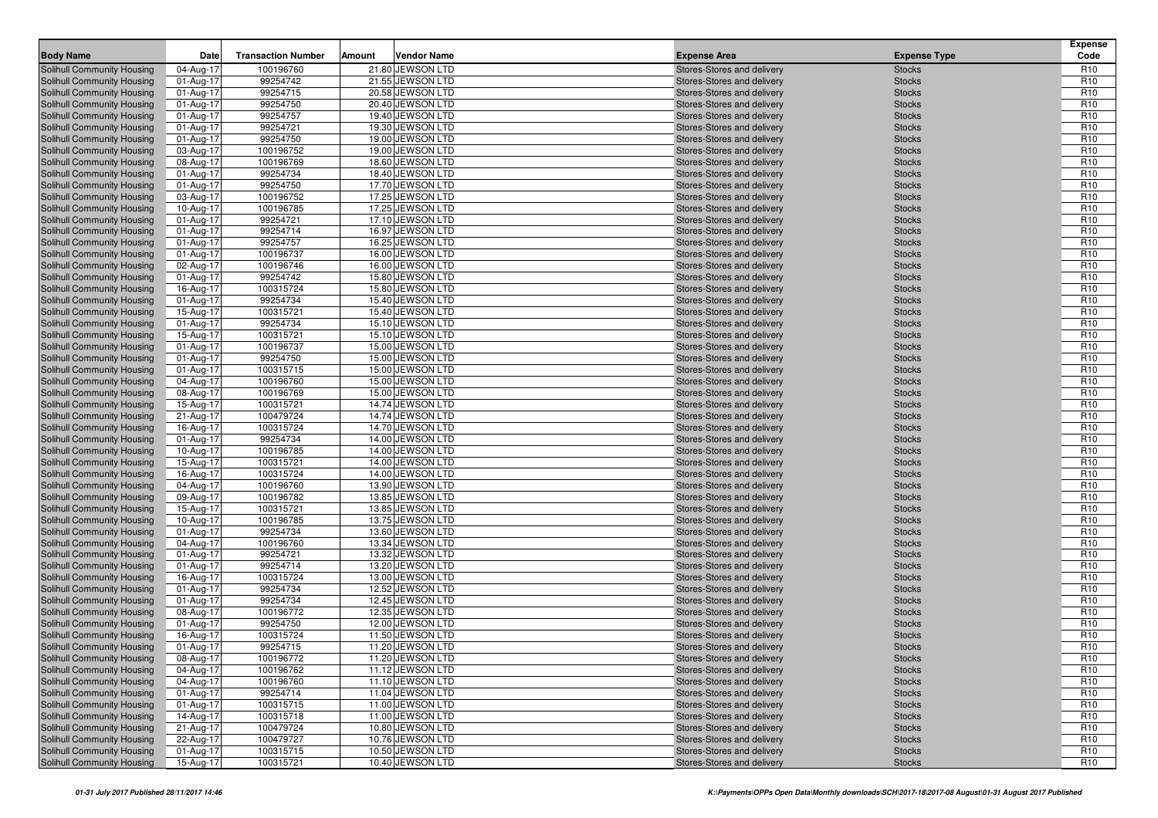| <b>Body Name</b>                                         | Date                   | <b>Transaction Number</b> | Amount | <b>Vendor Name</b>                   | <b>Expense Area</b>                                      | <b>Expense Type</b>            | Expense<br>Code                    |
|----------------------------------------------------------|------------------------|---------------------------|--------|--------------------------------------|----------------------------------------------------------|--------------------------------|------------------------------------|
| Solihull Community Housing                               | 04-Aug-17              | 100196760                 |        | 21.80 JEWSON LTD                     | Stores-Stores and delivery                               | <b>Stocks</b>                  | R <sub>10</sub>                    |
| Solihull Community Housing                               | 01-Aug-17              | 99254742                  |        | 21.55 JEWSON LTD                     | Stores-Stores and delivery                               | <b>Stocks</b>                  | R <sub>10</sub>                    |
| Solihull Community Housing                               | 01-Aug-17              | 99254715                  |        | 20.58 JEWSON LTD                     | Stores-Stores and delivery                               | <b>Stocks</b>                  | R <sub>10</sub>                    |
| Solihull Community Housing                               | 01-Aug-17              | 99254750                  |        | 20.40 JEWSON LTD                     | Stores-Stores and delivery                               | <b>Stocks</b>                  | R <sub>10</sub>                    |
| Solihull Community Housing                               | 01-Aug-17              | 99254757                  |        | 19.40 JEWSON LTD                     | Stores-Stores and delivery                               | <b>Stocks</b>                  | R <sub>10</sub>                    |
| Solihull Community Housing                               | 01-Aug-17              | 99254721                  |        | 19.30 JEWSON LTD                     | Stores-Stores and delivery                               | <b>Stocks</b>                  | R <sub>10</sub>                    |
| <b>Solihull Community Housing</b>                        | 01-Aug-17              | 99254750                  |        | 19.00 JEWSON LTD                     | Stores-Stores and delivery                               | <b>Stocks</b>                  | R <sub>10</sub>                    |
| Solihull Community Housing                               | 03-Aug-17              | 100196752                 |        | 19.00 JEWSON LTD                     | Stores-Stores and delivery                               | <b>Stocks</b>                  | R <sub>10</sub>                    |
| Solihull Community Housing                               | 08-Aug-17              | 100196769                 |        | 18.60 JEWSON LTD                     | Stores-Stores and delivery                               | <b>Stocks</b>                  | R <sub>10</sub>                    |
| Solihull Community Housing                               | 01-Aug-17              | 99254734                  |        | 18.40 JEWSON LTD                     | Stores-Stores and delivery                               | <b>Stocks</b>                  | R <sub>10</sub>                    |
| <b>Solihull Community Housing</b>                        | 01-Aug-17              | 99254750                  |        | 17.70 JEWSON LTD                     | Stores-Stores and delivery                               | <b>Stocks</b>                  | R <sub>10</sub>                    |
| <b>Solihull Community Housing</b>                        | 03-Aug-17              | 100196752                 |        | 17.25 JEWSON LTD                     | Stores-Stores and delivery                               | <b>Stocks</b>                  | R <sub>10</sub>                    |
| <b>Solihull Community Housing</b>                        | 10-Aug-17              | 100196785                 |        | 17.25 JEWSON LTD                     | Stores-Stores and delivery                               | <b>Stocks</b>                  | R <sub>10</sub>                    |
| Solihull Community Housing                               | 01-Aug-17              | 99254721                  |        | 17.10 JEWSON LTD                     | Stores-Stores and delivery                               | <b>Stocks</b>                  | R <sub>10</sub>                    |
| Solihull Community Housing                               | 01-Aug-17              | 99254714                  |        | 16.97 JEWSON LTD                     | Stores-Stores and delivery                               | <b>Stocks</b>                  | R <sub>10</sub>                    |
| <b>Solihull Community Housing</b>                        | 01-Aug-17              | 99254757                  |        | 16.25 JEWSON LTD                     | Stores-Stores and delivery                               | <b>Stocks</b>                  | R <sub>10</sub>                    |
| <b>Solihull Community Housing</b>                        | 01-Aug-17              | 100196737                 |        | 16.00 JEWSON LTD                     | Stores-Stores and delivery                               | <b>Stocks</b>                  | R <sub>10</sub>                    |
| Solihull Community Housing                               | 02-Aug-17              | 100196746                 |        | 16.00 JEWSON LTD                     | Stores-Stores and delivery                               | <b>Stocks</b>                  | R <sub>10</sub>                    |
| Solihull Community Housing                               | 01-Aug-17              | 99254742                  |        | 15.80 JEWSON LTD                     | Stores-Stores and delivery                               | <b>Stocks</b>                  | R <sub>10</sub>                    |
| Solihull Community Housing                               | 16-Aug-17              | 100315724                 |        | 15.80 JEWSON LTD                     | Stores-Stores and delivery                               | <b>Stocks</b>                  | R <sub>10</sub>                    |
| <b>Solihull Community Housing</b>                        | 01-Aug-17              | 99254734                  |        | 15.40 JEWSON LTD                     | Stores-Stores and delivery                               | <b>Stocks</b>                  | R <sub>10</sub>                    |
| <b>Solihull Community Housing</b>                        | 15-Aug-17              | 100315721                 |        | 15.40 JEWSON LTD                     | Stores-Stores and delivery                               | <b>Stocks</b>                  | R <sub>10</sub>                    |
| Solihull Community Housing                               | 01-Aug-17              | 99254734                  |        | 15.10 JEWSON LTD                     | Stores-Stores and delivery                               | <b>Stocks</b>                  | R <sub>10</sub>                    |
| Solihull Community Housing                               | 15-Aug-17              | 100315721                 |        | 15.10 JEWSON LTD                     | Stores-Stores and delivery                               | <b>Stocks</b>                  | R <sub>10</sub>                    |
| Solihull Community Housing                               | 01-Aug-17              | 100196737                 |        | 15.00 JEWSON LTD                     | Stores-Stores and delivery                               | <b>Stocks</b>                  | R <sub>10</sub>                    |
| <b>Solihull Community Housing</b>                        | 01-Aug-17              | 99254750                  |        | 15.00 JEWSON LTD                     | Stores-Stores and delivery                               | <b>Stocks</b>                  | R <sub>10</sub>                    |
| Solihull Community Housing                               | 01-Aug-17              | 100315715                 |        | 15.00 JEWSON LTD                     | Stores-Stores and delivery                               | <b>Stocks</b>                  | R <sub>10</sub>                    |
| Solihull Community Housing                               | 04-Aug-17              | 100196760                 |        | 15.00 JEWSON LTD                     | Stores-Stores and delivery                               | <b>Stocks</b>                  | R <sub>10</sub>                    |
| <b>Solihull Community Housing</b>                        | 08-Aug-17              | 100196769                 |        | 15.00 JEWSON LTD                     | Stores-Stores and delivery                               | <b>Stocks</b>                  | R <sub>10</sub>                    |
| Solihull Community Housing                               | 15-Aug-17              | 100315721                 |        | 14.74 JEWSON LTD                     | Stores-Stores and delivery                               | <b>Stocks</b>                  | R <sub>10</sub>                    |
| <b>Solihull Community Housing</b>                        | 21-Aug-17              | 100479724                 |        | 14.74 JEWSON LTD                     | Stores-Stores and delivery                               | <b>Stocks</b>                  | R <sub>10</sub><br>R <sub>10</sub> |
| <b>Solihull Community Housing</b>                        | 16-Aug-17<br>01-Aug-17 | 100315724<br>99254734     |        | 14.70 JEWSON LTD<br>14.00 JEWSON LTD | Stores-Stores and delivery                               | <b>Stocks</b>                  | R <sub>10</sub>                    |
| Solihull Community Housing<br>Solihull Community Housing | 10-Aug-17              | 100196785                 |        | 14.00 JEWSON LTD                     | Stores-Stores and delivery                               | <b>Stocks</b><br><b>Stocks</b> | R <sub>10</sub>                    |
| Solihull Community Housing                               | 15-Aug-17              | 100315721                 |        | 14.00 JEWSON LTD                     | Stores-Stores and delivery<br>Stores-Stores and delivery | <b>Stocks</b>                  | R <sub>10</sub>                    |
| <b>Solihull Community Housing</b>                        | 16-Aug-17              | 100315724                 |        | 14.00 JEWSON LTD                     | Stores-Stores and delivery                               | <b>Stocks</b>                  | R <sub>10</sub>                    |
| <b>Solihull Community Housing</b>                        | 04-Aug-17              | 100196760                 |        | 13.90 JEWSON LTD                     | Stores-Stores and delivery                               | <b>Stocks</b>                  | R <sub>10</sub>                    |
| Solihull Community Housing                               | 09-Aug-17              | 100196782                 |        | 13.85 JEWSON LTD                     | Stores-Stores and delivery                               | <b>Stocks</b>                  | R <sub>10</sub>                    |
| Solihull Community Housing                               | 15-Aug-17              | 100315721                 |        | 13.85 JEWSON LTD                     | Stores-Stores and delivery                               | <b>Stocks</b>                  | R <sub>10</sub>                    |
| Solihull Community Housing                               | 10-Aug-17              | 100196785                 |        | 13.75 JEWSON LTD                     | Stores-Stores and delivery                               | <b>Stocks</b>                  | R <sub>10</sub>                    |
| <b>Solihull Community Housing</b>                        | 01-Aug-17              | 99254734                  |        | 13.60 JEWSON LTD                     | Stores-Stores and delivery                               | <b>Stocks</b>                  | R <sub>10</sub>                    |
| <b>Solihull Community Housing</b>                        | 04-Aug-17              | 100196760                 |        | 13.34 JEWSON LTD                     | Stores-Stores and delivery                               | <b>Stocks</b>                  | R <sub>10</sub>                    |
| Solihull Community Housing                               | 01-Aug-17              | 99254721                  |        | 13.32 JEWSON LTD                     | Stores-Stores and delivery                               | <b>Stocks</b>                  | R <sub>10</sub>                    |
| Solihull Community Housing                               | 01-Aug-17              | 99254714                  |        | 13.20 JEWSON LTD                     | Stores-Stores and delivery                               | <b>Stocks</b>                  | R <sub>10</sub>                    |
| Solihull Community Housing                               | 16-Aug-17              | 100315724                 |        | 13.00 JEWSON LTD                     | Stores-Stores and delivery                               | <b>Stocks</b>                  | R <sub>10</sub>                    |
| <b>Solihull Community Housing</b>                        | 01-Aug-17              | 99254734                  |        | 12.52 JEWSON LTD                     | Stores-Stores and delivery                               | <b>Stocks</b>                  | R <sub>10</sub>                    |
| <b>Solihull Community Housing</b>                        | 01-Aug-17              | 99254734                  |        | 12.45 JEWSON LTD                     | Stores-Stores and delivery                               | <b>Stocks</b>                  | R <sub>10</sub>                    |
| Solihull Community Housing                               | 08-Aug-17              | 100196772                 |        | 12.35 JEWSON LTD                     | Stores-Stores and delivery                               | <b>Stocks</b>                  | R <sub>10</sub>                    |
| Solihull Community Housing                               | 01-Aug-17              | 99254750                  |        | 12.00 JEWSON LTD                     | Stores-Stores and delivery                               | <b>Stocks</b>                  | R <sub>10</sub>                    |
| Solihull Community Housing                               | 16-Aug-17              | 100315724                 |        | 11.50 JEWSON LTD                     | Stores-Stores and delivery                               | <b>Stocks</b>                  | R <sub>10</sub>                    |
| Solihull Community Housing                               | 01-Aug-17              | 99254715                  |        | 11.20 JEWSON LTD                     | Stores-Stores and delivery                               | <b>Stocks</b>                  | R <sub>10</sub>                    |
| Solihull Community Housing                               | 08-Aug-17              | 100196772                 |        | 11.20 JEWSON LTD                     | Stores-Stores and delivery                               | <b>Stocks</b>                  | R <sub>10</sub>                    |
| Solihull Community Housing                               | 04-Aug-17              | 100196762                 |        | 11.12 JEWSON LTD                     | Stores-Stores and delivery                               | <b>Stocks</b>                  | R <sub>10</sub>                    |
| Solihull Community Housing                               | 04-Aug-17              | 100196760                 |        | 11.10 JEWSON LTD                     | Stores-Stores and delivery                               | <b>Stocks</b>                  | R <sub>10</sub>                    |
| Solihull Community Housing                               | 01-Aug-17              | 99254714                  |        | 11.04 JEWSON LTD                     | Stores-Stores and delivery                               | <b>Stocks</b>                  | R <sub>10</sub>                    |
| Solihull Community Housing                               | 01-Aug-17              | 100315715                 |        | 11.00 JEWSON LTD                     | Stores-Stores and delivery                               | <b>Stocks</b>                  | R <sub>10</sub>                    |
| Solihull Community Housing                               | 14-Aug-17              | 100315718                 |        | 11.00 JEWSON LTD                     | Stores-Stores and delivery                               | <b>Stocks</b>                  | R <sub>10</sub>                    |
| Solihull Community Housing                               | 21-Aug-17              | 100479724                 |        | 10.80 JEWSON LTD                     | Stores-Stores and delivery                               | <b>Stocks</b>                  | R <sub>10</sub>                    |
| Solihull Community Housing                               | 22-Aug-17              | 100479727                 |        | 10.76 JEWSON LTD                     | Stores-Stores and delivery                               | <b>Stocks</b>                  | R <sub>10</sub>                    |
| Solihull Community Housing                               | 01-Aug-17              | 100315715                 |        | 10.50 JEWSON LTD                     | Stores-Stores and delivery                               | <b>Stocks</b>                  | R <sub>10</sub>                    |
| Solihull Community Housing                               | 15-Aug-17              | 100315721                 |        | 10.40 JEWSON LTD                     | Stores-Stores and delivery                               | Stocks                         | R <sub>10</sub>                    |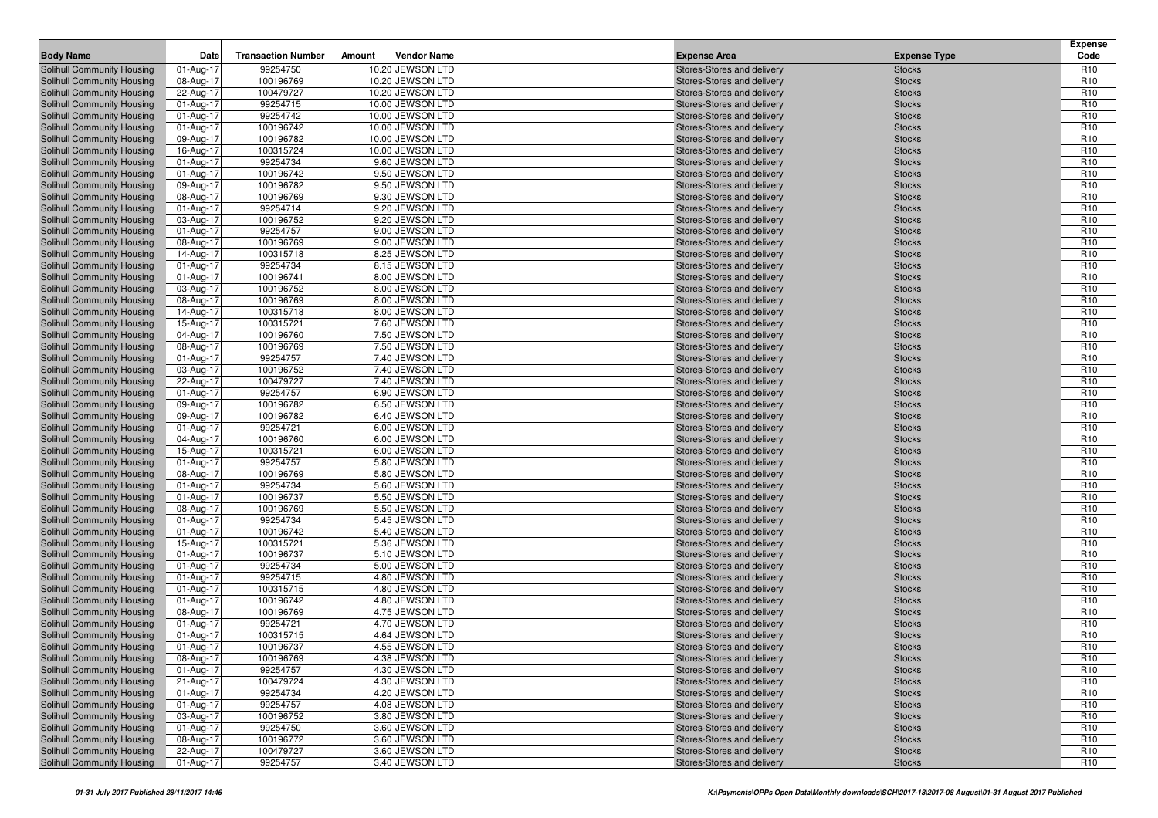| <b>Body Name</b>                                         | Date                   | <b>Transaction Number</b> | Amount | <b>Vendor Name</b> | <b>Expense Area</b> |                                                          | <b>Expense Type</b>            | Expense<br>Code |
|----------------------------------------------------------|------------------------|---------------------------|--------|--------------------|---------------------|----------------------------------------------------------|--------------------------------|-----------------|
|                                                          |                        | 99254750                  |        | 10.20 JEWSON LTD   |                     | Stores-Stores and delivery                               |                                | R <sub>10</sub> |
| Solihull Community Housing<br>Solihull Community Housing | 01-Aug-17<br>08-Aug-17 | 100196769                 |        | 10.20 JEWSON LTD   |                     |                                                          | <b>Stocks</b><br><b>Stocks</b> | R <sub>10</sub> |
| Solihull Community Housing                               | 22-Aug-17              | 100479727                 |        | 10.20 JEWSON LTD   |                     | Stores-Stores and delivery<br>Stores-Stores and delivery | <b>Stocks</b>                  | R <sub>10</sub> |
| Solihull Community Housing                               | 01-Aug-17              | 99254715                  |        | 10.00 JEWSON LTD   |                     | Stores-Stores and delivery                               | <b>Stocks</b>                  | R <sub>10</sub> |
| Solihull Community Housing                               | 01-Aug-17              | 99254742                  |        | 10.00 JEWSON LTD   |                     | Stores-Stores and delivery                               | <b>Stocks</b>                  | R <sub>10</sub> |
| Solihull Community Housing                               | 01-Aug-17              | 100196742                 |        | 10.00 JEWSON LTD   |                     | Stores-Stores and delivery                               | <b>Stocks</b>                  | R <sub>10</sub> |
| <b>Solihull Community Housing</b>                        | 09-Aug-17              | 100196782                 |        | 10.00 JEWSON LTD   |                     | Stores-Stores and delivery                               | <b>Stocks</b>                  | R <sub>10</sub> |
| <b>Solihull Community Housing</b>                        | 16-Aug-17              | 100315724                 |        | 10.00 JEWSON LTD   |                     | Stores-Stores and delivery                               | <b>Stocks</b>                  | R <sub>10</sub> |
| Solihull Community Housing                               | 01-Aug-17              | 99254734                  |        | 9.60 JEWSON LTD    |                     | Stores-Stores and delivery                               | <b>Stocks</b>                  | R <sub>10</sub> |
| Solihull Community Housing                               | 01-Aug-17              | 100196742                 |        | 9.50 JEWSON LTD    |                     | Stores-Stores and delivery                               | <b>Stocks</b>                  | R <sub>10</sub> |
| <b>Solihull Community Housing</b>                        | 09-Aug-17              | 100196782                 |        | 9.50 JEWSON LTD    |                     | Stores-Stores and delivery                               | <b>Stocks</b>                  | R <sub>10</sub> |
| <b>Solihull Community Housing</b>                        | 08-Aug-17              | 100196769                 |        | 9.30 JEWSON LTD    |                     | Stores-Stores and delivery                               | <b>Stocks</b>                  | R <sub>10</sub> |
| Solihull Community Housing                               | 01-Aug-17              | 99254714                  |        | 9.20 JEWSON LTD    |                     | Stores-Stores and delivery                               | <b>Stocks</b>                  | R <sub>10</sub> |
| Solihull Community Housing                               | 03-Aug-17              | 100196752                 |        | 9.20 JEWSON LTD    |                     | Stores-Stores and delivery                               | <b>Stocks</b>                  | R <sub>10</sub> |
| Solihull Community Housing                               | 01-Aug-17              | 99254757                  |        | 9.00 JEWSON LTD    |                     | Stores-Stores and delivery                               | <b>Stocks</b>                  | R <sub>10</sub> |
| <b>Solihull Community Housing</b>                        | 08-Aug-17              | 100196769                 |        | 9.00 JEWSON LTD    |                     | Stores-Stores and delivery                               | <b>Stocks</b>                  | R <sub>10</sub> |
| <b>Solihull Community Housing</b>                        | 14-Aug-17              | 100315718                 |        | 8.25 JEWSON LTD    |                     | Stores-Stores and delivery                               | <b>Stocks</b>                  | R <sub>10</sub> |
| Solihull Community Housing                               | 01-Aug-17              | 99254734                  |        | 8.15 JEWSON LTD    |                     | Stores-Stores and delivery                               | <b>Stocks</b>                  | R <sub>10</sub> |
| <b>Solihull Community Housing</b>                        | 01-Aug-17              | 100196741                 |        | 8.00 JEWSON LTD    |                     | Stores-Stores and delivery                               | <b>Stocks</b>                  | R <sub>10</sub> |
| Solihull Community Housing                               | 03-Aug-17              | 100196752                 |        | 8.00 JEWSON LTD    |                     | Stores-Stores and delivery                               | <b>Stocks</b>                  | R <sub>10</sub> |
| <b>Solihull Community Housing</b>                        | 08-Aug-17              | 100196769                 |        | 8.00 JEWSON LTD    |                     | Stores-Stores and delivery                               | <b>Stocks</b>                  | R <sub>10</sub> |
| <b>Solihull Community Housing</b>                        | 14-Aug-17              | 100315718                 |        | 8.00 JEWSON LTD    |                     | Stores-Stores and delivery                               | <b>Stocks</b>                  | R <sub>10</sub> |
| Solihull Community Housing                               | 15-Aug-17              | 100315721                 |        | 7.60 JEWSON LTD    |                     | Stores-Stores and delivery                               | <b>Stocks</b>                  | R <sub>10</sub> |
| <b>Solihull Community Housing</b>                        | 04-Aug-17              | 100196760                 |        | 7.50 JEWSON LTD    |                     | Stores-Stores and delivery                               | <b>Stocks</b>                  | R <sub>10</sub> |
| Solihull Community Housing                               | 08-Aug-17              | 100196769                 |        | 7.50 JEWSON LTD    |                     | Stores-Stores and delivery                               | <b>Stocks</b>                  | R <sub>10</sub> |
| <b>Solihull Community Housing</b>                        | 01-Aug-17              | 99254757                  |        | 7.40 JEWSON LTD    |                     | Stores-Stores and delivery                               | <b>Stocks</b>                  | R <sub>10</sub> |
| <b>Solihull Community Housing</b>                        | 03-Aug-17              | 100196752                 |        | 7.40 JEWSON LTD    |                     | Stores-Stores and delivery                               | <b>Stocks</b>                  | R <sub>10</sub> |
| Solihull Community Housing                               | 22-Aug-17              | 100479727                 |        | 7.40 JEWSON LTD    |                     | Stores-Stores and delivery                               | <b>Stocks</b>                  | R <sub>10</sub> |
| <b>Solihull Community Housing</b>                        | 01-Aug-17              | 99254757                  |        | 6.90 JEWSON LTD    |                     | Stores-Stores and delivery                               | <b>Stocks</b>                  | R <sub>10</sub> |
| Solihull Community Housing                               | 09-Aug-17              | 100196782                 |        | 6.50 JEWSON LTD    |                     | Stores-Stores and delivery                               | <b>Stocks</b>                  | R <sub>10</sub> |
| <b>Solihull Community Housing</b>                        | 09-Aug-17              | 100196782                 |        | 6.40 JEWSON LTD    |                     | Stores-Stores and delivery                               | <b>Stocks</b>                  | R <sub>10</sub> |
| <b>Solihull Community Housing</b>                        | 01-Aug-17              | 99254721                  |        | 6.00 JEWSON LTD    |                     | Stores-Stores and delivery                               | <b>Stocks</b>                  | R <sub>10</sub> |
| Solihull Community Housing                               | 04-Aug-17              | 100196760                 |        | 6.00 JEWSON LTD    |                     | Stores-Stores and delivery                               | <b>Stocks</b>                  | R <sub>10</sub> |
| <b>Solihull Community Housing</b>                        | 15-Aug-17              | 100315721                 |        | 6.00 JEWSON LTD    |                     | Stores-Stores and delivery                               | <b>Stocks</b>                  | R <sub>10</sub> |
| Solihull Community Housing                               | 01-Aug-17              | 99254757                  |        | 5.80 JEWSON LTD    |                     | Stores-Stores and delivery                               | <b>Stocks</b>                  | R <sub>10</sub> |
| <b>Solihull Community Housing</b>                        | 08-Aug-17              | 100196769                 |        | 5.80 JEWSON LTD    |                     | Stores-Stores and delivery                               | <b>Stocks</b>                  | R <sub>10</sub> |
| Solihull Community Housing                               | 01-Aug-17              | 99254734                  |        | 5.60 JEWSON LTD    |                     | Stores-Stores and delivery                               | <b>Stocks</b>                  | R <sub>10</sub> |
| Solihull Community Housing                               | 01-Aug-17              | 100196737                 |        | 5.50 JEWSON LTD    |                     | Stores-Stores and delivery                               | <b>Stocks</b>                  | R <sub>10</sub> |
| <b>Solihull Community Housing</b>                        | 08-Aug-17              | 100196769                 |        | 5.50 JEWSON LTD    |                     | Stores-Stores and delivery                               | <b>Stocks</b>                  | R <sub>10</sub> |
| Solihull Community Housing                               | 01-Aug-17              | 99254734                  |        | 5.45 JEWSON LTD    |                     | Stores-Stores and delivery                               | <b>Stocks</b>                  | R <sub>10</sub> |
| <b>Solihull Community Housing</b>                        | 01-Aug-17              | 100196742                 |        | 5.40 JEWSON LTD    |                     | Stores-Stores and delivery                               | <b>Stocks</b>                  | R <sub>10</sub> |
| <b>Solihull Community Housing</b>                        | 15-Aug-17              | 100315721                 |        | 5.36 JEWSON LTD    |                     | Stores-Stores and delivery                               | <b>Stocks</b>                  | R <sub>10</sub> |
| Solihull Community Housing                               | 01-Aug-17              | 100196737                 |        | 5.10 JEWSON LTD    |                     | Stores-Stores and delivery                               | <b>Stocks</b>                  | R <sub>10</sub> |
| Solihull Community Housing                               | 01-Aug-17              | 99254734                  |        | 5.00 JEWSON LTD    |                     | Stores-Stores and delivery                               | <b>Stocks</b>                  | R <sub>10</sub> |
| Solihull Community Housing                               | 01-Aug-17              | 99254715                  |        | 4.80 JEWSON LTD    |                     | Stores-Stores and delivery                               | <b>Stocks</b>                  | R <sub>10</sub> |
| <b>Solihull Community Housing</b>                        | 01-Aug-17              | 100315715                 |        | 4.80 JEWSON LTD    |                     | Stores-Stores and delivery                               | <b>Stocks</b>                  | R <sub>10</sub> |
| <b>Solihull Community Housing</b>                        | 01-Aug-17              | 100196742                 |        | 4.80 JEWSON LTD    |                     | Stores-Stores and delivery                               | <b>Stocks</b>                  | R <sub>10</sub> |
| Solihull Community Housing                               | 08-Aug-17              | 100196769                 |        | 4.75 JEWSON LTD    |                     | Stores-Stores and delivery                               | <b>Stocks</b>                  | R <sub>10</sub> |
| Solihull Community Housing                               | 01-Aug-17              | 99254721                  |        | 4.70 JEWSON LTD    |                     | Stores-Stores and delivery                               | <b>Stocks</b>                  | R <sub>10</sub> |
| Solihull Community Housing                               | 01-Aug-17              | 100315715                 |        | 4.64 JEWSON LTD    |                     | Stores-Stores and delivery                               | <b>Stocks</b>                  | R <sub>10</sub> |
| Solihull Community Housing                               | 01-Aug-17              | 100196737                 |        | 4.55 JEWSON LTD    |                     | Stores-Stores and delivery                               | <b>Stocks</b>                  | R <sub>10</sub> |
| Solihull Community Housing                               | 08-Aug-17              | 100196769                 |        | 4.38 JEWSON LTD    |                     | Stores-Stores and delivery                               | <b>Stocks</b>                  | R <sub>10</sub> |
| Solihull Community Housing                               | 01-Aug-17              | 99254757                  |        | 4.30 JEWSON LTD    |                     | Stores-Stores and delivery                               | <b>Stocks</b>                  | R <sub>10</sub> |
| Solihull Community Housing                               | 21-Aug-17              | 100479724                 |        | 4.30 JEWSON LTD    |                     | Stores-Stores and delivery                               | <b>Stocks</b>                  | R <sub>10</sub> |
| Solihull Community Housing                               | 01-Aug-17              | 99254734                  |        | 4.20 JEWSON LTD    |                     | Stores-Stores and delivery                               | <b>Stocks</b>                  | <b>R10</b>      |
| Solihull Community Housing                               | 01-Aug-17              | 99254757                  |        | 4.08 JEWSON LTD    |                     | Stores-Stores and delivery                               | <b>Stocks</b>                  | R <sub>10</sub> |
| Solihull Community Housing                               | 03-Aug-17              | 100196752                 |        | 3.80 JEWSON LTD    |                     | Stores-Stores and delivery                               | <b>Stocks</b>                  | R <sub>10</sub> |
| Solihull Community Housing                               | 01-Aug-17              | 99254750                  |        | 3.60 JEWSON LTD    |                     | Stores-Stores and delivery                               | <b>Stocks</b>                  | R <sub>10</sub> |
| Solihull Community Housing                               | 08-Aug-17              | 100196772                 |        | 3.60 JEWSON LTD    |                     | Stores-Stores and delivery                               | <b>Stocks</b>                  | R <sub>10</sub> |
| Solihull Community Housing                               | 22-Aug-17              | 100479727                 |        | 3.60 JEWSON LTD    |                     | Stores-Stores and delivery                               | <b>Stocks</b>                  | R <sub>10</sub> |
| Solihull Community Housing                               | 01-Aug-17              | 99254757                  |        | 3.40 JEWSON LTD    |                     | Stores-Stores and delivery                               | <b>Stocks</b>                  | R <sub>10</sub> |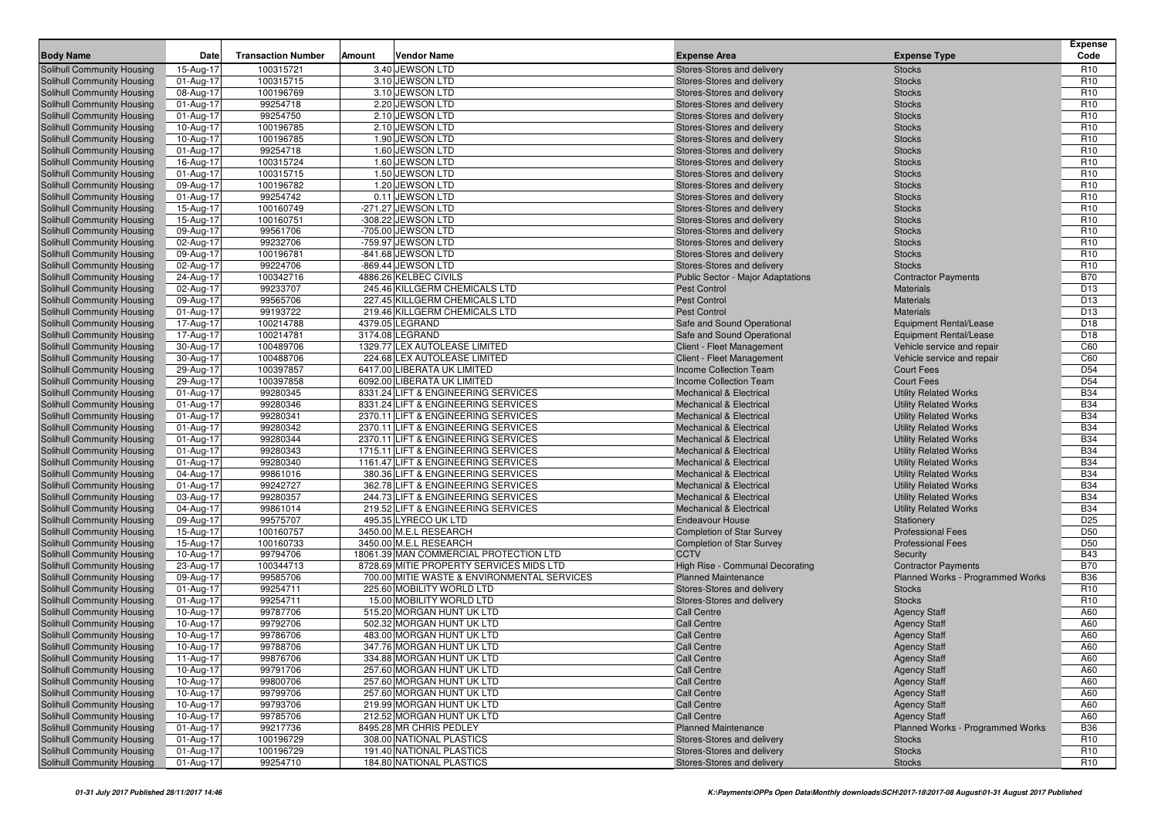|                                                          | Date                   | <b>Transaction Number</b> |        | <b>Vendor Name</b>                                                       |                                                                          |                                                              | <b>Expense</b><br>Code             |
|----------------------------------------------------------|------------------------|---------------------------|--------|--------------------------------------------------------------------------|--------------------------------------------------------------------------|--------------------------------------------------------------|------------------------------------|
| <b>Body Name</b>                                         |                        |                           | Amount |                                                                          | <b>Expense Area</b>                                                      | <b>Expense Type</b>                                          |                                    |
| Solihull Community Housing                               | 15-Aug-17              | 100315721                 |        | 3.40 JEWSON LTD<br>3.10 JEWSON LTD                                       | Stores-Stores and delivery                                               | <b>Stocks</b>                                                | R <sub>10</sub><br>R <sub>10</sub> |
| Solihull Community Housing<br>Solihull Community Housing | 01-Aug-17<br>08-Aug-17 | 100315715<br>100196769    |        | 3.10 JEWSON LTD                                                          | Stores-Stores and delivery<br>Stores-Stores and delivery                 | <b>Stocks</b><br><b>Stocks</b>                               | R <sub>10</sub>                    |
| Solihull Community Housing                               | 01-Aug-17              | 99254718                  |        | 2.20 JEWSON LTD                                                          | Stores-Stores and delivery                                               | <b>Stocks</b>                                                | R <sub>10</sub>                    |
| Solihull Community Housing                               | 01-Aug-17              | 99254750                  |        | 2.10 JEWSON LTD                                                          | Stores-Stores and delivery                                               | <b>Stocks</b>                                                | R <sub>10</sub>                    |
| Solihull Community Housing                               | 10-Aug-17              | 100196785                 |        | 2.10 JEWSON LTD                                                          | Stores-Stores and delivery                                               | <b>Stocks</b>                                                | R <sub>10</sub>                    |
| Solihull Community Housing                               | 10-Aug-17              | 100196785                 |        | 1.90 JEWSON LTD                                                          | Stores-Stores and delivery                                               | <b>Stocks</b>                                                | R <sub>10</sub>                    |
| Solihull Community Housing                               | 01-Aug-17              | 99254718                  |        | 1.60 JEWSON LTD                                                          | Stores-Stores and delivery                                               | <b>Stocks</b>                                                | R <sub>10</sub>                    |
| Solihull Community Housing                               | 16-Aug-17              | 100315724                 |        | 1.60 JEWSON LTD                                                          | Stores-Stores and delivery                                               | <b>Stocks</b>                                                | R <sub>10</sub>                    |
| Solihull Community Housing                               | 01-Aug-17              | 100315715                 |        | 1.50 JEWSON LTD                                                          | Stores-Stores and delivery                                               | <b>Stocks</b>                                                | R <sub>10</sub>                    |
| Solihull Community Housing                               | 09-Aug-17              | 100196782                 |        | 1.20 JEWSON LTD                                                          | Stores-Stores and delivery                                               | <b>Stocks</b>                                                | R <sub>10</sub>                    |
| Solihull Community Housing                               | 01-Aug-17              | 99254742                  |        | 0.11 JEWSON LTD                                                          | Stores-Stores and delivery                                               | <b>Stocks</b>                                                | R <sub>10</sub>                    |
| Solihull Community Housing                               | 15-Aug-17              | 100160749                 |        | -271.27 JEWSON LTD                                                       | Stores-Stores and delivery                                               | <b>Stocks</b>                                                | R <sub>10</sub>                    |
| Solihull Community Housing                               | 15-Aug-17              | 100160751                 |        | -308.22 JEWSON LTD                                                       | Stores-Stores and delivery                                               | <b>Stocks</b>                                                | R <sub>10</sub>                    |
| Solihull Community Housing                               | 09-Aug-17              | 99561706                  |        | -705.00 JEWSON LTD                                                       | Stores-Stores and delivery                                               | <b>Stocks</b>                                                | R <sub>10</sub>                    |
| Solihull Community Housing                               | 02-Aug-17              | 99232706                  |        | -759.97 JEWSON LTD                                                       | Stores-Stores and delivery                                               | <b>Stocks</b>                                                | R <sub>10</sub>                    |
| Solihull Community Housing                               | 09-Aug-17              | 100196781<br>99224706     |        | -841.68 JEWSON LTD                                                       | Stores-Stores and delivery                                               | <b>Stocks</b>                                                | R <sub>10</sub><br>R <sub>10</sub> |
| Solihull Community Housing<br>Solihull Community Housing | 02-Aug-17<br>24-Aug-17 | 100342716                 |        | -869.44 JEWSON LTD<br>4886.26 KELBEC CIVILS                              | Stores-Stores and delivery<br><b>Public Sector - Major Adaptations</b>   | <b>Stocks</b>                                                | <b>B70</b>                         |
| Solihull Community Housing                               | 02-Aug-17              | 99233707                  |        | 245.46 KILLGERM CHEMICALS LTD                                            | <b>Pest Control</b>                                                      | <b>Contractor Payments</b><br><b>Materials</b>               | D <sub>13</sub>                    |
| Solihull Community Housing                               | 09-Aug-17              | 99565706                  |        | 227.45 KILLGERM CHEMICALS LTD                                            | <b>Pest Control</b>                                                      | <b>Materials</b>                                             | D <sub>13</sub>                    |
| Solihull Community Housing                               | 01-Aug-17              | 99193722                  |        | 219.46 KILLGERM CHEMICALS LTD                                            | <b>Pest Control</b>                                                      | <b>Materials</b>                                             | D <sub>13</sub>                    |
| Solihull Community Housing                               | 17-Aug-17              | 100214788                 |        | 4379.05 LEGRAND                                                          | Safe and Sound Operational                                               | Equipment Rental/Lease                                       | D <sub>18</sub>                    |
| Solihull Community Housing                               | 17-Aug-17              | 100214781                 |        | 3174.08 LEGRAND                                                          | Safe and Sound Operational                                               | <b>Equipment Rental/Lease</b>                                | D <sub>18</sub>                    |
| Solihull Community Housing                               | 30-Aug-17              | 100489706                 |        | 1329.77 LEX AUTOLEASE LIMITED                                            | Client - Fleet Management                                                | Vehicle service and repair                                   | C60                                |
| Solihull Community Housing                               | 30-Aug-17              | 100488706                 |        | 224.68 LEX AUTOLEASE LIMITED                                             | Client - Fleet Management                                                | Vehicle service and repair                                   | C60                                |
| Solihull Community Housing                               | 29-Aug-17              | 100397857                 |        | 6417.00 LIBERATA UK LIMITED                                              | <b>Income Collection Team</b>                                            | <b>Court Fees</b>                                            | D <sub>54</sub>                    |
| Solihull Community Housing                               | 29-Aug-17              | 100397858                 |        | 6092.00 LIBERATA UK LIMITED                                              | <b>Income Collection Team</b>                                            | <b>Court Fees</b>                                            | D54                                |
| Solihull Community Housing                               | 01-Aug-17              | 99280345                  |        | 8331.24 LIFT & ENGINEERING SERVICES                                      | <b>Mechanical &amp; Electrical</b>                                       | <b>Utility Related Works</b>                                 | <b>B34</b>                         |
| Solihull Community Housing                               | 01-Aug-17              | 99280346                  |        | 8331.24 LIFT & ENGINEERING SERVICES                                      | <b>Mechanical &amp; Electrical</b>                                       | <b>Utility Related Works</b>                                 | <b>B34</b>                         |
| Solihull Community Housing                               | 01-Aug-17              | 99280341                  |        | 2370.11 LIFT & ENGINEERING SERVICES                                      | <b>Mechanical &amp; Electrical</b>                                       | <b>Utility Related Works</b>                                 | <b>B34</b>                         |
| Solihull Community Housing                               | 01-Aug-17              | 99280342                  |        | 2370.11 LIFT & ENGINEERING SERVICES                                      | <b>Mechanical &amp; Electrical</b>                                       | <b>Utility Related Works</b>                                 | <b>B34</b>                         |
| Solihull Community Housing                               | 01-Aug-17              | 99280344                  |        | 2370.11 LIFT & ENGINEERING SERVICES                                      | <b>Mechanical &amp; Electrical</b>                                       | <b>Utility Related Works</b>                                 | <b>B34</b>                         |
| Solihull Community Housing                               | 01-Aug-17              | 99280343                  |        | 1715.11 LIFT & ENGINEERING SERVICES                                      | <b>Mechanical &amp; Electrical</b>                                       | <b>Utility Related Works</b>                                 | <b>B34</b>                         |
| Solihull Community Housing                               | 01-Aug-17              | 99280340                  |        | 1161.47 LIFT & ENGINEERING SERVICES                                      | <b>Mechanical &amp; Electrical</b>                                       | <b>Utility Related Works</b>                                 | <b>B34</b>                         |
| Solihull Community Housing                               | 04-Aug-17              | 99861016<br>99242727      |        | 380.36 LIFT & ENGINEERING SERVICES<br>362.78 LIFT & ENGINEERING SERVICES | <b>Mechanical &amp; Electrical</b><br><b>Mechanical &amp; Electrical</b> | <b>Utility Related Works</b>                                 | <b>B34</b><br><b>B34</b>           |
| Solihull Community Housing<br>Solihull Community Housing | 01-Aug-17<br>03-Aug-17 | 99280357                  |        | 244.73 LIFT & ENGINEERING SERVICES                                       | <b>Mechanical &amp; Electrical</b>                                       | <b>Utility Related Works</b><br><b>Utility Related Works</b> | <b>B34</b>                         |
| Solihull Community Housing                               | 04-Aug-17              | 99861014                  |        | 219.52 LIFT & ENGINEERING SERVICES                                       | <b>Mechanical &amp; Electrical</b>                                       | <b>Utility Related Works</b>                                 | <b>B34</b>                         |
| Solihull Community Housing                               | 09-Aug-17              | 99575707                  |        | 495.35 LYRECO UK LTD                                                     | <b>Endeavour House</b>                                                   | Stationery                                                   | D <sub>25</sub>                    |
| Solihull Community Housing                               | 15-Aug-17              | 100160757                 |        | 3450.00 M.E.L RESEARCH                                                   | <b>Completion of Star Survey</b>                                         | <b>Professional Fees</b>                                     | D <sub>50</sub>                    |
| Solihull Community Housing                               | 15-Aug-17              | 100160733                 |        | 3450.00 M.E.L RESEARCH                                                   | <b>Completion of Star Survey</b>                                         | <b>Professional Fees</b>                                     | D <sub>50</sub>                    |
| Solihull Community Housing                               | 10-Aug-17              | 99794706                  |        | 18061.39 MAN COMMERCIAL PROTECTION LTD                                   | <b>CCTV</b>                                                              | Security                                                     | <b>B43</b>                         |
| Solihull Community Housing                               | 23-Aug-17              | 100344713                 |        | 8728.69 MITIE PROPERTY SERVICES MIDS LTD                                 | High Rise - Communal Decorating                                          | <b>Contractor Payments</b>                                   | <b>B70</b>                         |
| Solihull Community Housing                               | 09-Aug-17              | 99585706                  |        | 700.00 MITIE WASTE & ENVIRONMENTAL SERVICES                              | <b>Planned Maintenance</b>                                               | Planned Works - Programmed Works                             | <b>B36</b>                         |
| Solihull Community Housing                               | 01-Aug-17              | 99254711                  |        | 225.60 MOBILITY WORLD LTD                                                | Stores-Stores and delivery                                               | <b>Stocks</b>                                                | R <sub>10</sub>                    |
| Solihull Community Housing                               | 01-Aug-17              | 99254711                  |        | 15.00 MOBILITY WORLD LTD                                                 | Stores-Stores and delivery                                               | <b>Stocks</b>                                                | R <sub>10</sub>                    |
| Solihull Community Housing                               | 10-Aug-17              | 99787706                  |        | 515.20 MORGAN HUNT UK LTD                                                | <b>Call Centre</b>                                                       | <b>Agency Staff</b>                                          | A60                                |
| Solihull Community Housing                               | 10-Aug-17              | 99792706                  |        | 502.32 MORGAN HUNT UK LTD                                                | <b>Call Centre</b>                                                       | <b>Agency Staff</b>                                          | A60                                |
| Solihull Community Housing                               | 10-Aug-17              | 99786706                  |        | 483.00 MORGAN HUNT UK LTD                                                | <b>Call Centre</b>                                                       | <b>Agency Staff</b>                                          | A60                                |
| Solihull Community Housing                               | 10-Aug-17              | 99788706                  |        | 347.76 MORGAN HUNT UK LTD                                                | <b>Call Centre</b>                                                       | <b>Agency Staff</b>                                          | A60                                |
| Solihull Community Housing                               | 11-Aug-17              | 99876706                  |        | 334.88 MORGAN HUNT UK LTD                                                | <b>Call Centre</b>                                                       | <b>Agency Staff</b>                                          | A60                                |
| Solihull Community Housing                               | 10-Aug-17              | 99791706                  |        | 257.60 MORGAN HUNT UK LTD                                                | <b>Call Centre</b>                                                       | <b>Agency Staff</b>                                          | A60                                |
| Solihull Community Housing                               | 10-Aug-17              | 99800706                  |        | 257.60 MORGAN HUNT UK LTD                                                | <b>Call Centre</b>                                                       | <b>Agency Staff</b>                                          | A60                                |
| Solihull Community Housing                               | 10-Aug-17              | 99799706<br>99793706      |        | 257.60 MORGAN HUNT UK LTD<br>219.99 MORGAN HUNT UK LTD                   | <b>Call Centre</b>                                                       | <b>Agency Staff</b>                                          | A60                                |
| Solihull Community Housing<br>Solihull Community Housing | 10-Aug-17<br>10-Aug-17 | 99785706                  |        | 212.52 MORGAN HUNT UK LTD                                                | <b>Call Centre</b><br><b>Call Centre</b>                                 | <b>Agency Staff</b><br><b>Agency Staff</b>                   | A60<br>A60                         |
| Solihull Community Housing                               | 01-Aug-17              | 99217736                  |        | 8495.28 MR CHRIS PEDLEY                                                  | <b>Planned Maintenance</b>                                               | Planned Works - Programmed Works                             | <b>B36</b>                         |
| Solihull Community Housing                               | 01-Aug-17              | 100196729                 |        | 308.00 NATIONAL PLASTICS                                                 | Stores-Stores and delivery                                               | <b>Stocks</b>                                                | R <sub>10</sub>                    |
| Solihull Community Housing                               | 01-Aug-17              | 100196729                 |        | 191.40 NATIONAL PLASTICS                                                 | Stores-Stores and delivery                                               | <b>Stocks</b>                                                | R <sub>10</sub>                    |
| Solihull Community Housing                               | 01-Aug-17              | 99254710                  |        | 184.80 NATIONAL PLASTICS                                                 | Stores-Stores and delivery                                               | <b>Stocks</b>                                                | R <sub>10</sub>                    |
|                                                          |                        |                           |        |                                                                          |                                                                          |                                                              |                                    |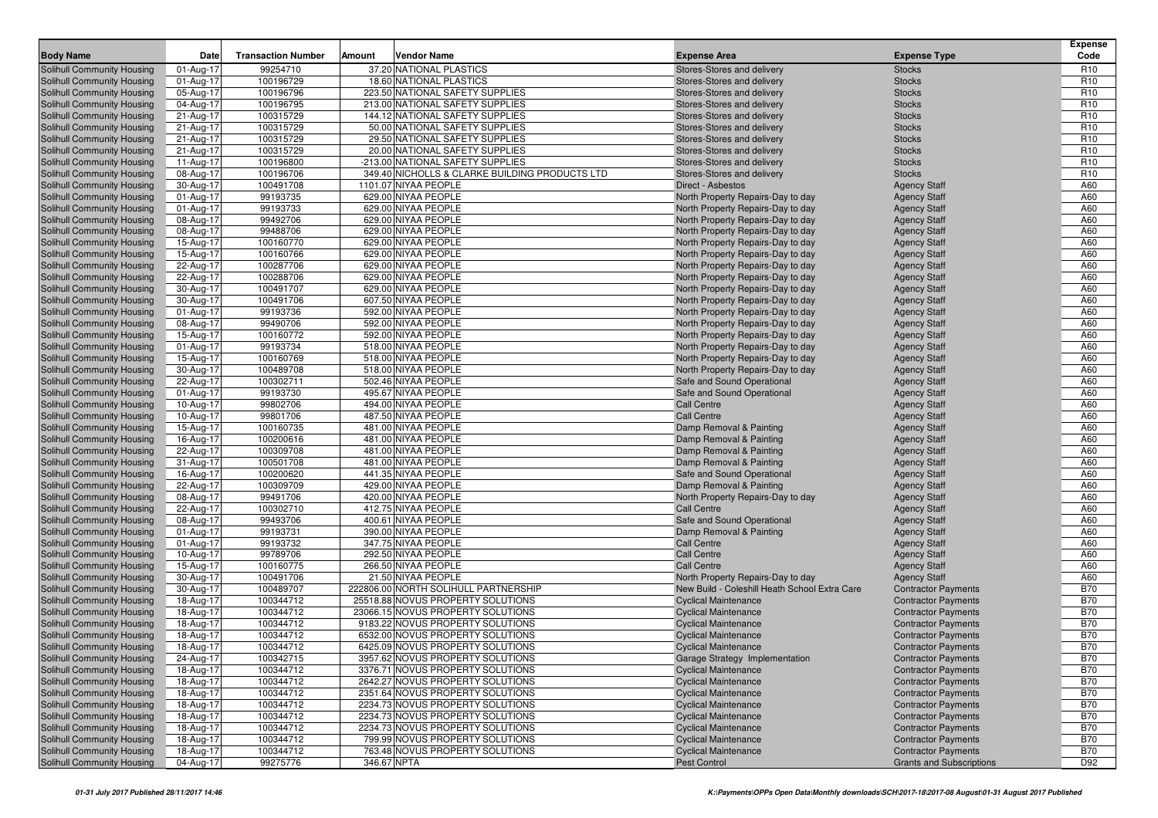| <b>Body Name</b>                                         | <b>Date</b>            | <b>Transaction Number</b> | Amount      | <b>Vendor Name</b>                             | <b>Expense Area</b>                                | <b>Expense Type</b>                        | <b>Expense</b><br>Code |
|----------------------------------------------------------|------------------------|---------------------------|-------------|------------------------------------------------|----------------------------------------------------|--------------------------------------------|------------------------|
| Solihull Community Housing                               | 01-Aug-17              | 99254710                  |             | 37.20 NATIONAL PLASTICS                        | Stores-Stores and delivery                         | <b>Stocks</b>                              | R <sub>10</sub>        |
| Solihull Community Housing                               | 01-Aug-17              | 100196729                 |             | 18.60 NATIONAL PLASTICS                        | Stores-Stores and delivery                         | <b>Stocks</b>                              | R <sub>10</sub>        |
| Solihull Community Housing                               | 05-Aug-17              | 100196796                 |             | 223.50 NATIONAL SAFETY SUPPLIES                | Stores-Stores and delivery                         | <b>Stocks</b>                              | R <sub>10</sub>        |
| Solihull Community Housing                               | 04-Aug-17              | 100196795                 |             | 213.00 NATIONAL SAFETY SUPPLIES                | Stores-Stores and delivery                         | <b>Stocks</b>                              | R <sub>10</sub>        |
| Solihull Community Housing                               | 21-Aug-17              | 100315729                 |             | 144.12 NATIONAL SAFETY SUPPLIES                | Stores-Stores and delivery                         | <b>Stocks</b>                              | R <sub>10</sub>        |
| Solihull Community Housing                               | 21-Aug-17              | 100315729                 |             | 50.00 NATIONAL SAFETY SUPPLIES                 | Stores-Stores and delivery                         | <b>Stocks</b>                              | R <sub>10</sub>        |
| <b>Solihull Community Housing</b>                        | 21-Aug-17              | 100315729                 |             | 29.50 NATIONAL SAFETY SUPPLIES                 | Stores-Stores and delivery                         | <b>Stocks</b>                              | R <sub>10</sub>        |
| <b>Solihull Community Housing</b>                        | 21-Aug-17              | 100315729                 |             | 20.00 NATIONAL SAFETY SUPPLIES                 | Stores-Stores and delivery                         | <b>Stocks</b>                              | R <sub>10</sub>        |
| Solihull Community Housing                               | 11-Aug-17              | 100196800                 |             | -213.00 NATIONAL SAFETY SUPPLIES               | Stores-Stores and delivery                         | <b>Stocks</b>                              | R <sub>10</sub>        |
| Solihull Community Housing                               | 08-Aug-17              | 100196706                 |             | 349.40 NICHOLLS & CLARKE BUILDING PRODUCTS LTD | Stores-Stores and delivery                         | <b>Stocks</b>                              | R <sub>10</sub>        |
| <b>Solihull Community Housing</b>                        | 30-Aug-17              | 100491708                 |             | 1101.07 NIYAA PEOPLE                           | Direct - Asbestos                                  | <b>Agency Staff</b>                        | A60                    |
| <b>Solihull Community Housing</b>                        | 01-Aug-17              | 99193735                  |             | 629.00 NIYAA PEOPLE                            | North Property Repairs-Day to day                  | <b>Agency Staff</b>                        | A60                    |
| <b>Solihull Community Housing</b>                        | 01-Aug-17              | 99193733                  |             | 629.00 NIYAA PEOPLE                            | North Property Repairs-Day to day                  | <b>Agency Staff</b>                        | A60                    |
| Solihull Community Housing                               | 08-Aug-17              | 99492706                  |             | 629.00 NIYAA PEOPLE                            | North Property Repairs-Day to day                  | <b>Agency Staff</b>                        | A60                    |
| Solihull Community Housing                               | 08-Aug-17              | 99488706                  |             | 629.00 NIYAA PEOPLE                            | North Property Repairs-Day to day                  | <b>Agency Staff</b>                        | A60                    |
| <b>Solihull Community Housing</b>                        | 15-Aug-17              | 100160770                 |             | 629.00 NIYAA PEOPLE                            | North Property Repairs-Day to day                  | <b>Agency Staff</b>                        | A60                    |
| Solihull Community Housing                               | 15-Aug-17              | 100160766                 |             | 629.00 NIYAA PEOPLE                            | North Property Repairs-Day to day                  | <b>Agency Staff</b>                        | A60                    |
| Solihull Community Housing                               | 22-Aug-17              | 100287706                 |             | 629.00 NIYAA PEOPLE                            | North Property Repairs-Day to day                  | <b>Agency Staff</b>                        | A60                    |
| <b>Solihull Community Housing</b>                        | 22-Aug-17              | 100288706                 |             | 629.00 NIYAA PEOPLE                            | North Property Repairs-Day to day                  | <b>Agency Staff</b>                        | A60                    |
| Solihull Community Housing                               | 30-Aug-17              | 100491707                 |             | 629.00 NIYAA PEOPLE                            | North Property Repairs-Day to day                  | <b>Agency Staff</b>                        | A60                    |
| <b>Solihull Community Housing</b>                        | 30-Aug-17              | 100491706                 |             | 607.50 NIYAA PEOPLE                            | North Property Repairs-Day to day                  | <b>Agency Staff</b>                        | A60                    |
| Solihull Community Housing                               | 01-Aug-17              | 99193736                  |             | 592.00 NIYAA PEOPLE                            | North Property Repairs-Day to day                  | <b>Agency Staff</b>                        | A60                    |
| Solihull Community Housing                               | 08-Aug-17              | 99490706                  |             | 592.00 NIYAA PEOPLE                            | North Property Repairs-Day to day                  | <b>Agency Staff</b>                        | A60                    |
| Solihull Community Housing                               | 15-Aug-17              | 100160772                 |             | 592.00 NIYAA PEOPLE                            | North Property Repairs-Day to day                  | <b>Agency Staff</b>                        | A60                    |
| Solihull Community Housing                               | 01-Aug-17              | 99193734                  |             | 518.00 NIYAA PEOPLE                            | North Property Repairs-Day to day                  | <b>Agency Staff</b>                        | A60                    |
| <b>Solihull Community Housing</b>                        | 15-Aug-17              | 100160769                 |             | 518.00 NIYAA PEOPLE                            | North Property Repairs-Day to day                  | <b>Agency Staff</b>                        | A60                    |
| Solihull Community Housing                               | 30-Aug-17              | 100489708                 |             | 518.00 NIYAA PEOPLE                            | North Property Repairs-Day to day                  | <b>Agency Staff</b>                        | A60                    |
| Solihull Community Housing                               | 22-Aug-17              | 100302711                 |             | 502.46 NIYAA PEOPLE                            | Safe and Sound Operational                         | <b>Agency Staff</b>                        | A60                    |
| <b>Solihull Community Housing</b>                        | 01-Aug-17              | 99193730                  |             | 495.67 NIYAA PEOPLE                            | Safe and Sound Operational                         | <b>Agency Staff</b>                        | A60                    |
| Solihull Community Housing                               | 10-Aug-17              | 99802706                  |             | 494.00 NIYAA PEOPLE                            | <b>Call Centre</b>                                 | <b>Agency Staff</b>                        | A60                    |
| <b>Solihull Community Housing</b>                        | 10-Aug-17              | 99801706                  |             | 487.50 NIYAA PEOPLE                            | <b>Call Centre</b>                                 | <b>Agency Staff</b>                        | A60                    |
| Solihull Community Housing                               | 15-Aug-17              | 100160735                 |             | 481.00 NIYAA PEOPLE                            | Damp Removal & Painting                            | <b>Agency Staff</b>                        | A60                    |
| Solihull Community Housing                               | 16-Aug-17              | 100200616                 |             | 481.00 NIYAA PEOPLE                            | Damp Removal & Painting                            | <b>Agency Staff</b>                        | A60                    |
| Solihull Community Housing<br>Solihull Community Housing | 22-Aug-17<br>31-Aug-17 | 100309708<br>100501708    |             | 481.00 NIYAA PEOPLE<br>481.00 NIYAA PEOPLE     | Damp Removal & Painting<br>Damp Removal & Painting | <b>Agency Staff</b><br><b>Agency Staff</b> | A60<br>A60             |
| <b>Solihull Community Housing</b>                        | 16-Aug-17              | 100200620                 |             | 441.35 NIYAA PEOPLE                            | Safe and Sound Operational                         | <b>Agency Staff</b>                        | A60                    |
| <b>Solihull Community Housing</b>                        | 22-Aug-17              | 100309709                 |             | 429.00 NIYAA PEOPLE                            | Damp Removal & Painting                            | <b>Agency Staff</b>                        | A60                    |
| Solihull Community Housing                               | 08-Aug-17              | 99491706                  |             | 420.00 NIYAA PEOPLE                            | North Property Repairs-Day to day                  | <b>Agency Staff</b>                        | A60                    |
| <b>Solihull Community Housing</b>                        | 22-Aug-17              | 100302710                 |             | 412.75 NIYAA PEOPLE                            | <b>Call Centre</b>                                 | <b>Agency Staff</b>                        | A60                    |
| Solihull Community Housing                               | 08-Aug-17              | 99493706                  |             | 400.61 NIYAA PEOPLE                            | Safe and Sound Operational                         | <b>Agency Staff</b>                        | A60                    |
| <b>Solihull Community Housing</b>                        | 01-Aug-17              | 99193731                  |             | 390.00 NIYAA PEOPLE                            | Damp Removal & Painting                            | <b>Agency Staff</b>                        | A60                    |
| Solihull Community Housing                               | 01-Aug-17              | 99193732                  |             | 347.75 NIYAA PEOPLE                            | <b>Call Centre</b>                                 | <b>Agency Staff</b>                        | A60                    |
| Solihull Community Housing                               | 10-Aug-17              | 99789706                  |             | 292.50 NIYAA PEOPLE                            | <b>Call Centre</b>                                 | <b>Agency Staff</b>                        | A60                    |
| Solihull Community Housing                               | 15-Aug-17              | 100160775                 |             | 266.50 NIYAA PEOPLE                            | <b>Call Centre</b>                                 | <b>Agency Staff</b>                        | A60                    |
| Solihull Community Housing                               | 30-Aug-17              | 100491706                 |             | 21.50 NIYAA PEOPLE                             | North Property Repairs-Day to day                  | <b>Agency Staff</b>                        | A60                    |
| <b>Solihull Community Housing</b>                        | 30-Aug-17              | 100489707                 |             | 222806.00 NORTH SOLIHULL PARTNERSHIP           | New Build - Coleshill Heath School Extra Care      | <b>Contractor Payments</b>                 | <b>B70</b>             |
| Solihull Community Housing                               | 18-Aug-17              | 100344712                 |             | 25518.88 NOVUS PROPERTY SOLUTIONS              | <b>Cyclical Maintenance</b>                        | <b>Contractor Payments</b>                 | <b>B70</b>             |
| Solihull Community Housing                               | 18-Aug-17              | 100344712                 |             | 23066.15 NOVUS PROPERTY SOLUTIONS              | <b>Cyclical Maintenance</b>                        | <b>Contractor Payments</b>                 | <b>B70</b>             |
| <b>Solihull Community Housing</b>                        | 18-Aug-17              | 100344712                 |             | 9183.22 NOVUS PROPERTY SOLUTIONS               | <b>Cyclical Maintenance</b>                        | <b>Contractor Payments</b>                 | <b>B70</b>             |
| Solihull Community Housing                               | 18-Aug-17              | 100344712                 |             | 6532.00 NOVUS PROPERTY SOLUTIONS               | <b>Cyclical Maintenance</b>                        | <b>Contractor Payments</b>                 | <b>B70</b>             |
| Solihull Community Housing                               | 18-Aug-17              | 100344712                 |             | 6425.09 NOVUS PROPERTY SOLUTIONS               | <b>Cyclical Maintenance</b>                        | <b>Contractor Payments</b>                 | <b>B70</b>             |
| Solihull Community Housing                               | 24-Aug-17              | 100342715                 |             | 3957.62 NOVUS PROPERTY SOLUTIONS               | Garage Strategy Implementation                     | <b>Contractor Payments</b>                 | <b>B70</b>             |
| Solihull Community Housing                               | 18-Aug-17              | 100344712                 |             | 3376.71 NOVUS PROPERTY SOLUTIONS               | <b>Cyclical Maintenance</b>                        | <b>Contractor Payments</b>                 | <b>B70</b>             |
| Solihull Community Housing                               | 18-Aug-17              | 100344712                 |             | 2642.27 NOVUS PROPERTY SOLUTIONS               | <b>Cyclical Maintenance</b>                        | <b>Contractor Payments</b>                 | <b>B70</b>             |
| Solihull Community Housing                               | 18-Aug-17              | 100344712                 |             | 2351.64 NOVUS PROPERTY SOLUTIONS               | <b>Cyclical Maintenance</b>                        | <b>Contractor Payments</b>                 | <b>B70</b>             |
| Solihull Community Housing                               | 18-Aug-17              | 100344712                 |             | 2234.73 NOVUS PROPERTY SOLUTIONS               | <b>Cyclical Maintenance</b>                        | <b>Contractor Payments</b>                 | <b>B70</b>             |
| Solihull Community Housing                               | 18-Aug-17              | 100344712                 |             | 2234.73 NOVUS PROPERTY SOLUTIONS               | <b>Cyclical Maintenance</b>                        | <b>Contractor Payments</b>                 | <b>B70</b>             |
| Solihull Community Housing                               | 18-Aug-17              | 100344712                 |             | 2234.73 NOVUS PROPERTY SOLUTIONS               | <b>Cyclical Maintenance</b>                        | <b>Contractor Payments</b>                 | <b>B70</b>             |
| Solihull Community Housing                               | 18-Aug-17              | 100344712                 |             | 799.99 NOVUS PROPERTY SOLUTIONS                | <b>Cyclical Maintenance</b>                        | <b>Contractor Payments</b>                 | <b>B70</b>             |
| Solihull Community Housing                               | 18-Aug-17              | 100344712                 |             | 763.48 NOVUS PROPERTY SOLUTIONS                | <b>Cyclical Maintenance</b>                        | <b>Contractor Payments</b>                 | <b>B70</b>             |
| Solihull Community Housing                               | 04-Aug-17              | 99275776                  | 346.67 NPTA |                                                | Pest Control                                       | <b>Grants and Subscriptions</b>            | D92                    |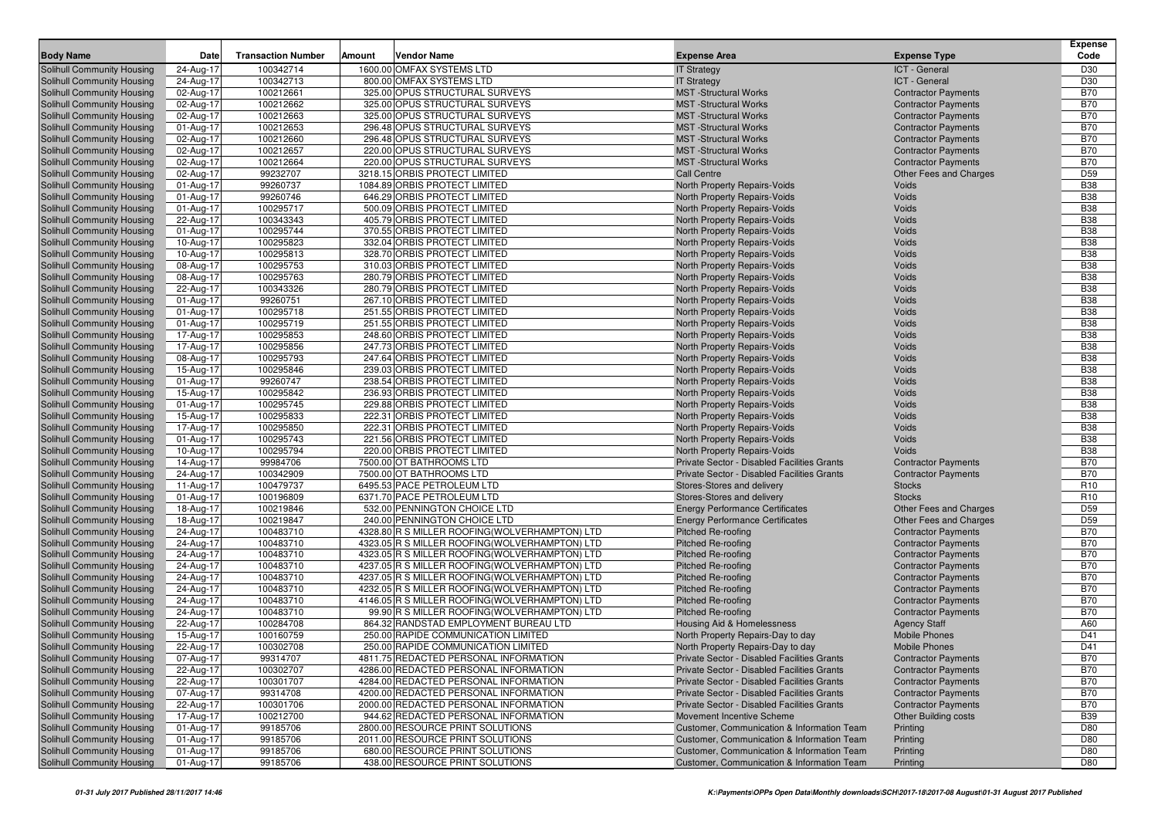| <b>Body Name</b>                                         | Date                   | <b>Transaction Number</b> | Amount | <b>Vendor Name</b>                                                                               | <b>Expense Area</b>                                    | <b>Expense Type</b>                                      | <b>Expense</b><br>Code             |
|----------------------------------------------------------|------------------------|---------------------------|--------|--------------------------------------------------------------------------------------------------|--------------------------------------------------------|----------------------------------------------------------|------------------------------------|
| Solihull Community Housing                               | 24-Aug-17              | 100342714                 |        | 1600.00 OMFAX SYSTEMS LTD                                                                        | <b>IT Strategy</b>                                     | ICT - General                                            | D30                                |
| Solihull Community Housing                               | 24-Aug-17              | 100342713                 |        | 800.00 OMFAX SYSTEMS LTD                                                                         | <b>IT Strategy</b>                                     | ICT - General                                            | D30                                |
| Solihull Community Housing                               | 02-Aug-17              | 100212661                 |        | 325.00 OPUS STRUCTURAL SURVEYS                                                                   | <b>MST</b> -Structural Works                           | <b>Contractor Payments</b>                               | <b>B70</b>                         |
| Solihull Community Housing                               | 02-Aug-17              | 100212662                 |        | 325.00 OPUS STRUCTURAL SURVEYS                                                                   | <b>MST</b> -Structural Works                           | <b>Contractor Payments</b>                               | <b>B70</b>                         |
| Solihull Community Housing                               | 02-Aug-17              | 100212663                 |        | 325.00 OPUS STRUCTURAL SURVEYS                                                                   | <b>MST</b> -Structural Works                           | <b>Contractor Payments</b>                               | <b>B70</b>                         |
| Solihull Community Housing                               | 01-Aug-17              | 100212653                 |        | 296.48 OPUS STRUCTURAL SURVEYS                                                                   | <b>MST</b> -Structural Works                           | <b>Contractor Payments</b>                               | <b>B70</b>                         |
| Solihull Community Housing                               | 02-Aug-17              | 100212660                 |        | 296.48 OPUS STRUCTURAL SURVEYS                                                                   | <b>MST</b> -Structural Works                           | <b>Contractor Payments</b>                               | <b>B70</b>                         |
| Solihull Community Housing                               | 02-Aug-17              | 100212657                 |        | 220.00 OPUS STRUCTURAL SURVEYS                                                                   | <b>MST</b> -Structural Works                           | <b>Contractor Payments</b>                               | <b>B70</b>                         |
| Solihull Community Housing                               | 02-Aug-17              | 100212664                 |        | 220.00 OPUS STRUCTURAL SURVEYS                                                                   | <b>MST</b> -Structural Works                           | <b>Contractor Payments</b>                               | <b>B70</b>                         |
| Solihull Community Housing                               | 02-Aug-17              | 99232707                  |        | 3218.15 ORBIS PROTECT LIMITED                                                                    | <b>Call Centre</b>                                     | Other Fees and Charges                                   | D <sub>59</sub>                    |
| <b>Solihull Community Housing</b>                        | 01-Aug-17              | 99260737                  |        | 1084.89 ORBIS PROTECT LIMITED                                                                    | North Property Repairs-Voids                           | Voids                                                    | <b>B38</b>                         |
| Solihull Community Housing                               | 01-Aug-17              | 99260746                  |        | 646.29 ORBIS PROTECT LIMITED                                                                     | North Property Repairs-Voids                           | Voids                                                    | <b>B38</b>                         |
| Solihull Community Housing                               | 01-Aug-17              | 100295717                 |        | 500.09 ORBIS PROTECT LIMITED                                                                     | North Property Repairs-Voids                           | Voids                                                    | <b>B38</b>                         |
| Solihull Community Housing                               | 22-Aug-17              | 100343343                 |        | 405.79 ORBIS PROTECT LIMITED                                                                     | North Property Repairs-Voids                           | Voids                                                    | <b>B38</b>                         |
| Solihull Community Housing                               | 01-Aug-17              | 100295744                 |        | 370.55 ORBIS PROTECT LIMITED                                                                     | North Property Repairs-Voids                           | Voids                                                    | <b>B38</b>                         |
| Solihull Community Housing                               | 10-Aug-17              | 100295823                 |        | 332.04 ORBIS PROTECT LIMITED                                                                     | North Property Repairs-Voids                           | Voids                                                    | <b>B38</b>                         |
| Solihull Community Housing                               | 10-Aug-17              | 100295813                 |        | 328.70 ORBIS PROTECT LIMITED                                                                     | North Property Repairs-Voids                           | Voids                                                    | <b>B38</b>                         |
| Solihull Community Housing                               | 08-Aug-17              | 100295753                 |        | 310.03 ORBIS PROTECT LIMITED                                                                     | North Property Repairs-Voids                           | Voids                                                    | <b>B38</b>                         |
| Solihull Community Housing                               | 08-Aug-17              | 100295763                 |        | 280.79 ORBIS PROTECT LIMITED                                                                     | North Property Repairs-Voids                           | Voids                                                    | <b>B38</b>                         |
| Solihull Community Housing                               | 22-Aug-17              | 100343326                 |        | 280.79 ORBIS PROTECT LIMITED                                                                     | North Property Repairs-Voids                           | Voids                                                    | <b>B38</b>                         |
| <b>Solihull Community Housing</b>                        | 01-Aug-17              | 99260751                  |        | 267.10 ORBIS PROTECT LIMITED                                                                     | North Property Repairs-Voids                           | Voids                                                    | <b>B38</b>                         |
| Solihull Community Housing                               | 01-Aug-17              | 100295718                 |        | 251.55 ORBIS PROTECT LIMITED                                                                     | North Property Repairs-Voids                           | Voids                                                    | <b>B38</b>                         |
| Solihull Community Housing                               | 01-Aug-17              | 100295719                 |        | 251.55 ORBIS PROTECT LIMITED                                                                     | North Property Repairs-Voids                           | Voids                                                    | <b>B38</b>                         |
| Solihull Community Housing                               | 17-Aug-17              | 100295853                 |        | 248.60 ORBIS PROTECT LIMITED                                                                     | North Property Repairs-Voids                           | Voids                                                    | <b>B38</b>                         |
| Solihull Community Housing                               | 17-Aug-17              | 100295856                 |        | 247.73 ORBIS PROTECT LIMITED                                                                     | North Property Repairs-Voids                           | Voids                                                    | <b>B38</b>                         |
| <b>Solihull Community Housing</b>                        | 08-Aug-17              | 100295793                 |        | 247.64 ORBIS PROTECT LIMITED                                                                     | North Property Repairs-Voids                           | Voids                                                    | <b>B38</b>                         |
| Solihull Community Housing                               | 15-Aug-17              | 100295846                 |        | 239.03 ORBIS PROTECT LIMITED                                                                     | North Property Repairs-Voids                           | Voids                                                    | <b>B38</b>                         |
| Solihull Community Housing                               | 01-Aug-17              | 99260747                  |        | 238.54 ORBIS PROTECT LIMITED                                                                     | North Property Repairs-Voids                           | Voids                                                    | <b>B38</b>                         |
| Solihull Community Housing                               | 15-Aug-17              | 100295842                 |        | 236.93 ORBIS PROTECT LIMITED                                                                     | North Property Repairs-Voids                           | Voids                                                    | <b>B38</b>                         |
| Solihull Community Housing                               | 01-Aug-17              | 100295745                 |        | 229.88 ORBIS PROTECT LIMITED                                                                     | North Property Repairs-Voids                           | Voids                                                    | <b>B38</b>                         |
| <b>Solihull Community Housing</b>                        | 15-Aug-17              | 100295833                 |        | 222.31 ORBIS PROTECT LIMITED                                                                     | North Property Repairs-Voids                           | Voids                                                    | <b>B38</b>                         |
| Solihull Community Housing                               | 17-Aug-17              | 100295850                 |        | 222.31 ORBIS PROTECT LIMITED                                                                     | North Property Repairs-Voids                           | Voids                                                    | <b>B38</b>                         |
| Solihull Community Housing                               | 01-Aug-17              | 100295743                 |        | 221.56 ORBIS PROTECT LIMITED                                                                     | North Property Repairs-Voids                           | Voids                                                    | <b>B38</b>                         |
| Solihull Community Housing                               | 10-Aug-17              | 100295794                 |        | 220.00 ORBIS PROTECT LIMITED                                                                     | North Property Repairs-Voids                           | Voids                                                    | <b>B38</b>                         |
| Solihull Community Housing                               | 14-Aug-17              | 99984706                  |        | 7500.00 OT BATHROOMS LTD                                                                         | Private Sector - Disabled Facilities Grants            | <b>Contractor Payments</b>                               | <b>B70</b>                         |
| <b>Solihull Community Housing</b>                        | 24-Aug-17              | 100342909                 |        | 7500.00 OT BATHROOMS LTD                                                                         | Private Sector - Disabled Facilities Grants            | <b>Contractor Payments</b>                               | <b>B70</b>                         |
| Solihull Community Housing                               | 11-Aug-17              | 100479737                 |        | 6495.53 PACE PETROLEUM LTD                                                                       | Stores-Stores and delivery                             | <b>Stocks</b>                                            | R <sub>10</sub>                    |
| Solihull Community Housing                               | 01-Aug-17              | 100196809                 |        | 6371.70 PACE PETROLEUM LTD                                                                       | Stores-Stores and delivery                             | <b>Stocks</b>                                            | R <sub>10</sub>                    |
| Solihull Community Housing                               | 18-Aug-17              | 100219846                 |        | 532.00 PENNINGTON CHOICE LTD                                                                     | <b>Energy Performance Certificates</b>                 | Other Fees and Charges                                   | D <sub>59</sub><br>D <sub>59</sub> |
| Solihull Community Housing                               | 18-Aug-17              | 100219847                 |        | 240.00 PENNINGTON CHOICE LTD                                                                     | <b>Energy Performance Certificates</b>                 | Other Fees and Charges                                   |                                    |
| <b>Solihull Community Housing</b>                        | 24-Aug-17              | 100483710                 |        | 4328.80 R S MILLER ROOFING (WOLVERHAMPTON) LTD                                                   | Pitched Re-roofing                                     | <b>Contractor Payments</b>                               | <b>B70</b><br><b>B70</b>           |
| Solihull Community Housing<br>Solihull Community Housing | 24-Aug-17<br>24-Aug-17 | 100483710<br>100483710    |        | 4323.05 R S MILLER ROOFING (WOLVERHAMPTON) LTD<br>4323.05 R S MILLER ROOFING (WOLVERHAMPTON) LTD | <b>Pitched Re-roofing</b><br><b>Pitched Re-roofing</b> | <b>Contractor Payments</b><br><b>Contractor Payments</b> | <b>B70</b>                         |
| Solihull Community Housing                               | 24-Aug-17              | 100483710                 |        | 4237.05 R S MILLER ROOFING (WOLVERHAMPTON) LTD                                                   | <b>Pitched Re-roofing</b>                              | <b>Contractor Payments</b>                               | <b>B70</b>                         |
| Solihull Community Housing                               | 24-Aug-17              | 100483710                 |        | 4237.05 R S MILLER ROOFING (WOLVERHAMPTON) LTD                                                   | <b>Pitched Re-roofing</b>                              | <b>Contractor Payments</b>                               | <b>B70</b>                         |
| Solihull Community Housing                               | 24-Aug-17              | 100483710                 |        | 4232.05 R S MILLER ROOFING(WOLVERHAMPTON) LTD                                                    | <b>Pitched Re-roofing</b>                              | <b>Contractor Payments</b>                               | <b>B70</b>                         |
| Solihull Community Housing                               | 24-Aug-17              | 100483710                 |        | 4146.05 R S MILLER ROOFING (WOLVERHAMPTON) LTD                                                   | <b>Pitched Re-roofing</b>                              | <b>Contractor Payments</b>                               | <b>B70</b>                         |
| Solihull Community Housing                               | 24-Aug-17              | 100483710                 |        | 99.90 R S MILLER ROOFING(WOLVERHAMPTON) LTD                                                      | <b>Pitched Re-roofing</b>                              | <b>Contractor Payments</b>                               | <b>B70</b>                         |
| <b>Solihull Community Housing</b>                        | 22-Aug-17              | 100284708                 |        | 864.32 RANDSTAD EMPLOYMENT BUREAU LTD                                                            | Housing Aid & Homelessness                             | <b>Agency Staff</b>                                      | A60                                |
| Solihull Community Housing                               | 15-Aug-17              | 100160759                 |        | 250.00 RAPIDE COMMUNICATION LIMITED                                                              | North Property Repairs-Day to day                      | <b>Mobile Phones</b>                                     | D41                                |
| Solihull Community Housing                               | 22-Aug-17              | 100302708                 |        | 250.00 RAPIDE COMMUNICATION LIMITED                                                              | North Property Repairs-Day to day                      | <b>Mobile Phones</b>                                     | D41                                |
| Solihull Community Housing                               | 07-Aug-17              | 99314707                  |        | 4811.75 REDACTED PERSONAL INFORMATION                                                            | Private Sector - Disabled Facilities Grants            | <b>Contractor Payments</b>                               | <b>B70</b>                         |
| Solihull Community Housing                               | 22-Aug-17              | 100302707                 |        | 4286.00 REDACTED PERSONAL INFORMATION                                                            | Private Sector - Disabled Facilities Grants            | <b>Contractor Payments</b>                               | <b>B70</b>                         |
| Solihull Community Housing                               | 22-Aug-17              | 100301707                 |        | 4284.00 REDACTED PERSONAL INFORMATION                                                            | Private Sector - Disabled Facilities Grants            | <b>Contractor Payments</b>                               | <b>B70</b>                         |
| Solihull Community Housing                               | 07-Aug-17              | 99314708                  |        | 4200.00 REDACTED PERSONAL INFORMATION                                                            | Private Sector - Disabled Facilities Grants            | <b>Contractor Payments</b>                               | <b>B70</b>                         |
| Solihull Community Housing                               | 22-Aug-17              | 100301706                 |        | 2000.00 REDACTED PERSONAL INFORMATION                                                            | Private Sector - Disabled Facilities Grants            | <b>Contractor Payments</b>                               | <b>B70</b>                         |
| Solihull Community Housing                               | 17-Aug-17              | 100212700                 |        | 944.62 REDACTED PERSONAL INFORMATION                                                             | Movement Incentive Scheme                              | <b>Other Building costs</b>                              | <b>B39</b>                         |
| Solihull Community Housing                               | 01-Aug-17              | 99185706                  |        | 2800.00 RESOURCE PRINT SOLUTIONS                                                                 | Customer, Communication & Information Team             | Printing                                                 | D80                                |
| Solihull Community Housing                               | 01-Aug-17              | 99185706                  |        | 2011.00 RESOURCE PRINT SOLUTIONS                                                                 | Customer, Communication & Information Team             | Printing                                                 | D80                                |
| Solihull Community Housing                               | 01-Aug-17              | 99185706                  |        | 680.00 RESOURCE PRINT SOLUTIONS                                                                  | Customer, Communication & Information Team             | Printing                                                 | D80                                |
| Solihull Community Housing                               | 01-Aug-17              | 99185706                  |        | 438.00 RESOURCE PRINT SOLUTIONS                                                                  | Customer, Communication & Information Team             | Printing                                                 | D80                                |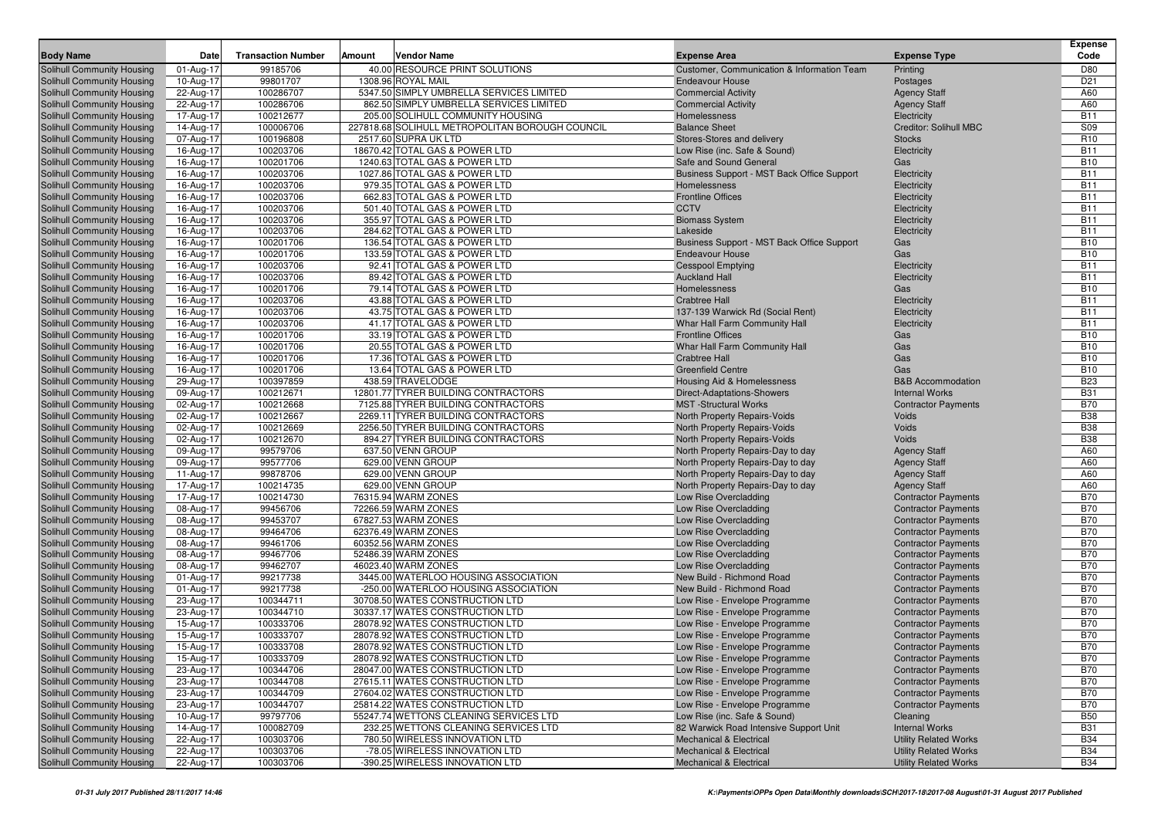| <b>Body Name</b>                                         | Date                   | <b>Transaction Number</b> | Amount | <b>Vendor Name</b>                                                        | <b>Expense Area</b>                                          | <b>Expense Type</b>                        | <b>Expense</b><br>Code   |
|----------------------------------------------------------|------------------------|---------------------------|--------|---------------------------------------------------------------------------|--------------------------------------------------------------|--------------------------------------------|--------------------------|
| Solihull Community Housing                               | 01-Aug-17              | 99185706                  |        | 40.00 RESOURCE PRINT SOLUTIONS                                            | Customer, Communication & Information Team                   | Printing                                   | D80                      |
| Solihull Community Housing                               | 10-Aug-17              | 99801707                  |        | 1308.96 ROYAL MAIL                                                        | <b>Endeavour House</b>                                       | Postages                                   | D <sub>21</sub>          |
| Solihull Community Housing                               | 22-Aug-17              | 100286707                 |        | 5347.50 SIMPLY UMBRELLA SERVICES LIMITED                                  | <b>Commercial Activity</b>                                   | <b>Agency Staff</b>                        | A60                      |
| Solihull Community Housing                               | 22-Aug-17              | 100286706                 |        | 862.50 SIMPLY UMBRELLA SERVICES LIMITED                                   | <b>Commercial Activity</b>                                   | <b>Agency Staff</b>                        | A60                      |
| Solihull Community Housing                               | 17-Aug-17              | 100212677                 |        | 205.00 SOLIHULL COMMUNITY HOUSING                                         | Homelessness                                                 | Electricity                                | <b>B11</b>               |
| Solihull Community Housing                               | 14-Aug-17              | 100006706                 |        | 227818.68 SOLIHULL METROPOLITAN BOROUGH COUNCIL                           | <b>Balance Sheet</b>                                         | <b>Creditor: Solihull MBC</b>              | S09                      |
| Solihull Community Housing                               | 07-Aug-17              | 100196808                 |        | 2517.60 SUPRA UK LTD                                                      | Stores-Stores and delivery                                   | <b>Stocks</b>                              | R <sub>10</sub>          |
| Solihull Community Housing                               | 16-Aug-17              | 100203706                 |        | 18670.42 TOTAL GAS & POWER LTD                                            | Low Rise (inc. Safe & Sound)                                 | Electricity                                | <b>B11</b>               |
| Solihull Community Housing                               | 16-Aug-17              | 100201706                 |        | 1240.63 TOTAL GAS & POWER LTD                                             | Safe and Sound General                                       | Gas                                        | <b>B10</b>               |
| Solihull Community Housing                               | 16-Aug-17              | 100203706                 |        | 1027.86 TOTAL GAS & POWER LTD                                             | Business Support - MST Back Office Support                   | Electricity                                | <b>B11</b>               |
| Solihull Community Housing                               | 16-Aug-17              | 100203706                 |        | 979.35 TOTAL GAS & POWER LTD                                              | Homelessness                                                 | Electricity                                | <b>B11</b>               |
| Solihull Community Housing                               | 16-Aug-17              | 100203706                 |        | 662.83 TOTAL GAS & POWER LTD                                              | <b>Frontline Offices</b>                                     | Electricity                                | <b>B11</b>               |
| Solihull Community Housing                               | 16-Aug-17              | 100203706                 |        | 501.40 TOTAL GAS & POWER LTD                                              | <b>CCTV</b>                                                  | Electricity                                | <b>B11</b>               |
| Solihull Community Housing                               | 16-Aug-17              | 100203706                 |        | 355.97 TOTAL GAS & POWER LTD                                              | <b>Biomass System</b>                                        | Electricity                                | <b>B11</b>               |
| Solihull Community Housing                               | 16-Aug-17              | 100203706                 |        | 284.62 TOTAL GAS & POWER LTD                                              | Lakeside                                                     | Electricity                                | <b>B11</b>               |
| Solihull Community Housing                               | 16-Aug-17              | 100201706                 |        | 136.54 TOTAL GAS & POWER LTD                                              | Business Support - MST Back Office Support                   | Gas                                        | <b>B10</b>               |
| Solihull Community Housing                               | 16-Aug-17              | 100201706                 |        | 133.59 TOTAL GAS & POWER LTD                                              | <b>Endeavour House</b>                                       | Gas                                        | <b>B10</b>               |
| Solihull Community Housing                               | 16-Aug-17              | 100203706                 |        | 92.41 TOTAL GAS & POWER LTD                                               | <b>Cesspool Emptying</b>                                     | Electricity                                | <b>B11</b>               |
| Solihull Community Housing                               | 16-Aug-17              | 100203706                 |        | 89.42 TOTAL GAS & POWER LTD                                               | <b>Auckland Hall</b>                                         | Electricity                                | <b>B11</b>               |
| Solihull Community Housing                               | 16-Aug-17              | 100201706                 |        | 79.14 TOTAL GAS & POWER LTD                                               | Homelessness                                                 | Gas                                        | <b>B10</b>               |
| Solihull Community Housing                               | 16-Aug-17              | 100203706                 |        | 43.88 TOTAL GAS & POWER LTD                                               | <b>Crabtree Hall</b>                                         | Electricity                                | <b>B11</b>               |
| Solihull Community Housing                               | 16-Aug-17              | 100203706                 |        | 43.75 TOTAL GAS & POWER LTD                                               | 137-139 Warwick Rd (Social Rent)                             | Electricity                                | <b>B11</b>               |
| Solihull Community Housing                               | 16-Aug-17              | 100203706                 |        | 41.17 TOTAL GAS & POWER LTD                                               | Whar Hall Farm Community Hall                                | Electricity                                | <b>B11</b>               |
| Solihull Community Housing                               | 16-Aug-17              | 100201706                 |        | 33.19 TOTAL GAS & POWER LTD                                               | <b>Frontline Offices</b>                                     | Gas                                        | <b>B10</b>               |
| Solihull Community Housing                               | 16-Aug-17              | 100201706                 |        | 20.55 TOTAL GAS & POWER LTD                                               | Whar Hall Farm Community Hall                                | Gas                                        | <b>B10</b>               |
| Solihull Community Housing                               | 16-Aug-17              | 100201706                 |        | 17.36 TOTAL GAS & POWER LTD                                               | <b>Crabtree Hall</b>                                         | Gas                                        | <b>B10</b>               |
| Solihull Community Housing                               | 16-Aug-17              | 100201706                 |        | 13.64 TOTAL GAS & POWER LTD                                               | <b>Greenfield Centre</b>                                     | Gas                                        | <b>B10</b>               |
| Solihull Community Housing                               | 29-Aug-17              | 100397859                 |        | 438.59 TRAVELODGE                                                         | Housing Aid & Homelessness                                   | <b>B&amp;B</b> Accommodation               | <b>B23</b>               |
| Solihull Community Housing                               | 09-Aug-17              | 100212671                 |        | 12801.77 TYRER BUILDING CONTRACTORS<br>7125.88 TYRER BUILDING CONTRACTORS | <b>Direct-Adaptations-Showers</b>                            | <b>Internal Works</b>                      | <b>B31</b><br><b>B70</b> |
| Solihull Community Housing                               | 02-Aug-17              | 100212668<br>100212667    |        | 2269.11 TYRER BUILDING CONTRACTORS                                        | <b>MST</b> -Structural Works                                 | <b>Contractor Payments</b><br><b>Voids</b> | <b>B38</b>               |
| Solihull Community Housing<br>Solihull Community Housing | 02-Aug-17<br>02-Aug-17 | 100212669                 |        | 2256.50 TYRER BUILDING CONTRACTORS                                        | North Property Repairs-Voids<br>North Property Repairs-Voids | <b>Voids</b>                               | <b>B38</b>               |
| Solihull Community Housing                               | 02-Aug-17              | 100212670                 |        | 894.27 TYRER BUILDING CONTRACTORS                                         | North Property Repairs-Voids                                 | Voids                                      | <b>B38</b>               |
| Solihull Community Housing                               | 09-Aug-17              | 99579706                  |        | 637.50 VENN GROUP                                                         | North Property Repairs-Day to day                            | <b>Agency Staff</b>                        | A60                      |
| Solihull Community Housing                               | 09-Aug-17              | 99577706                  |        | 629.00 VENN GROUP                                                         | North Property Repairs-Day to day                            | <b>Agency Staff</b>                        | A60                      |
| Solihull Community Housing                               | 11-Aug-17              | 99878706                  |        | 629.00 VENN GROUP                                                         | North Property Repairs-Day to day                            | <b>Agency Staff</b>                        | A60                      |
| Solihull Community Housing                               | 17-Aug-17              | 100214735                 |        | 629.00 VENN GROUP                                                         | North Property Repairs-Day to day                            | <b>Agency Staff</b>                        | A60                      |
| Solihull Community Housing                               | 17-Aug-17              | 100214730                 |        | 76315.94 WARM ZONES                                                       | Low Rise Overcladding                                        | <b>Contractor Payments</b>                 | <b>B70</b>               |
| Solihull Community Housing                               | 08-Aug-17              | 99456706                  |        | 72266.59 WARM ZONES                                                       | Low Rise Overcladding                                        | <b>Contractor Payments</b>                 | <b>B70</b>               |
| Solihull Community Housing                               | 08-Aug-17              | 99453707                  |        | 67827.53 WARM ZONES                                                       | Low Rise Overcladding                                        | <b>Contractor Payments</b>                 | <b>B70</b>               |
| <b>Solihull Community Housing</b>                        | 08-Aug-17              | 99464706                  |        | 62376.49 WARM ZONES                                                       | Low Rise Overcladding                                        | <b>Contractor Payments</b>                 | <b>B70</b>               |
| Solihull Community Housing                               | 08-Aug-17              | 99461706                  |        | 60352.56 WARM ZONES                                                       | Low Rise Overcladding                                        | <b>Contractor Payments</b>                 | <b>B70</b>               |
| Solihull Community Housing                               | 08-Aug-17              | 99467706                  |        | 52486.39 WARM ZONES                                                       | Low Rise Overcladding                                        | <b>Contractor Payments</b>                 | <b>B70</b>               |
| Solihull Community Housing                               | 08-Aug-17              | 99462707                  |        | 46023.40 WARM ZONES                                                       | Low Rise Overcladding                                        | <b>Contractor Payments</b>                 | <b>B70</b>               |
| Solihull Community Housing                               | 01-Aug-17              | 99217738                  |        | 3445.00 WATERLOO HOUSING ASSOCIATION                                      | New Build - Richmond Road                                    | <b>Contractor Payments</b>                 | <b>B70</b>               |
| Solihull Community Housing                               | 01-Aug-17              | 99217738                  |        | -250.00 WATERLOO HOUSING ASSOCIATION                                      | New Build - Richmond Road                                    | <b>Contractor Payments</b>                 | <b>B70</b>               |
| Solihull Community Housing                               | 23-Aug-17              | 100344711                 |        | 30708.50 WATES CONSTRUCTION LTD                                           | Low Rise - Envelope Programme                                | <b>Contractor Payments</b>                 | <b>B70</b>               |
| Solihull Community Housing                               | 23-Aug-17              | 100344710                 |        | 30337.17 WATES CONSTRUCTION LTD                                           | Low Rise - Envelope Programme                                | <b>Contractor Payments</b>                 | <b>B70</b>               |
| <b>Solihull Community Housing</b>                        | 15-Aug-17              | 100333706                 |        | 28078.92 WATES CONSTRUCTION LTD                                           | Low Rise - Envelope Programme                                | <b>Contractor Payments</b>                 | <b>B70</b>               |
| Solihull Community Housing                               | 15-Aug-17              | 100333707                 |        | 28078.92 WATES CONSTRUCTION LTD                                           | Low Rise - Envelope Programme                                | <b>Contractor Payments</b>                 | <b>B70</b>               |
| Solihull Community Housing                               | 15-Aug-17              | 100333708                 |        | 28078.92 WATES CONSTRUCTION LTD                                           | Low Rise - Envelope Programme                                | <b>Contractor Payments</b>                 | <b>B70</b>               |
| Solihull Community Housing                               | 15-Aug-17              | 100333709                 |        | 28078.92 WATES CONSTRUCTION LTD                                           | Low Rise - Envelope Programme                                | <b>Contractor Payments</b>                 | <b>B70</b>               |
| Solihull Community Housing                               | 23-Aug-17              | 100344706                 |        | 28047.00 WATES CONSTRUCTION LTD                                           | Low Rise - Envelope Programme                                | <b>Contractor Payments</b>                 | <b>B70</b>               |
| Solihull Community Housing                               | 23-Aug-17              | 100344708                 |        | 27615.11 WATES CONSTRUCTION LTD                                           | Low Rise - Envelope Programme                                | <b>Contractor Payments</b>                 | <b>B70</b>               |
| Solihull Community Housing                               | 23-Aug-17              | 100344709                 |        | 27604.02 WATES CONSTRUCTION LTD                                           | Low Rise - Envelope Programme                                | <b>Contractor Payments</b>                 | <b>B70</b>               |
| Solihull Community Housing                               | 23-Aug-17              | 100344707                 |        | 25814.22 WATES CONSTRUCTION LTD                                           | Low Rise - Envelope Programme                                | <b>Contractor Payments</b>                 | <b>B70</b>               |
| Solihull Community Housing                               | 10-Aug-17              | 99797706                  |        | 55247.74 WETTONS CLEANING SERVICES LTD                                    | Low Rise (inc. Safe & Sound)                                 | Cleaning                                   | <b>B50</b>               |
| Solihull Community Housing                               | 14-Aug-17              | 100082709                 |        | 232.25 WETTONS CLEANING SERVICES LTD                                      | 82 Warwick Road Intensive Support Unit                       | <b>Internal Works</b>                      | <b>B31</b>               |
| Solihull Community Housing                               | 22-Aug-17              | 100303706                 |        | 780.50 WIRELESS INNOVATION LTD                                            | <b>Mechanical &amp; Electrical</b>                           | <b>Utility Related Works</b>               | <b>B34</b>               |
| Solihull Community Housing                               | 22-Aug-17              | 100303706                 |        | -78.05 WIRELESS INNOVATION LTD                                            | <b>Mechanical &amp; Electrical</b>                           | <b>Utility Related Works</b>               | <b>B34</b>               |
| Solihull Community Housing                               | 22-Aug-17              | 100303706                 |        | -390.25 WIRELESS INNOVATION LTD                                           | Mechanical & Electrical                                      | <b>Utility Related Works</b>               | <b>B34</b>               |